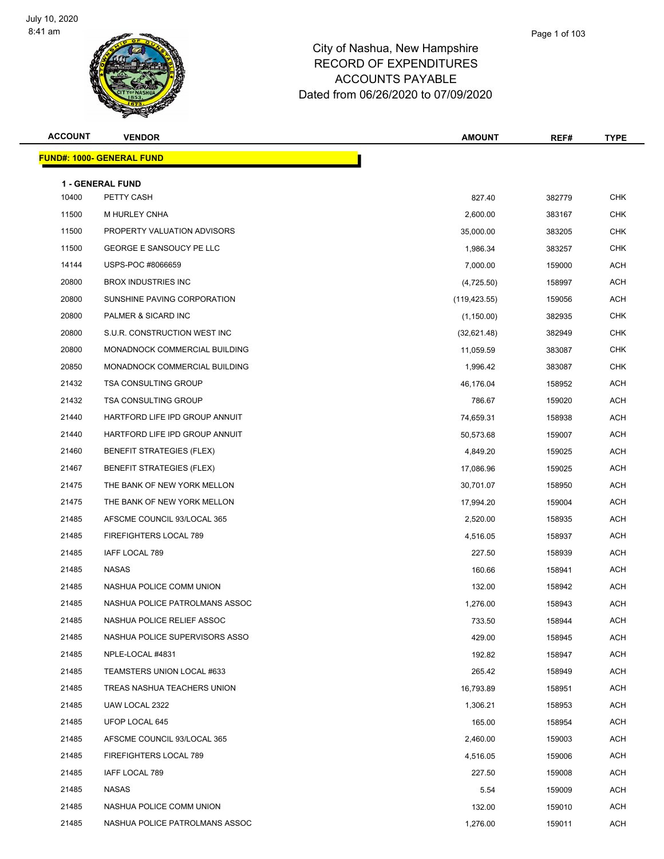

| <b>ACCOUNT</b> | <b>VENDOR</b>                     | AMOUNT        | REF#   | <b>TYPE</b> |
|----------------|-----------------------------------|---------------|--------|-------------|
|                | <u> FUND#: 1000- GENERAL FUND</u> |               |        |             |
|                | <b>1 - GENERAL FUND</b>           |               |        |             |
| 10400          | PETTY CASH                        | 827.40        | 382779 | <b>CHK</b>  |
| 11500          | M HURLEY CNHA                     | 2,600.00      | 383167 | <b>CHK</b>  |
| 11500          | PROPERTY VALUATION ADVISORS       | 35,000.00     | 383205 | <b>CHK</b>  |
| 11500          | GEORGE E SANSOUCY PE LLC          | 1,986.34      | 383257 | <b>CHK</b>  |
| 14144          | USPS-POC #8066659                 | 7,000.00      | 159000 | <b>ACH</b>  |
| 20800          | <b>BROX INDUSTRIES INC</b>        | (4,725.50)    | 158997 | ACH         |
| 20800          | SUNSHINE PAVING CORPORATION       | (119, 423.55) | 159056 | <b>ACH</b>  |
| 20800          | PALMER & SICARD INC               | (1, 150.00)   | 382935 | <b>CHK</b>  |
| 20800          | S.U.R. CONSTRUCTION WEST INC      | (32,621.48)   | 382949 | <b>CHK</b>  |
| 20800          | MONADNOCK COMMERCIAL BUILDING     | 11,059.59     | 383087 | <b>CHK</b>  |
| 20850          | MONADNOCK COMMERCIAL BUILDING     | 1,996.42      | 383087 | <b>CHK</b>  |
| 21432          | <b>TSA CONSULTING GROUP</b>       | 46.176.04     | 158952 | <b>ACH</b>  |
| 21432          | <b>TSA CONSULTING GROUP</b>       | 786.67        | 159020 | <b>ACH</b>  |
| 21440          | HARTFORD LIFE IPD GROUP ANNUIT    | 74,659.31     | 158938 | <b>ACH</b>  |
| 21440          | HARTFORD LIFE IPD GROUP ANNUIT    | 50,573.68     | 159007 | <b>ACH</b>  |
| 21460          | <b>BENEFIT STRATEGIES (FLEX)</b>  | 4,849.20      | 159025 | ACH         |
| 21467          | <b>BENEFIT STRATEGIES (FLEX)</b>  | 17,086.96     | 159025 | <b>ACH</b>  |
| 21475          | THE BANK OF NEW YORK MELLON       | 30,701.07     | 158950 | <b>ACH</b>  |
| 21475          | THE BANK OF NEW YORK MELLON       | 17,994.20     | 159004 | <b>ACH</b>  |
| 21485          | AFSCME COUNCIL 93/LOCAL 365       | 2,520.00      | 158935 | <b>ACH</b>  |
| 21485          | FIREFIGHTERS LOCAL 789            | 4,516.05      | 158937 | ACH         |
| 21485          | IAFF LOCAL 789                    | 227.50        | 158939 | <b>ACH</b>  |
| 21485          | NASAS                             | 160.66        | 158941 | <b>ACH</b>  |
| 21485          | NASHUA POLICE COMM UNION          | 132.00        | 158942 | <b>ACH</b>  |
| 21485          | NASHUA POLICE PATROLMANS ASSOC    | 1,276.00      | 158943 | <b>ACH</b>  |
| 21485          | NASHUA POLICE RELIEF ASSOC        | 733.50        | 158944 | <b>ACH</b>  |
| 21485          | NASHUA POLICE SUPERVISORS ASSO    | 429.00        | 158945 | ACH         |
| 21485          | NPLE-LOCAL #4831                  | 192.82        | 158947 | <b>ACH</b>  |
| 21485          | TEAMSTERS UNION LOCAL #633        | 265.42        | 158949 | ACH         |
| 21485          | TREAS NASHUA TEACHERS UNION       | 16,793.89     | 158951 | <b>ACH</b>  |
| 21485          | UAW LOCAL 2322                    | 1,306.21      | 158953 | ACH         |
| 21485          | UFOP LOCAL 645                    | 165.00        | 158954 | ACH         |
| 21485          | AFSCME COUNCIL 93/LOCAL 365       | 2,460.00      | 159003 | ACH         |
| 21485          | FIREFIGHTERS LOCAL 789            | 4,516.05      | 159006 | <b>ACH</b>  |
| 21485          | IAFF LOCAL 789                    | 227.50        | 159008 | <b>ACH</b>  |
| 21485          | NASAS                             | 5.54          | 159009 | ACH         |
| 21485          | NASHUA POLICE COMM UNION          | 132.00        | 159010 | ACH         |
| 21485          | NASHUA POLICE PATROLMANS ASSOC    | 1,276.00      | 159011 | ACH         |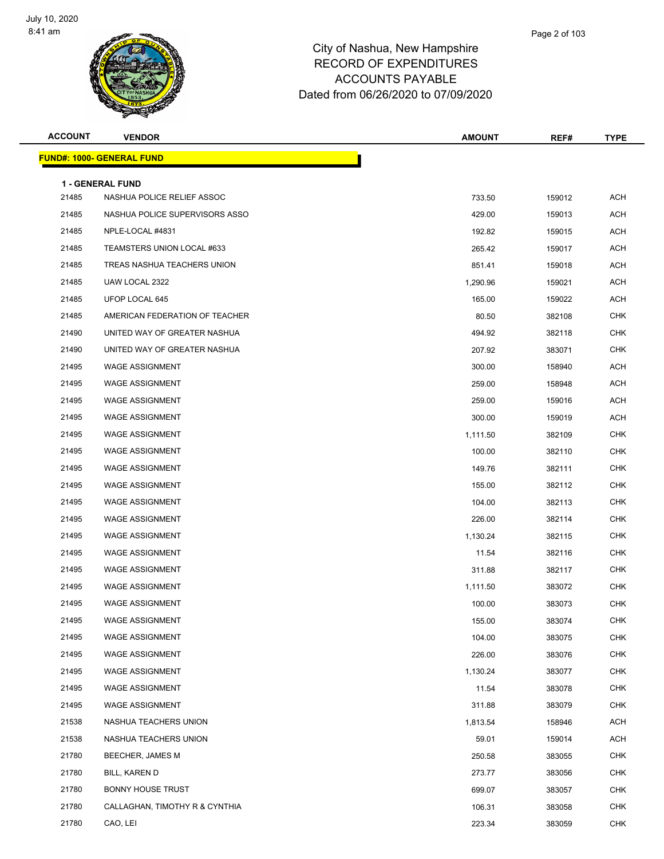

| <b>ACCOUNT</b> | <b>VENDOR</b>                                  | <b>AMOUNT</b> | REF#   | <b>TYPE</b> |
|----------------|------------------------------------------------|---------------|--------|-------------|
|                | <u> FUND#: 1000- GENERAL FUND</u>              |               |        |             |
|                |                                                |               |        |             |
| 21485          | 1 - GENERAL FUND<br>NASHUA POLICE RELIEF ASSOC | 733.50        | 159012 | <b>ACH</b>  |
| 21485          | NASHUA POLICE SUPERVISORS ASSO                 | 429.00        | 159013 | ACH         |
| 21485          | NPLE-LOCAL #4831                               | 192.82        | 159015 | ACH         |
| 21485          | TEAMSTERS UNION LOCAL #633                     | 265.42        | 159017 | ACH         |
| 21485          | TREAS NASHUA TEACHERS UNION                    | 851.41        | 159018 | <b>ACH</b>  |
| 21485          | UAW LOCAL 2322                                 | 1,290.96      | 159021 | ACH         |
| 21485          | UFOP LOCAL 645                                 | 165.00        | 159022 | ACH         |
| 21485          | AMERICAN FEDERATION OF TEACHER                 | 80.50         | 382108 | <b>CHK</b>  |
| 21490          | UNITED WAY OF GREATER NASHUA                   | 494.92        | 382118 | <b>CHK</b>  |
| 21490          | UNITED WAY OF GREATER NASHUA                   | 207.92        | 383071 | CHK         |
| 21495          | <b>WAGE ASSIGNMENT</b>                         | 300.00        | 158940 | ACH         |
| 21495          | <b>WAGE ASSIGNMENT</b>                         | 259.00        | 158948 | ACH         |
| 21495          | <b>WAGE ASSIGNMENT</b>                         | 259.00        | 159016 | <b>ACH</b>  |
| 21495          | <b>WAGE ASSIGNMENT</b>                         | 300.00        | 159019 | ACH         |
| 21495          | <b>WAGE ASSIGNMENT</b>                         | 1,111.50      | 382109 | <b>CHK</b>  |
| 21495          | <b>WAGE ASSIGNMENT</b>                         | 100.00        | 382110 | <b>CHK</b>  |
| 21495          | <b>WAGE ASSIGNMENT</b>                         | 149.76        | 382111 | CHK         |
| 21495          | <b>WAGE ASSIGNMENT</b>                         | 155.00        | 382112 | <b>CHK</b>  |
| 21495          | <b>WAGE ASSIGNMENT</b>                         | 104.00        | 382113 | <b>CHK</b>  |
| 21495          | <b>WAGE ASSIGNMENT</b>                         | 226.00        | 382114 | CHK         |
| 21495          | <b>WAGE ASSIGNMENT</b>                         | 1,130.24      | 382115 | <b>CHK</b>  |
| 21495          | <b>WAGE ASSIGNMENT</b>                         | 11.54         | 382116 | CHK         |
| 21495          | <b>WAGE ASSIGNMENT</b>                         | 311.88        | 382117 | <b>CHK</b>  |
| 21495          | <b>WAGE ASSIGNMENT</b>                         | 1,111.50      | 383072 | <b>CHK</b>  |
| 21495          | <b>WAGE ASSIGNMENT</b>                         | 100.00        | 383073 | CHK         |
| 21495          | WAGE ASSIGNMENT                                | 155.00        | 383074 | <b>CHK</b>  |
| 21495          | <b>WAGE ASSIGNMENT</b>                         | 104.00        | 383075 | <b>CHK</b>  |
| 21495          | <b>WAGE ASSIGNMENT</b>                         | 226.00        | 383076 | <b>CHK</b>  |
| 21495          | <b>WAGE ASSIGNMENT</b>                         | 1,130.24      | 383077 | <b>CHK</b>  |
| 21495          | <b>WAGE ASSIGNMENT</b>                         | 11.54         | 383078 | <b>CHK</b>  |
| 21495          | <b>WAGE ASSIGNMENT</b>                         | 311.88        | 383079 | <b>CHK</b>  |
| 21538          | NASHUA TEACHERS UNION                          | 1,813.54      | 158946 | ACH         |
| 21538          | NASHUA TEACHERS UNION                          | 59.01         | 159014 | <b>ACH</b>  |
| 21780          | BEECHER, JAMES M                               | 250.58        | 383055 | <b>CHK</b>  |
| 21780          | BILL, KAREN D                                  | 273.77        | 383056 | <b>CHK</b>  |
| 21780          | <b>BONNY HOUSE TRUST</b>                       | 699.07        | 383057 | <b>CHK</b>  |
| 21780          | CALLAGHAN, TIMOTHY R & CYNTHIA                 | 106.31        | 383058 | <b>CHK</b>  |
| 21780          | CAO, LEI                                       | 223.34        | 383059 | <b>CHK</b>  |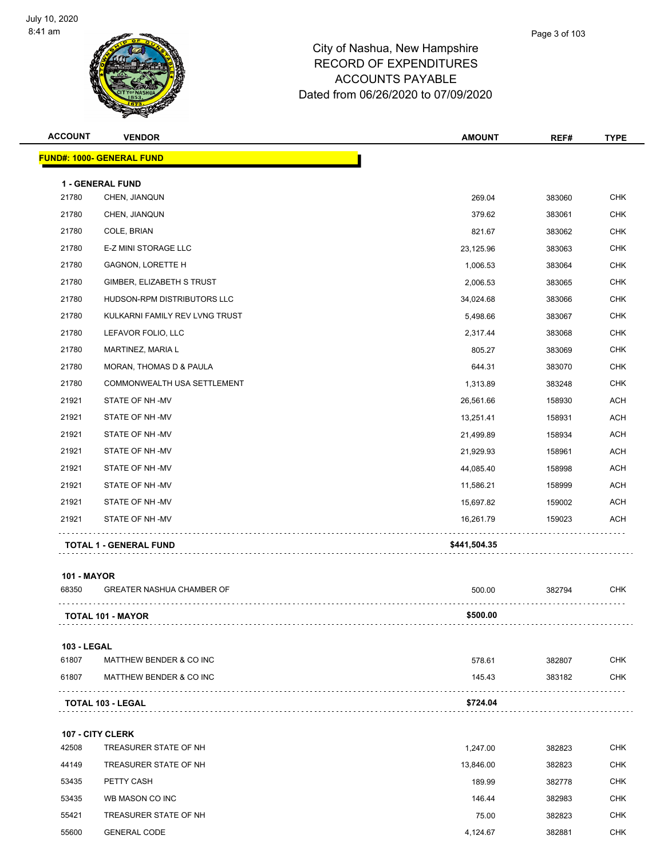

| <b>ACCOUNT</b> | <b>VENDOR</b>                    | <b>AMOUNT</b> | REF#   | <b>TYPE</b> |
|----------------|----------------------------------|---------------|--------|-------------|
|                | <b>FUND#: 1000- GENERAL FUND</b> |               |        |             |
|                | <b>1 - GENERAL FUND</b>          |               |        |             |
| 21780          | CHEN, JIANQUN                    | 269.04        | 383060 | <b>CHK</b>  |
| 21780          | CHEN, JIANQUN                    | 379.62        | 383061 | <b>CHK</b>  |
| 21780          | COLE, BRIAN                      | 821.67        | 383062 | <b>CHK</b>  |
| 21780          | E-Z MINI STORAGE LLC             | 23,125.96     | 383063 | <b>CHK</b>  |
| 21780          | <b>GAGNON, LORETTE H</b>         | 1,006.53      | 383064 | <b>CHK</b>  |
| 21780          | GIMBER, ELIZABETH S TRUST        | 2,006.53      | 383065 | <b>CHK</b>  |
| 21780          | HUDSON-RPM DISTRIBUTORS LLC      | 34,024.68     | 383066 | <b>CHK</b>  |
| 21780          | KULKARNI FAMILY REV LVNG TRUST   | 5,498.66      | 383067 | <b>CHK</b>  |
| 21780          | LEFAVOR FOLIO, LLC               | 2,317.44      | 383068 | <b>CHK</b>  |
| 21780          | MARTINEZ, MARIA L                | 805.27        | 383069 | <b>CHK</b>  |
| 21780          | MORAN, THOMAS D & PAULA          | 644.31        | 383070 | <b>CHK</b>  |
| 21780          | COMMONWEALTH USA SETTLEMENT      | 1,313.89      | 383248 | <b>CHK</b>  |
| 21921          | STATE OF NH-MV                   | 26,561.66     | 158930 | <b>ACH</b>  |
| 21921          | STATE OF NH-MV                   | 13,251.41     | 158931 | <b>ACH</b>  |
| 21921          | STATE OF NH-MV                   | 21,499.89     | 158934 | ACH         |
| 21921          | STATE OF NH -MV                  | 21,929.93     | 158961 | <b>ACH</b>  |
| 21921          | STATE OF NH-MV                   | 44,085.40     | 158998 | <b>ACH</b>  |
| 21921          | STATE OF NH-MV                   | 11,586.21     | 158999 | <b>ACH</b>  |
| 21921          | STATE OF NH-MV                   | 15,697.82     | 159002 | <b>ACH</b>  |
| 21921          | STATE OF NH-MV                   | 16,261.79     | 159023 | <b>ACH</b>  |
|                | <b>TOTAL 1 - GENERAL FUND</b>    | \$441,504.35  |        |             |
|                |                                  |               |        |             |

#### **101 - MAYOR**

| 68350              | <b>GREATER NASHUA CHAMBER OF</b> | 500.00   | 382794 | <b>CHK</b> |
|--------------------|----------------------------------|----------|--------|------------|
|                    | <b>TOTAL 101 - MAYOR</b>         | \$500.00 |        |            |
| <b>103 - LEGAL</b> |                                  |          |        |            |
| 61807              | MATTHEW BENDER & CO INC          | 578.61   | 382807 | <b>CHK</b> |
| 61807              | MATTHEW BENDER & CO INC          | 145.43   | 383182 | <b>CHK</b> |
|                    | <b>TOTAL 103 - LEGAL</b>         | \$724.04 |        |            |
|                    |                                  |          |        |            |

**107 - CITY CLERK** TREASURER STATE OF NH 1,247.00 382823 CHK TREASURER STATE OF NH 13,846.00 382823 CHK PETTY CASH 189.99 382778 CHK WB MASON CO INC 146.44 382983 CHK TREASURER STATE OF NH 75.00 382823 CHK GENERAL CODE 4,124.67 382881 CHK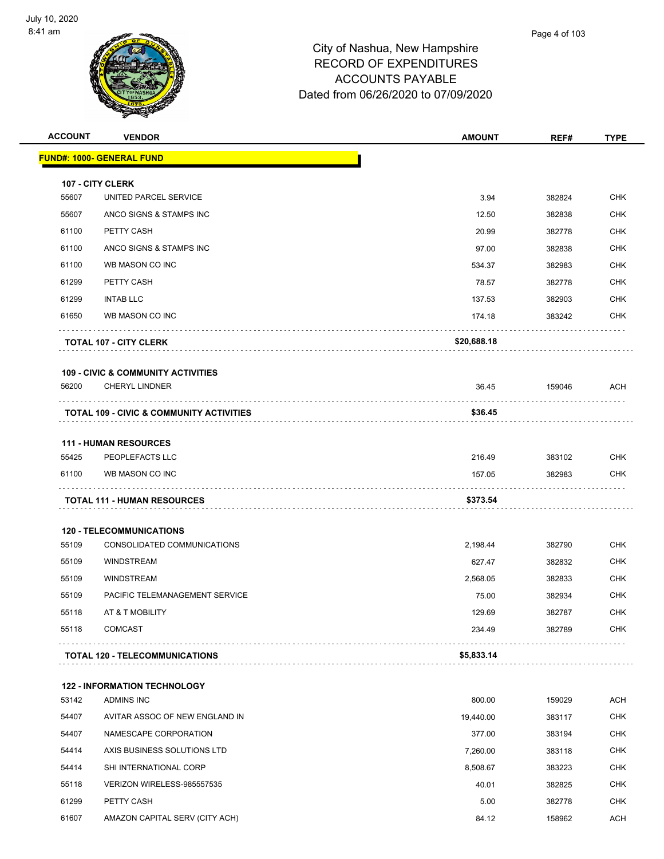

| <b>ACCOUNT</b> | <b>VENDOR</b>                                       | <b>AMOUNT</b> | REF#   | <b>TYPE</b> |
|----------------|-----------------------------------------------------|---------------|--------|-------------|
|                | <u> FUND#: 1000- GENERAL FUND</u>                   |               |        |             |
|                | 107 - CITY CLERK                                    |               |        |             |
| 55607          | UNITED PARCEL SERVICE                               | 3.94          | 382824 | <b>CHK</b>  |
| 55607          | ANCO SIGNS & STAMPS INC                             | 12.50         | 382838 | <b>CHK</b>  |
| 61100          | PETTY CASH                                          | 20.99         | 382778 | <b>CHK</b>  |
| 61100          | ANCO SIGNS & STAMPS INC                             | 97.00         | 382838 | <b>CHK</b>  |
| 61100          | WB MASON CO INC                                     | 534.37        | 382983 | <b>CHK</b>  |
| 61299          | PETTY CASH                                          | 78.57         | 382778 | <b>CHK</b>  |
| 61299          | <b>INTAB LLC</b>                                    | 137.53        | 382903 | <b>CHK</b>  |
| 61650          | WB MASON CO INC                                     | 174.18        | 383242 | CHK         |
|                | <b>TOTAL 107 - CITY CLERK</b>                       | \$20,688.18   |        |             |
|                | <b>109 - CIVIC &amp; COMMUNITY ACTIVITIES</b>       |               |        |             |
| 56200          | <b>CHERYL LINDNER</b>                               | 36.45         | 159046 | <b>ACH</b>  |
|                | <b>TOTAL 109 - CIVIC &amp; COMMUNITY ACTIVITIES</b> | \$36.45       |        |             |
|                | <b>111 - HUMAN RESOURCES</b>                        |               |        |             |
| 55425          | PEOPLEFACTS LLC                                     | 216.49        | 383102 | <b>CHK</b>  |
| 61100          | WB MASON CO INC                                     | 157.05        | 382983 | CHK         |
|                | <b>TOTAL 111 - HUMAN RESOURCES</b>                  | \$373.54      | .      |             |
|                | <b>120 - TELECOMMUNICATIONS</b>                     |               |        |             |
| 55109          | CONSOLIDATED COMMUNICATIONS                         | 2,198.44      | 382790 | <b>CHK</b>  |
| 55109          | <b>WINDSTREAM</b>                                   | 627.47        | 382832 | <b>CHK</b>  |
| 55109          | <b>WINDSTREAM</b>                                   | 2,568.05      | 382833 | <b>CHK</b>  |
| 55109          | PACIFIC TELEMANAGEMENT SERVICE                      | 75.00         | 382934 | <b>CHK</b>  |
| 55118          | AT & T MOBILITY                                     | 129.69        | 382787 | CHK         |
| 55118          | <b>COMCAST</b>                                      | 234.49        | 382789 | <b>CHK</b>  |
|                | <b>TOTAL 120 - TELECOMMUNICATIONS</b>               | \$5,833.14    |        |             |
|                | <b>122 - INFORMATION TECHNOLOGY</b>                 |               |        |             |
| 53142          | <b>ADMINS INC</b>                                   | 800.00        | 159029 | <b>ACH</b>  |
| 54407          | AVITAR ASSOC OF NEW ENGLAND IN                      | 19,440.00     | 383117 | <b>CHK</b>  |
| 54407          | NAMESCAPE CORPORATION                               | 377.00        | 383194 | <b>CHK</b>  |
| 54414          | AXIS BUSINESS SOLUTIONS LTD                         | 7,260.00      | 383118 | CHK         |
| 54414          | SHI INTERNATIONAL CORP                              | 8,508.67      | 383223 | <b>CHK</b>  |
| 55118          | VERIZON WIRELESS-985557535                          | 40.01         | 382825 | CHK         |
| 61299          | PETTY CASH                                          | 5.00          | 382778 | <b>CHK</b>  |
| 61607          | AMAZON CAPITAL SERV (CITY ACH)                      | 84.12         | 158962 | <b>ACH</b>  |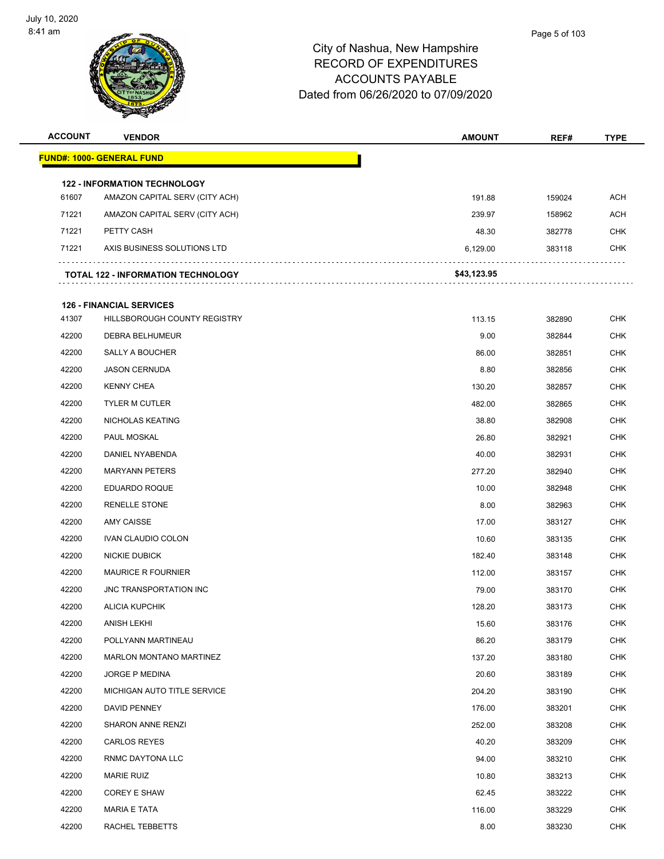

| <b>ACCOUNT</b> | <b>VENDOR</b>                                                         | <b>AMOUNT</b> | REF#   | <b>TYPE</b> |
|----------------|-----------------------------------------------------------------------|---------------|--------|-------------|
|                | <b>FUND#: 1000- GENERAL FUND</b>                                      |               |        |             |
|                |                                                                       |               |        |             |
| 61607          | <b>122 - INFORMATION TECHNOLOGY</b><br>AMAZON CAPITAL SERV (CITY ACH) | 191.88        | 159024 | <b>ACH</b>  |
| 71221          | AMAZON CAPITAL SERV (CITY ACH)                                        | 239.97        | 158962 | <b>ACH</b>  |
| 71221          | PETTY CASH                                                            | 48.30         | 382778 | <b>CHK</b>  |
| 71221          | AXIS BUSINESS SOLUTIONS LTD                                           | 6,129.00      | 383118 | <b>CHK</b>  |
|                |                                                                       |               |        |             |
|                | <b>TOTAL 122 - INFORMATION TECHNOLOGY</b>                             | \$43,123.95   |        |             |
|                | <b>126 - FINANCIAL SERVICES</b>                                       |               |        |             |
| 41307          | HILLSBOROUGH COUNTY REGISTRY                                          | 113.15        | 382890 | <b>CHK</b>  |
| 42200          | DEBRA BELHUMEUR                                                       | 9.00          | 382844 | <b>CHK</b>  |
| 42200          | <b>SALLY A BOUCHER</b>                                                | 86.00         | 382851 | <b>CHK</b>  |
| 42200          | <b>JASON CERNUDA</b>                                                  | 8.80          | 382856 | <b>CHK</b>  |
| 42200          | <b>KENNY CHEA</b>                                                     | 130.20        | 382857 | <b>CHK</b>  |
| 42200          | <b>TYLER M CUTLER</b>                                                 | 482.00        | 382865 | <b>CHK</b>  |
| 42200          | NICHOLAS KEATING                                                      | 38.80         | 382908 | <b>CHK</b>  |
| 42200          | PAUL MOSKAL                                                           | 26.80         | 382921 | CHK         |
| 42200          | DANIEL NYABENDA                                                       | 40.00         | 382931 | <b>CHK</b>  |
| 42200          | <b>MARYANN PETERS</b>                                                 | 277.20        | 382940 | <b>CHK</b>  |
| 42200          | <b>EDUARDO ROQUE</b>                                                  | 10.00         | 382948 | <b>CHK</b>  |
| 42200          | <b>RENELLE STONE</b>                                                  | 8.00          | 382963 | <b>CHK</b>  |
| 42200          | <b>AMY CAISSE</b>                                                     | 17.00         | 383127 | CHK         |
| 42200          | <b>IVAN CLAUDIO COLON</b>                                             | 10.60         | 383135 | <b>CHK</b>  |
| 42200          | <b>NICKIE DUBICK</b>                                                  | 182.40        | 383148 | <b>CHK</b>  |
| 42200          | <b>MAURICE R FOURNIER</b>                                             | 112.00        | 383157 | <b>CHK</b>  |
| 42200          | JNC TRANSPORTATION INC                                                | 79.00         | 383170 | <b>CHK</b>  |
| 42200          | <b>ALICIA KUPCHIK</b>                                                 | 128.20        | 383173 | <b>CHK</b>  |
| 42200          | <b>ANISH LEKHI</b>                                                    | 15.60         | 383176 | <b>CHK</b>  |
| 42200          | POLLYANN MARTINEAU                                                    | 86.20         | 383179 | <b>CHK</b>  |
| 42200          | MARLON MONTANO MARTINEZ                                               | 137.20        | 383180 | <b>CHK</b>  |
| 42200          | JORGE P MEDINA                                                        | 20.60         | 383189 | <b>CHK</b>  |
| 42200          | MICHIGAN AUTO TITLE SERVICE                                           | 204.20        | 383190 | CHK         |
| 42200          | DAVID PENNEY                                                          | 176.00        | 383201 | <b>CHK</b>  |
| 42200          | <b>SHARON ANNE RENZI</b>                                              | 252.00        | 383208 | <b>CHK</b>  |
| 42200          | <b>CARLOS REYES</b>                                                   | 40.20         | 383209 | <b>CHK</b>  |
| 42200          | RNMC DAYTONA LLC                                                      | 94.00         | 383210 | <b>CHK</b>  |
| 42200          | <b>MARIE RUIZ</b>                                                     | 10.80         | 383213 | CHK         |
| 42200          | <b>COREY E SHAW</b>                                                   | 62.45         | 383222 | <b>CHK</b>  |
| 42200          | <b>MARIA E TATA</b>                                                   | 116.00        | 383229 | <b>CHK</b>  |
| 42200          | RACHEL TEBBETTS                                                       | 8.00          | 383230 | <b>CHK</b>  |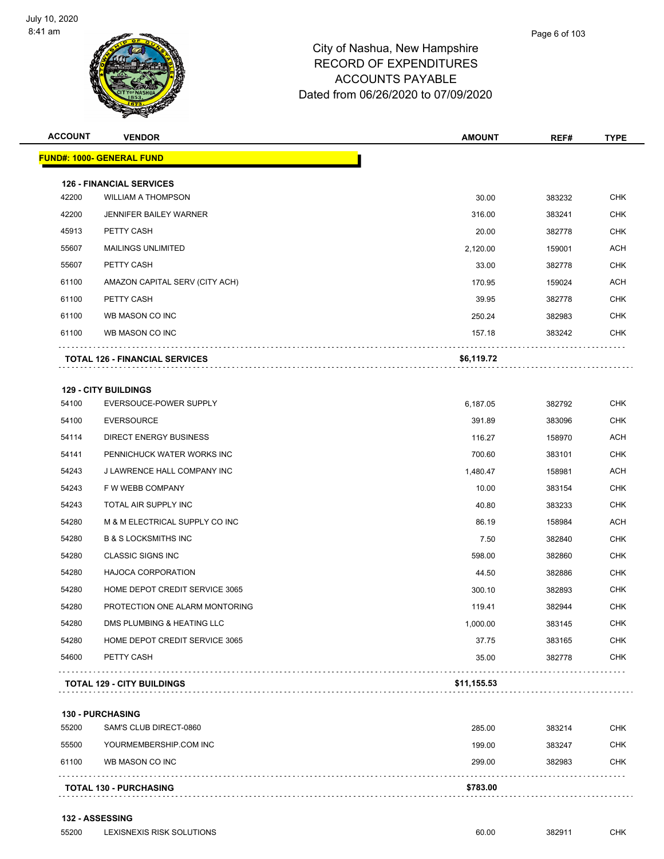

| <b>ACCOUNT</b> | <b>VENDOR</b>                         | <b>AMOUNT</b> | REF#   | TYPE       |
|----------------|---------------------------------------|---------------|--------|------------|
|                | <b>FUND#: 1000- GENERAL FUND</b>      |               |        |            |
|                | <b>126 - FINANCIAL SERVICES</b>       |               |        |            |
| 42200          | <b>WILLIAM A THOMPSON</b>             | 30.00         | 383232 | <b>CHK</b> |
| 42200          | <b>JENNIFER BAILEY WARNER</b>         | 316.00        | 383241 | <b>CHK</b> |
| 45913          | PETTY CASH                            | 20.00         | 382778 | <b>CHK</b> |
| 55607          | <b>MAILINGS UNLIMITED</b>             | 2,120.00      | 159001 | ACH        |
| 55607          | PETTY CASH                            | 33.00         | 382778 | <b>CHK</b> |
| 61100          | AMAZON CAPITAL SERV (CITY ACH)        | 170.95        | 159024 | ACH        |
| 61100          | PETTY CASH                            | 39.95         | 382778 | CHK        |
| 61100          | WB MASON CO INC                       | 250.24        | 382983 | <b>CHK</b> |
| 61100          | WB MASON CO INC                       | 157.18        | 383242 | CHK        |
|                | <b>TOTAL 126 - FINANCIAL SERVICES</b> | \$6,119.72    |        |            |
|                | <b>129 - CITY BUILDINGS</b>           |               |        |            |
| 54100          | EVERSOUCE-POWER SUPPLY                | 6,187.05      | 382792 | <b>CHK</b> |
| 54100          | <b>EVERSOURCE</b>                     | 391.89        | 383096 | <b>CHK</b> |
| 54114          | DIRECT ENERGY BUSINESS                | 116.27        | 158970 | ACH        |
| 54141          | PENNICHUCK WATER WORKS INC            | 700.60        | 383101 | <b>CHK</b> |
| 54243          | J LAWRENCE HALL COMPANY INC           | 1,480.47      | 158981 | ACH        |
| 54243          | F W WEBB COMPANY                      | 10.00         | 383154 | <b>CHK</b> |
| 54243          | TOTAL AIR SUPPLY INC                  | 40.80         | 383233 | <b>CHK</b> |
| 54280          | M & M ELECTRICAL SUPPLY CO INC        | 86.19         | 158984 | ACH        |
| 54280          | <b>B &amp; S LOCKSMITHS INC</b>       | 7.50          | 382840 | <b>CHK</b> |
| 54280          | <b>CLASSIC SIGNS INC</b>              | 598.00        | 382860 | CHK        |
| 54280          | <b>HAJOCA CORPORATION</b>             | 44.50         | 382886 | <b>CHK</b> |
| 54280          | HOME DEPOT CREDIT SERVICE 3065        | 300.10        | 382893 | <b>CHK</b> |
| 54280          | PROTECTION ONE ALARM MONTORING        | 119.41        | 382944 | <b>CHK</b> |
| 54280          | DMS PLUMBING & HEATING LLC            | 1,000.00      | 383145 | <b>CHK</b> |
| 54280          | HOME DEPOT CREDIT SERVICE 3065        | 37.75         | 383165 | <b>CHK</b> |
| 54600          | PETTY CASH                            | 35.00         | 382778 | <b>CHK</b> |
|                | <b>TOTAL 129 - CITY BUILDINGS</b>     | \$11,155.53   |        |            |
|                | <b>130 - PURCHASING</b>               |               |        |            |
| 55200          | SAM'S CLUB DIRECT-0860                | 285.00        | 383214 | <b>CHK</b> |
| 55500          | YOURMEMBERSHIP.COM INC                | 199.00        | 383247 | <b>CHK</b> |
| 61100          | WB MASON CO INC                       | 299.00        | 382983 | <b>CHK</b> |
|                |                                       |               |        |            |

**TOTAL 130 - PURCHASING \$783.00**

#### **132 - ASSESSING**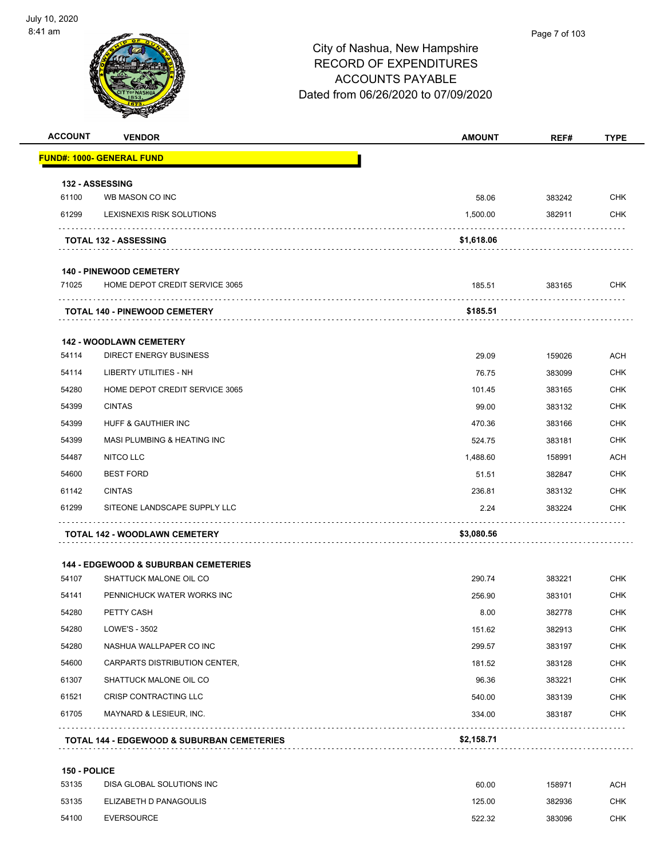| <b>ACCOUNT</b> | <b>VENDOR</b>                                   | <b>AMOUNT</b> | REF#   | <b>TYPE</b> |
|----------------|-------------------------------------------------|---------------|--------|-------------|
|                | <b>FUND#: 1000- GENERAL FUND</b>                |               |        |             |
|                | <b>132 - ASSESSING</b>                          |               |        |             |
| 61100          | WB MASON CO INC                                 | 58.06         | 383242 | <b>CHK</b>  |
| 61299          | LEXISNEXIS RISK SOLUTIONS                       | 1,500.00      | 382911 | <b>CHK</b>  |
|                | <b>TOTAL 132 - ASSESSING</b>                    | \$1,618.06    |        |             |
|                | <b>140 - PINEWOOD CEMETERY</b>                  |               |        |             |
| 71025          | HOME DEPOT CREDIT SERVICE 3065                  | 185.51        | 383165 | CHK         |
|                | <b>TOTAL 140 - PINEWOOD CEMETERY</b>            | \$185.51      |        |             |
|                | <b>142 - WOODLAWN CEMETERY</b>                  |               |        |             |
| 54114          | <b>DIRECT ENERGY BUSINESS</b>                   | 29.09         | 159026 | <b>ACH</b>  |
| 54114          | <b>LIBERTY UTILITIES - NH</b>                   | 76.75         | 383099 | CHK         |
| 54280          | HOME DEPOT CREDIT SERVICE 3065                  | 101.45        | 383165 | <b>CHK</b>  |
| 54399          | <b>CINTAS</b>                                   | 99.00         | 383132 | CHK         |
| 54399          | HUFF & GAUTHIER INC                             | 470.36        | 383166 | <b>CHK</b>  |
| 54399          | MASI PLUMBING & HEATING INC                     | 524.75        | 383181 | CHK         |
| 54487          | NITCO LLC                                       | 1,488.60      | 158991 | <b>ACH</b>  |
| 54600          | <b>BEST FORD</b>                                | 51.51         | 382847 | <b>CHK</b>  |
| 61142          | <b>CINTAS</b>                                   | 236.81        | 383132 | CHK         |
| 61299          | SITEONE LANDSCAPE SUPPLY LLC                    | 2.24          | 383224 | CHK         |
|                | <b>TOTAL 142 - WOODLAWN CEMETERY</b>            | \$3,080.56    |        |             |
|                | <b>144 - EDGEWOOD &amp; SUBURBAN CEMETERIES</b> |               |        |             |
| 54107          | SHATTUCK MALONE OIL CO                          | 290.74        | 383221 | <b>CHK</b>  |
| 54141          | PENNICHUCK WATER WORKS INC                      | 256.90        | 383101 | CHK         |
| 54280          | PETTY CASH                                      | 8.00          | 382778 | <b>CHK</b>  |
| 54280          | LOWE'S - 3502                                   | 151.62        | 382913 | <b>CHK</b>  |
| 54280          | NASHUA WALLPAPER CO INC                         | 299.57        | 383197 | <b>CHK</b>  |
| 54600          | CARPARTS DISTRIBUTION CENTER,                   | 181.52        | 383128 | CHK         |
| 61307          | SHATTUCK MALONE OIL CO                          | 96.36         | 383221 | CHK         |
| 61521          | <b>CRISP CONTRACTING LLC</b>                    | 540.00        | 383139 | <b>CHK</b>  |
| 61705          | MAYNARD & LESIEUR, INC.                         | 334.00        | 383187 | CHK         |
|                | TOTAL 144 - EDGEWOOD & SUBURBAN CEMETERIES      | \$2,158.71    |        |             |

| 53135 | DISA GLOBAL SOLUTIONS INC | 60.00  | 158971 | АСН |
|-------|---------------------------|--------|--------|-----|
| 53135 | ELIZABETH D PANAGOULIS    | 125.00 | 382936 | СНК |
| 54100 | EVERSOURCE                | 522.32 | 383096 | СНК |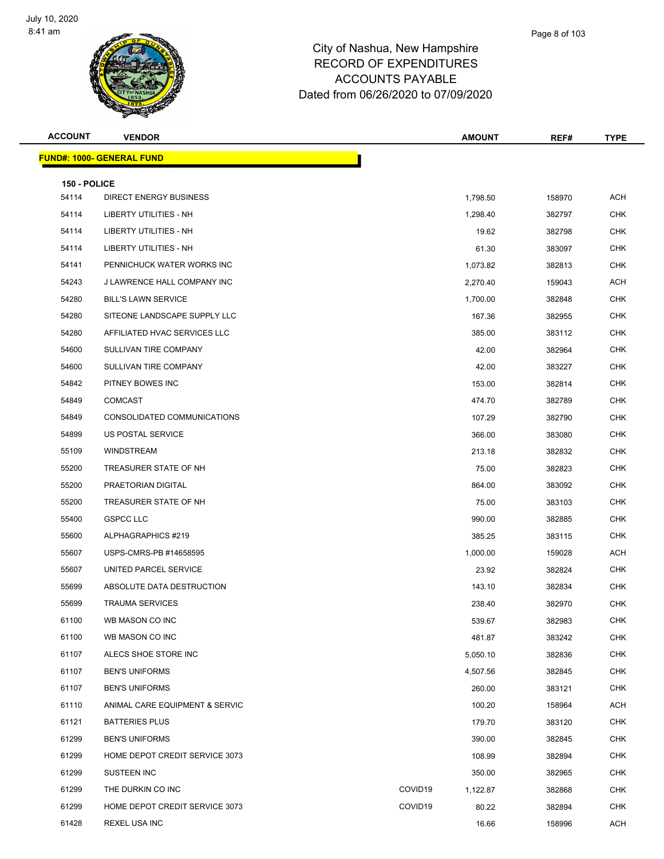

| <b>ACCOUNT</b> | <b>VENDOR</b>                     | <b>AMOUNT</b>       | REF#            | <b>TYPE</b> |
|----------------|-----------------------------------|---------------------|-----------------|-------------|
|                | <u> FUND#: 1000- GENERAL FUND</u> |                     |                 |             |
| 150 - POLICE   |                                   |                     |                 |             |
| 54114          | <b>DIRECT ENERGY BUSINESS</b>     | 1,798.50            | 158970          | ACH         |
| 54114          | <b>LIBERTY UTILITIES - NH</b>     | 1,298.40            | 382797          | <b>CHK</b>  |
| 54114          | LIBERTY UTILITIES - NH            |                     | 19.62<br>382798 | <b>CHK</b>  |
| 54114          | LIBERTY UTILITIES - NH            |                     | 61.30<br>383097 | <b>CHK</b>  |
| 54141          | PENNICHUCK WATER WORKS INC        | 1,073.82            | 382813          | <b>CHK</b>  |
| 54243          | J LAWRENCE HALL COMPANY INC       | 2,270.40            | 159043          | <b>ACH</b>  |
| 54280          | <b>BILL'S LAWN SERVICE</b>        | 1,700.00            | 382848          | <b>CHK</b>  |
| 54280          | SITEONE LANDSCAPE SUPPLY LLC      | 167.36              | 382955          | <b>CHK</b>  |
| 54280          | AFFILIATED HVAC SERVICES LLC      | 385.00              | 383112          | <b>CHK</b>  |
| 54600          | SULLIVAN TIRE COMPANY             |                     | 42.00<br>382964 | <b>CHK</b>  |
| 54600          | SULLIVAN TIRE COMPANY             |                     | 42.00<br>383227 | <b>CHK</b>  |
| 54842          | PITNEY BOWES INC                  | 153.00              | 382814          | <b>CHK</b>  |
| 54849          | <b>COMCAST</b>                    | 474.70              | 382789          | <b>CHK</b>  |
| 54849          | CONSOLIDATED COMMUNICATIONS       | 107.29              | 382790          | <b>CHK</b>  |
| 54899          | US POSTAL SERVICE                 | 366.00              | 383080          | <b>CHK</b>  |
| 55109          | WINDSTREAM                        | 213.18              | 382832          | <b>CHK</b>  |
| 55200          | TREASURER STATE OF NH             |                     | 75.00<br>382823 | <b>CHK</b>  |
| 55200          | PRAETORIAN DIGITAL                | 864.00              | 383092          | <b>CHK</b>  |
| 55200          | TREASURER STATE OF NH             |                     | 75.00<br>383103 | <b>CHK</b>  |
| 55400          | <b>GSPCC LLC</b>                  | 990.00              | 382885          | <b>CHK</b>  |
| 55600          | ALPHAGRAPHICS #219                | 385.25              | 383115          | <b>CHK</b>  |
| 55607          | USPS-CMRS-PB #14658595            | 1,000.00            | 159028          | ACH         |
| 55607          | UNITED PARCEL SERVICE             |                     | 23.92<br>382824 | <b>CHK</b>  |
| 55699          | ABSOLUTE DATA DESTRUCTION         | 143.10              | 382834          | <b>CHK</b>  |
| 55699          | <b>TRAUMA SERVICES</b>            | 238.40              | 382970          | <b>CHK</b>  |
| 61100          | WB MASON CO INC                   | 539.67              | 382983          | <b>CHK</b>  |
| 61100          | WB MASON CO INC                   | 481.87              | 383242          | <b>CHK</b>  |
| 61107          | ALECS SHOE STORE INC              | 5,050.10            | 382836          | <b>CHK</b>  |
| 61107          | <b>BEN'S UNIFORMS</b>             | 4,507.56            | 382845          | <b>CHK</b>  |
| 61107          | <b>BEN'S UNIFORMS</b>             | 260.00              | 383121          | <b>CHK</b>  |
| 61110          | ANIMAL CARE EQUIPMENT & SERVIC    | 100.20              | 158964          | <b>ACH</b>  |
| 61121          | <b>BATTERIES PLUS</b>             | 179.70              | 383120          | <b>CHK</b>  |
| 61299          | <b>BEN'S UNIFORMS</b>             | 390.00              | 382845          | <b>CHK</b>  |
| 61299          | HOME DEPOT CREDIT SERVICE 3073    | 108.99              | 382894          | <b>CHK</b>  |
| 61299          | SUSTEEN INC                       | 350.00              | 382965          | <b>CHK</b>  |
| 61299          | THE DURKIN CO INC                 | COVID19<br>1,122.87 | 382868          | <b>CHK</b>  |
| 61299          | HOME DEPOT CREDIT SERVICE 3073    | COVID19             | 80.22<br>382894 | <b>CHK</b>  |
| 61428          | REXEL USA INC                     |                     | 16.66<br>158996 | ACH         |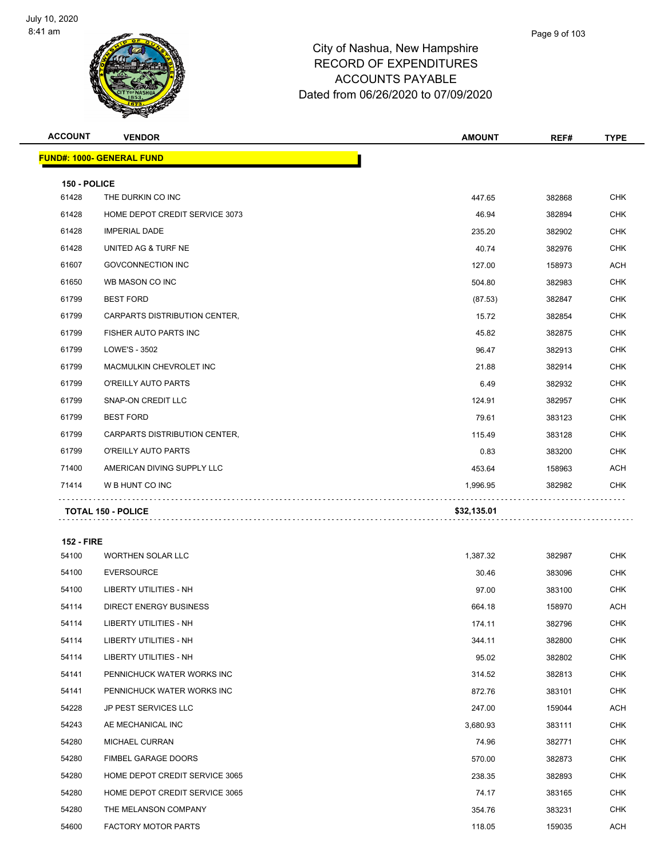

| <b>ACCOUNT</b>    | <b>VENDOR</b>                    | <b>AMOUNT</b> | REF#   | <b>TYPE</b> |
|-------------------|----------------------------------|---------------|--------|-------------|
|                   | <b>FUND#: 1000- GENERAL FUND</b> |               |        |             |
| 150 - POLICE      |                                  |               |        |             |
| 61428             | THE DURKIN CO INC                | 447.65        | 382868 | <b>CHK</b>  |
| 61428             | HOME DEPOT CREDIT SERVICE 3073   | 46.94         | 382894 | CHK         |
| 61428             | <b>IMPERIAL DADE</b>             | 235.20        | 382902 | <b>CHK</b>  |
| 61428             | UNITED AG & TURF NE              | 40.74         | 382976 | CHK         |
| 61607             | <b>GOVCONNECTION INC</b>         | 127.00        | 158973 | <b>ACH</b>  |
| 61650             | WB MASON CO INC                  | 504.80        | 382983 | CHK         |
| 61799             | <b>BEST FORD</b>                 | (87.53)       | 382847 | CHK         |
| 61799             | CARPARTS DISTRIBUTION CENTER,    | 15.72         | 382854 | <b>CHK</b>  |
| 61799             | FISHER AUTO PARTS INC            | 45.82         | 382875 | CHK         |
| 61799             | LOWE'S - 3502                    | 96.47         | 382913 | <b>CHK</b>  |
| 61799             | MACMULKIN CHEVROLET INC          | 21.88         | 382914 | CHK         |
| 61799             | O'REILLY AUTO PARTS              | 6.49          | 382932 | CHK         |
| 61799             | SNAP-ON CREDIT LLC               | 124.91        | 382957 | <b>CHK</b>  |
| 61799             | <b>BEST FORD</b>                 | 79.61         | 383123 | CHK         |
| 61799             | CARPARTS DISTRIBUTION CENTER,    | 115.49        | 383128 | <b>CHK</b>  |
| 61799             | O'REILLY AUTO PARTS              | 0.83          | 383200 | CHK         |
| 71400             | AMERICAN DIVING SUPPLY LLC       | 453.64        | 158963 | ACH         |
| 71414             | W B HUNT CO INC                  | 1,996.95      | 382982 | <b>CHK</b>  |
|                   | <b>TOTAL 150 - POLICE</b>        | \$32,135.01   |        |             |
| <b>152 - FIRE</b> |                                  |               |        |             |
| 54100             | <b>WORTHEN SOLAR LLC</b>         | 1,387.32      | 382987 | CHK         |
| 54100             | <b>EVERSOURCE</b>                | 30.46         | 383096 | CHK         |
| 54100             | LIBERTY UTILITIES - NH           | 97.00         | 383100 | <b>CHK</b>  |
| 54114             | <b>DIRECT ENERGY BUSINESS</b>    | 664.18        | 158970 | ACH         |
| 54114             | LIBERTY UTILITIES - NH           | 174.11        | 382796 | <b>CHK</b>  |
| 54114             | <b>LIBERTY UTILITIES - NH</b>    | 344.11        | 382800 | <b>CHK</b>  |
| 54114             | LIBERTY UTILITIES - NH           | 95.02         | 382802 | <b>CHK</b>  |
| 54141             | PENNICHUCK WATER WORKS INC       | 314.52        | 382813 | <b>CHK</b>  |
| 54141             | PENNICHUCK WATER WORKS INC       | 872.76        | 383101 | CHK         |
| 54228             | JP PEST SERVICES LLC             | 247.00        | 159044 | ACH         |
| 54243             | AE MECHANICAL INC                | 3,680.93      | 383111 | CHK         |
| 54280             | MICHAEL CURRAN                   | 74.96         | 382771 | <b>CHK</b>  |
| 54280             | FIMBEL GARAGE DOORS              | 570.00        | 382873 | <b>CHK</b>  |
| 54280             | HOME DEPOT CREDIT SERVICE 3065   | 238.35        | 382893 | CHK         |
| 54280             | HOME DEPOT CREDIT SERVICE 3065   | 74.17         | 383165 | <b>CHK</b>  |

 THE MELANSON COMPANY 354.76 383231 CHK 54600 FACTORY MOTOR PARTS **118.05** 118.05 159035 ACH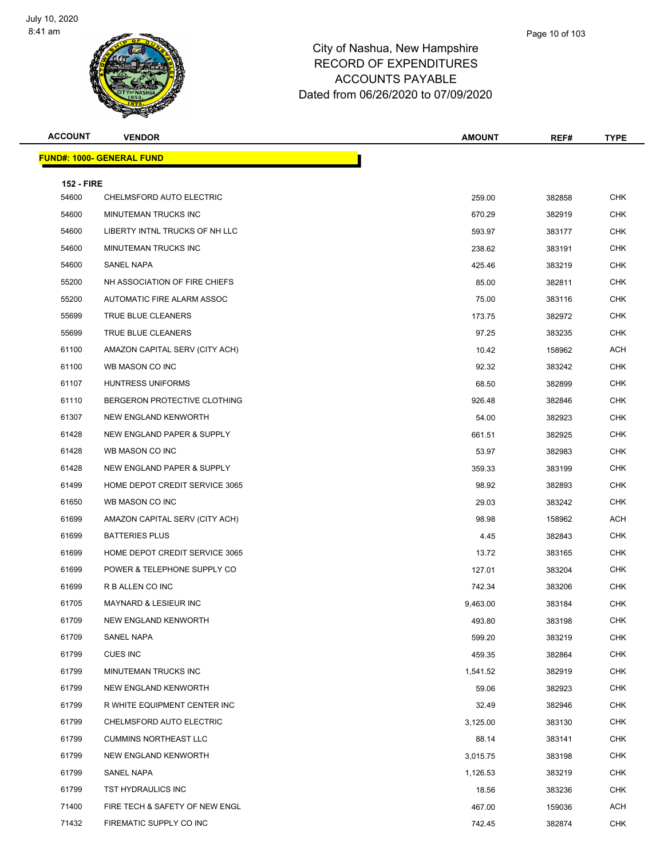

Page 10 of 103

| <b>ACCOUNT</b>             | <b>VENDOR</b>                    | <b>AMOUNT</b> | REF#   | <b>TYPE</b> |
|----------------------------|----------------------------------|---------------|--------|-------------|
|                            | <b>FUND#: 1000- GENERAL FUND</b> |               |        |             |
|                            |                                  |               |        |             |
| <b>152 - FIRE</b><br>54600 | CHELMSFORD AUTO ELECTRIC         | 259.00        | 382858 | <b>CHK</b>  |
| 54600                      | MINUTEMAN TRUCKS INC             | 670.29        | 382919 | <b>CHK</b>  |
| 54600                      | LIBERTY INTNL TRUCKS OF NH LLC   | 593.97        | 383177 | <b>CHK</b>  |
| 54600                      | MINUTEMAN TRUCKS INC             | 238.62        | 383191 | <b>CHK</b>  |
| 54600                      | SANEL NAPA                       | 425.46        | 383219 | <b>CHK</b>  |
| 55200                      | NH ASSOCIATION OF FIRE CHIEFS    | 85.00         | 382811 | <b>CHK</b>  |
| 55200                      | AUTOMATIC FIRE ALARM ASSOC       | 75.00         | 383116 | <b>CHK</b>  |
| 55699                      | TRUE BLUE CLEANERS               | 173.75        | 382972 | <b>CHK</b>  |
| 55699                      | TRUE BLUE CLEANERS               | 97.25         | 383235 | <b>CHK</b>  |
| 61100                      | AMAZON CAPITAL SERV (CITY ACH)   | 10.42         | 158962 | ACH         |
| 61100                      | WB MASON CO INC                  | 92.32         | 383242 | <b>CHK</b>  |
| 61107                      | <b>HUNTRESS UNIFORMS</b>         | 68.50         | 382899 | <b>CHK</b>  |
| 61110                      | BERGERON PROTECTIVE CLOTHING     | 926.48        | 382846 | <b>CHK</b>  |
| 61307                      | NEW ENGLAND KENWORTH             | 54.00         | 382923 | <b>CHK</b>  |
| 61428                      | NEW ENGLAND PAPER & SUPPLY       | 661.51        | 382925 | <b>CHK</b>  |
| 61428                      | WB MASON CO INC                  | 53.97         | 382983 | <b>CHK</b>  |
| 61428                      | NEW ENGLAND PAPER & SUPPLY       | 359.33        | 383199 | <b>CHK</b>  |
| 61499                      | HOME DEPOT CREDIT SERVICE 3065   | 98.92         | 382893 | <b>CHK</b>  |
| 61650                      | WB MASON CO INC                  | 29.03         | 383242 | <b>CHK</b>  |
| 61699                      | AMAZON CAPITAL SERV (CITY ACH)   | 98.98         | 158962 | ACH         |
| 61699                      | <b>BATTERIES PLUS</b>            | 4.45          | 382843 | <b>CHK</b>  |
| 61699                      | HOME DEPOT CREDIT SERVICE 3065   | 13.72         | 383165 | <b>CHK</b>  |
| 61699                      | POWER & TELEPHONE SUPPLY CO      | 127.01        | 383204 | CHK         |
| 61699                      | R B ALLEN CO INC                 | 742.34        | 383206 | <b>CHK</b>  |
| 61705                      | MAYNARD & LESIEUR INC            | 9,463.00      | 383184 | CHK         |
| 61709                      | NEW ENGLAND KENWORTH             | 493.80        | 383198 | CHK         |
| 61709                      | SANEL NAPA                       | 599.20        | 383219 | <b>CHK</b>  |
| 61799                      | <b>CUES INC</b>                  | 459.35        | 382864 | <b>CHK</b>  |
| 61799                      | MINUTEMAN TRUCKS INC             | 1,541.52      | 382919 | <b>CHK</b>  |
| 61799                      | NEW ENGLAND KENWORTH             | 59.06         | 382923 | <b>CHK</b>  |
| 61799                      | R WHITE EQUIPMENT CENTER INC     | 32.49         | 382946 | <b>CHK</b>  |
| 61799                      | CHELMSFORD AUTO ELECTRIC         | 3,125.00      | 383130 | <b>CHK</b>  |
| 61799                      | <b>CUMMINS NORTHEAST LLC</b>     | 88.14         | 383141 | CHK         |
| 61799                      | NEW ENGLAND KENWORTH             | 3,015.75      | 383198 | <b>CHK</b>  |
| 61799                      | SANEL NAPA                       | 1,126.53      | 383219 | CHK         |
| 61799                      | TST HYDRAULICS INC               | 18.56         | 383236 | <b>CHK</b>  |
| 71400                      | FIRE TECH & SAFETY OF NEW ENGL   | 467.00        | 159036 | ACH         |
| 71432                      | FIREMATIC SUPPLY CO INC          | 742.45        | 382874 | <b>CHK</b>  |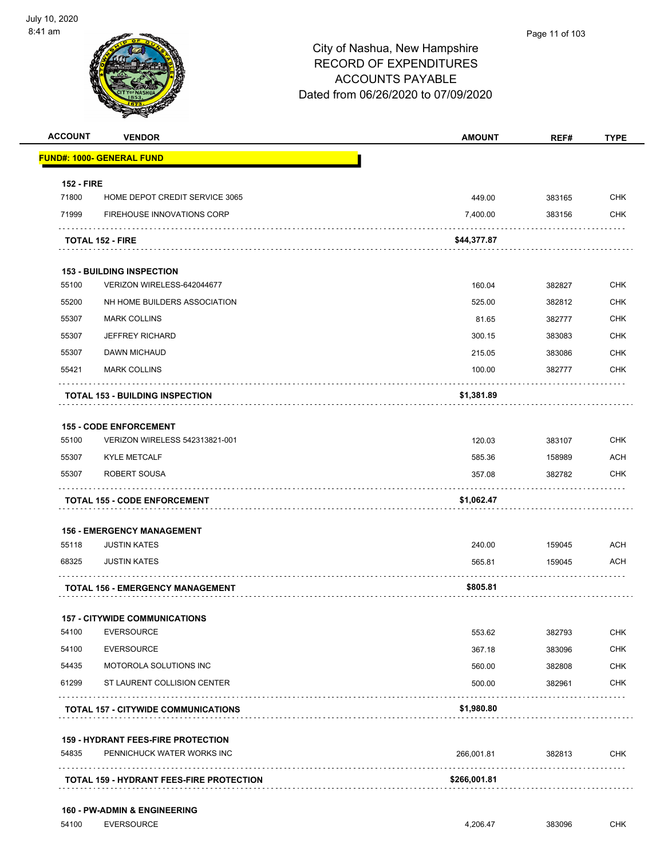

|                   | <b>VENDOR</b>                                                           | <b>AMOUNT</b> | REF#   | <b>TYPE</b> |
|-------------------|-------------------------------------------------------------------------|---------------|--------|-------------|
|                   | <b>FUND#: 1000- GENERAL FUND</b>                                        |               |        |             |
| <b>152 - FIRE</b> |                                                                         |               |        |             |
| 71800             | HOME DEPOT CREDIT SERVICE 3065                                          | 449.00        | 383165 | <b>CHK</b>  |
| 71999             | <b>FIREHOUSE INNOVATIONS CORP</b>                                       | 7,400.00      | 383156 | <b>CHK</b>  |
|                   | <b>TOTAL 152 - FIRE</b>                                                 | \$44,377.87   |        |             |
|                   | <b>153 - BUILDING INSPECTION</b>                                        |               |        |             |
| 55100             | VERIZON WIRELESS-642044677                                              | 160.04        | 382827 | <b>CHK</b>  |
| 55200             | NH HOME BUILDERS ASSOCIATION                                            | 525.00        | 382812 | <b>CHK</b>  |
| 55307             | <b>MARK COLLINS</b>                                                     | 81.65         | 382777 | <b>CHK</b>  |
| 55307             | <b>JEFFREY RICHARD</b>                                                  | 300.15        | 383083 | CHK         |
| 55307             | DAWN MICHAUD                                                            | 215.05        | 383086 | <b>CHK</b>  |
| 55421             | <b>MARK COLLINS</b>                                                     | 100.00        | 382777 | <b>CHK</b>  |
|                   | <b>TOTAL 153 - BUILDING INSPECTION</b>                                  | \$1,381.89    |        |             |
|                   | <b>155 - CODE ENFORCEMENT</b>                                           |               |        |             |
| 55100             | VERIZON WIRELESS 542313821-001                                          | 120.03        | 383107 | <b>CHK</b>  |
| 55307             | <b>KYLE METCALF</b>                                                     | 585.36        | 158989 | <b>ACH</b>  |
| 55307             | ROBERT SOUSA                                                            | 357.08        | 382782 | CHK         |
|                   |                                                                         |               |        |             |
|                   | <b>TOTAL 155 - CODE ENFORCEMENT</b>                                     | \$1,062.47    |        |             |
|                   |                                                                         |               |        |             |
| 55118             | <b>156 - EMERGENCY MANAGEMENT</b><br><b>JUSTIN KATES</b>                | 240.00        | 159045 | <b>ACH</b>  |
| 68325             | <b>JUSTIN KATES</b>                                                     | 565.81        | 159045 | ACH         |
|                   | <b>TOTAL 156 - EMERGENCY MANAGEMENT</b>                                 | \$805.81      |        |             |
|                   |                                                                         |               |        |             |
| 54100             | <b>157 - CITYWIDE COMMUNICATIONS</b><br><b>EVERSOURCE</b>               | 553.62        | 382793 | CHK         |
| 54100             | <b>EVERSOURCE</b>                                                       | 367.18        | 383096 | <b>CHK</b>  |
| 54435             | MOTOROLA SOLUTIONS INC                                                  | 560.00        | 382808 | CHK         |
| 61299             | ST LAURENT COLLISION CENTER                                             | 500.00        | 382961 | <b>CHK</b>  |
|                   | <b>TOTAL 157 - CITYWIDE COMMUNICATIONS</b>                              | \$1,980.80    |        |             |
|                   |                                                                         |               |        |             |
| 54835             | <b>159 - HYDRANT FEES-FIRE PROTECTION</b><br>PENNICHUCK WATER WORKS INC | 266,001.81    | 382813 | CHK         |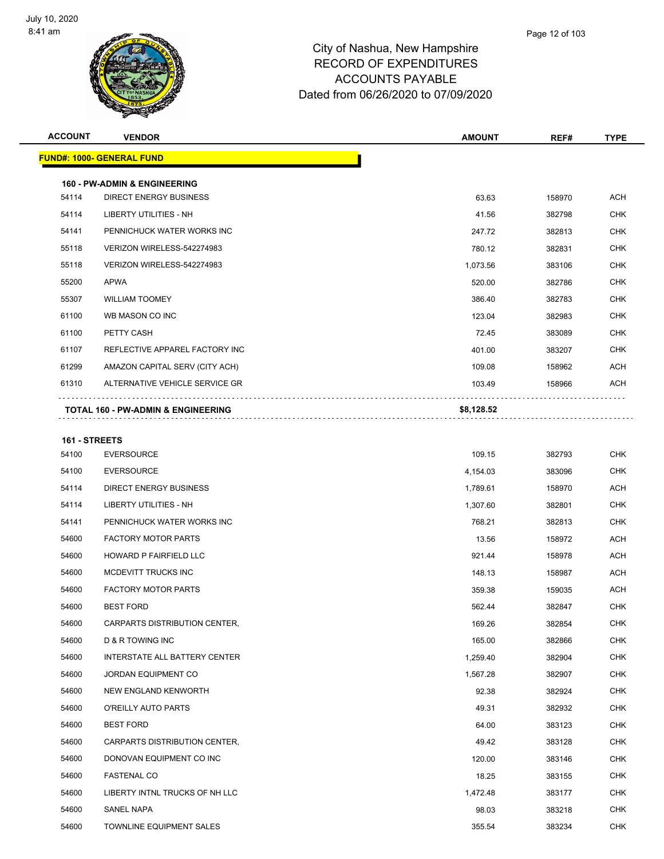

| <b>VENDOR</b>                    | <b>AMOUNT</b>                                                                                                                                       | REF#                                   | <b>TYPE</b>                |
|----------------------------------|-----------------------------------------------------------------------------------------------------------------------------------------------------|----------------------------------------|----------------------------|
| <b>FUND#: 1000- GENERAL FUND</b> |                                                                                                                                                     |                                        |                            |
|                                  |                                                                                                                                                     |                                        |                            |
|                                  |                                                                                                                                                     |                                        | <b>ACH</b>                 |
|                                  |                                                                                                                                                     |                                        | <b>CHK</b>                 |
| PENNICHUCK WATER WORKS INC       |                                                                                                                                                     |                                        | <b>CHK</b>                 |
| VERIZON WIRELESS-542274983       | 780.12                                                                                                                                              | 382831                                 | <b>CHK</b>                 |
| VERIZON WIRELESS-542274983       | 1,073.56                                                                                                                                            | 383106                                 | <b>CHK</b>                 |
| <b>APWA</b>                      | 520.00                                                                                                                                              | 382786                                 | <b>CHK</b>                 |
| <b>WILLIAM TOOMEY</b>            | 386.40                                                                                                                                              | 382783                                 | CHK                        |
| WB MASON CO INC                  | 123.04                                                                                                                                              | 382983                                 | <b>CHK</b>                 |
| PETTY CASH                       | 72.45                                                                                                                                               | 383089                                 | <b>CHK</b>                 |
| REFLECTIVE APPAREL FACTORY INC   | 401.00                                                                                                                                              | 383207                                 | <b>CHK</b>                 |
| AMAZON CAPITAL SERV (CITY ACH)   | 109.08                                                                                                                                              | 158962                                 | ACH                        |
| ALTERNATIVE VEHICLE SERVICE GR   | 103.49                                                                                                                                              | 158966                                 | ACH                        |
|                                  |                                                                                                                                                     |                                        |                            |
|                                  |                                                                                                                                                     |                                        |                            |
| 161 - STREETS                    |                                                                                                                                                     |                                        |                            |
| <b>EVERSOURCE</b>                | 109.15                                                                                                                                              | 382793                                 | <b>CHK</b>                 |
| <b>EVERSOURCE</b>                | 4,154.03                                                                                                                                            | 383096                                 | <b>CHK</b>                 |
| <b>DIRECT ENERGY BUSINESS</b>    | 1,789.61                                                                                                                                            | 158970                                 | ACH                        |
| LIBERTY UTILITIES - NH           | 1,307.60                                                                                                                                            | 382801                                 | <b>CHK</b>                 |
| PENNICHUCK WATER WORKS INC       | 768.21                                                                                                                                              | 382813                                 | <b>CHK</b>                 |
| <b>FACTORY MOTOR PARTS</b>       | 13.56                                                                                                                                               | 158972                                 | <b>ACH</b>                 |
| <b>HOWARD P FAIRFIELD LLC</b>    | 921.44                                                                                                                                              | 158978                                 | ACH                        |
| MCDEVITT TRUCKS INC              | 148.13                                                                                                                                              | 158987                                 | ACH                        |
| <b>FACTORY MOTOR PARTS</b>       | 359.38                                                                                                                                              | 159035                                 | ACH                        |
| <b>BEST FORD</b>                 | 562.44                                                                                                                                              | 382847                                 | CHK                        |
| CARPARTS DISTRIBUTION CENTER,    | 169.26                                                                                                                                              | 382854                                 | <b>CHK</b>                 |
| D & R TOWING INC                 | 165.00                                                                                                                                              | 382866                                 | <b>CHK</b>                 |
| INTERSTATE ALL BATTERY CENTER    | 1,259.40                                                                                                                                            | 382904                                 | <b>CHK</b>                 |
| JORDAN EQUIPMENT CO              | 1,567.28                                                                                                                                            | 382907                                 | <b>CHK</b>                 |
| NEW ENGLAND KENWORTH             | 92.38                                                                                                                                               | 382924                                 | <b>CHK</b>                 |
| O'REILLY AUTO PARTS              | 49.31                                                                                                                                               | 382932                                 | <b>CHK</b>                 |
| <b>BEST FORD</b>                 | 64.00                                                                                                                                               | 383123                                 | <b>CHK</b>                 |
| CARPARTS DISTRIBUTION CENTER,    | 49.42                                                                                                                                               | 383128                                 | <b>CHK</b>                 |
| DONOVAN EQUIPMENT CO INC         | 120.00                                                                                                                                              | 383146                                 | <b>CHK</b>                 |
| <b>FASTENAL CO</b>               | 18.25                                                                                                                                               | 383155                                 | CHK                        |
| LIBERTY INTNL TRUCKS OF NH LLC   | 1,472.48                                                                                                                                            | 383177                                 | <b>CHK</b>                 |
| SANEL NAPA                       | 98.03                                                                                                                                               | 383218                                 | <b>CHK</b>                 |
| TOWNLINE EQUIPMENT SALES         | 355.54                                                                                                                                              | 383234                                 | <b>CHK</b>                 |
|                                  | <b>160 - PW-ADMIN &amp; ENGINEERING</b><br><b>DIRECT ENERGY BUSINESS</b><br>LIBERTY UTILITIES - NH<br><b>TOTAL 160 - PW-ADMIN &amp; ENGINEERING</b> | 63.63<br>41.56<br>247.72<br>\$8,128.52 | 158970<br>382798<br>382813 |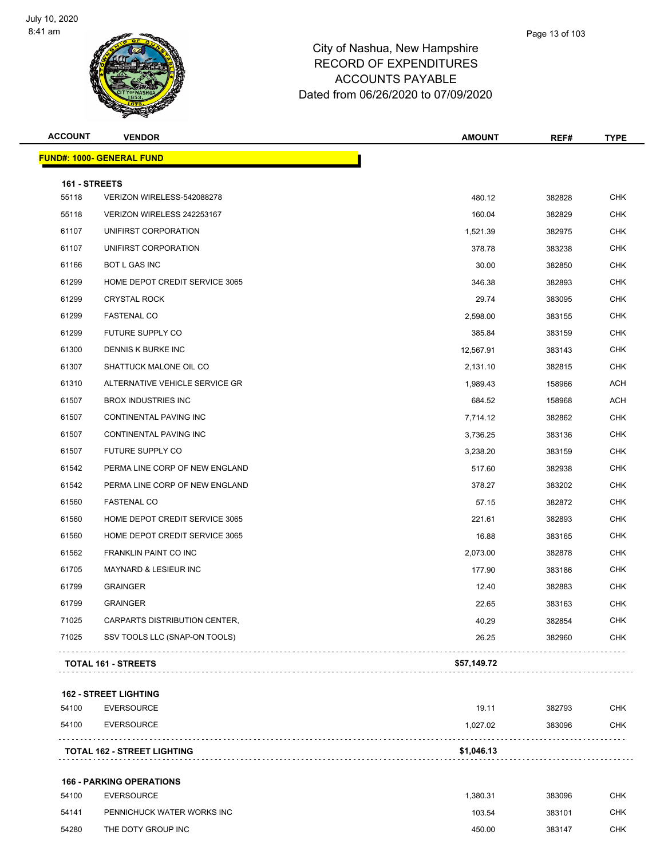

| <b>ACCOUNT</b> | <b>VENDOR</b>                    | <b>AMOUNT</b> | REF#   | <b>TYPE</b> |
|----------------|----------------------------------|---------------|--------|-------------|
|                | <b>FUND#: 1000- GENERAL FUND</b> |               |        |             |
| 161 - STREETS  |                                  |               |        |             |
| 55118          | VERIZON WIRELESS-542088278       | 480.12        | 382828 | <b>CHK</b>  |
| 55118          | VERIZON WIRELESS 242253167       | 160.04        | 382829 | <b>CHK</b>  |
| 61107          | UNIFIRST CORPORATION             | 1,521.39      | 382975 | <b>CHK</b>  |
| 61107          | UNIFIRST CORPORATION             | 378.78        | 383238 | <b>CHK</b>  |
| 61166          | <b>BOT L GAS INC</b>             | 30.00         | 382850 | <b>CHK</b>  |
| 61299          | HOME DEPOT CREDIT SERVICE 3065   | 346.38        | 382893 | <b>CHK</b>  |
| 61299          | <b>CRYSTAL ROCK</b>              | 29.74         | 383095 | <b>CHK</b>  |
| 61299          | <b>FASTENAL CO</b>               | 2,598.00      | 383155 | <b>CHK</b>  |
| 61299          | FUTURE SUPPLY CO                 | 385.84        | 383159 | <b>CHK</b>  |
| 61300          | DENNIS K BURKE INC               | 12,567.91     | 383143 | <b>CHK</b>  |
| 61307          | SHATTUCK MALONE OIL CO           | 2,131.10      | 382815 | <b>CHK</b>  |
| 61310          | ALTERNATIVE VEHICLE SERVICE GR   | 1,989.43      | 158966 | <b>ACH</b>  |
| 61507          | <b>BROX INDUSTRIES INC</b>       | 684.52        | 158968 | ACH         |
| 61507          | CONTINENTAL PAVING INC           | 7,714.12      | 382862 | <b>CHK</b>  |
| 61507          | CONTINENTAL PAVING INC           | 3,736.25      | 383136 | <b>CHK</b>  |
| 61507          | FUTURE SUPPLY CO                 | 3,238.20      | 383159 | <b>CHK</b>  |
| 61542          | PERMA LINE CORP OF NEW ENGLAND   | 517.60        | 382938 | <b>CHK</b>  |
| 61542          | PERMA LINE CORP OF NEW ENGLAND   | 378.27        | 383202 | <b>CHK</b>  |
| 61560          | <b>FASTENAL CO</b>               | 57.15         | 382872 | <b>CHK</b>  |
| 61560          | HOME DEPOT CREDIT SERVICE 3065   | 221.61        | 382893 | <b>CHK</b>  |
| 61560          | HOME DEPOT CREDIT SERVICE 3065   | 16.88         | 383165 | <b>CHK</b>  |
| 61562          | FRANKLIN PAINT CO INC            | 2,073.00      | 382878 | <b>CHK</b>  |
| 61705          | MAYNARD & LESIEUR INC            | 177.90        | 383186 | <b>CHK</b>  |
| 61799          | <b>GRAINGER</b>                  | 12.40         | 382883 | <b>CHK</b>  |
| 61799          | <b>GRAINGER</b>                  | 22.65         | 383163 | <b>CHK</b>  |
| 71025          | CARPARTS DISTRIBUTION CENTER,    | 40.29         | 382854 | <b>CHK</b>  |
| 71025          | SSV TOOLS LLC (SNAP-ON TOOLS)    | 26.25         | 382960 | <b>CHK</b>  |
|                | <b>TOTAL 161 - STREETS</b>       | \$57,149.72   |        |             |
|                |                                  |               |        |             |

#### **162 - STREET LIGHTING**

| 54100 | EVERSOURCE                         | 19.11      | 382793 | <b>CHK</b> |
|-------|------------------------------------|------------|--------|------------|
| 54100 | EVERSOURCE                         | 1.027.02   | 383096 | СНК        |
|       | <b>TOTAL 162 - STREET LIGHTING</b> | \$1,046.13 |        |            |

#### **166 - PARKING OPERATIONS**

| 54100 | EVERSOURCE                 | .380.31 | 383096 | CHK        |
|-------|----------------------------|---------|--------|------------|
| 54141 | PENNICHUCK WATER WORKS INC | 103.54  | 383101 | <b>CHK</b> |
| 54280 | THE DOTY GROUP INC         | 450.00  | 383147 | СНК        |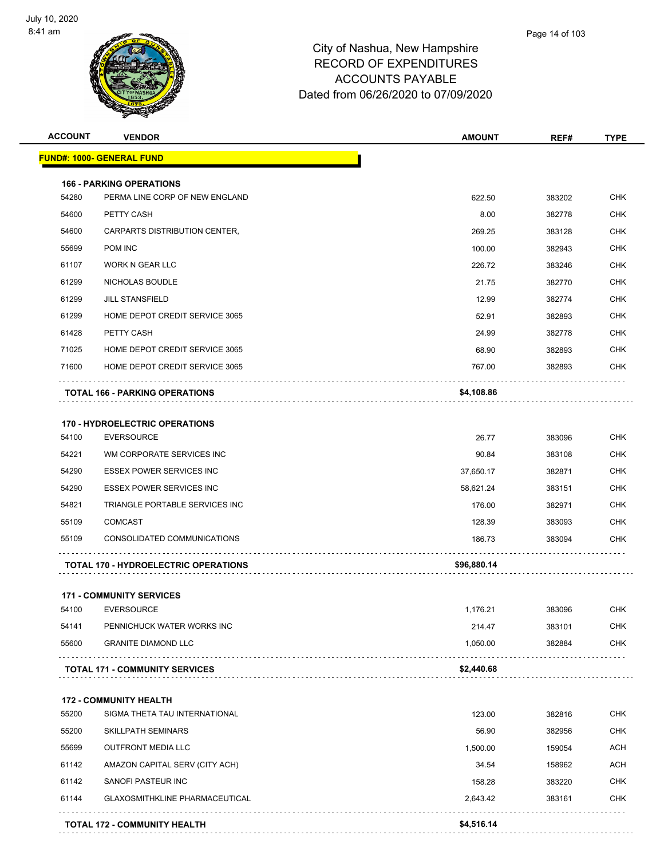

| <b>ACCOUNT</b> | <b>VENDOR</b>                                              | <b>AMOUNT</b>       | REF#             | <b>TYPE</b>              |
|----------------|------------------------------------------------------------|---------------------|------------------|--------------------------|
|                | <u> FUND#: 1000- GENERAL FUND</u>                          |                     |                  |                          |
|                | <b>166 - PARKING OPERATIONS</b>                            |                     |                  |                          |
| 54280          | PERMA LINE CORP OF NEW ENGLAND                             | 622.50              | 383202           | <b>CHK</b>               |
| 54600          | PETTY CASH                                                 | 8.00                | 382778           | <b>CHK</b>               |
| 54600          | CARPARTS DISTRIBUTION CENTER,                              | 269.25              | 383128           | <b>CHK</b>               |
| 55699          | POM INC                                                    | 100.00              | 382943           | <b>CHK</b>               |
| 61107          | <b>WORK N GEAR LLC</b>                                     | 226.72              | 383246           | <b>CHK</b>               |
| 61299          | NICHOLAS BOUDLE                                            | 21.75               | 382770           | <b>CHK</b>               |
| 61299          | <b>JILL STANSFIELD</b>                                     | 12.99               | 382774           | <b>CHK</b>               |
| 61299          | HOME DEPOT CREDIT SERVICE 3065                             | 52.91               | 382893           | CHK                      |
| 61428          | PETTY CASH                                                 | 24.99               | 382778           | <b>CHK</b>               |
| 71025          | HOME DEPOT CREDIT SERVICE 3065                             | 68.90               | 382893           | <b>CHK</b>               |
| 71600          | HOME DEPOT CREDIT SERVICE 3065                             | 767.00              | 382893           | CHK                      |
|                | <b>TOTAL 166 - PARKING OPERATIONS</b>                      | \$4,108.86          |                  |                          |
|                |                                                            |                     |                  |                          |
| 54100          | <b>170 - HYDROELECTRIC OPERATIONS</b><br><b>EVERSOURCE</b> | 26.77               | 383096           | <b>CHK</b>               |
| 54221          | WM CORPORATE SERVICES INC                                  | 90.84               | 383108           | <b>CHK</b>               |
| 54290          | <b>ESSEX POWER SERVICES INC</b>                            | 37,650.17           | 382871           | <b>CHK</b>               |
| 54290          | <b>ESSEX POWER SERVICES INC</b>                            |                     |                  | <b>CHK</b>               |
| 54821          | TRIANGLE PORTABLE SERVICES INC                             | 58,621.24<br>176.00 | 383151           |                          |
| 55109          | <b>COMCAST</b>                                             | 128.39              | 382971<br>383093 | <b>CHK</b><br><b>CHK</b> |
| 55109          | CONSOLIDATED COMMUNICATIONS                                |                     |                  | CHK                      |
|                |                                                            | 186.73              | 383094           |                          |
|                | <b>TOTAL 170 - HYDROELECTRIC OPERATIONS</b>                | \$96,880.14         |                  |                          |
|                | <b>171 - COMMUNITY SERVICES</b>                            |                     |                  |                          |
| 54100          | <b>EVERSOURCE</b>                                          | 1.176.21            | 383096           | <b>CHK</b>               |
| 54141          | PENNICHUCK WATER WORKS INC                                 | 214.47              | 383101           | <b>CHK</b>               |
| 55600          | <b>GRANITE DIAMOND LLC</b>                                 | 1,050.00            | 382884           | <b>CHK</b>               |
|                | <b>TOTAL 171 - COMMUNITY SERVICES</b>                      | \$2,440.68          |                  |                          |
|                | <b>172 - COMMUNITY HEALTH</b>                              |                     |                  |                          |
| 55200          | SIGMA THETA TAU INTERNATIONAL                              | 123.00              | 382816           | <b>CHK</b>               |
| 55200          | <b>SKILLPATH SEMINARS</b>                                  | 56.90               | 382956           | <b>CHK</b>               |
| 55699          | OUTFRONT MEDIA LLC                                         | 1,500.00            | 159054           | <b>ACH</b>               |
| 61142          | AMAZON CAPITAL SERV (CITY ACH)                             | 34.54               | 158962           | <b>ACH</b>               |
| 61142          | SANOFI PASTEUR INC                                         | 158.28              | 383220           | <b>CHK</b>               |
| 61144          | <b>GLAXOSMITHKLINE PHARMACEUTICAL</b>                      | 2,643.42            | 383161           | <b>CHK</b>               |
|                | <b>TOTAL 172 - COMMUNITY HEALTH</b>                        | \$4,516.14          |                  |                          |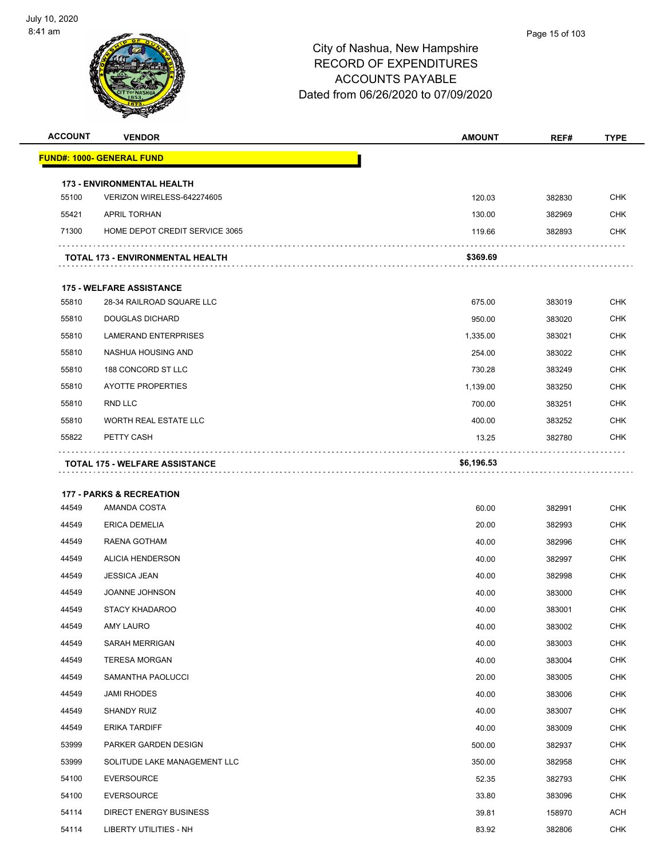

| <b>ACCOUNT</b> | <b>VENDOR</b>                           | <b>AMOUNT</b> | REF#   | <b>TYPE</b> |
|----------------|-----------------------------------------|---------------|--------|-------------|
|                | <u> FUND#: 1000- GENERAL FUND</u>       |               |        |             |
|                | <b>173 - ENVIRONMENTAL HEALTH</b>       |               |        |             |
| 55100          | VERIZON WIRELESS-642274605              | 120.03        | 382830 | <b>CHK</b>  |
| 55421          | <b>APRIL TORHAN</b>                     | 130.00        | 382969 | <b>CHK</b>  |
| 71300          | HOME DEPOT CREDIT SERVICE 3065          | 119.66        | 382893 | <b>CHK</b>  |
|                | <b>TOTAL 173 - ENVIRONMENTAL HEALTH</b> | \$369.69      |        |             |
|                | <b>175 - WELFARE ASSISTANCE</b>         |               |        |             |
| 55810          | 28-34 RAILROAD SQUARE LLC               | 675.00        | 383019 | <b>CHK</b>  |
| 55810          | <b>DOUGLAS DICHARD</b>                  | 950.00        | 383020 | <b>CHK</b>  |
| 55810          | <b>LAMERAND ENTERPRISES</b>             | 1,335.00      | 383021 | <b>CHK</b>  |
| 55810          | NASHUA HOUSING AND                      | 254.00        | 383022 | <b>CHK</b>  |
| 55810          | 188 CONCORD ST LLC                      | 730.28        | 383249 | <b>CHK</b>  |
| 55810          | <b>AYOTTE PROPERTIES</b>                | 1,139.00      | 383250 | <b>CHK</b>  |
| 55810          | RND LLC                                 | 700.00        | 383251 | <b>CHK</b>  |
| 55810          | WORTH REAL ESTATE LLC                   | 400.00        | 383252 | <b>CHK</b>  |
| 55822          | PETTY CASH                              | 13.25         | 382780 | <b>CHK</b>  |
|                | <b>TOTAL 175 - WELFARE ASSISTANCE</b>   | \$6,196.53    |        |             |
|                |                                         |               |        |             |
|                | <b>177 - PARKS &amp; RECREATION</b>     |               |        |             |
| 44549          | AMANDA COSTA                            | 60.00         | 382991 | <b>CHK</b>  |
| 44549          | <b>ERICA DEMELIA</b>                    | 20.00         | 382993 | <b>CHK</b>  |
| 44549          | RAENA GOTHAM                            | 40.00         | 382996 | <b>CHK</b>  |
| 44549          | <b>ALICIA HENDERSON</b>                 | 40.00         | 382997 | <b>CHK</b>  |
| 44549          | <b>JESSICA JEAN</b>                     | 40.00         | 382998 | <b>CHK</b>  |
| 44549          | JOANNE JOHNSON                          | 40.00         | 383000 | <b>CHK</b>  |
| 44549          | <b>STACY KHADAROO</b>                   | 40.00         | 383001 | <b>CHK</b>  |
| 44549          | AMY LAURO                               | 40.00         | 383002 | <b>CHK</b>  |
| 44549          | <b>SARAH MERRIGAN</b>                   | 40.00         | 383003 | <b>CHK</b>  |
| 44549          | <b>TERESA MORGAN</b>                    | 40.00         | 383004 | <b>CHK</b>  |
| 44549          | SAMANTHA PAOLUCCI                       | 20.00         | 383005 | <b>CHK</b>  |
| 44549          | JAMI RHODES                             | 40.00         | 383006 | <b>CHK</b>  |
| 44549          | SHANDY RUIZ                             | 40.00         | 383007 | <b>CHK</b>  |
| 44549          | <b>ERIKA TARDIFF</b>                    | 40.00         | 383009 | <b>CHK</b>  |
| 53999          | PARKER GARDEN DESIGN                    | 500.00        | 382937 | <b>CHK</b>  |
| 53999          | SOLITUDE LAKE MANAGEMENT LLC            | 350.00        | 382958 | <b>CHK</b>  |
| 54100          | <b>EVERSOURCE</b>                       | 52.35         | 382793 | <b>CHK</b>  |
| 54100          | <b>EVERSOURCE</b>                       | 33.80         | 383096 | <b>CHK</b>  |
| 54114          | <b>DIRECT ENERGY BUSINESS</b>           | 39.81         | 158970 | <b>ACH</b>  |
| 54114          | LIBERTY UTILITIES - NH                  | 83.92         | 382806 | CHK         |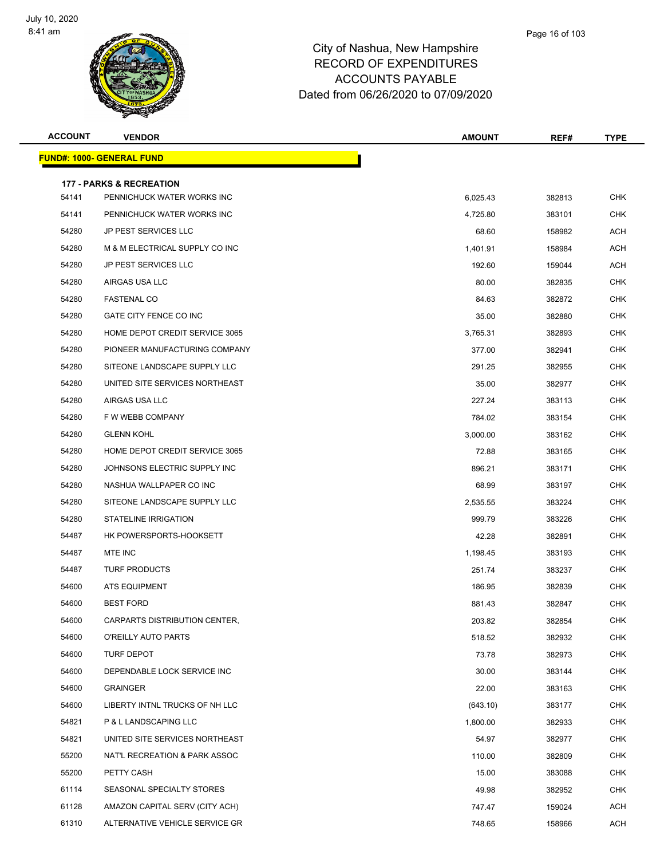

| <b>ACCOUNT</b> | <b>VENDOR</b>                                                     | <b>AMOUNT</b> | REF#   | <b>TYPE</b> |
|----------------|-------------------------------------------------------------------|---------------|--------|-------------|
|                | <u> FUND#: 1000- GENERAL FUND</u>                                 |               |        |             |
|                |                                                                   |               |        |             |
| 54141          | <b>177 - PARKS &amp; RECREATION</b><br>PENNICHUCK WATER WORKS INC | 6,025.43      | 382813 | <b>CHK</b>  |
| 54141          | PENNICHUCK WATER WORKS INC                                        | 4,725.80      | 383101 | <b>CHK</b>  |
| 54280          | <b>JP PEST SERVICES LLC</b>                                       | 68.60         | 158982 | ACH         |
| 54280          | M & M ELECTRICAL SUPPLY CO INC                                    | 1,401.91      | 158984 | <b>ACH</b>  |
| 54280          | <b>JP PEST SERVICES LLC</b>                                       | 192.60        | 159044 | <b>ACH</b>  |
| 54280          | AIRGAS USA LLC                                                    | 80.00         | 382835 | <b>CHK</b>  |
| 54280          | <b>FASTENAL CO</b>                                                | 84.63         | 382872 | <b>CHK</b>  |
| 54280          | GATE CITY FENCE CO INC                                            | 35.00         | 382880 | <b>CHK</b>  |
| 54280          | HOME DEPOT CREDIT SERVICE 3065                                    | 3,765.31      | 382893 | <b>CHK</b>  |
| 54280          | PIONEER MANUFACTURING COMPANY                                     | 377.00        | 382941 | CHK         |
| 54280          | SITEONE LANDSCAPE SUPPLY LLC                                      | 291.25        | 382955 | CHK         |
| 54280          | UNITED SITE SERVICES NORTHEAST                                    | 35.00         | 382977 | <b>CHK</b>  |
| 54280          | AIRGAS USA LLC                                                    | 227.24        | 383113 | CHK         |
| 54280          | F W WEBB COMPANY                                                  | 784.02        | 383154 | <b>CHK</b>  |
| 54280          | <b>GLENN KOHL</b>                                                 | 3,000.00      | 383162 | <b>CHK</b>  |
| 54280          | HOME DEPOT CREDIT SERVICE 3065                                    | 72.88         | 383165 | <b>CHK</b>  |
| 54280          | JOHNSONS ELECTRIC SUPPLY INC                                      | 896.21        | 383171 | <b>CHK</b>  |
| 54280          | NASHUA WALLPAPER CO INC                                           | 68.99         | 383197 | <b>CHK</b>  |
| 54280          | SITEONE LANDSCAPE SUPPLY LLC                                      | 2,535.55      | 383224 | <b>CHK</b>  |
| 54280          | <b>STATELINE IRRIGATION</b>                                       | 999.79        | 383226 | CHK         |
| 54487          | HK POWERSPORTS-HOOKSETT                                           | 42.28         | 382891 | <b>CHK</b>  |
| 54487          | MTE INC                                                           | 1,198.45      | 383193 | <b>CHK</b>  |
| 54487          | <b>TURF PRODUCTS</b>                                              | 251.74        | 383237 | CHK         |
| 54600          | <b>ATS EQUIPMENT</b>                                              | 186.95        | 382839 | <b>CHK</b>  |
| 54600          | <b>BEST FORD</b>                                                  | 881.43        | 382847 | CHK         |
| 54600          | CARPARTS DISTRIBUTION CENTER,                                     | 203.82        | 382854 | <b>CHK</b>  |
| 54600          | O'REILLY AUTO PARTS                                               | 518.52        | 382932 | <b>CHK</b>  |
| 54600          | TURF DEPOT                                                        | 73.78         | 382973 | <b>CHK</b>  |
| 54600          | DEPENDABLE LOCK SERVICE INC                                       | 30.00         | 383144 | <b>CHK</b>  |
| 54600          | <b>GRAINGER</b>                                                   | 22.00         | 383163 | <b>CHK</b>  |
| 54600          | LIBERTY INTNL TRUCKS OF NH LLC                                    | (643.10)      | 383177 | <b>CHK</b>  |
| 54821          | P & L LANDSCAPING LLC                                             | 1,800.00      | 382933 | <b>CHK</b>  |
| 54821          | UNITED SITE SERVICES NORTHEAST                                    | 54.97         | 382977 | <b>CHK</b>  |
| 55200          | NAT'L RECREATION & PARK ASSOC                                     | 110.00        | 382809 | <b>CHK</b>  |
| 55200          | PETTY CASH                                                        | 15.00         | 383088 | <b>CHK</b>  |
| 61114          | SEASONAL SPECIALTY STORES                                         | 49.98         | 382952 | <b>CHK</b>  |
| 61128          | AMAZON CAPITAL SERV (CITY ACH)                                    | 747.47        | 159024 | <b>ACH</b>  |
| 61310          | ALTERNATIVE VEHICLE SERVICE GR                                    | 748.65        | 158966 | <b>ACH</b>  |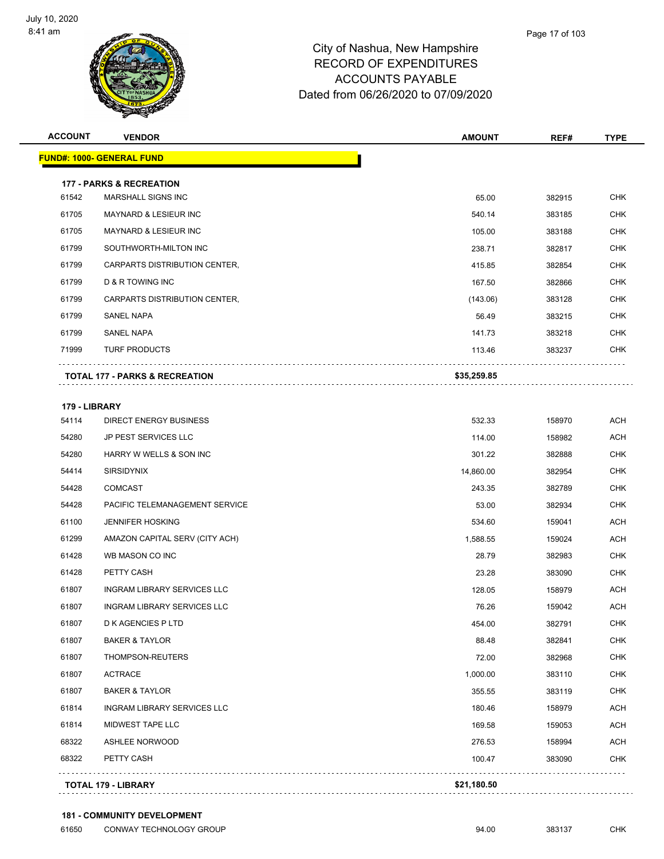

| <b>ACCOUNT</b>         | <b>VENDOR</b>                             | <b>AMOUNT</b> | REF#   | <b>TYPE</b> |
|------------------------|-------------------------------------------|---------------|--------|-------------|
|                        | <b>FUND#: 1000- GENERAL FUND</b>          |               |        |             |
|                        | <b>177 - PARKS &amp; RECREATION</b>       |               |        |             |
| 61542                  | MARSHALL SIGNS INC                        | 65.00         | 382915 | <b>CHK</b>  |
| 61705                  | <b>MAYNARD &amp; LESIEUR INC</b>          | 540.14        | 383185 | <b>CHK</b>  |
| 61705                  | MAYNARD & LESIEUR INC                     | 105.00        | 383188 | <b>CHK</b>  |
| 61799                  | SOUTHWORTH-MILTON INC                     | 238.71        | 382817 | <b>CHK</b>  |
| 61799                  | CARPARTS DISTRIBUTION CENTER,             | 415.85        | 382854 | <b>CHK</b>  |
| 61799                  | D & R TOWING INC                          | 167.50        | 382866 | <b>CHK</b>  |
| 61799                  | CARPARTS DISTRIBUTION CENTER,             | (143.06)      | 383128 | <b>CHK</b>  |
| 61799                  | <b>SANEL NAPA</b>                         | 56.49         | 383215 | <b>CHK</b>  |
| 61799                  | <b>SANEL NAPA</b>                         | 141.73        | 383218 | <b>CHK</b>  |
| 71999                  | <b>TURF PRODUCTS</b>                      | 113.46        | 383237 | <b>CHK</b>  |
|                        | <b>TOTAL 177 - PARKS &amp; RECREATION</b> | \$35,259.85   |        |             |
|                        |                                           |               |        |             |
| 179 - LIBRARY<br>54114 | <b>DIRECT ENERGY BUSINESS</b>             | 532.33        | 158970 | <b>ACH</b>  |
| 54280                  | <b>JP PEST SERVICES LLC</b>               | 114.00        | 158982 | <b>ACH</b>  |
| 54280                  | HARRY W WELLS & SON INC                   | 301.22        | 382888 | <b>CHK</b>  |
| 54414                  | <b>SIRSIDYNIX</b>                         | 14,860.00     | 382954 | <b>CHK</b>  |
| 54428                  | <b>COMCAST</b>                            | 243.35        | 382789 | <b>CHK</b>  |
| 54428                  | PACIFIC TELEMANAGEMENT SERVICE            | 53.00         | 382934 | <b>CHK</b>  |
| 61100                  | <b>JENNIFER HOSKING</b>                   | 534.60        | 159041 | <b>ACH</b>  |
| 61299                  | AMAZON CAPITAL SERV (CITY ACH)            | 1,588.55      | 159024 | <b>ACH</b>  |
| 61428                  | WB MASON CO INC                           | 28.79         | 382983 | <b>CHK</b>  |
| 61428                  | PETTY CASH                                | 23.28         | 383090 | <b>CHK</b>  |
| 61807                  | <b>INGRAM LIBRARY SERVICES LLC</b>        | 128.05        | 158979 | <b>ACH</b>  |
| 61807                  | <b>INGRAM LIBRARY SERVICES LLC</b>        | 76.26         | 159042 | <b>ACH</b>  |
| 61807                  | D K AGENCIES P LTD                        | 454.00        | 382791 | <b>CHK</b>  |
| 61807                  | <b>BAKER &amp; TAYLOR</b>                 | 88.48         | 382841 | <b>CHK</b>  |
| 61807                  | THOMPSON-REUTERS                          | 72.00         | 382968 | <b>CHK</b>  |

 61807 ACTRACE 1,000.00 383110 CHK 61807 BAKER & TAYLOR 355.55 383119 CHK er 180.46 1NGRAM LIBRARY SERVICES LLC 180.46 158979 158979 ACH er and the MIDWEST TAPE LLC that the state of the state of the state of the state of the state of the state of the state of the state of the state of the state of the state of the state of the state of the state of the sta er by the state of the state of the state of the state of the state of the state of the state of the state of the state of the state of the state of the state of the state of the state of the state of the state of the stat 68322 PETTY CASH 100.47 383090 CHK

**TOTAL 179 - LIBRARY \$21,180.50**

. . . . . . . . . . .

. . . . . . . . . . .

. . . . . . . . . . . . . . . . . . .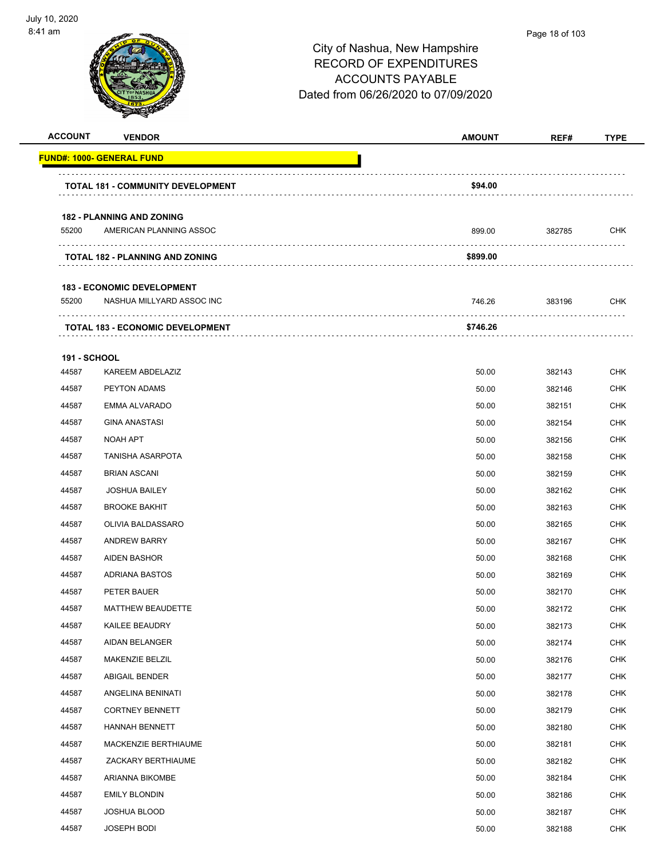

| <b>ACCOUNT</b>      | <b>VENDOR</b>                            | <b>AMOUNT</b> | REF#   | <b>TYPE</b> |
|---------------------|------------------------------------------|---------------|--------|-------------|
|                     | <u> FUND#: 1000- GENERAL FUND</u>        |               |        |             |
|                     | <b>TOTAL 181 - COMMUNITY DEVELOPMENT</b> | \$94.00       |        |             |
|                     | <b>182 - PLANNING AND ZONING</b>         |               |        |             |
| 55200               | AMERICAN PLANNING ASSOC                  | 899.00        | 382785 | <b>CHK</b>  |
|                     | <b>TOTAL 182 - PLANNING AND ZONING</b>   | \$899.00      |        |             |
|                     |                                          |               |        |             |
|                     | <b>183 - ECONOMIC DEVELOPMENT</b>        |               |        |             |
| 55200               | NASHUA MILLYARD ASSOC INC                | 746.26        | 383196 | <b>CHK</b>  |
|                     | <b>TOTAL 183 - ECONOMIC DEVELOPMENT</b>  | \$746.26      |        |             |
| <b>191 - SCHOOL</b> |                                          |               |        |             |
| 44587               | KAREEM ABDELAZIZ                         | 50.00         | 382143 | <b>CHK</b>  |
| 44587               | <b>PEYTON ADAMS</b>                      | 50.00         | 382146 | <b>CHK</b>  |
| 44587               | <b>EMMA ALVARADO</b>                     | 50.00         | 382151 | <b>CHK</b>  |
| 44587               | <b>GINA ANASTASI</b>                     | 50.00         | 382154 | <b>CHK</b>  |
| 44587               | <b>NOAH APT</b>                          | 50.00         | 382156 | <b>CHK</b>  |
| 44587               | <b>TANISHA ASARPOTA</b>                  | 50.00         | 382158 | <b>CHK</b>  |
| 44587               | <b>BRIAN ASCANI</b>                      | 50.00         | 382159 | <b>CHK</b>  |
| 44587               | <b>JOSHUA BAILEY</b>                     | 50.00         | 382162 | <b>CHK</b>  |
| 44587               | <b>BROOKE BAKHIT</b>                     | 50.00         | 382163 | <b>CHK</b>  |
| 44587               | OLIVIA BALDASSARO                        | 50.00         | 382165 | <b>CHK</b>  |
| 44587               | <b>ANDREW BARRY</b>                      | 50.00         | 382167 | <b>CHK</b>  |
| 44587               | <b>AIDEN BASHOR</b>                      | 50.00         | 382168 | <b>CHK</b>  |
| 44587               | <b>ADRIANA BASTOS</b>                    | 50.00         | 382169 | <b>CHK</b>  |
| 44587               | PETER BAUER                              | 50.00         | 382170 | <b>CHK</b>  |
| 44587               | <b>MATTHEW BEAUDETTE</b>                 | 50.00         | 382172 | <b>CHK</b>  |
| 44587               | KAILEE BEAUDRY                           | 50.00         | 382173 | <b>CHK</b>  |
| 44587               | AIDAN BELANGER                           | 50.00         | 382174 | <b>CHK</b>  |
| 44587               | MAKENZIE BELZIL                          | 50.00         | 382176 | <b>CHK</b>  |
| 44587               | ABIGAIL BENDER                           | 50.00         | 382177 | <b>CHK</b>  |
| 44587               | ANGELINA BENINATI                        | 50.00         | 382178 | <b>CHK</b>  |
| 44587               | <b>CORTNEY BENNETT</b>                   | 50.00         | 382179 | <b>CHK</b>  |
| 44587               | HANNAH BENNETT                           | 50.00         | 382180 | <b>CHK</b>  |
| 44587               | MACKENZIE BERTHIAUME                     | 50.00         | 382181 | <b>CHK</b>  |
| 44587               | ZACKARY BERTHIAUME                       | 50.00         | 382182 | <b>CHK</b>  |
| 44587               | ARIANNA BIKOMBE                          | 50.00         | 382184 | <b>CHK</b>  |
| 44587               | <b>EMILY BLONDIN</b>                     | 50.00         | 382186 | <b>CHK</b>  |
| 44587               | JOSHUA BLOOD                             | 50.00         | 382187 | <b>CHK</b>  |
| 44587               | JOSEPH BODI                              | 50.00         | 382188 | <b>CHK</b>  |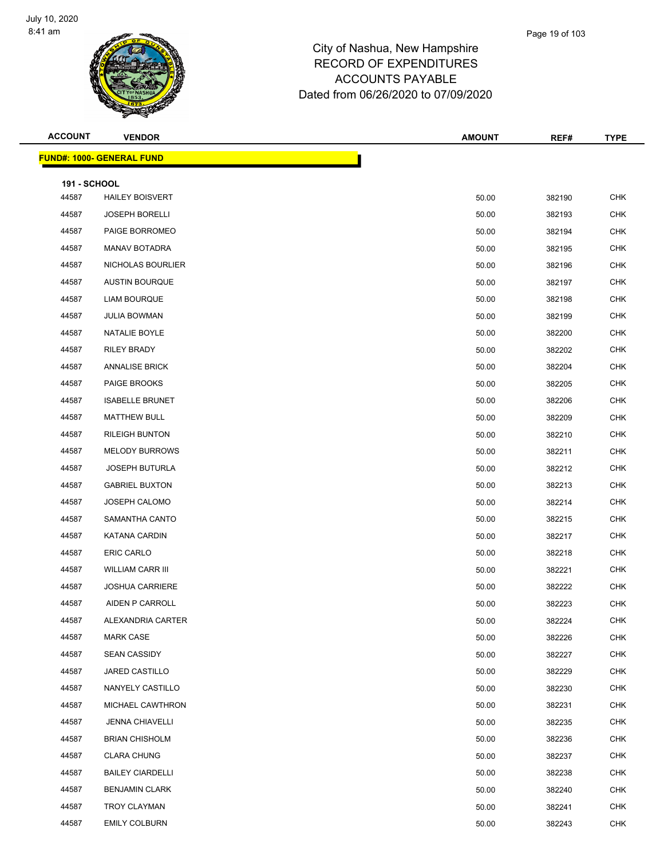

| <b>ACCOUNT</b>      | <b>VENDOR</b>                    | <b>AMOUNT</b> | REF#   | <b>TYPE</b> |
|---------------------|----------------------------------|---------------|--------|-------------|
|                     | <b>FUND#: 1000- GENERAL FUND</b> |               |        |             |
| <b>191 - SCHOOL</b> |                                  |               |        |             |
| 44587               | <b>HAILEY BOISVERT</b>           | 50.00         | 382190 | <b>CHK</b>  |
| 44587               | <b>JOSEPH BORELLI</b>            | 50.00         | 382193 | <b>CHK</b>  |
| 44587               | PAIGE BORROMEO                   | 50.00         | 382194 | <b>CHK</b>  |
| 44587               | <b>MANAV BOTADRA</b>             | 50.00         | 382195 | <b>CHK</b>  |
| 44587               | NICHOLAS BOURLIER                | 50.00         | 382196 | <b>CHK</b>  |
| 44587               | <b>AUSTIN BOURQUE</b>            | 50.00         | 382197 | <b>CHK</b>  |
| 44587               | <b>LIAM BOURQUE</b>              | 50.00         | 382198 | <b>CHK</b>  |
| 44587               | <b>JULIA BOWMAN</b>              | 50.00         | 382199 | <b>CHK</b>  |
| 44587               | NATALIE BOYLE                    | 50.00         | 382200 | <b>CHK</b>  |
| 44587               | RILEY BRADY                      | 50.00         | 382202 | <b>CHK</b>  |
| 44587               | <b>ANNALISE BRICK</b>            | 50.00         | 382204 | <b>CHK</b>  |
| 44587               | PAIGE BROOKS                     | 50.00         | 382205 | <b>CHK</b>  |
| 44587               | <b>ISABELLE BRUNET</b>           | 50.00         | 382206 | <b>CHK</b>  |
| 44587               | <b>MATTHEW BULL</b>              | 50.00         | 382209 | <b>CHK</b>  |
| 44587               | <b>RILEIGH BUNTON</b>            | 50.00         | 382210 | <b>CHK</b>  |
| 44587               | <b>MELODY BURROWS</b>            | 50.00         | 382211 | <b>CHK</b>  |
| 44587               | <b>JOSEPH BUTURLA</b>            | 50.00         | 382212 | <b>CHK</b>  |
| 44587               | <b>GABRIEL BUXTON</b>            | 50.00         | 382213 | <b>CHK</b>  |
| 44587               | <b>JOSEPH CALOMO</b>             | 50.00         | 382214 | <b>CHK</b>  |
| 44587               | SAMANTHA CANTO                   | 50.00         | 382215 | <b>CHK</b>  |
| 44587               | <b>KATANA CARDIN</b>             | 50.00         | 382217 | <b>CHK</b>  |
| 44587               | ERIC CARLO                       | 50.00         | 382218 | <b>CHK</b>  |
| 44587               | <b>WILLIAM CARR III</b>          | 50.00         | 382221 | <b>CHK</b>  |
| 44587               | <b>JOSHUA CARRIERE</b>           | 50.00         | 382222 | <b>CHK</b>  |
| 44587               | AIDEN P CARROLL                  | 50.00         | 382223 | <b>CHK</b>  |
| 44587               | ALEXANDRIA CARTER                | 50.00         | 382224 | <b>CHK</b>  |
| 44587               | <b>MARK CASE</b>                 | 50.00         | 382226 | <b>CHK</b>  |
| 44587               | <b>SEAN CASSIDY</b>              | 50.00         | 382227 | CHK         |
| 44587               | JARED CASTILLO                   | 50.00         | 382229 | <b>CHK</b>  |
| 44587               | NANYELY CASTILLO                 | 50.00         | 382230 | <b>CHK</b>  |
| 44587               | MICHAEL CAWTHRON                 | 50.00         | 382231 | <b>CHK</b>  |
| 44587               | <b>JENNA CHIAVELLI</b>           | 50.00         | 382235 | <b>CHK</b>  |
| 44587               | <b>BRIAN CHISHOLM</b>            | 50.00         | 382236 | <b>CHK</b>  |
| 44587               | <b>CLARA CHUNG</b>               | 50.00         | 382237 | <b>CHK</b>  |
| 44587               | <b>BAILEY CIARDELLI</b>          | 50.00         | 382238 | <b>CHK</b>  |
| 44587               | <b>BENJAMIN CLARK</b>            | 50.00         | 382240 | <b>CHK</b>  |
| 44587               | TROY CLAYMAN                     | 50.00         | 382241 | <b>CHK</b>  |
| 44587               | <b>EMILY COLBURN</b>             | 50.00         | 382243 | <b>CHK</b>  |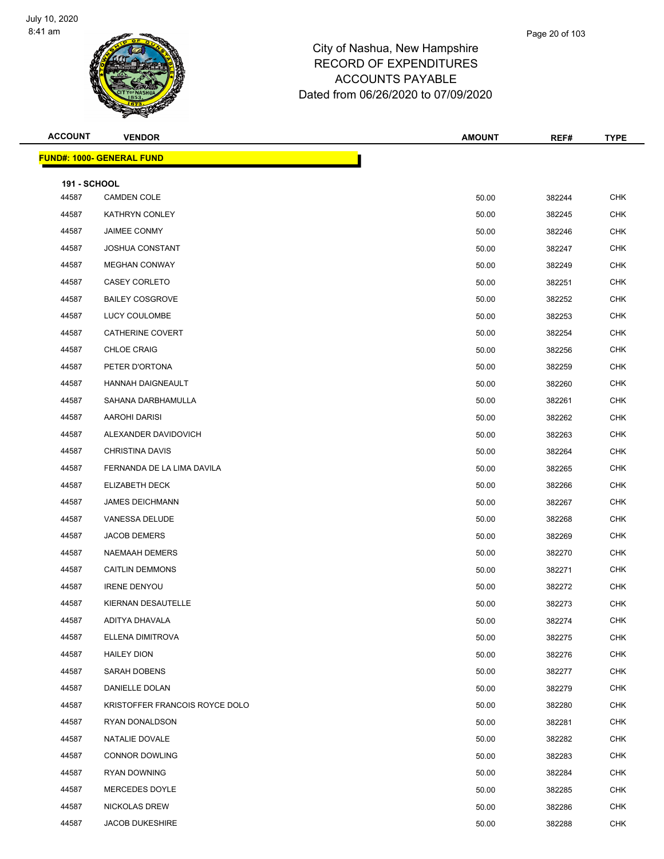

| <b>ACCOUNT</b>               | <b>VENDOR</b>                    | <b>AMOUNT</b> | REF#   | <b>TYPE</b> |
|------------------------------|----------------------------------|---------------|--------|-------------|
|                              | <b>FUND#: 1000- GENERAL FUND</b> |               |        |             |
|                              |                                  |               |        |             |
| <b>191 - SCHOOL</b><br>44587 | <b>CAMDEN COLE</b>               | 50.00         | 382244 | <b>CHK</b>  |
| 44587                        | KATHRYN CONLEY                   | 50.00         | 382245 | <b>CHK</b>  |
| 44587                        | JAIMEE CONMY                     | 50.00         | 382246 | <b>CHK</b>  |
| 44587                        | <b>JOSHUA CONSTANT</b>           | 50.00         | 382247 | <b>CHK</b>  |
| 44587                        | <b>MEGHAN CONWAY</b>             | 50.00         | 382249 | <b>CHK</b>  |
| 44587                        | <b>CASEY CORLETO</b>             | 50.00         | 382251 | <b>CHK</b>  |
| 44587                        | <b>BAILEY COSGROVE</b>           | 50.00         | 382252 | <b>CHK</b>  |
| 44587                        | LUCY COULOMBE                    | 50.00         | 382253 | <b>CHK</b>  |
| 44587                        | CATHERINE COVERT                 | 50.00         | 382254 | <b>CHK</b>  |
| 44587                        | <b>CHLOE CRAIG</b>               | 50.00         | 382256 | <b>CHK</b>  |
| 44587                        | PETER D'ORTONA                   | 50.00         | 382259 | <b>CHK</b>  |
| 44587                        | HANNAH DAIGNEAULT                | 50.00         | 382260 | <b>CHK</b>  |
| 44587                        | SAHANA DARBHAMULLA               | 50.00         | 382261 | <b>CHK</b>  |
| 44587                        | AAROHI DARISI                    | 50.00         | 382262 | <b>CHK</b>  |
| 44587                        | ALEXANDER DAVIDOVICH             | 50.00         | 382263 | <b>CHK</b>  |
| 44587                        | <b>CHRISTINA DAVIS</b>           | 50.00         | 382264 | <b>CHK</b>  |
| 44587                        | FERNANDA DE LA LIMA DAVILA       | 50.00         | 382265 | <b>CHK</b>  |
| 44587                        | ELIZABETH DECK                   | 50.00         | 382266 | <b>CHK</b>  |
| 44587                        | <b>JAMES DEICHMANN</b>           | 50.00         | 382267 | <b>CHK</b>  |
| 44587                        | VANESSA DELUDE                   | 50.00         | 382268 | <b>CHK</b>  |
| 44587                        | <b>JACOB DEMERS</b>              | 50.00         | 382269 | <b>CHK</b>  |
| 44587                        | NAEMAAH DEMERS                   | 50.00         | 382270 | <b>CHK</b>  |
| 44587                        | <b>CAITLIN DEMMONS</b>           | 50.00         | 382271 | <b>CHK</b>  |
| 44587                        | <b>IRENE DENYOU</b>              | 50.00         | 382272 | <b>CHK</b>  |
| 44587                        | KIERNAN DESAUTELLE               | 50.00         | 382273 | <b>CHK</b>  |
| 44587                        | ADITYA DHAVALA                   | 50.00         | 382274 | <b>CHK</b>  |
| 44587                        | ELLENA DIMITROVA                 | 50.00         | 382275 | <b>CHK</b>  |
| 44587                        | <b>HAILEY DION</b>               | 50.00         | 382276 | <b>CHK</b>  |
| 44587                        | SARAH DOBENS                     | 50.00         | 382277 | <b>CHK</b>  |
| 44587                        | DANIELLE DOLAN                   | 50.00         | 382279 | <b>CHK</b>  |
| 44587                        | KRISTOFFER FRANCOIS ROYCE DOLO   | 50.00         | 382280 | <b>CHK</b>  |
| 44587                        | RYAN DONALDSON                   | 50.00         | 382281 | <b>CHK</b>  |
| 44587                        | NATALIE DOVALE                   | 50.00         | 382282 | <b>CHK</b>  |
| 44587                        | <b>CONNOR DOWLING</b>            | 50.00         | 382283 | <b>CHK</b>  |
| 44587                        | <b>RYAN DOWNING</b>              | 50.00         | 382284 | <b>CHK</b>  |
| 44587                        | MERCEDES DOYLE                   | 50.00         | 382285 | <b>CHK</b>  |
| 44587                        | <b>NICKOLAS DREW</b>             | 50.00         | 382286 | <b>CHK</b>  |
| 44587                        | <b>JACOB DUKESHIRE</b>           | 50.00         | 382288 | <b>CHK</b>  |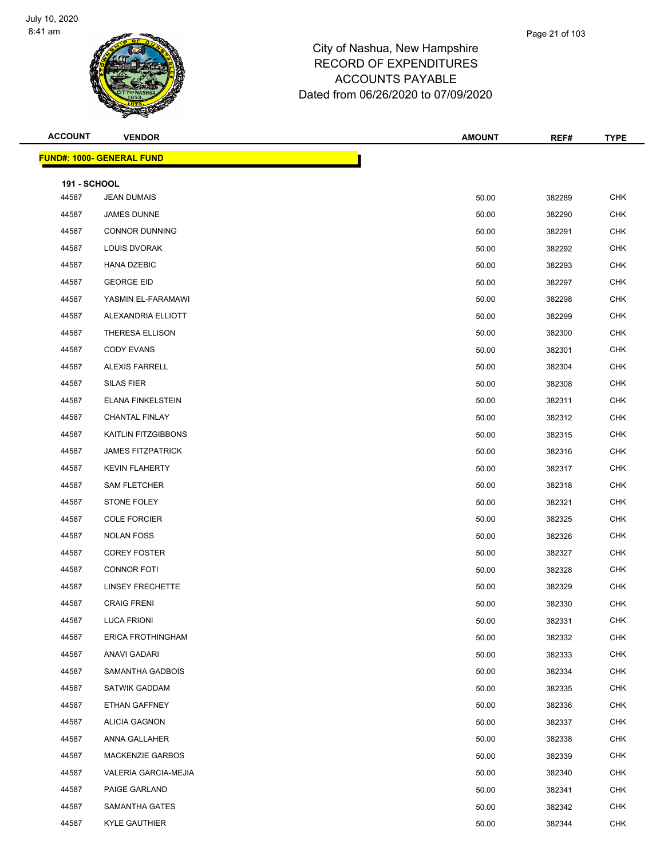

| <b>ACCOUNT</b>      | <b>VENDOR</b>                     | <b>AMOUNT</b> | REF#   | <b>TYPE</b> |
|---------------------|-----------------------------------|---------------|--------|-------------|
|                     | <u> FUND#: 1000- GENERAL FUND</u> |               |        |             |
| <b>191 - SCHOOL</b> |                                   |               |        |             |
| 44587               | <b>JEAN DUMAIS</b>                | 50.00         | 382289 | <b>CHK</b>  |
| 44587               | JAMES DUNNE                       | 50.00         | 382290 | <b>CHK</b>  |
| 44587               | <b>CONNOR DUNNING</b>             | 50.00         | 382291 | <b>CHK</b>  |
| 44587               | LOUIS DVORAK                      | 50.00         | 382292 | <b>CHK</b>  |
| 44587               | <b>HANA DZEBIC</b>                | 50.00         | 382293 | <b>CHK</b>  |
| 44587               | <b>GEORGE EID</b>                 | 50.00         | 382297 | <b>CHK</b>  |
| 44587               | YASMIN EL-FARAMAWI                | 50.00         | 382298 | <b>CHK</b>  |
| 44587               | ALEXANDRIA ELLIOTT                | 50.00         | 382299 | <b>CHK</b>  |
| 44587               | <b>THERESA ELLISON</b>            | 50.00         | 382300 | <b>CHK</b>  |
| 44587               | <b>CODY EVANS</b>                 | 50.00         | 382301 | <b>CHK</b>  |
| 44587               | <b>ALEXIS FARRELL</b>             | 50.00         | 382304 | <b>CHK</b>  |
| 44587               | <b>SILAS FIER</b>                 | 50.00         | 382308 | <b>CHK</b>  |
| 44587               | <b>ELANA FINKELSTEIN</b>          | 50.00         | 382311 | <b>CHK</b>  |
| 44587               | <b>CHANTAL FINLAY</b>             | 50.00         | 382312 | <b>CHK</b>  |
| 44587               | KAITLIN FITZGIBBONS               | 50.00         | 382315 | <b>CHK</b>  |
| 44587               | <b>JAMES FITZPATRICK</b>          | 50.00         | 382316 | <b>CHK</b>  |
| 44587               | <b>KEVIN FLAHERTY</b>             | 50.00         | 382317 | <b>CHK</b>  |
| 44587               | <b>SAM FLETCHER</b>               | 50.00         | 382318 | <b>CHK</b>  |
| 44587               | STONE FOLEY                       | 50.00         | 382321 | <b>CHK</b>  |
| 44587               | <b>COLE FORCIER</b>               | 50.00         | 382325 | <b>CHK</b>  |
| 44587               | <b>NOLAN FOSS</b>                 | 50.00         | 382326 | <b>CHK</b>  |
| 44587               | <b>COREY FOSTER</b>               | 50.00         | 382327 | <b>CHK</b>  |
| 44587               | <b>CONNOR FOTI</b>                | 50.00         | 382328 | <b>CHK</b>  |
| 44587               | <b>LINSEY FRECHETTE</b>           | 50.00         | 382329 | <b>CHK</b>  |
| 44587               | <b>CRAIG FRENI</b>                | 50.00         | 382330 | <b>CHK</b>  |
| 44587               | <b>LUCA FRIONI</b>                | 50.00         | 382331 | <b>CHK</b>  |
| 44587               | ERICA FROTHINGHAM                 | 50.00         | 382332 | <b>CHK</b>  |
| 44587               | <b>ANAVI GADARI</b>               | 50.00         | 382333 | <b>CHK</b>  |
| 44587               | SAMANTHA GADBOIS                  | 50.00         | 382334 | <b>CHK</b>  |
| 44587               | <b>SATWIK GADDAM</b>              | 50.00         | 382335 | <b>CHK</b>  |
| 44587               | ETHAN GAFFNEY                     | 50.00         | 382336 | <b>CHK</b>  |
| 44587               | <b>ALICIA GAGNON</b>              | 50.00         | 382337 | <b>CHK</b>  |
| 44587               | ANNA GALLAHER                     | 50.00         | 382338 | <b>CHK</b>  |
| 44587               | <b>MACKENZIE GARBOS</b>           | 50.00         | 382339 | <b>CHK</b>  |
| 44587               | VALERIA GARCIA-MEJIA              | 50.00         | 382340 | <b>CHK</b>  |
| 44587               | PAIGE GARLAND                     | 50.00         | 382341 | <b>CHK</b>  |
| 44587               | SAMANTHA GATES                    | 50.00         | 382342 | <b>CHK</b>  |
| 44587               | <b>KYLE GAUTHIER</b>              | 50.00         | 382344 | <b>CHK</b>  |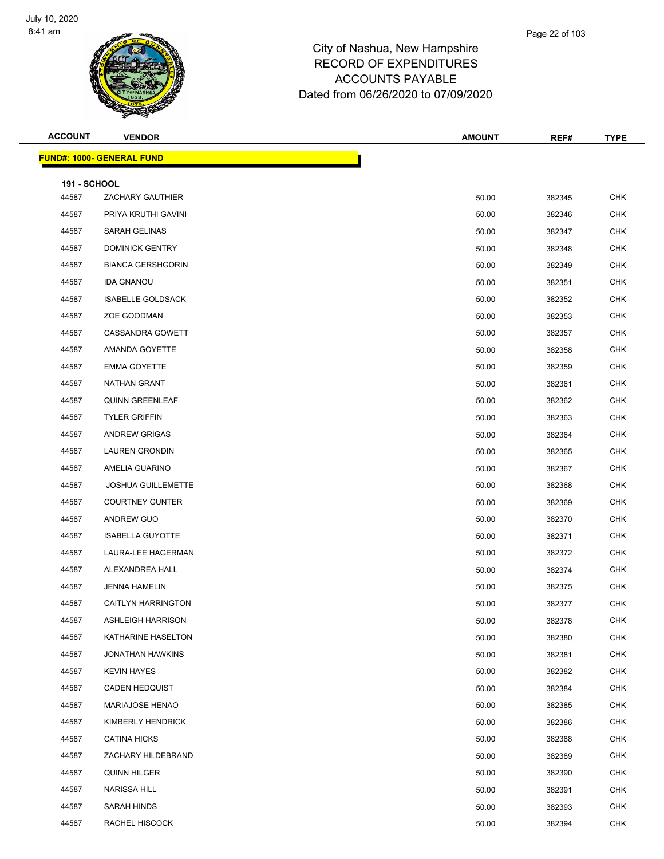

| <b>ACCOUNT</b>      | <b>VENDOR</b>                     | <b>AMOUNT</b> | REF#   | <b>TYPE</b> |
|---------------------|-----------------------------------|---------------|--------|-------------|
|                     | <u> FUND#: 1000- GENERAL FUND</u> |               |        |             |
| <b>191 - SCHOOL</b> |                                   |               |        |             |
| 44587               | ZACHARY GAUTHIER                  | 50.00         | 382345 | <b>CHK</b>  |
| 44587               | PRIYA KRUTHI GAVINI               | 50.00         | 382346 | <b>CHK</b>  |
| 44587               | SARAH GELINAS                     | 50.00         | 382347 | <b>CHK</b>  |
| 44587               | <b>DOMINICK GENTRY</b>            | 50.00         | 382348 | <b>CHK</b>  |
| 44587               | <b>BIANCA GERSHGORIN</b>          | 50.00         | 382349 | <b>CHK</b>  |
| 44587               | <b>IDA GNANOU</b>                 | 50.00         | 382351 | <b>CHK</b>  |
| 44587               | <b>ISABELLE GOLDSACK</b>          | 50.00         | 382352 | <b>CHK</b>  |
| 44587               | ZOE GOODMAN                       | 50.00         | 382353 | <b>CHK</b>  |
| 44587               | CASSANDRA GOWETT                  | 50.00         | 382357 | <b>CHK</b>  |
| 44587               | AMANDA GOYETTE                    | 50.00         | 382358 | <b>CHK</b>  |
| 44587               | <b>EMMA GOYETTE</b>               | 50.00         | 382359 | <b>CHK</b>  |
| 44587               | <b>NATHAN GRANT</b>               | 50.00         | 382361 | <b>CHK</b>  |
| 44587               | <b>QUINN GREENLEAF</b>            | 50.00         | 382362 | <b>CHK</b>  |
| 44587               | <b>TYLER GRIFFIN</b>              | 50.00         | 382363 | <b>CHK</b>  |
| 44587               | ANDREW GRIGAS                     | 50.00         | 382364 | <b>CHK</b>  |
| 44587               | <b>LAUREN GRONDIN</b>             | 50.00         | 382365 | <b>CHK</b>  |
| 44587               | AMELIA GUARINO                    | 50.00         | 382367 | <b>CHK</b>  |
| 44587               | <b>JOSHUA GUILLEMETTE</b>         | 50.00         | 382368 | <b>CHK</b>  |
| 44587               | <b>COURTNEY GUNTER</b>            | 50.00         | 382369 | <b>CHK</b>  |
| 44587               | ANDREW GUO                        | 50.00         | 382370 | <b>CHK</b>  |
| 44587               | <b>ISABELLA GUYOTTE</b>           | 50.00         | 382371 | <b>CHK</b>  |
| 44587               | LAURA-LEE HAGERMAN                | 50.00         | 382372 | <b>CHK</b>  |
| 44587               | ALEXANDREA HALL                   | 50.00         | 382374 | <b>CHK</b>  |
| 44587               | <b>JENNA HAMELIN</b>              | 50.00         | 382375 | <b>CHK</b>  |
| 44587               | CAITLYN HARRINGTON                | 50.00         | 382377 | <b>CHK</b>  |
| 44587               | <b>ASHLEIGH HARRISON</b>          | 50.00         | 382378 | <b>CHK</b>  |
| 44587               | KATHARINE HASELTON                | 50.00         | 382380 | <b>CHK</b>  |
| 44587               | <b>JONATHAN HAWKINS</b>           | 50.00         | 382381 | <b>CHK</b>  |
| 44587               | <b>KEVIN HAYES</b>                | 50.00         | 382382 | <b>CHK</b>  |
| 44587               | <b>CADEN HEDQUIST</b>             | 50.00         | 382384 | <b>CHK</b>  |
| 44587               | MARIAJOSE HENAO                   | 50.00         | 382385 | <b>CHK</b>  |
| 44587               | KIMBERLY HENDRICK                 | 50.00         | 382386 | <b>CHK</b>  |
| 44587               | <b>CATINA HICKS</b>               | 50.00         | 382388 | <b>CHK</b>  |
| 44587               | ZACHARY HILDEBRAND                | 50.00         | 382389 | <b>CHK</b>  |
| 44587               | <b>QUINN HILGER</b>               | 50.00         | 382390 | <b>CHK</b>  |
| 44587               | NARISSA HILL                      | 50.00         | 382391 | <b>CHK</b>  |
| 44587               | SARAH HINDS                       | 50.00         | 382393 | <b>CHK</b>  |
| 44587               | RACHEL HISCOCK                    | 50.00         | 382394 | <b>CHK</b>  |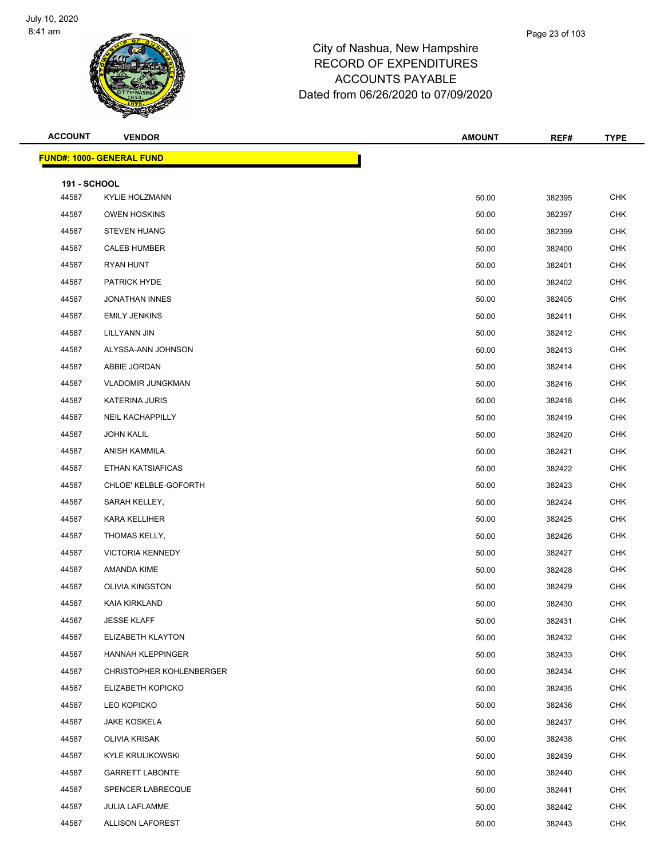

| <b>ACCOUNT</b>      | <b>VENDOR</b>                    | <b>AMOUNT</b> | REF#   | <b>TYPE</b> |
|---------------------|----------------------------------|---------------|--------|-------------|
|                     | <b>FUND#: 1000- GENERAL FUND</b> |               |        |             |
| <b>191 - SCHOOL</b> |                                  |               |        |             |
| 44587               | <b>KYLIE HOLZMANN</b>            | 50.00         | 382395 | CHK         |
| 44587               | <b>OWEN HOSKINS</b>              | 50.00         | 382397 | <b>CHK</b>  |
| 44587               | <b>STEVEN HUANG</b>              | 50.00         | 382399 | <b>CHK</b>  |
| 44587               | <b>CALEB HUMBER</b>              | 50.00         | 382400 | <b>CHK</b>  |
| 44587               | RYAN HUNT                        | 50.00         | 382401 | <b>CHK</b>  |
| 44587               | <b>PATRICK HYDE</b>              | 50.00         | 382402 | <b>CHK</b>  |
| 44587               | <b>JONATHAN INNES</b>            | 50.00         | 382405 | <b>CHK</b>  |
| 44587               | <b>EMILY JENKINS</b>             | 50.00         | 382411 | <b>CHK</b>  |
| 44587               | LILLYANN JIN                     | 50.00         | 382412 | <b>CHK</b>  |
| 44587               | ALYSSA-ANN JOHNSON               | 50.00         | 382413 | <b>CHK</b>  |
| 44587               | ABBIE JORDAN                     | 50.00         | 382414 | <b>CHK</b>  |
| 44587               | <b>VLADOMIR JUNGKMAN</b>         | 50.00         | 382416 | <b>CHK</b>  |
| 44587               | <b>KATERINA JURIS</b>            | 50.00         | 382418 | <b>CHK</b>  |
| 44587               | NEIL KACHAPPILLY                 | 50.00         | 382419 | <b>CHK</b>  |
| 44587               | <b>JOHN KALIL</b>                | 50.00         | 382420 | <b>CHK</b>  |
| 44587               | ANISH KAMMILA                    | 50.00         | 382421 | <b>CHK</b>  |
| 44587               | ETHAN KATSIAFICAS                | 50.00         | 382422 | <b>CHK</b>  |
| 44587               | CHLOE' KELBLE-GOFORTH            | 50.00         | 382423 | <b>CHK</b>  |
| 44587               | SARAH KELLEY,                    | 50.00         | 382424 | <b>CHK</b>  |
| 44587               | KARA KELLIHER                    | 50.00         | 382425 | <b>CHK</b>  |
| 44587               | THOMAS KELLY,                    | 50.00         | 382426 | <b>CHK</b>  |
| 44587               | <b>VICTORIA KENNEDY</b>          | 50.00         | 382427 | CHK         |
| 44587               | AMANDA KIME                      | 50.00         | 382428 | <b>CHK</b>  |
| 44587               | <b>OLIVIA KINGSTON</b>           | 50.00         | 382429 | <b>CHK</b>  |
| 44587               | KAIA KIRKLAND                    | 50.00         | 382430 | <b>CHK</b>  |
| 44587               | <b>JESSE KLAFF</b>               | 50.00         | 382431 | <b>CHK</b>  |
| 44587               | ELIZABETH KLAYTON                | 50.00         | 382432 | CHK         |
| 44587               | HANNAH KLEPPINGER                | 50.00         | 382433 | CHK         |
| 44587               | CHRISTOPHER KOHLENBERGER         | 50.00         | 382434 | <b>CHK</b>  |
| 44587               | ELIZABETH KOPICKO                | 50.00         | 382435 | <b>CHK</b>  |
| 44587               | LEO KOPICKO                      | 50.00         | 382436 | <b>CHK</b>  |
| 44587               | <b>JAKE KOSKELA</b>              | 50.00         | 382437 | <b>CHK</b>  |
| 44587               | OLIVIA KRISAK                    | 50.00         | 382438 | <b>CHK</b>  |
| 44587               | <b>KYLE KRULIKOWSKI</b>          | 50.00         | 382439 | <b>CHK</b>  |
| 44587               | <b>GARRETT LABONTE</b>           | 50.00         | 382440 | <b>CHK</b>  |
| 44587               | SPENCER LABRECQUE                | 50.00         | 382441 | <b>CHK</b>  |
| 44587               | <b>JULIA LAFLAMME</b>            | 50.00         | 382442 | <b>CHK</b>  |
| 44587               | <b>ALLISON LAFOREST</b>          | 50.00         | 382443 | <b>CHK</b>  |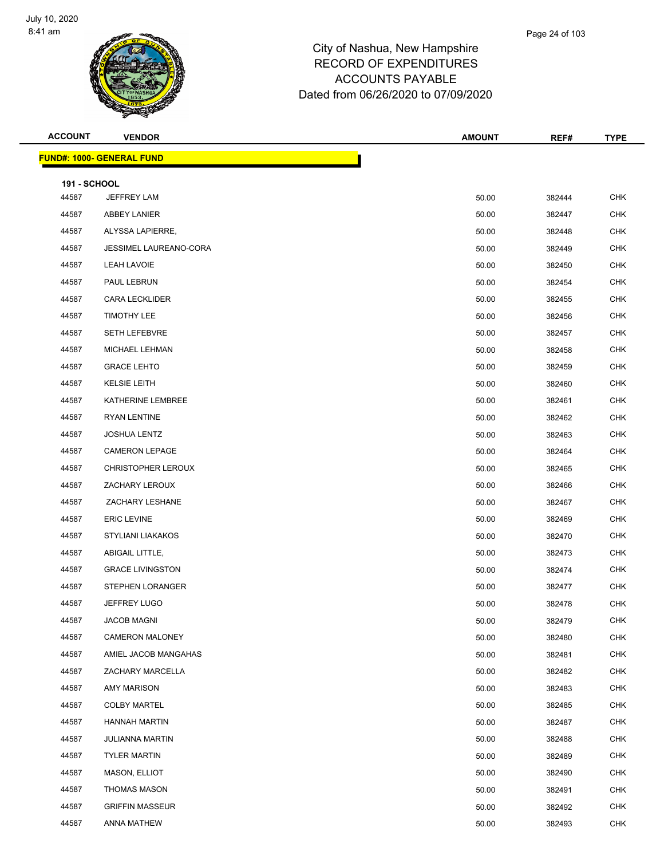

| <b>ACCOUNT</b>      | <b>VENDOR</b>                    | <b>AMOUNT</b> | REF#   | <b>TYPE</b> |
|---------------------|----------------------------------|---------------|--------|-------------|
|                     | <b>FUND#: 1000- GENERAL FUND</b> |               |        |             |
| <b>191 - SCHOOL</b> |                                  |               |        |             |
| 44587               | JEFFREY LAM                      | 50.00         | 382444 | <b>CHK</b>  |
| 44587               | <b>ABBEY LANIER</b>              | 50.00         | 382447 | <b>CHK</b>  |
| 44587               | ALYSSA LAPIERRE,                 | 50.00         | 382448 | <b>CHK</b>  |
| 44587               | JESSIMEL LAUREANO-CORA           | 50.00         | 382449 | <b>CHK</b>  |
| 44587               | LEAH LAVOIE                      | 50.00         | 382450 | <b>CHK</b>  |
| 44587               | PAUL LEBRUN                      | 50.00         | 382454 | <b>CHK</b>  |
| 44587               | <b>CARA LECKLIDER</b>            | 50.00         | 382455 | <b>CHK</b>  |
| 44587               | <b>TIMOTHY LEE</b>               | 50.00         | 382456 | <b>CHK</b>  |
| 44587               | <b>SETH LEFEBVRE</b>             | 50.00         | 382457 | <b>CHK</b>  |
| 44587               | MICHAEL LEHMAN                   | 50.00         | 382458 | <b>CHK</b>  |
| 44587               | <b>GRACE LEHTO</b>               | 50.00         | 382459 | <b>CHK</b>  |
| 44587               | <b>KELSIE LEITH</b>              | 50.00         | 382460 | <b>CHK</b>  |
| 44587               | KATHERINE LEMBREE                | 50.00         | 382461 | <b>CHK</b>  |
| 44587               | RYAN LENTINE                     | 50.00         | 382462 | <b>CHK</b>  |
| 44587               | <b>JOSHUA LENTZ</b>              | 50.00         | 382463 | <b>CHK</b>  |
| 44587               | <b>CAMERON LEPAGE</b>            | 50.00         | 382464 | <b>CHK</b>  |
| 44587               | <b>CHRISTOPHER LEROUX</b>        | 50.00         | 382465 | <b>CHK</b>  |
| 44587               | ZACHARY LEROUX                   | 50.00         | 382466 | <b>CHK</b>  |
| 44587               | ZACHARY LESHANE                  | 50.00         | 382467 | <b>CHK</b>  |
| 44587               | <b>ERIC LEVINE</b>               | 50.00         | 382469 | <b>CHK</b>  |
| 44587               | STYLIANI LIAKAKOS                | 50.00         | 382470 | <b>CHK</b>  |
| 44587               | ABIGAIL LITTLE,                  | 50.00         | 382473 | <b>CHK</b>  |
| 44587               | <b>GRACE LIVINGSTON</b>          | 50.00         | 382474 | <b>CHK</b>  |
| 44587               | <b>STEPHEN LORANGER</b>          | 50.00         | 382477 | <b>CHK</b>  |
| 44587               | <b>JEFFREY LUGO</b>              | 50.00         | 382478 | <b>CHK</b>  |
| 44587               | JACOB MAGNI                      | 50.00         | 382479 | CHK         |
| 44587               | <b>CAMERON MALONEY</b>           | 50.00         | 382480 | <b>CHK</b>  |
| 44587               | AMIEL JACOB MANGAHAS             | 50.00         | 382481 | <b>CHK</b>  |
| 44587               | ZACHARY MARCELLA                 | 50.00         | 382482 | <b>CHK</b>  |
| 44587               | AMY MARISON                      | 50.00         | 382483 | <b>CHK</b>  |
| 44587               | <b>COLBY MARTEL</b>              | 50.00         | 382485 | <b>CHK</b>  |
| 44587               | <b>HANNAH MARTIN</b>             | 50.00         | 382487 | <b>CHK</b>  |
| 44587               | <b>JULIANNA MARTIN</b>           | 50.00         | 382488 | <b>CHK</b>  |
| 44587               | <b>TYLER MARTIN</b>              | 50.00         | 382489 | <b>CHK</b>  |
| 44587               | MASON, ELLIOT                    | 50.00         | 382490 | <b>CHK</b>  |
| 44587               | <b>THOMAS MASON</b>              | 50.00         | 382491 | <b>CHK</b>  |
| 44587               | <b>GRIFFIN MASSEUR</b>           | 50.00         | 382492 | <b>CHK</b>  |
| 44587               | ANNA MATHEW                      | 50.00         | 382493 | <b>CHK</b>  |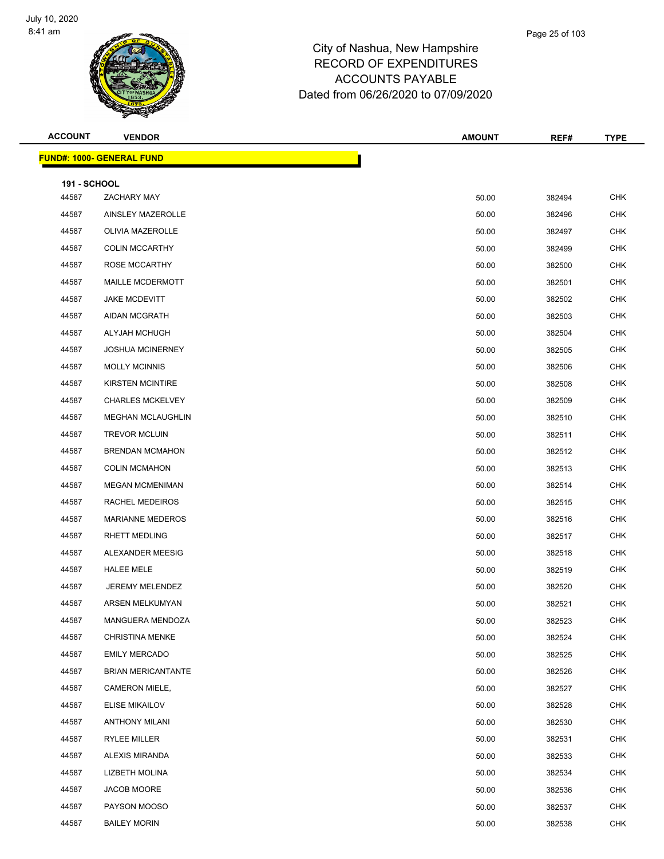

| <b>ACCOUNT</b>      | <b>VENDOR</b>                     | <b>AMOUNT</b> | REF#   | <b>TYPE</b> |
|---------------------|-----------------------------------|---------------|--------|-------------|
|                     | <u> FUND#: 1000- GENERAL FUND</u> |               |        |             |
| <b>191 - SCHOOL</b> |                                   |               |        |             |
| 44587               | ZACHARY MAY                       | 50.00         | 382494 | CHK         |
| 44587               | AINSLEY MAZEROLLE                 | 50.00         | 382496 | <b>CHK</b>  |
| 44587               | <b>OLIVIA MAZEROLLE</b>           | 50.00         | 382497 | <b>CHK</b>  |
| 44587               | <b>COLIN MCCARTHY</b>             | 50.00         | 382499 | <b>CHK</b>  |
| 44587               | <b>ROSE MCCARTHY</b>              | 50.00         | 382500 | <b>CHK</b>  |
| 44587               | MAILLE MCDERMOTT                  | 50.00         | 382501 | <b>CHK</b>  |
| 44587               | <b>JAKE MCDEVITT</b>              | 50.00         | 382502 | <b>CHK</b>  |
| 44587               | AIDAN MCGRATH                     | 50.00         | 382503 | <b>CHK</b>  |
| 44587               | ALYJAH MCHUGH                     | 50.00         | 382504 | <b>CHK</b>  |
| 44587               | <b>JOSHUA MCINERNEY</b>           | 50.00         | 382505 | <b>CHK</b>  |
| 44587               | <b>MOLLY MCINNIS</b>              | 50.00         | 382506 | <b>CHK</b>  |
| 44587               | <b>KIRSTEN MCINTIRE</b>           | 50.00         | 382508 | <b>CHK</b>  |
| 44587               | <b>CHARLES MCKELVEY</b>           | 50.00         | 382509 | <b>CHK</b>  |
| 44587               | <b>MEGHAN MCLAUGHLIN</b>          | 50.00         | 382510 | <b>CHK</b>  |
| 44587               | <b>TREVOR MCLUIN</b>              | 50.00         | 382511 | <b>CHK</b>  |
| 44587               | <b>BRENDAN MCMAHON</b>            | 50.00         | 382512 | <b>CHK</b>  |
| 44587               | <b>COLIN MCMAHON</b>              | 50.00         | 382513 | <b>CHK</b>  |
| 44587               | <b>MEGAN MCMENIMAN</b>            | 50.00         | 382514 | <b>CHK</b>  |
| 44587               | RACHEL MEDEIROS                   | 50.00         | 382515 | <b>CHK</b>  |
| 44587               | <b>MARIANNE MEDEROS</b>           | 50.00         | 382516 | CHK         |
| 44587               | <b>RHETT MEDLING</b>              | 50.00         | 382517 | <b>CHK</b>  |
| 44587               | ALEXANDER MEESIG                  | 50.00         | 382518 | <b>CHK</b>  |
| 44587               | <b>HALEE MELE</b>                 | 50.00         | 382519 | <b>CHK</b>  |
| 44587               | JEREMY MELENDEZ                   | 50.00         | 382520 | <b>CHK</b>  |
| 44587               | ARSEN MELKUMYAN                   | 50.00         | 382521 | CHK         |
| 44587               | MANGUERA MENDOZA                  | 50.00         | 382523 | <b>CHK</b>  |
| 44587               | <b>CHRISTINA MENKE</b>            | 50.00         | 382524 | <b>CHK</b>  |
| 44587               | <b>EMILY MERCADO</b>              | 50.00         | 382525 | <b>CHK</b>  |
| 44587               | <b>BRIAN MERICANTANTE</b>         | 50.00         | 382526 | <b>CHK</b>  |
| 44587               | CAMERON MIELE,                    | 50.00         | 382527 | <b>CHK</b>  |
| 44587               | <b>ELISE MIKAILOV</b>             | 50.00         | 382528 | <b>CHK</b>  |
| 44587               | <b>ANTHONY MILANI</b>             | 50.00         | 382530 | <b>CHK</b>  |
| 44587               | RYLEE MILLER                      | 50.00         | 382531 | <b>CHK</b>  |
| 44587               | ALEXIS MIRANDA                    | 50.00         | 382533 | <b>CHK</b>  |
| 44587               | LIZBETH MOLINA                    | 50.00         | 382534 | <b>CHK</b>  |
| 44587               | JACOB MOORE                       | 50.00         | 382536 | <b>CHK</b>  |
| 44587               | PAYSON MOOSO                      | 50.00         | 382537 | <b>CHK</b>  |
| 44587               | <b>BAILEY MORIN</b>               | 50.00         | 382538 | <b>CHK</b>  |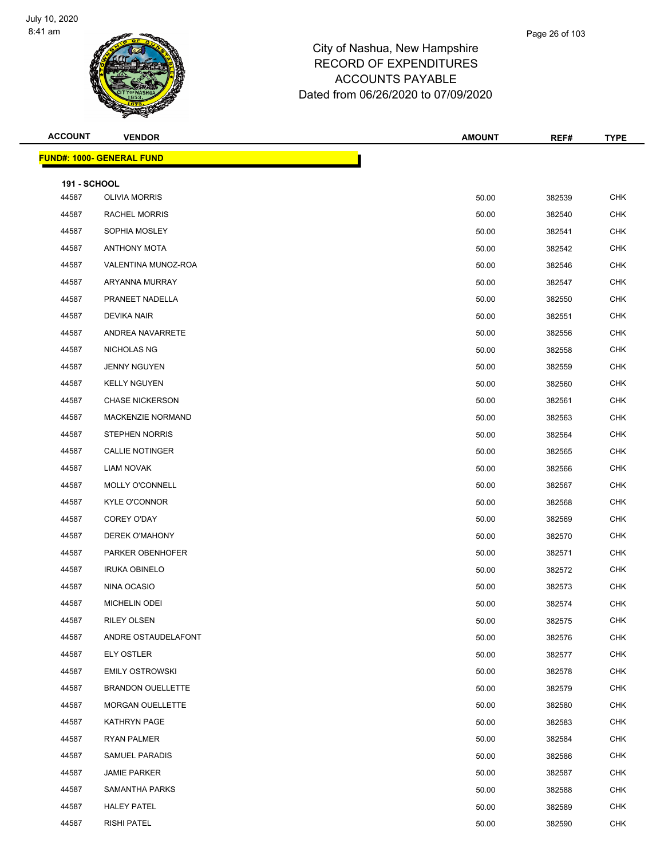

| <b>ACCOUNT</b>      | <b>VENDOR</b>                    | <b>AMOUNT</b> | REF#   | <b>TYPE</b> |
|---------------------|----------------------------------|---------------|--------|-------------|
|                     | <b>FUND#: 1000- GENERAL FUND</b> |               |        |             |
| <b>191 - SCHOOL</b> |                                  |               |        |             |
| 44587               | <b>OLIVIA MORRIS</b>             | 50.00         | 382539 | CHK         |
| 44587               | <b>RACHEL MORRIS</b>             | 50.00         | 382540 | <b>CHK</b>  |
| 44587               | SOPHIA MOSLEY                    | 50.00         | 382541 | <b>CHK</b>  |
| 44587               | <b>ANTHONY MOTA</b>              | 50.00         | 382542 | <b>CHK</b>  |
| 44587               | VALENTINA MUNOZ-ROA              | 50.00         | 382546 | <b>CHK</b>  |
| 44587               | ARYANNA MURRAY                   | 50.00         | 382547 | <b>CHK</b>  |
| 44587               | PRANEET NADELLA                  | 50.00         | 382550 | <b>CHK</b>  |
| 44587               | DEVIKA NAIR                      | 50.00         | 382551 | <b>CHK</b>  |
| 44587               | ANDREA NAVARRETE                 | 50.00         | 382556 | <b>CHK</b>  |
| 44587               | NICHOLAS NG                      | 50.00         | 382558 | <b>CHK</b>  |
| 44587               | <b>JENNY NGUYEN</b>              | 50.00         | 382559 | <b>CHK</b>  |
| 44587               | <b>KELLY NGUYEN</b>              | 50.00         | 382560 | <b>CHK</b>  |
| 44587               | <b>CHASE NICKERSON</b>           | 50.00         | 382561 | <b>CHK</b>  |
| 44587               | <b>MACKENZIE NORMAND</b>         | 50.00         | 382563 | <b>CHK</b>  |
| 44587               | <b>STEPHEN NORRIS</b>            | 50.00         | 382564 | <b>CHK</b>  |
| 44587               | <b>CALLIE NOTINGER</b>           | 50.00         | 382565 | <b>CHK</b>  |
| 44587               | LIAM NOVAK                       | 50.00         | 382566 | <b>CHK</b>  |
| 44587               | MOLLY O'CONNELL                  | 50.00         | 382567 | <b>CHK</b>  |
| 44587               | <b>KYLE O'CONNOR</b>             | 50.00         | 382568 | <b>CHK</b>  |
| 44587               | COREY O'DAY                      | 50.00         | 382569 | <b>CHK</b>  |
| 44587               | DEREK O'MAHONY                   | 50.00         | 382570 | <b>CHK</b>  |
| 44587               | PARKER OBENHOFER                 | 50.00         | 382571 | <b>CHK</b>  |
| 44587               | <b>IRUKA OBINELO</b>             | 50.00         | 382572 | <b>CHK</b>  |
| 44587               | NINA OCASIO                      | 50.00         | 382573 | <b>CHK</b>  |
| 44587               | <b>MICHELIN ODEI</b>             | 50.00         | 382574 | <b>CHK</b>  |
| 44587               | RILEY OLSEN                      | 50.00         | 382575 | <b>CHK</b>  |
| 44587               | ANDRE OSTAUDELAFONT              | 50.00         | 382576 | <b>CHK</b>  |
| 44587               | <b>ELY OSTLER</b>                | 50.00         | 382577 | CHK         |
| 44587               | <b>EMILY OSTROWSKI</b>           | 50.00         | 382578 | <b>CHK</b>  |
| 44587               | <b>BRANDON OUELLETTE</b>         | 50.00         | 382579 | <b>CHK</b>  |
| 44587               | <b>MORGAN OUELLETTE</b>          | 50.00         | 382580 | CHK         |
| 44587               | KATHRYN PAGE                     | 50.00         | 382583 | <b>CHK</b>  |
| 44587               | RYAN PALMER                      | 50.00         | 382584 | <b>CHK</b>  |
| 44587               | <b>SAMUEL PARADIS</b>            | 50.00         | 382586 | <b>CHK</b>  |
| 44587               | <b>JAMIE PARKER</b>              | 50.00         | 382587 | <b>CHK</b>  |
| 44587               | SAMANTHA PARKS                   | 50.00         | 382588 | <b>CHK</b>  |
| 44587               | <b>HALEY PATEL</b>               | 50.00         | 382589 | <b>CHK</b>  |
| 44587               | <b>RISHI PATEL</b>               | 50.00         | 382590 | <b>CHK</b>  |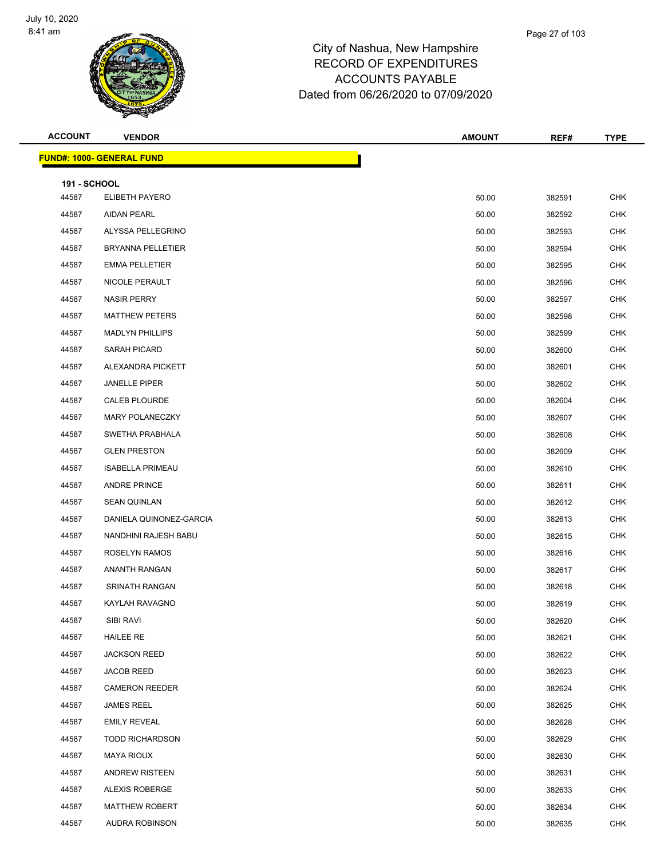

| <b>ACCOUNT</b>      | <b>VENDOR</b>                     | <b>AMOUNT</b> | REF#   | <b>TYPE</b> |
|---------------------|-----------------------------------|---------------|--------|-------------|
|                     | <u> FUND#: 1000- GENERAL FUND</u> |               |        |             |
| <b>191 - SCHOOL</b> |                                   |               |        |             |
| 44587               | ELIBETH PAYERO                    | 50.00         | 382591 | <b>CHK</b>  |
| 44587               | <b>AIDAN PEARL</b>                | 50.00         | 382592 | <b>CHK</b>  |
| 44587               | ALYSSA PELLEGRINO                 | 50.00         | 382593 | <b>CHK</b>  |
| 44587               | <b>BRYANNA PELLETIER</b>          | 50.00         | 382594 | <b>CHK</b>  |
| 44587               | <b>EMMA PELLETIER</b>             | 50.00         | 382595 | <b>CHK</b>  |
| 44587               | NICOLE PERAULT                    | 50.00         | 382596 | <b>CHK</b>  |
| 44587               | <b>NASIR PERRY</b>                | 50.00         | 382597 | <b>CHK</b>  |
| 44587               | <b>MATTHEW PETERS</b>             | 50.00         | 382598 | <b>CHK</b>  |
| 44587               | <b>MADLYN PHILLIPS</b>            | 50.00         | 382599 | <b>CHK</b>  |
| 44587               | SARAH PICARD                      | 50.00         | 382600 | <b>CHK</b>  |
| 44587               | ALEXANDRA PICKETT                 | 50.00         | 382601 | <b>CHK</b>  |
| 44587               | <b>JANELLE PIPER</b>              | 50.00         | 382602 | <b>CHK</b>  |
| 44587               | CALEB PLOURDE                     | 50.00         | 382604 | <b>CHK</b>  |
| 44587               | MARY POLANECZKY                   | 50.00         | 382607 | <b>CHK</b>  |
| 44587               | SWETHA PRABHALA                   | 50.00         | 382608 | <b>CHK</b>  |
| 44587               | <b>GLEN PRESTON</b>               | 50.00         | 382609 | <b>CHK</b>  |
| 44587               | <b>ISABELLA PRIMEAU</b>           | 50.00         | 382610 | <b>CHK</b>  |
| 44587               | <b>ANDRE PRINCE</b>               | 50.00         | 382611 | <b>CHK</b>  |
| 44587               | <b>SEAN QUINLAN</b>               | 50.00         | 382612 | <b>CHK</b>  |
| 44587               | DANIELA QUINONEZ-GARCIA           | 50.00         | 382613 | <b>CHK</b>  |
| 44587               | NANDHINI RAJESH BABU              | 50.00         | 382615 | <b>CHK</b>  |
| 44587               | <b>ROSELYN RAMOS</b>              | 50.00         | 382616 | <b>CHK</b>  |
| 44587               | ANANTH RANGAN                     | 50.00         | 382617 | <b>CHK</b>  |
| 44587               | <b>SRINATH RANGAN</b>             | 50.00         | 382618 | <b>CHK</b>  |
| 44587               | KAYLAH RAVAGNO                    | 50.00         | 382619 | <b>CHK</b>  |
| 44587               | SIBI RAVI                         | 50.00         | 382620 | <b>CHK</b>  |
| 44587               | <b>HAILEE RE</b>                  | 50.00         | 382621 | <b>CHK</b>  |
| 44587               | <b>JACKSON REED</b>               | 50.00         | 382622 | <b>CHK</b>  |
| 44587               | <b>JACOB REED</b>                 | 50.00         | 382623 | <b>CHK</b>  |
| 44587               | <b>CAMERON REEDER</b>             | 50.00         | 382624 | <b>CHK</b>  |
| 44587               | <b>JAMES REEL</b>                 | 50.00         | 382625 | <b>CHK</b>  |
| 44587               | <b>EMILY REVEAL</b>               | 50.00         | 382628 | <b>CHK</b>  |
| 44587               | <b>TODD RICHARDSON</b>            | 50.00         | 382629 | <b>CHK</b>  |
| 44587               | MAYA RIOUX                        | 50.00         | 382630 | <b>CHK</b>  |
| 44587               | <b>ANDREW RISTEEN</b>             | 50.00         | 382631 | <b>CHK</b>  |
| 44587               | ALEXIS ROBERGE                    | 50.00         | 382633 | <b>CHK</b>  |
| 44587               | <b>MATTHEW ROBERT</b>             | 50.00         | 382634 | <b>CHK</b>  |
| 44587               | AUDRA ROBINSON                    | 50.00         | 382635 | <b>CHK</b>  |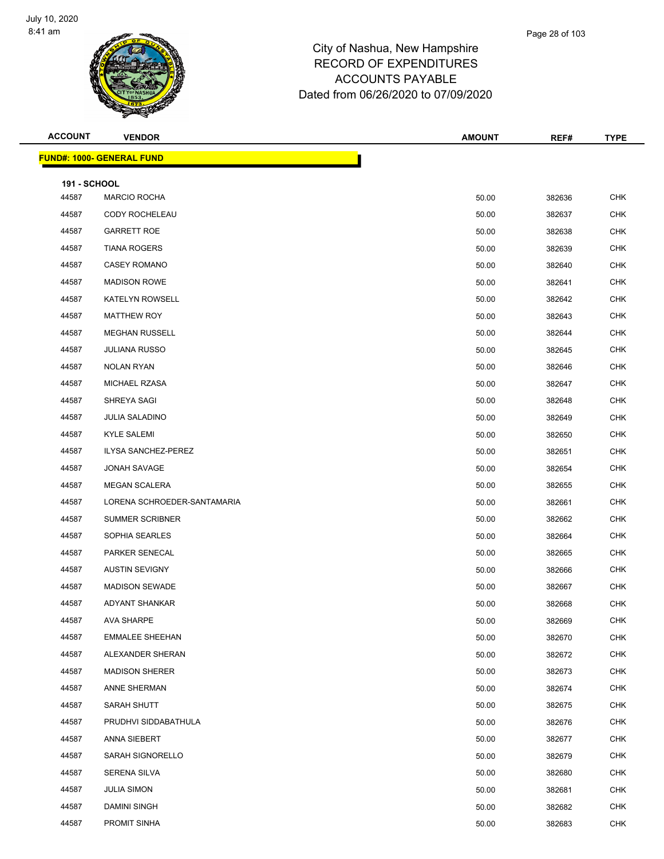

| <b>ACCOUNT</b>      | <b>VENDOR</b>                     | <b>AMOUNT</b> | REF#   | <b>TYPE</b> |
|---------------------|-----------------------------------|---------------|--------|-------------|
|                     | <u> FUND#: 1000- GENERAL FUND</u> |               |        |             |
| <b>191 - SCHOOL</b> |                                   |               |        |             |
| 44587               | <b>MARCIO ROCHA</b>               | 50.00         | 382636 | <b>CHK</b>  |
| 44587               | CODY ROCHELEAU                    | 50.00         | 382637 | <b>CHK</b>  |
| 44587               | <b>GARRETT ROE</b>                | 50.00         | 382638 | <b>CHK</b>  |
| 44587               | <b>TIANA ROGERS</b>               | 50.00         | 382639 | <b>CHK</b>  |
| 44587               | <b>CASEY ROMANO</b>               | 50.00         | 382640 | <b>CHK</b>  |
| 44587               | <b>MADISON ROWE</b>               | 50.00         | 382641 | CHK         |
| 44587               | <b>KATELYN ROWSELL</b>            | 50.00         | 382642 | <b>CHK</b>  |
| 44587               | <b>MATTHEW ROY</b>                | 50.00         | 382643 | <b>CHK</b>  |
| 44587               | <b>MEGHAN RUSSELL</b>             | 50.00         | 382644 | <b>CHK</b>  |
| 44587               | <b>JULIANA RUSSO</b>              | 50.00         | 382645 | <b>CHK</b>  |
| 44587               | <b>NOLAN RYAN</b>                 | 50.00         | 382646 | CHK         |
| 44587               | MICHAEL RZASA                     | 50.00         | 382647 | <b>CHK</b>  |
| 44587               | SHREYA SAGI                       | 50.00         | 382648 | <b>CHK</b>  |
| 44587               | <b>JULIA SALADINO</b>             | 50.00         | 382649 | <b>CHK</b>  |
| 44587               | <b>KYLE SALEMI</b>                | 50.00         | 382650 | <b>CHK</b>  |
| 44587               | <b>ILYSA SANCHEZ-PEREZ</b>        | 50.00         | 382651 | CHK         |
| 44587               | JONAH SAVAGE                      | 50.00         | 382654 | <b>CHK</b>  |
| 44587               | <b>MEGAN SCALERA</b>              | 50.00         | 382655 | <b>CHK</b>  |
| 44587               | LORENA SCHROEDER-SANTAMARIA       | 50.00         | 382661 | <b>CHK</b>  |
| 44587               | <b>SUMMER SCRIBNER</b>            | 50.00         | 382662 | <b>CHK</b>  |
| 44587               | SOPHIA SEARLES                    | 50.00         | 382664 | CHK         |
| 44587               | PARKER SENECAL                    | 50.00         | 382665 | <b>CHK</b>  |
| 44587               | <b>AUSTIN SEVIGNY</b>             | 50.00         | 382666 | <b>CHK</b>  |
| 44587               | <b>MADISON SEWADE</b>             | 50.00         | 382667 | <b>CHK</b>  |
| 44587               | <b>ADYANT SHANKAR</b>             | 50.00         | 382668 | <b>CHK</b>  |
| 44587               | AVA SHARPE                        | 50.00         | 382669 | <b>CHK</b>  |
| 44587               | <b>EMMALEE SHEEHAN</b>            | 50.00         | 382670 | <b>CHK</b>  |
| 44587               | ALEXANDER SHERAN                  | 50.00         | 382672 | CHK         |
| 44587               | <b>MADISON SHERER</b>             | 50.00         | 382673 | <b>CHK</b>  |
| 44587               | ANNE SHERMAN                      | 50.00         | 382674 | <b>CHK</b>  |
| 44587               | SARAH SHUTT                       | 50.00         | 382675 | <b>CHK</b>  |
| 44587               | PRUDHVI SIDDABATHULA              | 50.00         | 382676 | <b>CHK</b>  |
| 44587               | ANNA SIEBERT                      | 50.00         | 382677 | <b>CHK</b>  |
| 44587               | SARAH SIGNORELLO                  | 50.00         | 382679 | <b>CHK</b>  |
| 44587               | SERENA SILVA                      | 50.00         | 382680 | <b>CHK</b>  |
| 44587               | <b>JULIA SIMON</b>                | 50.00         | 382681 | <b>CHK</b>  |
| 44587               | <b>DAMINI SINGH</b>               | 50.00         | 382682 | <b>CHK</b>  |
| 44587               | PROMIT SINHA                      | 50.00         | 382683 | CHK         |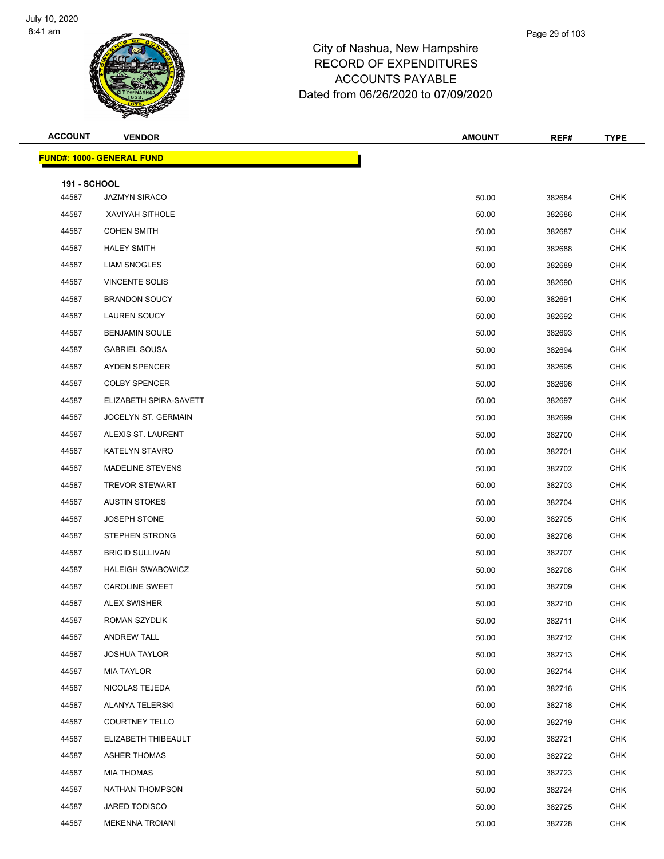

| <b>ACCOUNT</b>      | <b>VENDOR</b>                     | <b>AMOUNT</b> | REF#   | <b>TYPE</b> |
|---------------------|-----------------------------------|---------------|--------|-------------|
|                     | <u> FUND#: 1000- GENERAL FUND</u> |               |        |             |
| <b>191 - SCHOOL</b> |                                   |               |        |             |
| 44587               | <b>JAZMYN SIRACO</b>              | 50.00         | 382684 | <b>CHK</b>  |
| 44587               | XAVIYAH SITHOLE                   | 50.00         | 382686 | <b>CHK</b>  |
| 44587               | <b>COHEN SMITH</b>                | 50.00         | 382687 | <b>CHK</b>  |
| 44587               | <b>HALEY SMITH</b>                | 50.00         | 382688 | <b>CHK</b>  |
| 44587               | <b>LIAM SNOGLES</b>               | 50.00         | 382689 | <b>CHK</b>  |
| 44587               | <b>VINCENTE SOLIS</b>             | 50.00         | 382690 | <b>CHK</b>  |
| 44587               | <b>BRANDON SOUCY</b>              | 50.00         | 382691 | <b>CHK</b>  |
| 44587               | <b>LAUREN SOUCY</b>               | 50.00         | 382692 | <b>CHK</b>  |
| 44587               | <b>BENJAMIN SOULE</b>             | 50.00         | 382693 | <b>CHK</b>  |
| 44587               | <b>GABRIEL SOUSA</b>              | 50.00         | 382694 | <b>CHK</b>  |
| 44587               | AYDEN SPENCER                     | 50.00         | 382695 | <b>CHK</b>  |
| 44587               | <b>COLBY SPENCER</b>              | 50.00         | 382696 | <b>CHK</b>  |
| 44587               | ELIZABETH SPIRA-SAVETT            | 50.00         | 382697 | <b>CHK</b>  |
| 44587               | JOCELYN ST. GERMAIN               | 50.00         | 382699 | <b>CHK</b>  |
| 44587               | ALEXIS ST. LAURENT                | 50.00         | 382700 | <b>CHK</b>  |
| 44587               | KATELYN STAVRO                    | 50.00         | 382701 | <b>CHK</b>  |
| 44587               | <b>MADELINE STEVENS</b>           | 50.00         | 382702 | <b>CHK</b>  |
| 44587               | <b>TREVOR STEWART</b>             | 50.00         | 382703 | <b>CHK</b>  |
| 44587               | <b>AUSTIN STOKES</b>              | 50.00         | 382704 | <b>CHK</b>  |
| 44587               | <b>JOSEPH STONE</b>               | 50.00         | 382705 | <b>CHK</b>  |
| 44587               | <b>STEPHEN STRONG</b>             | 50.00         | 382706 | <b>CHK</b>  |
| 44587               | <b>BRIGID SULLIVAN</b>            | 50.00         | 382707 | <b>CHK</b>  |
| 44587               | <b>HALEIGH SWABOWICZ</b>          | 50.00         | 382708 | <b>CHK</b>  |
| 44587               | <b>CAROLINE SWEET</b>             | 50.00         | 382709 | <b>CHK</b>  |
| 44587               | <b>ALEX SWISHER</b>               | 50.00         | 382710 | <b>CHK</b>  |
| 44587               | ROMAN SZYDLIK                     | 50.00         | 382711 | <b>CHK</b>  |
| 44587               | <b>ANDREW TALL</b>                | 50.00         | 382712 | <b>CHK</b>  |
| 44587               | <b>JOSHUA TAYLOR</b>              | 50.00         | 382713 | <b>CHK</b>  |
| 44587               | MIA TAYLOR                        | 50.00         | 382714 | <b>CHK</b>  |
| 44587               | NICOLAS TEJEDA                    | 50.00         | 382716 | <b>CHK</b>  |
| 44587               | <b>ALANYA TELERSKI</b>            | 50.00         | 382718 | <b>CHK</b>  |
| 44587               | <b>COURTNEY TELLO</b>             | 50.00         | 382719 | <b>CHK</b>  |
| 44587               | ELIZABETH THIBEAULT               | 50.00         | 382721 | <b>CHK</b>  |
| 44587               | <b>ASHER THOMAS</b>               | 50.00         | 382722 | <b>CHK</b>  |
| 44587               | <b>MIA THOMAS</b>                 | 50.00         | 382723 | <b>CHK</b>  |
| 44587               | NATHAN THOMPSON                   | 50.00         | 382724 | <b>CHK</b>  |
| 44587               | JARED TODISCO                     | 50.00         | 382725 | <b>CHK</b>  |
| 44587               | <b>MEKENNA TROIANI</b>            | 50.00         | 382728 | <b>CHK</b>  |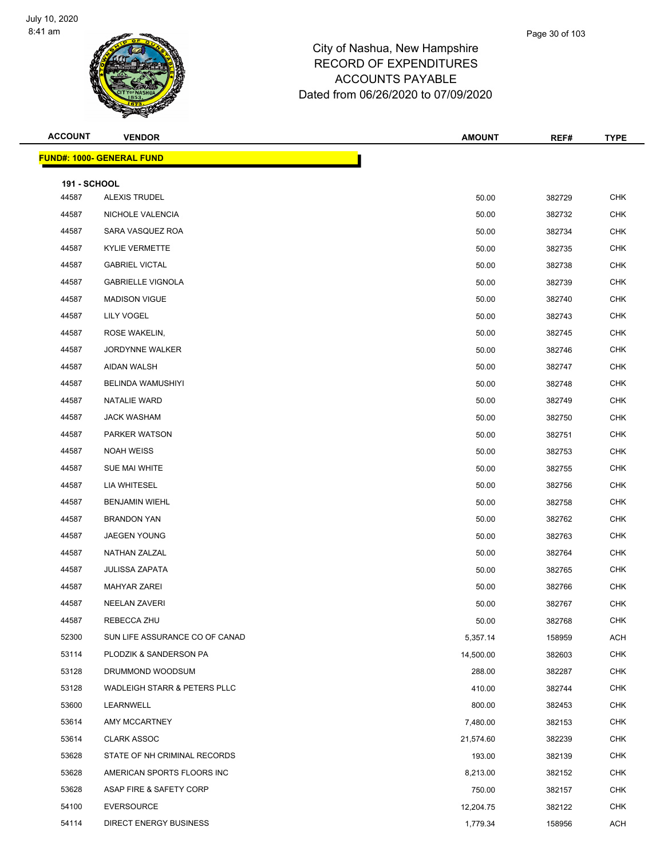

| <b>ACCOUNT</b>      | <b>VENDOR</b>                           | <b>AMOUNT</b> | REF#   | <b>TYPE</b> |
|---------------------|-----------------------------------------|---------------|--------|-------------|
|                     | <u> FUND#: 1000- GENERAL FUND</u>       |               |        |             |
| <b>191 - SCHOOL</b> |                                         |               |        |             |
| 44587               | ALEXIS TRUDEL                           | 50.00         | 382729 | <b>CHK</b>  |
| 44587               | NICHOLE VALENCIA                        | 50.00         | 382732 | <b>CHK</b>  |
| 44587               | SARA VASQUEZ ROA                        | 50.00         | 382734 | <b>CHK</b>  |
| 44587               | <b>KYLIE VERMETTE</b>                   | 50.00         | 382735 | <b>CHK</b>  |
| 44587               | <b>GABRIEL VICTAL</b>                   | 50.00         | 382738 | <b>CHK</b>  |
| 44587               | <b>GABRIELLE VIGNOLA</b>                | 50.00         | 382739 | <b>CHK</b>  |
| 44587               | <b>MADISON VIGUE</b>                    | 50.00         | 382740 | <b>CHK</b>  |
| 44587               | LILY VOGEL                              | 50.00         | 382743 | <b>CHK</b>  |
| 44587               | ROSE WAKELIN,                           | 50.00         | 382745 | <b>CHK</b>  |
| 44587               | <b>JORDYNNE WALKER</b>                  | 50.00         | 382746 | <b>CHK</b>  |
| 44587               | AIDAN WALSH                             | 50.00         | 382747 | <b>CHK</b>  |
| 44587               | <b>BELINDA WAMUSHIYI</b>                | 50.00         | 382748 | <b>CHK</b>  |
| 44587               | <b>NATALIE WARD</b>                     | 50.00         | 382749 | <b>CHK</b>  |
| 44587               | <b>JACK WASHAM</b>                      | 50.00         | 382750 | <b>CHK</b>  |
| 44587               | PARKER WATSON                           | 50.00         | 382751 | <b>CHK</b>  |
| 44587               | <b>NOAH WEISS</b>                       | 50.00         | 382753 | <b>CHK</b>  |
| 44587               | SUE MAI WHITE                           | 50.00         | 382755 | <b>CHK</b>  |
| 44587               | LIA WHITESEL                            | 50.00         | 382756 | <b>CHK</b>  |
| 44587               | <b>BENJAMIN WIEHL</b>                   | 50.00         | 382758 | <b>CHK</b>  |
| 44587               | <b>BRANDON YAN</b>                      | 50.00         | 382762 | <b>CHK</b>  |
| 44587               | <b>JAEGEN YOUNG</b>                     | 50.00         | 382763 | <b>CHK</b>  |
| 44587               | NATHAN ZALZAL                           | 50.00         | 382764 | <b>CHK</b>  |
| 44587               | <b>JULISSA ZAPATA</b>                   | 50.00         | 382765 | <b>CHK</b>  |
| 44587               | <b>MAHYAR ZAREI</b>                     | 50.00         | 382766 | <b>CHK</b>  |
| 44587               | <b>NEELAN ZAVERI</b>                    | 50.00         | 382767 | <b>CHK</b>  |
| 44587               | REBECCA ZHU                             | 50.00         | 382768 | <b>CHK</b>  |
| 52300               | SUN LIFE ASSURANCE CO OF CANAD          | 5,357.14      | 158959 | <b>ACH</b>  |
| 53114               | PLODZIK & SANDERSON PA                  | 14,500.00     | 382603 | CHK         |
| 53128               | DRUMMOND WOODSUM                        | 288.00        | 382287 | <b>CHK</b>  |
| 53128               | <b>WADLEIGH STARR &amp; PETERS PLLC</b> | 410.00        | 382744 | <b>CHK</b>  |
| 53600               | LEARNWELL                               | 800.00        | 382453 | <b>CHK</b>  |
| 53614               | AMY MCCARTNEY                           | 7,480.00      | 382153 | <b>CHK</b>  |
| 53614               | <b>CLARK ASSOC</b>                      | 21,574.60     | 382239 | <b>CHK</b>  |
| 53628               | STATE OF NH CRIMINAL RECORDS            | 193.00        | 382139 | <b>CHK</b>  |
| 53628               | AMERICAN SPORTS FLOORS INC              | 8,213.00      | 382152 | <b>CHK</b>  |
| 53628               | ASAP FIRE & SAFETY CORP                 | 750.00        | 382157 | CHK         |
| 54100               | <b>EVERSOURCE</b>                       | 12,204.75     | 382122 | <b>CHK</b>  |
| 54114               | <b>DIRECT ENERGY BUSINESS</b>           | 1,779.34      | 158956 | <b>ACH</b>  |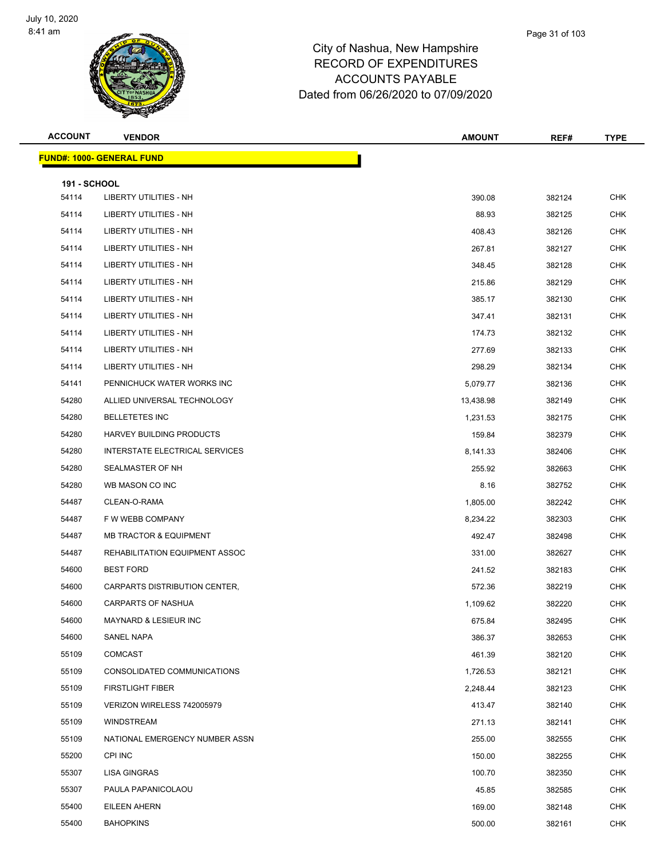

| <b>ACCOUNT</b>      | <b>VENDOR</b>                     | <b>AMOUNT</b> | REF#   | <b>TYPE</b> |
|---------------------|-----------------------------------|---------------|--------|-------------|
|                     | <u> FUND#: 1000- GENERAL FUND</u> |               |        |             |
| <b>191 - SCHOOL</b> |                                   |               |        |             |
| 54114               | <b>LIBERTY UTILITIES - NH</b>     | 390.08        | 382124 | <b>CHK</b>  |
| 54114               | LIBERTY UTILITIES - NH            | 88.93         | 382125 | <b>CHK</b>  |
| 54114               | LIBERTY UTILITIES - NH            | 408.43        | 382126 | <b>CHK</b>  |
| 54114               | LIBERTY UTILITIES - NH            | 267.81        | 382127 | <b>CHK</b>  |
| 54114               | LIBERTY UTILITIES - NH            | 348.45        | 382128 | CHK         |
| 54114               | LIBERTY UTILITIES - NH            | 215.86        | 382129 | <b>CHK</b>  |
| 54114               | LIBERTY UTILITIES - NH            | 385.17        | 382130 | <b>CHK</b>  |
| 54114               | LIBERTY UTILITIES - NH            | 347.41        | 382131 | <b>CHK</b>  |
| 54114               | LIBERTY UTILITIES - NH            | 174.73        | 382132 | <b>CHK</b>  |
| 54114               | <b>LIBERTY UTILITIES - NH</b>     | 277.69        | 382133 | <b>CHK</b>  |
| 54114               | LIBERTY UTILITIES - NH            | 298.29        | 382134 | <b>CHK</b>  |
| 54141               | PENNICHUCK WATER WORKS INC        | 5,079.77      | 382136 | <b>CHK</b>  |
| 54280               | ALLIED UNIVERSAL TECHNOLOGY       | 13,438.98     | 382149 | <b>CHK</b>  |
| 54280               | <b>BELLETETES INC</b>             | 1,231.53      | 382175 | <b>CHK</b>  |
| 54280               | HARVEY BUILDING PRODUCTS          | 159.84        | 382379 | CHK         |
| 54280               | INTERSTATE ELECTRICAL SERVICES    | 8,141.33      | 382406 | <b>CHK</b>  |
| 54280               | SEALMASTER OF NH                  | 255.92        | 382663 | <b>CHK</b>  |
| 54280               | WB MASON CO INC                   | 8.16          | 382752 | <b>CHK</b>  |
| 54487               | CLEAN-O-RAMA                      | 1,805.00      | 382242 | <b>CHK</b>  |
| 54487               | F W WEBB COMPANY                  | 8,234.22      | 382303 | <b>CHK</b>  |
| 54487               | <b>MB TRACTOR &amp; EQUIPMENT</b> | 492.47        | 382498 | <b>CHK</b>  |
| 54487               | REHABILITATION EQUIPMENT ASSOC    | 331.00        | 382627 | <b>CHK</b>  |
| 54600               | <b>BEST FORD</b>                  | 241.52        | 382183 | <b>CHK</b>  |
| 54600               | CARPARTS DISTRIBUTION CENTER,     | 572.36        | 382219 | <b>CHK</b>  |
| 54600               | <b>CARPARTS OF NASHUA</b>         | 1,109.62      | 382220 | <b>CHK</b>  |
| 54600               | MAYNARD & LESIEUR INC             | 675.84        | 382495 | <b>CHK</b>  |
| 54600               | SANEL NAPA                        | 386.37        | 382653 | <b>CHK</b>  |
| 55109               | <b>COMCAST</b>                    | 461.39        | 382120 | <b>CHK</b>  |
| 55109               | CONSOLIDATED COMMUNICATIONS       | 1,726.53      | 382121 | CHK         |
| 55109               | <b>FIRSTLIGHT FIBER</b>           | 2,248.44      | 382123 | <b>CHK</b>  |
| 55109               | VERIZON WIRELESS 742005979        | 413.47        | 382140 | <b>CHK</b>  |
| 55109               | WINDSTREAM                        | 271.13        | 382141 | <b>CHK</b>  |
| 55109               | NATIONAL EMERGENCY NUMBER ASSN    | 255.00        | 382555 | <b>CHK</b>  |
| 55200               | CPI INC                           | 150.00        | 382255 | CHK         |
| 55307               | LISA GINGRAS                      | 100.70        | 382350 | <b>CHK</b>  |
| 55307               | PAULA PAPANICOLAOU                | 45.85         | 382585 | <b>CHK</b>  |
| 55400               | EILEEN AHERN                      | 169.00        | 382148 | <b>CHK</b>  |
| 55400               | <b>BAHOPKINS</b>                  | 500.00        | 382161 | <b>CHK</b>  |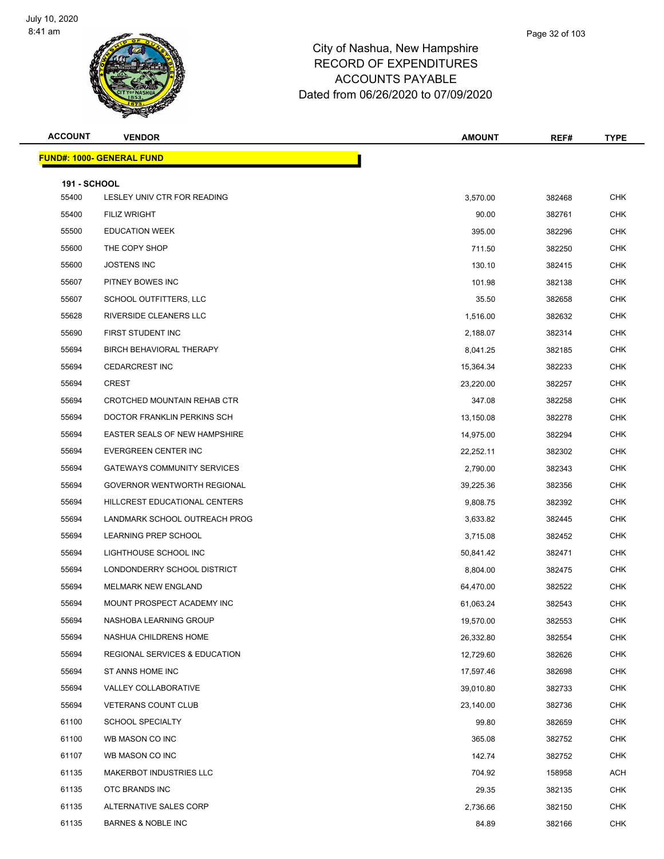

| <b>ACCOUNT</b>               | <b>VENDOR</b>                     | <b>AMOUNT</b>          | REF#             | <b>TYPE</b> |
|------------------------------|-----------------------------------|------------------------|------------------|-------------|
|                              | <u> FUND#: 1000- GENERAL FUND</u> |                        |                  |             |
|                              |                                   |                        |                  |             |
| <b>191 - SCHOOL</b><br>55400 | LESLEY UNIV CTR FOR READING       | 3,570.00               | 382468           | <b>CHK</b>  |
| 55400                        | <b>FILIZ WRIGHT</b>               | 90.00                  | 382761           | <b>CHK</b>  |
| 55500                        | <b>EDUCATION WEEK</b>             | 395.00                 | 382296           | <b>CHK</b>  |
| 55600                        | THE COPY SHOP                     | 711.50                 | 382250           | <b>CHK</b>  |
| 55600                        | <b>JOSTENS INC</b>                | 130.10                 | 382415           | CHK         |
| 55607                        | PITNEY BOWES INC                  | 101.98                 | 382138           | <b>CHK</b>  |
| 55607                        | SCHOOL OUTFITTERS, LLC            | 35.50                  | 382658           | <b>CHK</b>  |
| 55628                        | RIVERSIDE CLEANERS LLC            | 1,516.00               | 382632           | <b>CHK</b>  |
| 55690                        | FIRST STUDENT INC                 | 2,188.07               | 382314           | <b>CHK</b>  |
| 55694                        | <b>BIRCH BEHAVIORAL THERAPY</b>   | 8,041.25               | 382185           | CHK         |
| 55694                        | <b>CEDARCREST INC</b>             | 15,364.34              | 382233           | <b>CHK</b>  |
| 55694                        | <b>CREST</b>                      | 23,220.00              | 382257           | <b>CHK</b>  |
| 55694                        | CROTCHED MOUNTAIN REHAB CTR       | 347.08                 | 382258           | <b>CHK</b>  |
| 55694                        | DOCTOR FRANKLIN PERKINS SCH       | 13,150.08              | 382278           | <b>CHK</b>  |
| 55694                        | EASTER SEALS OF NEW HAMPSHIRE     |                        |                  | CHK         |
| 55694                        | EVERGREEN CENTER INC              | 14,975.00<br>22,252.11 | 382294<br>382302 | <b>CHK</b>  |
| 55694                        | GATEWAYS COMMUNITY SERVICES       |                        |                  | <b>CHK</b>  |
|                              |                                   | 2,790.00               | 382343           | <b>CHK</b>  |
| 55694                        | GOVERNOR WENTWORTH REGIONAL       | 39,225.36              | 382356           |             |
| 55694                        | HILLCREST EDUCATIONAL CENTERS     | 9,808.75               | 382392           | <b>CHK</b>  |
| 55694                        | LANDMARK SCHOOL OUTREACH PROG     | 3,633.82               | 382445           | CHK         |
| 55694                        | LEARNING PREP SCHOOL              | 3,715.08               | 382452           | <b>CHK</b>  |
| 55694                        | LIGHTHOUSE SCHOOL INC             | 50,841.42              | 382471           | CHK         |
| 55694                        | LONDONDERRY SCHOOL DISTRICT       | 8,804.00               | 382475           | <b>CHK</b>  |
| 55694                        | <b>MELMARK NEW ENGLAND</b>        | 64,470.00              | 382522           | <b>CHK</b>  |
| 55694                        | MOUNT PROSPECT ACADEMY INC        | 61,063.24              | 382543           | <b>CHK</b>  |
| 55694                        | NASHOBA LEARNING GROUP            | 19,570.00              | 382553           | <b>CHK</b>  |
| 55694                        | NASHUA CHILDRENS HOME             | 26,332.80              | 382554           | <b>CHK</b>  |
| 55694                        | REGIONAL SERVICES & EDUCATION     | 12,729.60              | 382626           | <b>CHK</b>  |
| 55694                        | ST ANNS HOME INC                  | 17,597.46              | 382698           | <b>CHK</b>  |
| 55694                        | VALLEY COLLABORATIVE              | 39,010.80              | 382733           | CHK         |
| 55694                        | <b>VETERANS COUNT CLUB</b>        | 23,140.00              | 382736           | <b>CHK</b>  |
| 61100                        | <b>SCHOOL SPECIALTY</b>           | 99.80                  | 382659           | CHK         |
| 61100                        | WB MASON CO INC                   | 365.08                 | 382752           | <b>CHK</b>  |
| 61107                        | WB MASON CO INC                   | 142.74                 | 382752           | <b>CHK</b>  |
| 61135                        | MAKERBOT INDUSTRIES LLC           | 704.92                 | 158958           | ACH         |
| 61135                        | OTC BRANDS INC                    | 29.35                  | 382135           | <b>CHK</b>  |
| 61135                        | ALTERNATIVE SALES CORP            | 2,736.66               | 382150           | <b>CHK</b>  |
| 61135                        | <b>BARNES &amp; NOBLE INC</b>     | 84.89                  | 382166           | <b>CHK</b>  |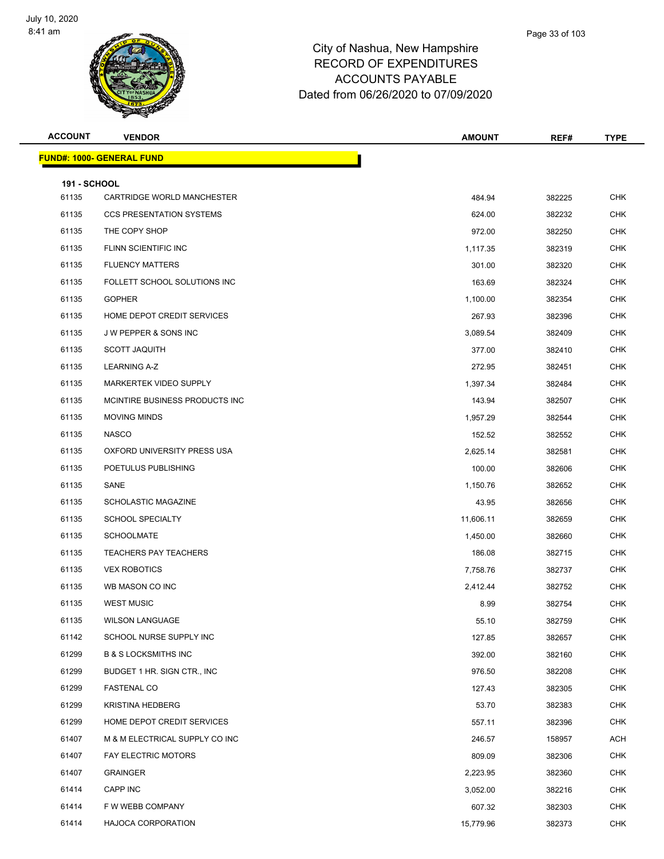

| <b>ACCOUNT</b>      | <b>VENDOR</b>                     | <b>AMOUNT</b> | REF#   | <b>TYPE</b> |
|---------------------|-----------------------------------|---------------|--------|-------------|
|                     | <u> FUND#: 1000- GENERAL FUND</u> |               |        |             |
| <b>191 - SCHOOL</b> |                                   |               |        |             |
| 61135               | CARTRIDGE WORLD MANCHESTER        | 484.94        | 382225 | <b>CHK</b>  |
| 61135               | <b>CCS PRESENTATION SYSTEMS</b>   | 624.00        | 382232 | <b>CHK</b>  |
| 61135               | THE COPY SHOP                     | 972.00        | 382250 | <b>CHK</b>  |
| 61135               | FLINN SCIENTIFIC INC              | 1,117.35      | 382319 | <b>CHK</b>  |
| 61135               | <b>FLUENCY MATTERS</b>            | 301.00        | 382320 | <b>CHK</b>  |
| 61135               | FOLLETT SCHOOL SOLUTIONS INC      | 163.69        | 382324 | <b>CHK</b>  |
| 61135               | <b>GOPHER</b>                     | 1,100.00      | 382354 | <b>CHK</b>  |
| 61135               | HOME DEPOT CREDIT SERVICES        | 267.93        | 382396 | <b>CHK</b>  |
| 61135               | J W PEPPER & SONS INC             | 3,089.54      | 382409 | <b>CHK</b>  |
| 61135               | <b>SCOTT JAQUITH</b>              | 377.00        | 382410 | <b>CHK</b>  |
| 61135               | <b>LEARNING A-Z</b>               | 272.95        | 382451 | <b>CHK</b>  |
| 61135               | MARKERTEK VIDEO SUPPLY            | 1,397.34      | 382484 | <b>CHK</b>  |
| 61135               | MCINTIRE BUSINESS PRODUCTS INC.   | 143.94        | 382507 | <b>CHK</b>  |
| 61135               | <b>MOVING MINDS</b>               | 1,957.29      | 382544 | <b>CHK</b>  |
| 61135               | <b>NASCO</b>                      | 152.52        | 382552 | <b>CHK</b>  |
| 61135               | OXFORD UNIVERSITY PRESS USA       | 2,625.14      | 382581 | <b>CHK</b>  |
| 61135               | POETULUS PUBLISHING               | 100.00        | 382606 | <b>CHK</b>  |
| 61135               | SANE                              | 1,150.76      | 382652 | <b>CHK</b>  |
| 61135               | <b>SCHOLASTIC MAGAZINE</b>        | 43.95         | 382656 | <b>CHK</b>  |
| 61135               | <b>SCHOOL SPECIALTY</b>           | 11,606.11     | 382659 | <b>CHK</b>  |
| 61135               | <b>SCHOOLMATE</b>                 | 1,450.00      | 382660 | CHK         |
| 61135               | <b>TEACHERS PAY TEACHERS</b>      | 186.08        | 382715 | <b>CHK</b>  |
| 61135               | <b>VEX ROBOTICS</b>               | 7,758.76      | 382737 | <b>CHK</b>  |
| 61135               | WB MASON CO INC                   | 2,412.44      | 382752 | <b>CHK</b>  |
| 61135               | <b>WEST MUSIC</b>                 | 8.99          | 382754 | <b>CHK</b>  |
| 61135               | <b>WILSON LANGUAGE</b>            | 55.10         | 382759 | <b>CHK</b>  |
| 61142               | SCHOOL NURSE SUPPLY INC           | 127.85        | 382657 | <b>CHK</b>  |
| 61299               | <b>B &amp; S LOCKSMITHS INC</b>   | 392.00        | 382160 | CHK         |
| 61299               | BUDGET 1 HR. SIGN CTR., INC       | 976.50        | 382208 | <b>CHK</b>  |
| 61299               | <b>FASTENAL CO</b>                | 127.43        | 382305 | <b>CHK</b>  |
| 61299               | <b>KRISTINA HEDBERG</b>           | 53.70         | 382383 | <b>CHK</b>  |
| 61299               | HOME DEPOT CREDIT SERVICES        | 557.11        | 382396 | CHK         |
| 61407               | M & M ELECTRICAL SUPPLY CO INC    | 246.57        | 158957 | ACH         |
| 61407               | <b>FAY ELECTRIC MOTORS</b>        | 809.09        | 382306 | <b>CHK</b>  |
| 61407               | <b>GRAINGER</b>                   | 2,223.95      | 382360 | <b>CHK</b>  |
| 61414               | CAPP INC                          | 3,052.00      | 382216 | CHK         |
| 61414               | F W WEBB COMPANY                  | 607.32        | 382303 | <b>CHK</b>  |
| 61414               | <b>HAJOCA CORPORATION</b>         | 15,779.96     | 382373 | <b>CHK</b>  |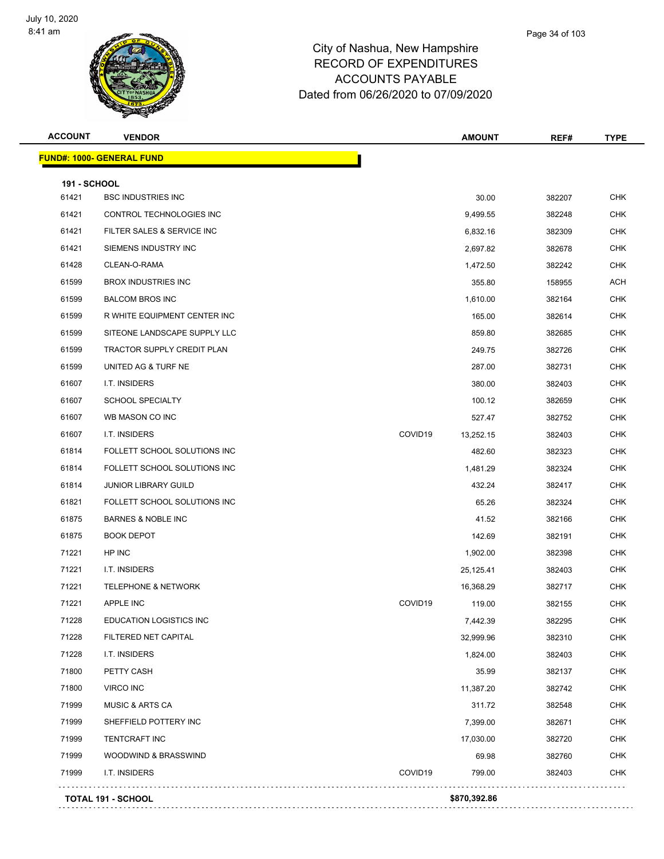

| <b>ACCOUNT</b>      | <b>VENDOR</b>                     |         | <b>AMOUNT</b> | REF#   | <b>TYPE</b> |
|---------------------|-----------------------------------|---------|---------------|--------|-------------|
|                     | <u> FUND#: 1000- GENERAL FUND</u> |         |               |        |             |
| <b>191 - SCHOOL</b> |                                   |         |               |        |             |
| 61421               | <b>BSC INDUSTRIES INC</b>         |         | 30.00         | 382207 | <b>CHK</b>  |
| 61421               | CONTROL TECHNOLOGIES INC          |         | 9,499.55      | 382248 | <b>CHK</b>  |
| 61421               | FILTER SALES & SERVICE INC        |         | 6,832.16      | 382309 | <b>CHK</b>  |
| 61421               | SIEMENS INDUSTRY INC              |         | 2,697.82      | 382678 | CHK         |
| 61428               | CLEAN-O-RAMA                      |         | 1,472.50      | 382242 | <b>CHK</b>  |
| 61599               | <b>BROX INDUSTRIES INC</b>        |         | 355.80        | 158955 | ACH         |
| 61599               | <b>BALCOM BROS INC</b>            |         | 1,610.00      | 382164 | CHK         |
| 61599               | R WHITE EQUIPMENT CENTER INC      |         | 165.00        | 382614 | <b>CHK</b>  |
| 61599               | SITEONE LANDSCAPE SUPPLY LLC      |         | 859.80        | 382685 | <b>CHK</b>  |
| 61599               | <b>TRACTOR SUPPLY CREDIT PLAN</b> |         | 249.75        | 382726 | <b>CHK</b>  |
| 61599               | UNITED AG & TURF NE               |         | 287.00        | 382731 | <b>CHK</b>  |
| 61607               | I.T. INSIDERS                     |         | 380.00        | 382403 | CHK         |
| 61607               | <b>SCHOOL SPECIALTY</b>           |         | 100.12        | 382659 | <b>CHK</b>  |
| 61607               | WB MASON CO INC                   |         | 527.47        | 382752 | CHK         |
| 61607               | I.T. INSIDERS                     | COVID19 | 13,252.15     | 382403 | <b>CHK</b>  |
| 61814               | FOLLETT SCHOOL SOLUTIONS INC      |         | 482.60        | 382323 | <b>CHK</b>  |
| 61814               | FOLLETT SCHOOL SOLUTIONS INC      |         | 1,481.29      | 382324 | CHK         |
| 61814               | <b>JUNIOR LIBRARY GUILD</b>       |         | 432.24        | 382417 | <b>CHK</b>  |
| 61821               | FOLLETT SCHOOL SOLUTIONS INC      |         | 65.26         | 382324 | <b>CHK</b>  |
| 61875               | <b>BARNES &amp; NOBLE INC</b>     |         | 41.52         | 382166 | <b>CHK</b>  |
| 61875               | <b>BOOK DEPOT</b>                 |         | 142.69        | 382191 | <b>CHK</b>  |
| 71221               | HP INC                            |         | 1,902.00      | 382398 | CHK         |
| 71221               | I.T. INSIDERS                     |         | 25,125.41     | 382403 | <b>CHK</b>  |
| 71221               | <b>TELEPHONE &amp; NETWORK</b>    |         | 16,368.29     | 382717 | <b>CHK</b>  |
| 71221               | APPLE INC                         | COVID19 | 119.00        | 382155 | <b>CHK</b>  |
| 71228               | <b>EDUCATION LOGISTICS INC</b>    |         | 7,442.39      | 382295 | <b>CHK</b>  |
| 71228               | FILTERED NET CAPITAL              |         | 32,999.96     | 382310 | <b>CHK</b>  |
| 71228               | I.T. INSIDERS                     |         | 1,824.00      | 382403 | <b>CHK</b>  |
| 71800               | PETTY CASH                        |         | 35.99         | 382137 | <b>CHK</b>  |
| 71800               | <b>VIRCO INC</b>                  |         | 11,387.20     | 382742 | <b>CHK</b>  |
| 71999               | <b>MUSIC &amp; ARTS CA</b>        |         | 311.72        | 382548 | <b>CHK</b>  |
| 71999               | SHEFFIELD POTTERY INC             |         | 7,399.00      | 382671 | <b>CHK</b>  |
| 71999               | <b>TENTCRAFT INC</b>              |         | 17,030.00     | 382720 | <b>CHK</b>  |
| 71999               | WOODWIND & BRASSWIND              |         | 69.98         | 382760 | <b>CHK</b>  |
| 71999               | I.T. INSIDERS                     | COVID19 | 799.00        | 382403 | <b>CHK</b>  |
|                     | <b>TOTAL 191 - SCHOOL</b>         |         | \$870,392.86  |        |             |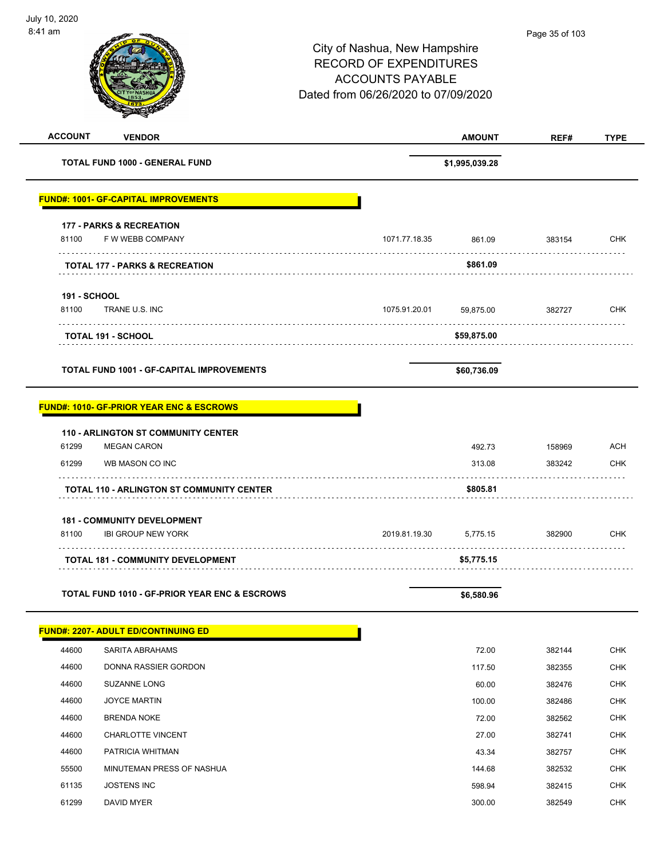| <b>ACCOUNT</b><br><b>VENDOR</b>                          |               | <b>AMOUNT</b>  | REF#   | <b>TYPE</b> |
|----------------------------------------------------------|---------------|----------------|--------|-------------|
| TOTAL FUND 1000 - GENERAL FUND                           |               | \$1,995,039.28 |        |             |
| <b>FUND#: 1001- GF-CAPITAL IMPROVEMENTS</b>              |               |                |        |             |
| <b>177 - PARKS &amp; RECREATION</b>                      |               |                |        |             |
| 81100<br>F W WEBB COMPANY                                | 1071.77.18.35 | 861.09         | 383154 | <b>CHK</b>  |
| <b>TOTAL 177 - PARKS &amp; RECREATION</b>                | .             | \$861.09       |        |             |
| <b>191 - SCHOOL</b>                                      |               |                |        |             |
| 81100<br>TRANE U.S. INC                                  | 1075.91.20.01 | 59,875.00      | 382727 | <b>CHK</b>  |
| <b>TOTAL 191 - SCHOOL</b>                                |               | \$59,875.00    | .      |             |
| <b>TOTAL FUND 1001 - GF-CAPITAL IMPROVEMENTS</b>         |               | \$60,736.09    |        |             |
| <b>FUND#: 1010- GF-PRIOR YEAR ENC &amp; ESCROWS</b>      |               |                |        |             |
| <b>110 - ARLINGTON ST COMMUNITY CENTER</b>               |               |                |        |             |
| 61299<br><b>MEGAN CARON</b>                              |               | 492.73         | 158969 | ACH         |
| 61299<br>WB MASON CO INC                                 |               | 313.08         | 383242 | <b>CHK</b>  |
| <b>TOTAL 110 - ARLINGTON ST COMMUNITY CENTER</b>         |               | \$805.81       |        |             |
| <b>181 - COMMUNITY DEVELOPMENT</b>                       |               |                |        |             |
| 81100<br><b>IBI GROUP NEW YORK</b>                       | 2019.81.19.30 | 5,775.15       | 382900 | <b>CHK</b>  |
| <b>TOTAL 181 - COMMUNITY DEVELOPMENT</b>                 |               | \$5,775.15     |        |             |
| <b>TOTAL FUND 1010 - GF-PRIOR YEAR ENC &amp; ESCROWS</b> |               | \$6,580.96     |        |             |
| <b>FUND#: 2207- ADULT ED/CONTINUING ED</b>               |               |                |        |             |
| 44600<br>SARITA ABRAHAMS                                 |               | 72.00          | 382144 | <b>CHK</b>  |
| 44600<br>DONNA RASSIER GORDON                            |               | 117.50         | 382355 | <b>CHK</b>  |
| 44600<br><b>SUZANNE LONG</b>                             |               | 60.00          | 382476 | <b>CHK</b>  |
| 44600<br><b>JOYCE MARTIN</b>                             |               | 100.00         | 382486 | <b>CHK</b>  |
| 44600<br><b>BRENDA NOKE</b>                              |               | 72.00          | 382562 | <b>CHK</b>  |
| 44600<br><b>CHARLOTTE VINCENT</b>                        |               | 27.00          | 382741 | <b>CHK</b>  |
| 44600<br>PATRICIA WHITMAN                                |               | 43.34          | 382757 | <b>CHK</b>  |
| MINUTEMAN PRESS OF NASHUA<br>55500                       |               | 144.68         | 382532 | <b>CHK</b>  |
| 61135<br><b>JOSTENS INC</b>                              |               | 598.94         | 382415 | <b>CHK</b>  |
| 61299<br>DAVID MYER                                      |               | 300.00         | 382549 | <b>CHK</b>  |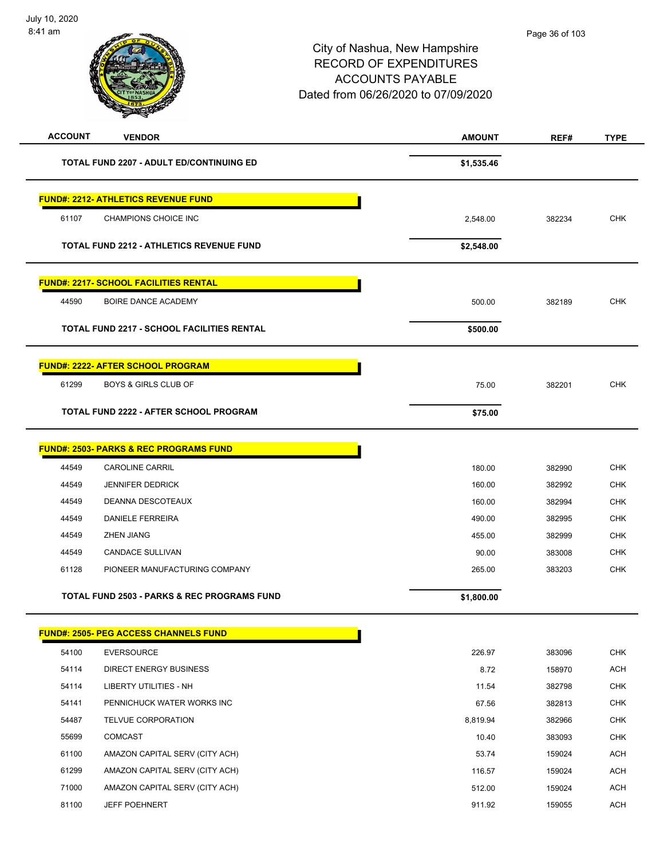| <b>ACCOUNT</b> | <b>VENDOR</b>                                          | <b>AMOUNT</b> | REF#   | <b>TYPE</b> |
|----------------|--------------------------------------------------------|---------------|--------|-------------|
|                | <b>TOTAL FUND 2207 - ADULT ED/CONTINUING ED</b>        | \$1,535.46    |        |             |
|                | <b>FUND#: 2212- ATHLETICS REVENUE FUND</b>             |               |        |             |
| 61107          | CHAMPIONS CHOICE INC                                   | 2,548.00      | 382234 | <b>CHK</b>  |
|                | <b>TOTAL FUND 2212 - ATHLETICS REVENUE FUND</b>        | \$2,548.00    |        |             |
|                | <b>FUND#: 2217- SCHOOL FACILITIES RENTAL</b>           |               |        |             |
| 44590          | BOIRE DANCE ACADEMY                                    | 500.00        | 382189 | <b>CHK</b>  |
|                | <b>TOTAL FUND 2217 - SCHOOL FACILITIES RENTAL</b>      | \$500.00      |        |             |
|                | <u> FUND#: 2222- AFTER SCHOOL PROGRAM</u>              |               |        |             |
| 61299          | <b>BOYS &amp; GIRLS CLUB OF</b>                        | 75.00         | 382201 | <b>CHK</b>  |
|                | TOTAL FUND 2222 - AFTER SCHOOL PROGRAM                 | \$75.00       |        |             |
|                | <u> FUND#: 2503- PARKS &amp; REC PROGRAMS FUND</u>     |               |        |             |
| 44549          | <b>CAROLINE CARRIL</b>                                 | 180.00        | 382990 | <b>CHK</b>  |
| 44549          | <b>JENNIFER DEDRICK</b>                                | 160.00        | 382992 | <b>CHK</b>  |
| 44549          | DEANNA DESCOTEAUX                                      | 160.00        | 382994 | <b>CHK</b>  |
| 44549          | <b>DANIELE FERREIRA</b>                                | 490.00        | 382995 | <b>CHK</b>  |
| 44549          | <b>ZHEN JIANG</b>                                      | 455.00        | 382999 | <b>CHK</b>  |
| 44549          | <b>CANDACE SULLIVAN</b>                                | 90.00         | 383008 | <b>CHK</b>  |
| 61128          | PIONEER MANUFACTURING COMPANY                          | 265.00        | 383203 | <b>CHK</b>  |
|                | <b>TOTAL FUND 2503 - PARKS &amp; REC PROGRAMS FUND</b> | \$1,800.00    |        |             |
|                | <b>FUND#: 2505- PEG ACCESS CHANNELS FUND</b>           |               |        |             |
| 54100          | <b>EVERSOURCE</b>                                      | 226.97        | 383096 | <b>CHK</b>  |
| 54114          | <b>DIRECT ENERGY BUSINESS</b>                          | 8.72          | 158970 | ACH         |
| 54114          | LIBERTY UTILITIES - NH                                 | 11.54         | 382798 | <b>CHK</b>  |
| 54141          | PENNICHUCK WATER WORKS INC                             | 67.56         | 382813 | <b>CHK</b>  |
| 54487          | TELVUE CORPORATION                                     | 8,819.94      | 382966 | <b>CHK</b>  |
| 55699          | COMCAST                                                | 10.40         | 383093 | <b>CHK</b>  |
| 61100          | AMAZON CAPITAL SERV (CITY ACH)                         | 53.74         | 159024 | <b>ACH</b>  |
| 61299          | AMAZON CAPITAL SERV (CITY ACH)                         | 116.57        | 159024 | <b>ACH</b>  |
| 71000          | AMAZON CAPITAL SERV (CITY ACH)                         | 512.00        | 159024 | <b>ACH</b>  |
| 81100          | <b>JEFF POEHNERT</b>                                   | 911.92        | 159055 | ACH         |
|                |                                                        |               |        |             |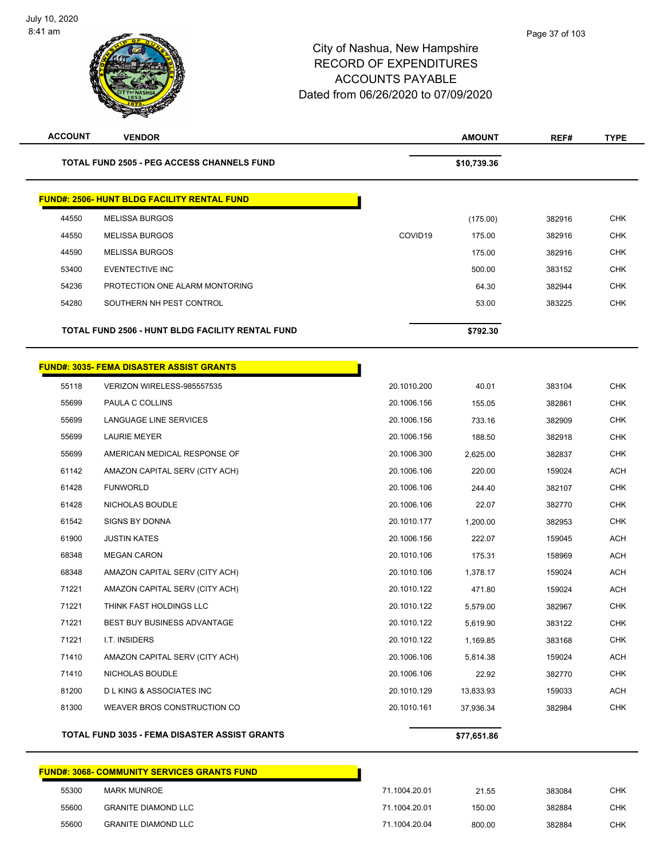| <b>ACCOUNT</b> | <b>VENDOR</b>                                        |             | <b>AMOUNT</b> | REF#   | <b>TYPE</b> |
|----------------|------------------------------------------------------|-------------|---------------|--------|-------------|
|                | <b>TOTAL FUND 2505 - PEG ACCESS CHANNELS FUND</b>    |             | \$10,739.36   |        |             |
|                | <b>FUND#: 2506- HUNT BLDG FACILITY RENTAL FUND</b>   |             |               |        |             |
| 44550          | <b>MELISSA BURGOS</b>                                |             | (175.00)      | 382916 | <b>CHK</b>  |
| 44550          | <b>MELISSA BURGOS</b>                                | COVID19     | 175.00        | 382916 | <b>CHK</b>  |
| 44590          | <b>MELISSA BURGOS</b>                                |             | 175.00        | 382916 | <b>CHK</b>  |
| 53400          | EVENTECTIVE INC                                      |             | 500.00        | 383152 | <b>CHK</b>  |
| 54236          | PROTECTION ONE ALARM MONTORING                       |             | 64.30         | 382944 | <b>CHK</b>  |
| 54280          | SOUTHERN NH PEST CONTROL                             |             | 53.00         | 383225 | <b>CHK</b>  |
|                | TOTAL FUND 2506 - HUNT BLDG FACILITY RENTAL FUND     |             | \$792.30      |        |             |
|                | <b>FUND#: 3035- FEMA DISASTER ASSIST GRANTS</b>      |             |               |        |             |
| 55118          | VERIZON WIRELESS-985557535                           | 20.1010.200 | 40.01         | 383104 | <b>CHK</b>  |
| 55699          | PAULA C COLLINS                                      | 20.1006.156 | 155.05        | 382861 | <b>CHK</b>  |
| 55699          | LANGUAGE LINE SERVICES                               | 20.1006.156 | 733.16        | 382909 | <b>CHK</b>  |
| 55699          | <b>LAURIE MEYER</b>                                  | 20.1006.156 | 188.50        | 382918 | <b>CHK</b>  |
| 55699          | AMERICAN MEDICAL RESPONSE OF                         | 20.1006.300 | 2,625.00      | 382837 | <b>CHK</b>  |
| 61142          | AMAZON CAPITAL SERV (CITY ACH)                       | 20.1006.106 | 220.00        | 159024 | <b>ACH</b>  |
| 61428          | <b>FUNWORLD</b>                                      | 20.1006.106 | 244.40        | 382107 | <b>CHK</b>  |
| 61428          | NICHOLAS BOUDLE                                      | 20.1006.106 | 22.07         | 382770 | <b>CHK</b>  |
| 61542          | <b>SIGNS BY DONNA</b>                                | 20.1010.177 | 1,200.00      | 382953 | <b>CHK</b>  |
| 61900          | <b>JUSTIN KATES</b>                                  | 20.1006.156 | 222.07        | 159045 | <b>ACH</b>  |
| 68348          | <b>MEGAN CARON</b>                                   | 20.1010.106 | 175.31        | 158969 | <b>ACH</b>  |
| 68348          | AMAZON CAPITAL SERV (CITY ACH)                       | 20.1010.106 | 1,378.17      | 159024 | <b>ACH</b>  |
| 71221          | AMAZON CAPITAL SERV (CITY ACH)                       | 20.1010.122 | 471.80        | 159024 | <b>ACH</b>  |
| 71221          | THINK FAST HOLDINGS LLC                              | 20.1010.122 | 5,579.00      | 382967 | <b>CHK</b>  |
| 71221          | BEST BUY BUSINESS ADVANTAGE                          | 20.1010.122 | 5,619.90      | 383122 | CHK         |
| 71221          | I.T. INSIDERS                                        | 20.1010.122 | 1,169.85      | 383168 | <b>CHK</b>  |
| 71410          | AMAZON CAPITAL SERV (CITY ACH)                       | 20.1006.106 | 5,814.38      | 159024 | <b>ACH</b>  |
| 71410          | NICHOLAS BOUDLE                                      | 20.1006.106 | 22.92         | 382770 | <b>CHK</b>  |
| 81200          | <b>DLKING &amp; ASSOCIATES INC</b>                   | 20.1010.129 | 13,833.93     | 159033 | <b>ACH</b>  |
| 81300          | WEAVER BROS CONSTRUCTION CO                          | 20.1010.161 | 37,936.34     | 382984 | <b>CHK</b>  |
|                | <b>TOTAL FUND 3035 - FEMA DISASTER ASSIST GRANTS</b> |             | \$77,651.86   |        |             |
|                |                                                      |             |               |        |             |

#### **FUND#: 3068- COMMUNITY SERVICES GRANTS FUND**

| 55300 | MARK MUNROE                | 71.1004.20.01 | 21.55  | 383084 | CHK |
|-------|----------------------------|---------------|--------|--------|-----|
| 55600 | GRANITE DIAMOND LLC        | 71.1004.20.01 | 150.00 | 382884 | CHK |
| 55600 | <b>GRANITE DIAMOND LLC</b> | 71.1004.20.04 | 800.00 | 382884 | CHK |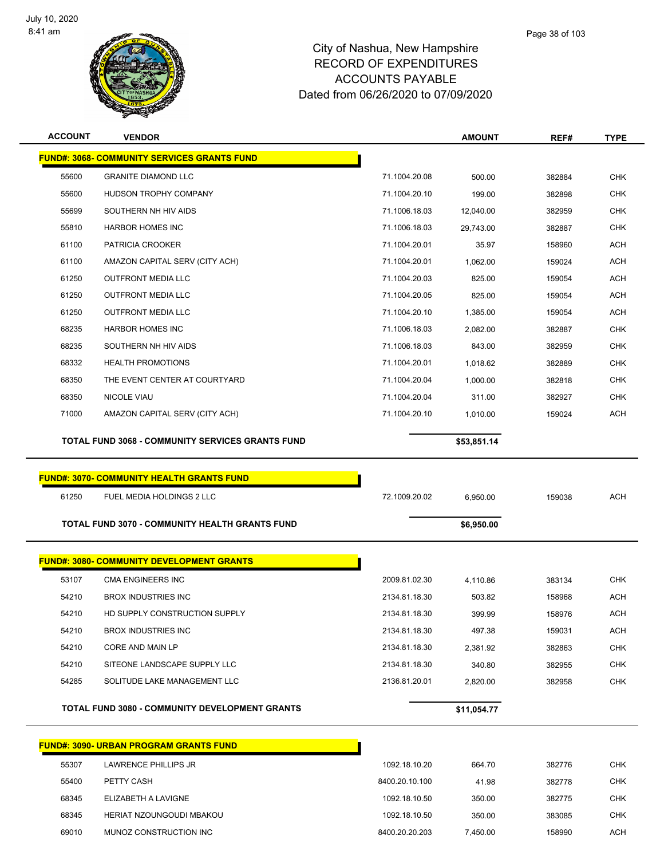$\overline{a}$ 



#### City of Nashua, New Hampshire RECORD OF EXPENDITURES ACCOUNTS PAYABLE Dated from 06/26/2020 to 07/09/2020

| <b>ACCOUNT</b> | <b>VENDOR</b>                                      |                | <b>AMOUNT</b> | REF#   | <b>TYPE</b> |
|----------------|----------------------------------------------------|----------------|---------------|--------|-------------|
|                | <b>FUND#: 3068- COMMUNITY SERVICES GRANTS FUND</b> |                |               |        |             |
| 55600          | <b>GRANITE DIAMOND LLC</b>                         | 71.1004.20.08  | 500.00        | 382884 | <b>CHK</b>  |
| 55600          | HUDSON TROPHY COMPANY                              | 71.1004.20.10  | 199.00        | 382898 | <b>CHK</b>  |
| 55699          | SOUTHERN NH HIV AIDS                               | 71.1006.18.03  | 12,040.00     | 382959 | <b>CHK</b>  |
| 55810          | <b>HARBOR HOMES INC</b>                            | 71.1006.18.03  | 29,743.00     | 382887 | <b>CHK</b>  |
| 61100          | PATRICIA CROOKER                                   | 71.1004.20.01  | 35.97         | 158960 | <b>ACH</b>  |
| 61100          | AMAZON CAPITAL SERV (CITY ACH)                     | 71.1004.20.01  | 1,062.00      | 159024 | <b>ACH</b>  |
| 61250          | <b>OUTFRONT MEDIA LLC</b>                          | 71.1004.20.03  | 825.00        | 159054 | <b>ACH</b>  |
| 61250          | <b>OUTFRONT MEDIA LLC</b>                          | 71.1004.20.05  | 825.00        | 159054 | <b>ACH</b>  |
| 61250          | <b>OUTFRONT MEDIA LLC</b>                          | 71.1004.20.10  | 1,385.00      | 159054 | <b>ACH</b>  |
| 68235          | <b>HARBOR HOMES INC</b>                            | 71.1006.18.03  | 2,082.00      | 382887 | <b>CHK</b>  |
| 68235          | SOUTHERN NH HIV AIDS                               | 71.1006.18.03  | 843.00        | 382959 | <b>CHK</b>  |
| 68332          | <b>HEALTH PROMOTIONS</b>                           | 71.1004.20.01  | 1,018.62      | 382889 | <b>CHK</b>  |
| 68350          | THE EVENT CENTER AT COURTYARD                      | 71.1004.20.04  | 1,000.00      | 382818 | <b>CHK</b>  |
| 68350          | <b>NICOLE VIAU</b>                                 | 71.1004.20.04  | 311.00        | 382927 | <b>CHK</b>  |
| 71000          | AMAZON CAPITAL SERV (CITY ACH)                     | 71.1004.20.10  | 1,010.00      | 159024 | <b>ACH</b>  |
|                | TOTAL FUND 3068 - COMMUNITY SERVICES GRANTS FUND   |                |               |        |             |
|                |                                                    |                | \$53,851.14   |        |             |
|                |                                                    |                |               |        |             |
|                | <b>FUND#: 3070- COMMUNITY HEALTH GRANTS FUND</b>   |                |               |        |             |
| 61250          | FUEL MEDIA HOLDINGS 2 LLC                          | 72.1009.20.02  | 6,950.00      | 159038 | <b>ACH</b>  |
|                | TOTAL FUND 3070 - COMMUNITY HEALTH GRANTS FUND     |                | \$6,950.00    |        |             |
|                |                                                    |                |               |        |             |
|                | <b>FUND#: 3080- COMMUNITY DEVELOPMENT GRANTS</b>   |                |               |        |             |
| 53107          | <b>CMA ENGINEERS INC</b>                           | 2009.81.02.30  | 4,110.86      | 383134 | <b>CHK</b>  |
| 54210          | <b>BROX INDUSTRIES INC</b>                         | 2134.81.18.30  | 503.82        | 158968 | <b>ACH</b>  |
| 54210          | HD SUPPLY CONSTRUCTION SUPPLY                      | 2134.81.18.30  | 399.99        | 158976 | ACH         |
| 54210          | <b>BROX INDUSTRIES INC</b>                         | 2134.81.18.30  | 497.38        | 159031 | ACH         |
| 54210          | CORE AND MAIN LP                                   | 2134.81.18.30  | 2,381.92      | 382863 | <b>CHK</b>  |
| 54210          | SITEONE LANDSCAPE SUPPLY LLC                       | 2134.81.18.30  | 340.80        | 382955 | <b>CHK</b>  |
| 54285          | SOLITUDE LAKE MANAGEMENT LLC                       | 2136.81.20.01  | 2,820.00      | 382958 | <b>CHK</b>  |
|                |                                                    |                |               |        |             |
|                | TOTAL FUND 3080 - COMMUNITY DEVELOPMENT GRANTS     |                | \$11,054.77   |        |             |
|                | <b>FUND#: 3090- URBAN PROGRAM GRANTS FUND</b>      |                |               |        |             |
| 55307          | LAWRENCE PHILLIPS JR                               | 1092.18.10.20  | 664.70        | 382776 | <b>CHK</b>  |
| 55400          | PETTY CASH                                         | 8400.20.10.100 | 41.98         | 382778 | <b>CHK</b>  |
| 68345          | ELIZABETH A LAVIGNE                                | 1092.18.10.50  | 350.00        | 382775 | <b>CHK</b>  |
| 68345          | HERIAT NZOUNGOUDI MBAKOU                           | 1092.18.10.50  | 350.00        | 383085 | <b>CHK</b>  |

MUNOZ CONSTRUCTION INC 8400.20.20.203 7,450.00 158990 ACH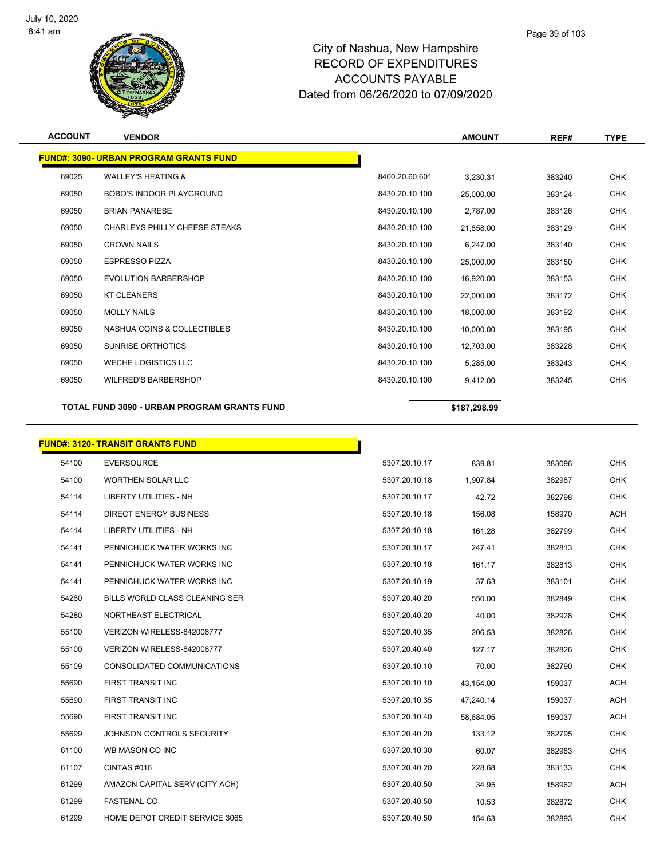

| <b>ACCOUNT</b> | <b>VENDOR</b>                                 |                | <b>AMOUNT</b> | REF#   | <b>TYPE</b> |
|----------------|-----------------------------------------------|----------------|---------------|--------|-------------|
|                | <b>FUND#: 3090- URBAN PROGRAM GRANTS FUND</b> |                |               |        |             |
| 69025          | <b>WALLEY'S HEATING &amp;</b>                 | 8400.20.60.601 | 3,230.31      | 383240 | <b>CHK</b>  |
| 69050          | <b>BOBO'S INDOOR PLAYGROUND</b>               | 8430.20.10.100 | 25,000.00     | 383124 | <b>CHK</b>  |
| 69050          | <b>BRIAN PANARESE</b>                         | 8430.20.10.100 | 2,787.00      | 383126 | <b>CHK</b>  |
| 69050          | CHARLEYS PHILLY CHEESE STEAKS                 | 8430.20.10.100 | 21,858.00     | 383129 | <b>CHK</b>  |
| 69050          | <b>CROWN NAILS</b>                            | 8430.20.10.100 | 6,247.00      | 383140 | <b>CHK</b>  |
| 69050          | <b>ESPRESSO PIZZA</b>                         | 8430.20.10.100 | 25,000.00     | 383150 | <b>CHK</b>  |
| 69050          | <b>EVOLUTION BARBERSHOP</b>                   | 8430.20.10.100 | 16,920.00     | 383153 | <b>CHK</b>  |
| 69050          | <b>KT CLEANERS</b>                            | 8430.20.10.100 | 22,000.00     | 383172 | <b>CHK</b>  |
| 69050          | <b>MOLLY NAILS</b>                            | 8430.20.10.100 | 18,000.00     | 383192 | <b>CHK</b>  |
| 69050          | NASHUA COINS & COLLECTIBLES                   | 8430.20.10.100 | 10,000.00     | 383195 | <b>CHK</b>  |
| 69050          | <b>SUNRISE ORTHOTICS</b>                      | 8430.20.10.100 | 12,703.00     | 383228 | <b>CHK</b>  |
| 69050          | <b>WECHE LOGISTICS LLC</b>                    | 8430.20.10.100 | 5,285.00      | 383243 | <b>CHK</b>  |
| 69050          | <b>WILFRED'S BARBERSHOP</b>                   | 8430.20.10.100 | 9,412.00      | 383245 | <b>CHK</b>  |
|                | TOTAL FUND 3090 - URBAN PROGRAM GRANTS FUND   |                | \$187,298.99  |        |             |
|                | <b>FUND#: 3120- TRANSIT GRANTS FUND</b>       |                |               |        |             |
| 54100          | <b>EVERSOURCE</b>                             | 5307.20.10.17  | 839.81        | 383096 | <b>CHK</b>  |
| 54100          | <b>WORTHEN SOLAR LLC</b>                      | 5307.20.10.18  | 1,907.84      | 382987 | <b>CHK</b>  |
| 54114          | <b>LIBERTY UTILITIES - NH</b>                 | 5307.20.10.17  | 42.72         | 382798 | <b>CHK</b>  |
| 54114          | <b>DIRECT ENERGY BUSINESS</b>                 | 5307.20.10.18  | 156.08        | 158970 | <b>ACH</b>  |
| 54114          | <b>LIBERTY UTILITIES - NH</b>                 | 5307.20.10.18  | 161.28        | 382799 | <b>CHK</b>  |
| 54141          | PENNICHUCK WATER WORKS INC                    | 5307.20.10.17  | 247.41        | 382813 | <b>CHK</b>  |
| 54141          | PENNICHUCK WATER WORKS INC                    | 5307.20.10.18  | 161.17        | 382813 | <b>CHK</b>  |
| 54141          | PENNICHUCK WATER WORKS INC                    | 5307.20.10.19  | 37.63         | 383101 | <b>CHK</b>  |

| 54141 | PENNICHUCK WATER WORKS INC     | 5307.20.10.17 | 247.41    | 382813 | <b>CHK</b> |
|-------|--------------------------------|---------------|-----------|--------|------------|
| 54141 | PENNICHUCK WATER WORKS INC     | 5307.20.10.18 | 161.17    | 382813 | <b>CHK</b> |
| 54141 | PENNICHUCK WATER WORKS INC     | 5307.20.10.19 | 37.63     | 383101 | <b>CHK</b> |
| 54280 | BILLS WORLD CLASS CLEANING SER | 5307.20.40.20 | 550.00    | 382849 | <b>CHK</b> |
| 54280 | NORTHEAST ELECTRICAL           | 5307.20.40.20 | 40.00     | 382928 | <b>CHK</b> |
| 55100 | VERIZON WIRELESS-842008777     | 5307.20.40.35 | 206.53    | 382826 | <b>CHK</b> |
| 55100 | VERIZON WIRELESS-842008777     | 5307.20.40.40 | 127.17    | 382826 | <b>CHK</b> |
| 55109 | CONSOLIDATED COMMUNICATIONS    | 5307.20.10.10 | 70.00     | 382790 | <b>CHK</b> |
| 55690 | FIRST TRANSIT INC              | 5307.20.10.10 | 43,154.00 | 159037 | <b>ACH</b> |
| 55690 | FIRST TRANSIT INC              | 5307.20.10.35 | 47,240.14 | 159037 | <b>ACH</b> |
| 55690 | FIRST TRANSIT INC              | 5307.20.10.40 | 58,684.05 | 159037 | <b>ACH</b> |
| 55699 | JOHNSON CONTROLS SECURITY      | 5307.20.40.20 | 133.12    | 382795 | <b>CHK</b> |
| 61100 | WB MASON CO INC                | 5307.20.10.30 | 60.07     | 382983 | <b>CHK</b> |
| 61107 | CINTAS#016                     | 5307.20.40.20 | 228.68    | 383133 | <b>CHK</b> |
| 61299 | AMAZON CAPITAL SERV (CITY ACH) | 5307.20.40.50 | 34.95     | 158962 | <b>ACH</b> |
| 61299 | <b>FASTENAL CO</b>             | 5307.20.40.50 | 10.53     | 382872 | <b>CHK</b> |
| 61299 | HOME DEPOT CREDIT SERVICE 3065 | 5307.20.40.50 | 154.63    | 382893 | <b>CHK</b> |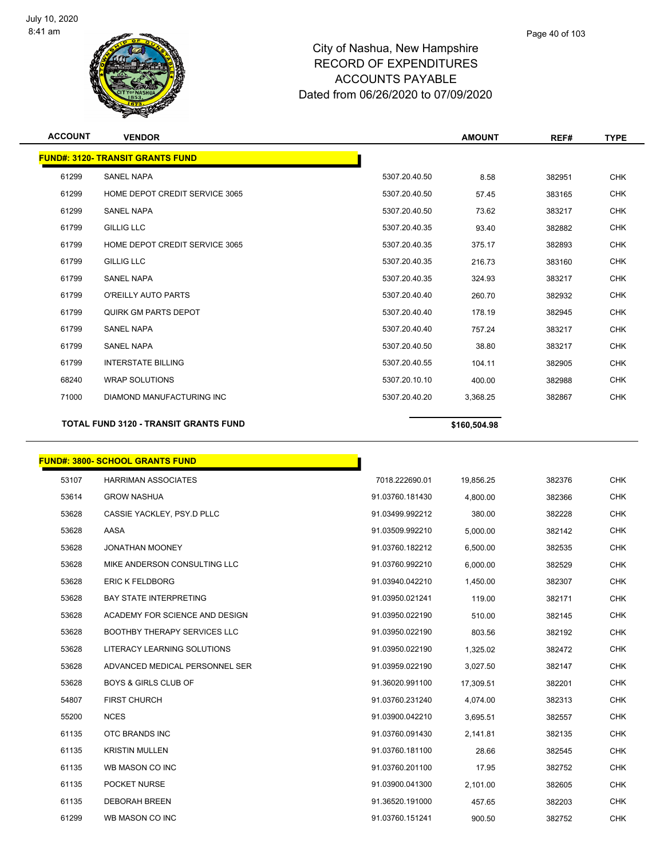

| <b>ACCOUNT</b> | <b>VENDOR</b>                                |               | <b>AMOUNT</b> | REF#   | <b>TYPE</b> |
|----------------|----------------------------------------------|---------------|---------------|--------|-------------|
|                | <b>FUND#: 3120- TRANSIT GRANTS FUND</b>      |               |               |        |             |
| 61299          | <b>SANEL NAPA</b>                            | 5307.20.40.50 | 8.58          | 382951 | <b>CHK</b>  |
| 61299          | HOME DEPOT CREDIT SERVICE 3065               | 5307.20.40.50 | 57.45         | 383165 | <b>CHK</b>  |
| 61299          | <b>SANEL NAPA</b>                            | 5307.20.40.50 | 73.62         | 383217 | <b>CHK</b>  |
| 61799          | <b>GILLIG LLC</b>                            | 5307.20.40.35 | 93.40         | 382882 | <b>CHK</b>  |
| 61799          | HOME DEPOT CREDIT SERVICE 3065               | 5307.20.40.35 | 375.17        | 382893 | <b>CHK</b>  |
| 61799          | <b>GILLIG LLC</b>                            | 5307.20.40.35 | 216.73        | 383160 | <b>CHK</b>  |
| 61799          | <b>SANEL NAPA</b>                            | 5307.20.40.35 | 324.93        | 383217 | <b>CHK</b>  |
| 61799          | O'REILLY AUTO PARTS                          | 5307.20.40.40 | 260.70        | 382932 | <b>CHK</b>  |
| 61799          | QUIRK GM PARTS DEPOT                         | 5307.20.40.40 | 178.19        | 382945 | <b>CHK</b>  |
| 61799          | <b>SANEL NAPA</b>                            | 5307.20.40.40 | 757.24        | 383217 | <b>CHK</b>  |
| 61799          | <b>SANEL NAPA</b>                            | 5307.20.40.50 | 38.80         | 383217 | <b>CHK</b>  |
| 61799          | <b>INTERSTATE BILLING</b>                    | 5307.20.40.55 | 104.11        | 382905 | <b>CHK</b>  |
| 68240          | <b>WRAP SOLUTIONS</b>                        | 5307.20.10.10 | 400.00        | 382988 | <b>CHK</b>  |
| 71000          | <b>DIAMOND MANUFACTURING INC</b>             | 5307.20.40.20 | 3,368.25      | 382867 | <b>CHK</b>  |
|                | <b>TOTAL FUND 3120 - TRANSIT GRANTS FUND</b> |               | \$160,504.98  |        |             |
|                | <b>FUND#: 3800- SCHOOL GRANTS FUND</b>       |               |               |        |             |

| 53107<br><b>HARRIMAN ASSOCIATES</b><br>7018.222690.01<br>19,856.25<br>382376<br>53614<br><b>GROW NASHUA</b><br>91.03760.181430<br>4,800.00<br>382366<br>53628<br>CASSIE YACKLEY, PSY.D PLLC<br>91.03499.992212<br>382228<br>380.00<br>AASA<br>53628<br>91.03509.992210<br>5,000.00<br>382142<br>53628<br><b>JONATHAN MOONEY</b><br>91.03760.182212<br>6,500.00<br>382535<br>53628<br>MIKE ANDERSON CONSULTING LLC<br>91.03760.992210<br>6,000.00<br>382529<br>53628<br><b>ERIC K FELDBORG</b><br>91.03940.042210<br>1,450.00<br>382307<br>53628<br><b>BAY STATE INTERPRETING</b><br>91.03950.021241<br>119.00<br>382171<br>53628<br>ACADEMY FOR SCIENCE AND DESIGN<br>91.03950.022190<br>510.00<br>382145<br>53628<br><b>BOOTHBY THERAPY SERVICES LLC</b><br>91.03950.022190<br>803.56<br>382192<br>53628<br>LITERACY LEARNING SOLUTIONS<br>91.03950.022190<br>1,325.02<br>382472<br>53628<br>ADVANCED MEDICAL PERSONNEL SER<br>382147<br>91.03959.022190<br>3,027.50<br>53628<br><b>BOYS &amp; GIRLS CLUB OF</b><br>91.36020.991100<br>17,309.51<br>382201<br>54807<br><b>FIRST CHURCH</b><br>91.03760.231240<br>382313<br>4,074.00<br><b>NCES</b><br>91.03900.042210<br>55200<br>382557<br>3,695.51<br>61135<br>OTC BRANDS INC<br>91.03760.091430<br>2,141.81<br>382135<br>61135<br><b>KRISTIN MULLEN</b><br>91.03760.181100<br>28.66<br>382545<br>61135<br>WB MASON CO INC<br>91.03760.201100<br>17.95<br>382752<br>61135<br>POCKET NURSE<br>91.03900.041300<br>2,101.00<br>382605<br>61135<br><b>DEBORAH BREEN</b><br>91.36520.191000<br>457.65<br>382203<br>61299<br>WB MASON CO INC<br>91.03760.151241<br>900.50<br>382752 |  |  |            |
|----------------------------------------------------------------------------------------------------------------------------------------------------------------------------------------------------------------------------------------------------------------------------------------------------------------------------------------------------------------------------------------------------------------------------------------------------------------------------------------------------------------------------------------------------------------------------------------------------------------------------------------------------------------------------------------------------------------------------------------------------------------------------------------------------------------------------------------------------------------------------------------------------------------------------------------------------------------------------------------------------------------------------------------------------------------------------------------------------------------------------------------------------------------------------------------------------------------------------------------------------------------------------------------------------------------------------------------------------------------------------------------------------------------------------------------------------------------------------------------------------------------------------------------------------------------------------------------------------------------------------------|--|--|------------|
|                                                                                                                                                                                                                                                                                                                                                                                                                                                                                                                                                                                                                                                                                                                                                                                                                                                                                                                                                                                                                                                                                                                                                                                                                                                                                                                                                                                                                                                                                                                                                                                                                                  |  |  | <b>CHK</b> |
|                                                                                                                                                                                                                                                                                                                                                                                                                                                                                                                                                                                                                                                                                                                                                                                                                                                                                                                                                                                                                                                                                                                                                                                                                                                                                                                                                                                                                                                                                                                                                                                                                                  |  |  | <b>CHK</b> |
|                                                                                                                                                                                                                                                                                                                                                                                                                                                                                                                                                                                                                                                                                                                                                                                                                                                                                                                                                                                                                                                                                                                                                                                                                                                                                                                                                                                                                                                                                                                                                                                                                                  |  |  | <b>CHK</b> |
|                                                                                                                                                                                                                                                                                                                                                                                                                                                                                                                                                                                                                                                                                                                                                                                                                                                                                                                                                                                                                                                                                                                                                                                                                                                                                                                                                                                                                                                                                                                                                                                                                                  |  |  | <b>CHK</b> |
|                                                                                                                                                                                                                                                                                                                                                                                                                                                                                                                                                                                                                                                                                                                                                                                                                                                                                                                                                                                                                                                                                                                                                                                                                                                                                                                                                                                                                                                                                                                                                                                                                                  |  |  | <b>CHK</b> |
|                                                                                                                                                                                                                                                                                                                                                                                                                                                                                                                                                                                                                                                                                                                                                                                                                                                                                                                                                                                                                                                                                                                                                                                                                                                                                                                                                                                                                                                                                                                                                                                                                                  |  |  | <b>CHK</b> |
|                                                                                                                                                                                                                                                                                                                                                                                                                                                                                                                                                                                                                                                                                                                                                                                                                                                                                                                                                                                                                                                                                                                                                                                                                                                                                                                                                                                                                                                                                                                                                                                                                                  |  |  | <b>CHK</b> |
|                                                                                                                                                                                                                                                                                                                                                                                                                                                                                                                                                                                                                                                                                                                                                                                                                                                                                                                                                                                                                                                                                                                                                                                                                                                                                                                                                                                                                                                                                                                                                                                                                                  |  |  | <b>CHK</b> |
|                                                                                                                                                                                                                                                                                                                                                                                                                                                                                                                                                                                                                                                                                                                                                                                                                                                                                                                                                                                                                                                                                                                                                                                                                                                                                                                                                                                                                                                                                                                                                                                                                                  |  |  | <b>CHK</b> |
|                                                                                                                                                                                                                                                                                                                                                                                                                                                                                                                                                                                                                                                                                                                                                                                                                                                                                                                                                                                                                                                                                                                                                                                                                                                                                                                                                                                                                                                                                                                                                                                                                                  |  |  | <b>CHK</b> |
|                                                                                                                                                                                                                                                                                                                                                                                                                                                                                                                                                                                                                                                                                                                                                                                                                                                                                                                                                                                                                                                                                                                                                                                                                                                                                                                                                                                                                                                                                                                                                                                                                                  |  |  | <b>CHK</b> |
|                                                                                                                                                                                                                                                                                                                                                                                                                                                                                                                                                                                                                                                                                                                                                                                                                                                                                                                                                                                                                                                                                                                                                                                                                                                                                                                                                                                                                                                                                                                                                                                                                                  |  |  | <b>CHK</b> |
|                                                                                                                                                                                                                                                                                                                                                                                                                                                                                                                                                                                                                                                                                                                                                                                                                                                                                                                                                                                                                                                                                                                                                                                                                                                                                                                                                                                                                                                                                                                                                                                                                                  |  |  | <b>CHK</b> |
|                                                                                                                                                                                                                                                                                                                                                                                                                                                                                                                                                                                                                                                                                                                                                                                                                                                                                                                                                                                                                                                                                                                                                                                                                                                                                                                                                                                                                                                                                                                                                                                                                                  |  |  | <b>CHK</b> |
|                                                                                                                                                                                                                                                                                                                                                                                                                                                                                                                                                                                                                                                                                                                                                                                                                                                                                                                                                                                                                                                                                                                                                                                                                                                                                                                                                                                                                                                                                                                                                                                                                                  |  |  | <b>CHK</b> |
|                                                                                                                                                                                                                                                                                                                                                                                                                                                                                                                                                                                                                                                                                                                                                                                                                                                                                                                                                                                                                                                                                                                                                                                                                                                                                                                                                                                                                                                                                                                                                                                                                                  |  |  | <b>CHK</b> |
|                                                                                                                                                                                                                                                                                                                                                                                                                                                                                                                                                                                                                                                                                                                                                                                                                                                                                                                                                                                                                                                                                                                                                                                                                                                                                                                                                                                                                                                                                                                                                                                                                                  |  |  | <b>CHK</b> |
|                                                                                                                                                                                                                                                                                                                                                                                                                                                                                                                                                                                                                                                                                                                                                                                                                                                                                                                                                                                                                                                                                                                                                                                                                                                                                                                                                                                                                                                                                                                                                                                                                                  |  |  | <b>CHK</b> |
|                                                                                                                                                                                                                                                                                                                                                                                                                                                                                                                                                                                                                                                                                                                                                                                                                                                                                                                                                                                                                                                                                                                                                                                                                                                                                                                                                                                                                                                                                                                                                                                                                                  |  |  | <b>CHK</b> |
|                                                                                                                                                                                                                                                                                                                                                                                                                                                                                                                                                                                                                                                                                                                                                                                                                                                                                                                                                                                                                                                                                                                                                                                                                                                                                                                                                                                                                                                                                                                                                                                                                                  |  |  | <b>CHK</b> |
|                                                                                                                                                                                                                                                                                                                                                                                                                                                                                                                                                                                                                                                                                                                                                                                                                                                                                                                                                                                                                                                                                                                                                                                                                                                                                                                                                                                                                                                                                                                                                                                                                                  |  |  | <b>CHK</b> |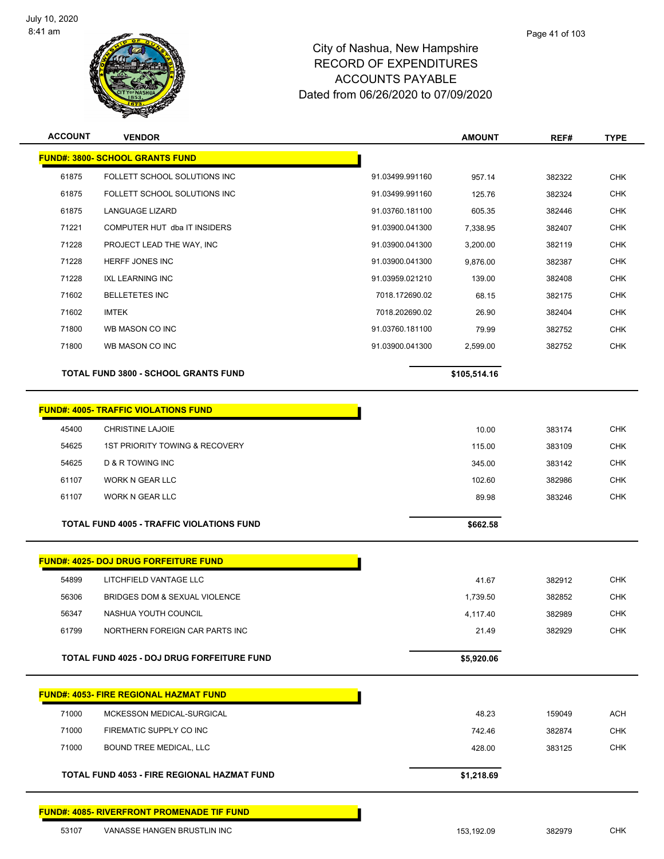$\overline{a}$ 

 $\overline{a}$ 



| <b>ACCOUNT</b> | <b>VENDOR</b>                                     |                 | <b>AMOUNT</b> | REF#   | <b>TYPE</b> |
|----------------|---------------------------------------------------|-----------------|---------------|--------|-------------|
|                | <b>FUND#: 3800- SCHOOL GRANTS FUND</b>            |                 |               |        |             |
| 61875          | FOLLETT SCHOOL SOLUTIONS INC                      | 91.03499.991160 | 957.14        | 382322 | <b>CHK</b>  |
| 61875          | FOLLETT SCHOOL SOLUTIONS INC                      | 91.03499.991160 | 125.76        | 382324 | <b>CHK</b>  |
| 61875          | LANGUAGE LIZARD                                   | 91.03760.181100 | 605.35        | 382446 | <b>CHK</b>  |
| 71221          | COMPUTER HUT dba IT INSIDERS                      | 91.03900.041300 | 7,338.95      | 382407 | <b>CHK</b>  |
| 71228          | PROJECT LEAD THE WAY, INC                         | 91.03900.041300 | 3,200.00      | 382119 | <b>CHK</b>  |
| 71228          | HERFF JONES INC                                   | 91.03900.041300 | 9,876.00      | 382387 | <b>CHK</b>  |
| 71228          | <b>IXL LEARNING INC</b>                           | 91.03959.021210 | 139.00        | 382408 | <b>CHK</b>  |
| 71602          | <b>BELLETETES INC</b>                             | 7018.172690.02  | 68.15         | 382175 | <b>CHK</b>  |
| 71602          | <b>IMTEK</b>                                      | 7018.202690.02  | 26.90         | 382404 | <b>CHK</b>  |
| 71800          | WB MASON CO INC                                   | 91.03760.181100 | 79.99         | 382752 | <b>CHK</b>  |
| 71800          | WB MASON CO INC                                   | 91.03900.041300 | 2,599.00      | 382752 | <b>CHK</b>  |
|                | <b>TOTAL FUND 3800 - SCHOOL GRANTS FUND</b>       |                 | \$105,514.16  |        |             |
|                |                                                   |                 |               |        |             |
|                | <b>FUND#: 4005- TRAFFIC VIOLATIONS FUND</b>       |                 |               |        |             |
| 45400          | CHRISTINE LAJOIE                                  |                 | 10.00         | 383174 | <b>CHK</b>  |
| 54625          | <b>1ST PRIORITY TOWING &amp; RECOVERY</b>         |                 | 115.00        | 383109 | <b>CHK</b>  |
| 54625          | D & R TOWING INC                                  |                 | 345.00        | 383142 | <b>CHK</b>  |
| 61107          | <b>WORK N GEAR LLC</b>                            |                 | 102.60        | 382986 | <b>CHK</b>  |
| 61107          | WORK N GEAR LLC                                   |                 | 89.98         | 383246 | <b>CHK</b>  |
|                | <b>TOTAL FUND 4005 - TRAFFIC VIOLATIONS FUND</b>  |                 | \$662.58      |        |             |
|                |                                                   |                 |               |        |             |
|                | <b>FUND#: 4025- DOJ DRUG FORFEITURE FUND</b>      |                 |               |        |             |
| 54899          | LITCHFIELD VANTAGE LLC                            |                 | 41.67         | 382912 | <b>CHK</b>  |
| 56306          | BRIDGES DOM & SEXUAL VIOLENCE                     |                 | 1,739.50      | 382852 | <b>CHK</b>  |
| 56347          | NASHUA YOUTH COUNCIL                              |                 | 4,117.40      | 382989 | <b>CHK</b>  |
| 61799          | NORTHERN FOREIGN CAR PARTS INC                    |                 | 21.49         | 382929 | <b>CHK</b>  |
|                | TOTAL FUND 4025 - DOJ DRUG FORFEITURE FUND        |                 |               |        |             |
|                |                                                   |                 | \$5,920.06    |        |             |
|                | <b>FUND#: 4053- FIRE REGIONAL HAZMAT FUND</b>     |                 |               |        |             |
| 71000          | MCKESSON MEDICAL-SURGICAL                         |                 | 48.23         | 159049 | <b>ACH</b>  |
| 71000          | FIREMATIC SUPPLY CO INC                           |                 | 742.46        | 382874 | <b>CHK</b>  |
| 71000          | BOUND TREE MEDICAL, LLC                           |                 | 428.00        | 383125 | <b>CHK</b>  |
|                | TOTAL FUND 4053 - FIRE REGIONAL HAZMAT FUND       |                 | \$1,218.69    |        |             |
|                |                                                   |                 |               |        |             |
|                | <b>FUND#: 4085- RIVERFRONT PROMENADE TIF FUND</b> |                 |               |        |             |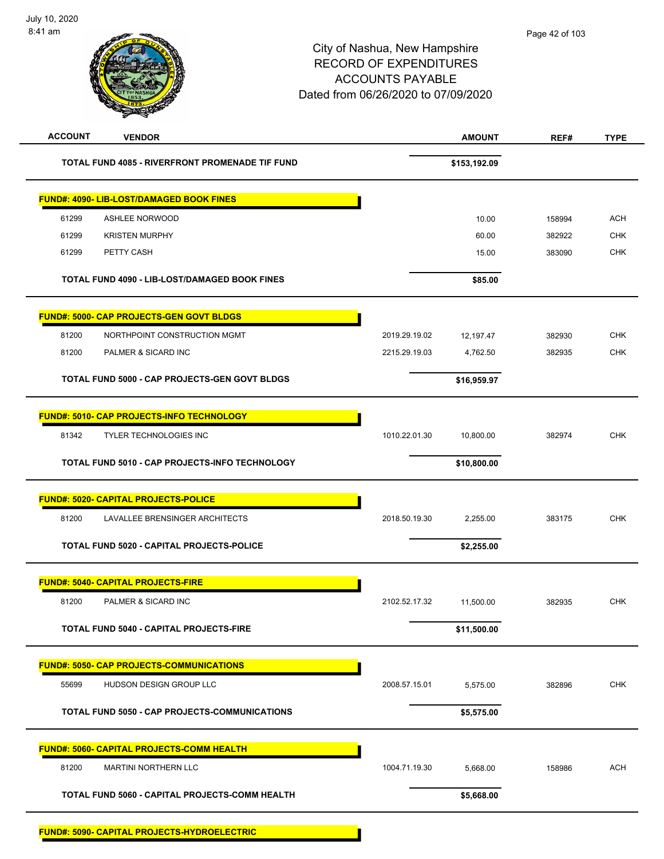| <b>ACCOUNT</b> | <b>VENDOR</b>                                          |               | <b>AMOUNT</b> | REF#   | <b>TYPE</b> |
|----------------|--------------------------------------------------------|---------------|---------------|--------|-------------|
|                | <b>TOTAL FUND 4085 - RIVERFRONT PROMENADE TIF FUND</b> |               | \$153,192.09  |        |             |
|                | <b>FUND#: 4090- LIB-LOST/DAMAGED BOOK FINES</b>        |               |               |        |             |
| 61299          | <b>ASHLEE NORWOOD</b>                                  |               | 10.00         | 158994 | <b>ACH</b>  |
| 61299          | <b>KRISTEN MURPHY</b>                                  |               | 60.00         | 382922 | <b>CHK</b>  |
| 61299          | PETTY CASH                                             |               | 15.00         | 383090 | <b>CHK</b>  |
|                | TOTAL FUND 4090 - LIB-LOST/DAMAGED BOOK FINES          |               | \$85.00       |        |             |
|                | FUND#: 5000- CAP PROJECTS-GEN GOVT BLDGS               |               |               |        |             |
| 81200          | NORTHPOINT CONSTRUCTION MGMT                           | 2019.29.19.02 | 12,197.47     | 382930 | <b>CHK</b>  |
| 81200          | PALMER & SICARD INC                                    | 2215.29.19.03 | 4,762.50      | 382935 | <b>CHK</b>  |
|                | TOTAL FUND 5000 - CAP PROJECTS-GEN GOVT BLDGS          |               | \$16,959.97   |        |             |
|                | FUND#: 5010- CAP PROJECTS-INFO TECHNOLOGY              |               |               |        |             |
| 81342          | <b>TYLER TECHNOLOGIES INC</b>                          | 1010.22.01.30 | 10,800.00     | 382974 | <b>CHK</b>  |
|                | TOTAL FUND 5010 - CAP PROJECTS-INFO TECHNOLOGY         |               | \$10,800.00   |        |             |
|                | <b>FUND#: 5020- CAPITAL PROJECTS-POLICE</b>            |               |               |        |             |
| 81200          | LAVALLEE BRENSINGER ARCHITECTS                         | 2018.50.19.30 | 2,255.00      | 383175 | <b>CHK</b>  |
|                | TOTAL FUND 5020 - CAPITAL PROJECTS-POLICE              |               | \$2,255.00    |        |             |
|                | <b>FUND#: 5040- CAPITAL PROJECTS-FIRE</b>              |               |               |        |             |
| 81200          | PALMER & SICARD INC                                    | 2102.52.17.32 | 11,500.00     | 382935 | <b>CHK</b>  |
|                | TOTAL FUND 5040 - CAPITAL PROJECTS-FIRE                |               | \$11,500.00   |        |             |
|                | <b>FUND#: 5050- CAP PROJECTS-COMMUNICATIONS</b>        |               |               |        |             |
| 55699          | HUDSON DESIGN GROUP LLC                                | 2008.57.15.01 | 5,575.00      | 382896 | <b>CHK</b>  |
|                | <b>TOTAL FUND 5050 - CAP PROJECTS-COMMUNICATIONS</b>   |               | \$5,575.00    |        |             |
|                | <b>FUND#: 5060- CAPITAL PROJECTS-COMM HEALTH</b>       |               |               |        |             |
| 81200          | <b>MARTINI NORTHERN LLC</b>                            | 1004.71.19.30 | 5,668.00      | 158986 | <b>ACH</b>  |
|                | TOTAL FUND 5060 - CAPITAL PROJECTS-COMM HEALTH         |               | \$5,668.00    |        |             |
|                | <b>FUND#: 5090- CAPITAL PROJECTS-HYDROELECTRIC</b>     |               |               |        |             |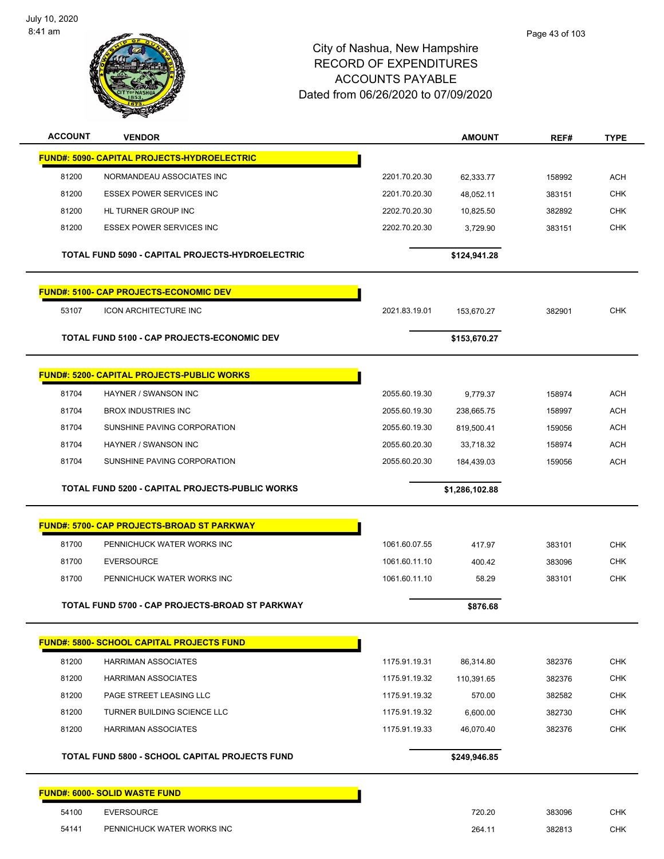

| <b>ACCOUNT</b> | <b>VENDOR</b>                                     |               | <b>AMOUNT</b>  | REF#   | <b>TYPE</b> |
|----------------|---------------------------------------------------|---------------|----------------|--------|-------------|
|                | FUND#: 5090- CAPITAL PROJECTS-HYDROELECTRIC       |               |                |        |             |
| 81200          | NORMANDEAU ASSOCIATES INC                         | 2201.70.20.30 | 62,333.77      | 158992 | <b>ACH</b>  |
| 81200          | <b>ESSEX POWER SERVICES INC</b>                   | 2201.70.20.30 | 48,052.11      | 383151 | <b>CHK</b>  |
| 81200          | HL TURNER GROUP INC                               | 2202.70.20.30 | 10,825.50      | 382892 | <b>CHK</b>  |
| 81200          | <b>ESSEX POWER SERVICES INC</b>                   | 2202.70.20.30 | 3,729.90       | 383151 | <b>CHK</b>  |
|                | TOTAL FUND 5090 - CAPITAL PROJECTS-HYDROELECTRIC  |               | \$124,941.28   |        |             |
|                | <b>FUND#: 5100- CAP PROJECTS-ECONOMIC DEV</b>     |               |                |        |             |
| 53107          | <b>ICON ARCHITECTURE INC</b>                      | 2021.83.19.01 | 153,670.27     | 382901 | <b>CHK</b>  |
|                | TOTAL FUND 5100 - CAP PROJECTS-ECONOMIC DEV       |               | \$153,670.27   |        |             |
|                | <b>FUND#: 5200- CAPITAL PROJECTS-PUBLIC WORKS</b> |               |                |        |             |
| 81704          | <b>HAYNER / SWANSON INC</b>                       | 2055.60.19.30 | 9,779.37       | 158974 | <b>ACH</b>  |
| 81704          | <b>BROX INDUSTRIES INC</b>                        | 2055.60.19.30 | 238,665.75     | 158997 | <b>ACH</b>  |
| 81704          | SUNSHINE PAVING CORPORATION                       | 2055.60.19.30 | 819,500.41     | 159056 | <b>ACH</b>  |
| 81704          | HAYNER / SWANSON INC                              | 2055.60.20.30 | 33,718.32      | 158974 | <b>ACH</b>  |
| 81704          | SUNSHINE PAVING CORPORATION                       | 2055.60.20.30 | 184,439.03     | 159056 | <b>ACH</b>  |
|                | TOTAL FUND 5200 - CAPITAL PROJECTS-PUBLIC WORKS   |               | \$1,286,102.88 |        |             |
|                | <b>FUND#: 5700- CAP PROJECTS-BROAD ST PARKWAY</b> |               |                |        |             |
| 81700          | PENNICHUCK WATER WORKS INC                        | 1061.60.07.55 | 417.97         | 383101 | <b>CHK</b>  |
| 81700          | <b>EVERSOURCE</b>                                 | 1061.60.11.10 | 400.42         | 383096 | <b>CHK</b>  |
| 81700          | PENNICHUCK WATER WORKS INC                        | 1061.60.11.10 | 58.29          | 383101 | <b>CHK</b>  |
|                | TOTAL FUND 5700 - CAP PROJECTS-BROAD ST PARKWAY   |               | \$876.68       |        |             |
|                | <b>FUND#: 5800- SCHOOL CAPITAL PROJECTS FUND</b>  |               |                |        |             |
| 81200          | <b>HARRIMAN ASSOCIATES</b>                        | 1175.91.19.31 | 86,314.80      | 382376 | <b>CHK</b>  |
| 81200          | <b>HARRIMAN ASSOCIATES</b>                        | 1175.91.19.32 | 110,391.65     | 382376 | <b>CHK</b>  |
| 81200          | PAGE STREET LEASING LLC                           | 1175.91.19.32 | 570.00         | 382582 | <b>CHK</b>  |
| 81200          | TURNER BUILDING SCIENCE LLC                       | 1175.91.19.32 | 6,600.00       | 382730 | <b>CHK</b>  |
| 81200          | <b>HARRIMAN ASSOCIATES</b>                        | 1175.91.19.33 | 46,070.40      | 382376 | <b>CHK</b>  |
|                | TOTAL FUND 5800 - SCHOOL CAPITAL PROJECTS FUND    |               | \$249,946.85   |        |             |
|                | <b>FUND#: 6000- SOLID WASTE FUND</b>              |               |                |        |             |
| 54100          | <b>EVERSOURCE</b>                                 |               | 720.20         | 383096 | <b>CHK</b>  |
| 54141          | PENNICHUCK WATER WORKS INC                        |               | 264.11         | 382813 | <b>CHK</b>  |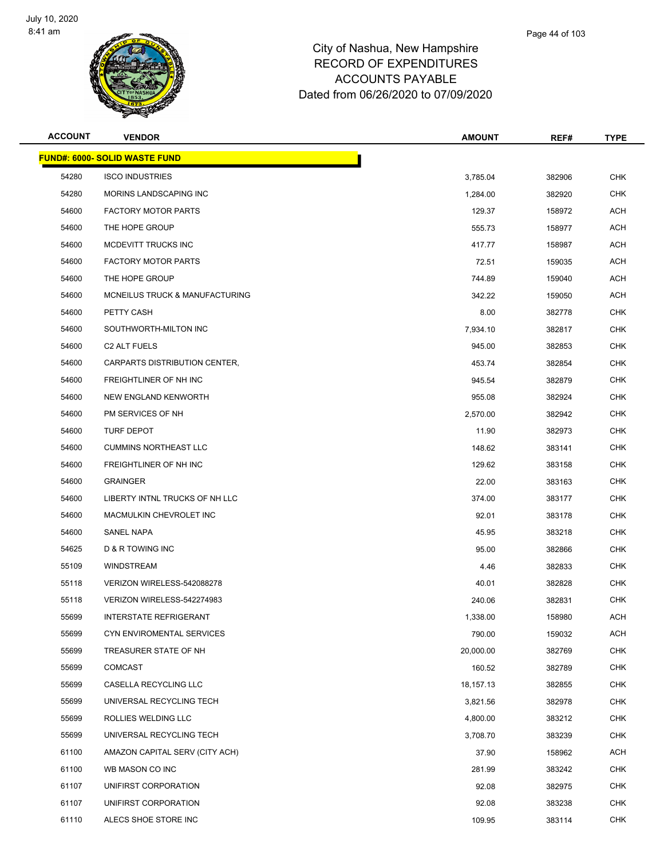

| <b>ACCOUNT</b> | <b>VENDOR</b>                        | <b>AMOUNT</b> | REF#   | <b>TYPE</b> |
|----------------|--------------------------------------|---------------|--------|-------------|
|                | <b>FUND#: 6000- SOLID WASTE FUND</b> |               |        |             |
| 54280          | <b>ISCO INDUSTRIES</b>               | 3,785.04      | 382906 | <b>CHK</b>  |
| 54280          | MORINS LANDSCAPING INC               | 1,284.00      | 382920 | <b>CHK</b>  |
| 54600          | <b>FACTORY MOTOR PARTS</b>           | 129.37        | 158972 | ACH         |
| 54600          | THE HOPE GROUP                       | 555.73        | 158977 | ACH         |
| 54600          | MCDEVITT TRUCKS INC                  | 417.77        | 158987 | ACH         |
| 54600          | <b>FACTORY MOTOR PARTS</b>           | 72.51         | 159035 | ACH         |
| 54600          | THE HOPE GROUP                       | 744.89        | 159040 | ACH         |
| 54600          | MCNEILUS TRUCK & MANUFACTURING       | 342.22        | 159050 | ACH         |
| 54600          | PETTY CASH                           | 8.00          | 382778 | <b>CHK</b>  |
| 54600          | SOUTHWORTH-MILTON INC                | 7,934.10      | 382817 | CHK         |
| 54600          | C <sub>2</sub> ALT FUELS             | 945.00        | 382853 | CHK         |
| 54600          | CARPARTS DISTRIBUTION CENTER,        | 453.74        | 382854 | <b>CHK</b>  |
| 54600          | FREIGHTLINER OF NH INC               | 945.54        | 382879 | CHK         |
| 54600          | NEW ENGLAND KENWORTH                 | 955.08        | 382924 | <b>CHK</b>  |
| 54600          | PM SERVICES OF NH                    | 2,570.00      | 382942 | <b>CHK</b>  |
| 54600          | TURF DEPOT                           | 11.90         | 382973 | <b>CHK</b>  |
| 54600          | <b>CUMMINS NORTHEAST LLC</b>         | 148.62        | 383141 | <b>CHK</b>  |
| 54600          | FREIGHTLINER OF NH INC               | 129.62        | 383158 | CHK         |
| 54600          | <b>GRAINGER</b>                      | 22.00         | 383163 | <b>CHK</b>  |
| 54600          | LIBERTY INTNL TRUCKS OF NH LLC       | 374.00        | 383177 | <b>CHK</b>  |
| 54600          | MACMULKIN CHEVROLET INC              | 92.01         | 383178 | CHK         |
| 54600          | SANEL NAPA                           | 45.95         | 383218 | <b>CHK</b>  |
| 54625          | D & R TOWING INC                     | 95.00         | 382866 | CHK         |
| 55109          | <b>WINDSTREAM</b>                    | 4.46          | 382833 | <b>CHK</b>  |
| 55118          | VERIZON WIRELESS-542088278           | 40.01         | 382828 | <b>CHK</b>  |
| 55118          | VERIZON WIRELESS-542274983           | 240.06        | 382831 | CHK         |
| 55699          | INTERSTATE REFRIGERANT               | 1,338.00      | 158980 | ACH         |
| 55699          | CYN ENVIROMENTAL SERVICES            | 790.00        | 159032 | <b>ACH</b>  |
| 55699          | TREASURER STATE OF NH                | 20,000.00     | 382769 | <b>CHK</b>  |
| 55699          | <b>COMCAST</b>                       | 160.52        | 382789 | <b>CHK</b>  |
| 55699          | CASELLA RECYCLING LLC                | 18,157.13     | 382855 | <b>CHK</b>  |
| 55699          | UNIVERSAL RECYCLING TECH             | 3,821.56      | 382978 | <b>CHK</b>  |
| 55699          | ROLLIES WELDING LLC                  | 4,800.00      | 383212 | <b>CHK</b>  |
| 55699          | UNIVERSAL RECYCLING TECH             | 3,708.70      | 383239 | <b>CHK</b>  |
| 61100          | AMAZON CAPITAL SERV (CITY ACH)       | 37.90         | 158962 | ACH         |
| 61100          | WB MASON CO INC                      | 281.99        | 383242 | <b>CHK</b>  |
| 61107          | UNIFIRST CORPORATION                 | 92.08         | 382975 | <b>CHK</b>  |
| 61107          | UNIFIRST CORPORATION                 | 92.08         | 383238 | <b>CHK</b>  |
| 61110          | ALECS SHOE STORE INC                 | 109.95        | 383114 | <b>CHK</b>  |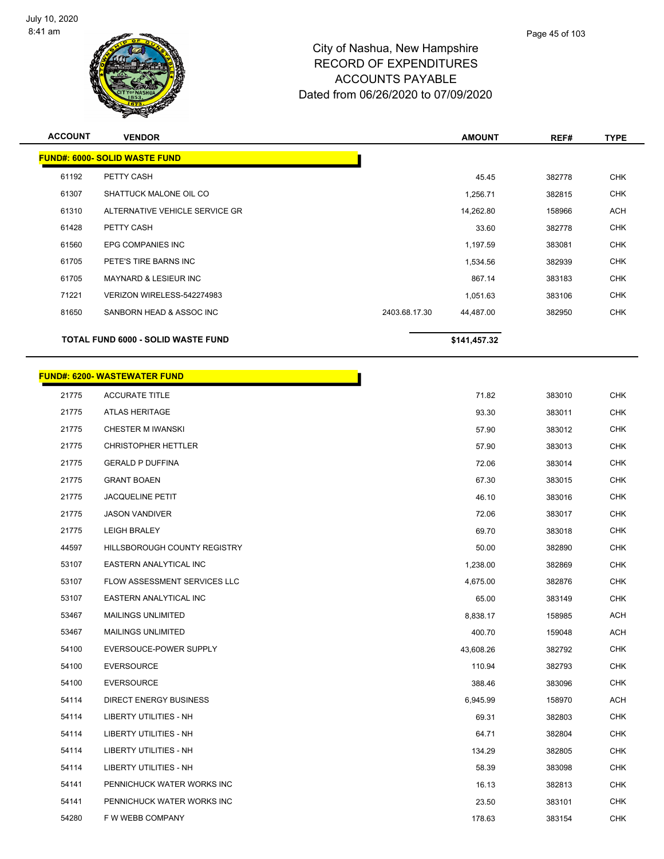

| <b>ACCOUNT</b> | <b>VENDOR</b>                        |               | <b>AMOUNT</b> | REF#   | <b>TYPE</b> |
|----------------|--------------------------------------|---------------|---------------|--------|-------------|
|                | <b>FUND#: 6000- SOLID WASTE FUND</b> |               |               |        |             |
| 61192          | PETTY CASH                           |               | 45.45         | 382778 | <b>CHK</b>  |
| 61307          | SHATTUCK MALONE OIL CO               |               | 1,256.71      | 382815 | <b>CHK</b>  |
| 61310          | ALTERNATIVE VEHICLE SERVICE GR       |               | 14,262.80     | 158966 | <b>ACH</b>  |
| 61428          | PETTY CASH                           |               | 33.60         | 382778 | <b>CHK</b>  |
| 61560          | EPG COMPANIES INC                    |               | 1,197.59      | 383081 | <b>CHK</b>  |
| 61705          | PETE'S TIRE BARNS INC                |               | 1,534.56      | 382939 | <b>CHK</b>  |
| 61705          | <b>MAYNARD &amp; LESIEUR INC</b>     |               | 867.14        | 383183 | <b>CHK</b>  |
| 71221          | VERIZON WIRELESS-542274983           |               | 1,051.63      | 383106 | <b>CHK</b>  |
| 81650          | SANBORN HEAD & ASSOC INC             | 2403.68.17.30 | 44,487.00     | 382950 | <b>CHK</b>  |
|                | TOTAL FUND 6000 - SOLID WASTE FUND   |               | \$141,457.32  |        |             |
|                | <b>FUND#: 6200- WASTEWATER FUND</b>  |               |               |        |             |
| 21775          | <b>ACCURATE TITLE</b>                |               | 71.82         | 383010 | <b>CHK</b>  |
| 21775          | <b>ATLAS HERITAGE</b>                |               | 93.30         | 383011 | <b>CHK</b>  |
| 21775          | <b>CHESTER M IWANSKI</b>             |               | 57.90         | 383012 | <b>CHK</b>  |
| 21775          | <b>CHRISTOPHER HETTLER</b>           |               | 57.90         | 383013 | <b>CHK</b>  |
| 21775          | <b>GERALD P DUFFINA</b>              |               | 72.06         | 383014 | <b>CHK</b>  |
| 21775          | <b>GRANT BOAEN</b>                   |               | 67.30         | 383015 | <b>CHK</b>  |
| 21775          | <b>JACQUELINE PETIT</b>              |               | 46.10         | 383016 | <b>CHK</b>  |
| 21775          | <b>JASON VANDIVER</b>                |               | 72.06         | 383017 | <b>CHK</b>  |
| 21775          | <b>LEIGH BRALEY</b>                  |               | 69.70         | 383018 | <b>CHK</b>  |
| 44597          | HILLSBOROUGH COUNTY REGISTRY         |               | 50.00         | 382890 | <b>CHK</b>  |
| 53107          | EASTERN ANALYTICAL INC               |               | 1,238.00      | 382869 | <b>CHK</b>  |
| 53107          | FLOW ASSESSMENT SERVICES LLC         |               | 4,675.00      | 382876 | <b>CHK</b>  |
| 53107          | EASTERN ANALYTICAL INC               |               | 65.00         | 383149 | <b>CHK</b>  |
| 53467          | <b>MAILINGS UNLIMITED</b>            |               | 8,838.17      | 158985 | <b>ACH</b>  |
| 53467          | <b>MAILINGS UNLIMITED</b>            |               | 400.70        | 159048 | <b>ACH</b>  |
| 54100          | EVERSOUCE-POWER SUPPLY               |               | 43,608.26     | 382792 | <b>CHK</b>  |
| 54100          | <b>EVERSOURCE</b>                    |               | 110.94        | 382793 | <b>CHK</b>  |
| 54100          | <b>EVERSOURCE</b>                    |               | 388.46        | 383096 | <b>CHK</b>  |
| 54114          | <b>DIRECT ENERGY BUSINESS</b>        |               | 6,945.99      | 158970 | <b>ACH</b>  |
| 54114          | LIBERTY UTILITIES - NH               |               | 69.31         | 382803 | <b>CHK</b>  |
| 54114          | LIBERTY UTILITIES - NH               |               | 64.71         | 382804 | <b>CHK</b>  |
| 54114          | LIBERTY UTILITIES - NH               |               | 134.29        | 382805 | <b>CHK</b>  |
| 54114          | LIBERTY UTILITIES - NH               |               | 58.39         | 383098 | <b>CHK</b>  |
| 54141          | PENNICHUCK WATER WORKS INC           |               | 16.13         | 382813 | <b>CHK</b>  |
| 54141          | PENNICHUCK WATER WORKS INC           |               | 23.50         | 383101 | <b>CHK</b>  |
| 54280          | F W WEBB COMPANY                     |               | 178.63        | 383154 | <b>CHK</b>  |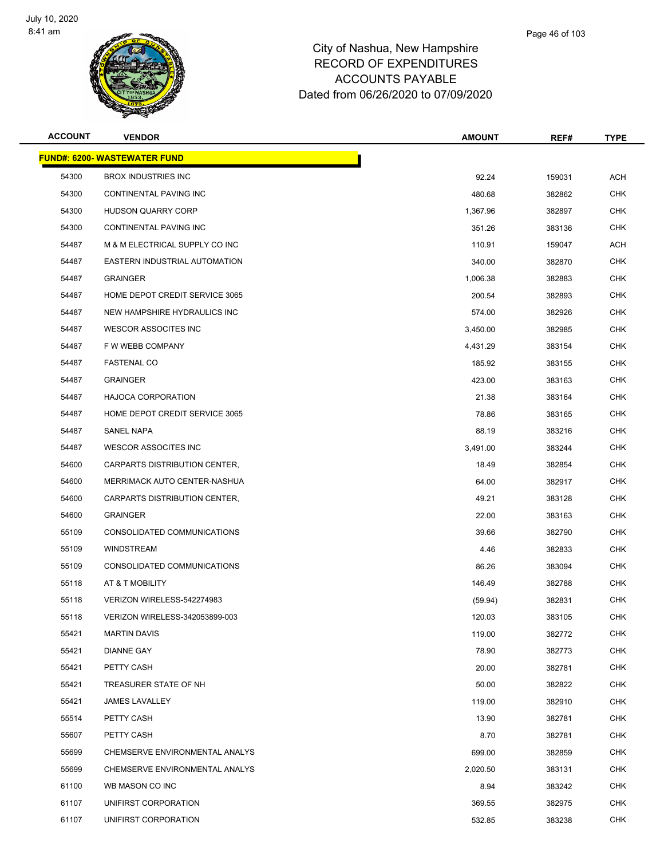

| <b>ACCOUNT</b> | <b>VENDOR</b>                       | <b>AMOUNT</b> | REF#   | <b>TYPE</b> |
|----------------|-------------------------------------|---------------|--------|-------------|
|                | <b>FUND#: 6200- WASTEWATER FUND</b> |               |        |             |
| 54300          | <b>BROX INDUSTRIES INC</b>          | 92.24         | 159031 | <b>ACH</b>  |
| 54300          | CONTINENTAL PAVING INC              | 480.68        | 382862 | <b>CHK</b>  |
| 54300          | <b>HUDSON QUARRY CORP</b>           | 1,367.96      | 382897 | <b>CHK</b>  |
| 54300          | CONTINENTAL PAVING INC              | 351.26        | 383136 | <b>CHK</b>  |
| 54487          | M & M ELECTRICAL SUPPLY CO INC      | 110.91        | 159047 | ACH         |
| 54487          | EASTERN INDUSTRIAL AUTOMATION       | 340.00        | 382870 | CHK         |
| 54487          | <b>GRAINGER</b>                     | 1,006.38      | 382883 | <b>CHK</b>  |
| 54487          | HOME DEPOT CREDIT SERVICE 3065      | 200.54        | 382893 | <b>CHK</b>  |
| 54487          | NEW HAMPSHIRE HYDRAULICS INC        | 574.00        | 382926 | <b>CHK</b>  |
| 54487          | <b>WESCOR ASSOCITES INC</b>         | 3,450.00      | 382985 | <b>CHK</b>  |
| 54487          | F W WEBB COMPANY                    | 4,431.29      | 383154 | CHK         |
| 54487          | <b>FASTENAL CO</b>                  | 185.92        | 383155 | <b>CHK</b>  |
| 54487          | <b>GRAINGER</b>                     | 423.00        | 383163 | <b>CHK</b>  |
| 54487          | <b>HAJOCA CORPORATION</b>           | 21.38         | 383164 | <b>CHK</b>  |
| 54487          | HOME DEPOT CREDIT SERVICE 3065      | 78.86         | 383165 | <b>CHK</b>  |
| 54487          | SANEL NAPA                          | 88.19         | 383216 | CHK         |
| 54487          | <b>WESCOR ASSOCITES INC</b>         | 3,491.00      | 383244 | <b>CHK</b>  |
| 54600          | CARPARTS DISTRIBUTION CENTER,       | 18.49         | 382854 | <b>CHK</b>  |
| 54600          | MERRIMACK AUTO CENTER-NASHUA        | 64.00         | 382917 | <b>CHK</b>  |
| 54600          | CARPARTS DISTRIBUTION CENTER,       | 49.21         | 383128 | <b>CHK</b>  |
| 54600          | <b>GRAINGER</b>                     | 22.00         | 383163 | CHK         |
| 55109          | CONSOLIDATED COMMUNICATIONS         | 39.66         | 382790 | <b>CHK</b>  |
| 55109          | <b>WINDSTREAM</b>                   | 4.46          | 382833 | <b>CHK</b>  |
| 55109          | CONSOLIDATED COMMUNICATIONS         | 86.26         | 383094 | <b>CHK</b>  |
| 55118          | AT & T MOBILITY                     | 146.49        | 382788 | <b>CHK</b>  |
| 55118          | VERIZON WIRELESS-542274983          | (59.94)       | 382831 | CHK         |
| 55118          | VERIZON WIRELESS-342053899-003      | 120.03        | 383105 | <b>CHK</b>  |
| 55421          | <b>MARTIN DAVIS</b>                 | 119.00        | 382772 | <b>CHK</b>  |
| 55421          | <b>DIANNE GAY</b>                   | 78.90         | 382773 | <b>CHK</b>  |
| 55421          | PETTY CASH                          | 20.00         | 382781 | <b>CHK</b>  |
| 55421          | TREASURER STATE OF NH               | 50.00         | 382822 | <b>CHK</b>  |
| 55421          | <b>JAMES LAVALLEY</b>               | 119.00        | 382910 | <b>CHK</b>  |
| 55514          | PETTY CASH                          | 13.90         | 382781 | <b>CHK</b>  |
| 55607          | PETTY CASH                          | 8.70          | 382781 | <b>CHK</b>  |
| 55699          | CHEMSERVE ENVIRONMENTAL ANALYS      | 699.00        | 382859 | <b>CHK</b>  |
| 55699          | CHEMSERVE ENVIRONMENTAL ANALYS      | 2,020.50      | 383131 | <b>CHK</b>  |
| 61100          | WB MASON CO INC                     | 8.94          | 383242 | <b>CHK</b>  |
| 61107          | UNIFIRST CORPORATION                | 369.55        | 382975 | <b>CHK</b>  |
| 61107          | UNIFIRST CORPORATION                | 532.85        | 383238 | <b>CHK</b>  |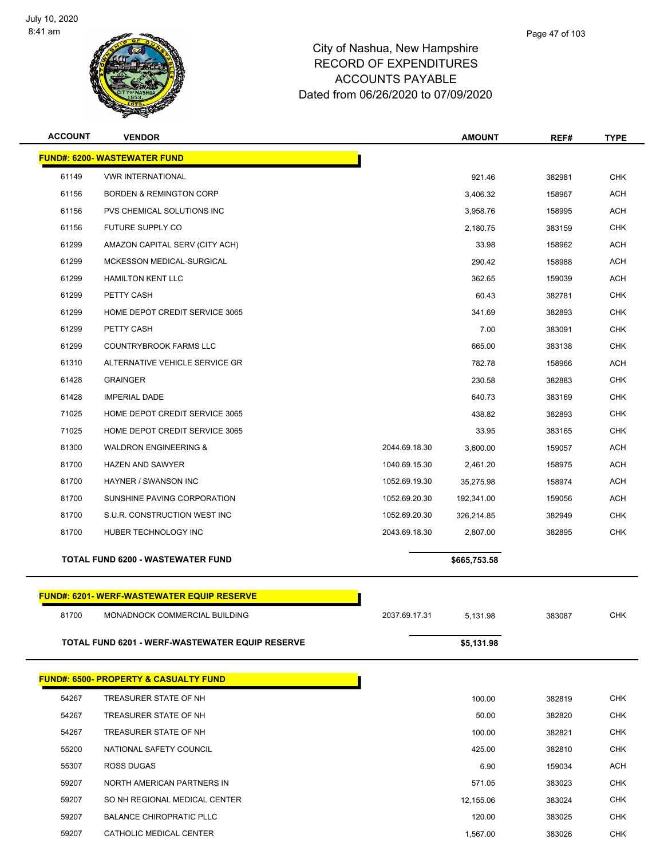

| <b>ACCOUNT</b> | <b>VENDOR</b>                                    |               | <b>AMOUNT</b> | REF#   | <b>TYPE</b> |
|----------------|--------------------------------------------------|---------------|---------------|--------|-------------|
|                | <b>FUND#: 6200- WASTEWATER FUND</b>              |               |               |        |             |
| 61149          | <b>VWR INTERNATIONAL</b>                         |               | 921.46        | 382981 | <b>CHK</b>  |
| 61156          | <b>BORDEN &amp; REMINGTON CORP</b>               |               | 3,406.32      | 158967 | <b>ACH</b>  |
| 61156          | PVS CHEMICAL SOLUTIONS INC                       |               | 3,958.76      | 158995 | <b>ACH</b>  |
| 61156          | FUTURE SUPPLY CO                                 |               | 2,180.75      | 383159 | <b>CHK</b>  |
| 61299          | AMAZON CAPITAL SERV (CITY ACH)                   |               | 33.98         | 158962 | <b>ACH</b>  |
| 61299          | MCKESSON MEDICAL-SURGICAL                        |               | 290.42        | 158988 | <b>ACH</b>  |
| 61299          | <b>HAMILTON KENT LLC</b>                         |               | 362.65        | 159039 | <b>ACH</b>  |
| 61299          | PETTY CASH                                       |               | 60.43         | 382781 | <b>CHK</b>  |
| 61299          | HOME DEPOT CREDIT SERVICE 3065                   |               | 341.69        | 382893 | <b>CHK</b>  |
| 61299          | PETTY CASH                                       |               | 7.00          | 383091 | <b>CHK</b>  |
| 61299          | <b>COUNTRYBROOK FARMS LLC</b>                    |               | 665.00        | 383138 | <b>CHK</b>  |
| 61310          | ALTERNATIVE VEHICLE SERVICE GR                   |               | 782.78        | 158966 | ACH         |
| 61428          | <b>GRAINGER</b>                                  |               | 230.58        | 382883 | <b>CHK</b>  |
| 61428          | <b>IMPERIAL DADE</b>                             |               | 640.73        | 383169 | <b>CHK</b>  |
| 71025          | HOME DEPOT CREDIT SERVICE 3065                   |               | 438.82        | 382893 | <b>CHK</b>  |
| 71025          | HOME DEPOT CREDIT SERVICE 3065                   |               | 33.95         | 383165 | <b>CHK</b>  |
| 81300          | <b>WALDRON ENGINEERING &amp;</b>                 | 2044.69.18.30 | 3,600.00      | 159057 | ACH         |
| 81700          | <b>HAZEN AND SAWYER</b>                          | 1040.69.15.30 | 2,461.20      | 158975 | <b>ACH</b>  |
| 81700          | HAYNER / SWANSON INC                             | 1052.69.19.30 | 35,275.98     | 158974 | <b>ACH</b>  |
| 81700          | SUNSHINE PAVING CORPORATION                      | 1052.69.20.30 | 192,341.00    | 159056 | <b>ACH</b>  |
| 81700          | S.U.R. CONSTRUCTION WEST INC                     | 1052.69.20.30 | 326,214.85    | 382949 | <b>CHK</b>  |
| 81700          | HUBER TECHNOLOGY INC                             | 2043.69.18.30 | 2,807.00      | 382895 | <b>CHK</b>  |
|                | <b>TOTAL FUND 6200 - WASTEWATER FUND</b>         |               | \$665,753.58  |        |             |
|                | <b>FUND#: 6201-WERF-WASTEWATER EQUIP RESERVE</b> |               |               |        |             |
| 81700          | MONADNOCK COMMERCIAL BUILDING                    | 2037.69.17.31 | 5,131.98      | 383087 | CHK         |
|                | TOTAL FUND 6201 - WERF-WASTEWATER EQUIP RESERVE  |               | \$5,131.98    |        |             |
|                | <b>FUND#: 6500- PROPERTY &amp; CASUALTY FUND</b> |               |               |        |             |
| 54267          | TREASURER STATE OF NH                            |               | 100.00        | 382819 | CHK         |
| 54267          | TREASURER STATE OF NH                            |               | 50.00         | 382820 | <b>CHK</b>  |
| 54267          | TREASURER STATE OF NH                            |               | 100.00        | 382821 | CHK         |
| 55200          | NATIONAL SAFETY COUNCIL                          |               | 425.00        | 382810 | <b>CHK</b>  |
| 55307          | ROSS DUGAS                                       |               | 6.90          | 159034 | ACH         |
| 59207          | NORTH AMERICAN PARTNERS IN                       |               | 571.05        | 383023 | CHK         |
| 59207          | SO NH REGIONAL MEDICAL CENTER                    |               | 12,155.06     | 383024 | <b>CHK</b>  |
| 59207          | <b>BALANCE CHIROPRATIC PLLC</b>                  |               | 120.00        | 383025 | <b>CHK</b>  |
| 59207          | CATHOLIC MEDICAL CENTER                          |               | 1,567.00      | 383026 | <b>CHK</b>  |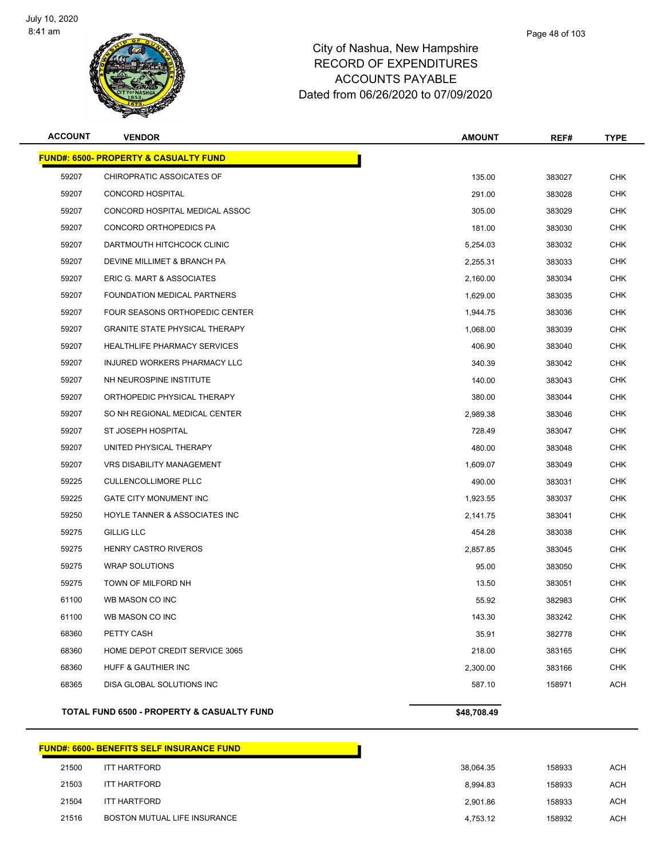

| <b>ACCOUNT</b> | <b>VENDOR</b>                                         | <b>AMOUNT</b> | REF#   | <b>TYPE</b> |
|----------------|-------------------------------------------------------|---------------|--------|-------------|
|                | <b>FUND#: 6500- PROPERTY &amp; CASUALTY FUND</b>      |               |        |             |
| 59207          | CHIROPRATIC ASSOICATES OF                             | 135.00        | 383027 | <b>CHK</b>  |
| 59207          | <b>CONCORD HOSPITAL</b>                               | 291.00        | 383028 | <b>CHK</b>  |
| 59207          | CONCORD HOSPITAL MEDICAL ASSOC                        | 305.00        | 383029 | <b>CHK</b>  |
| 59207          | CONCORD ORTHOPEDICS PA                                | 181.00        | 383030 | <b>CHK</b>  |
| 59207          | DARTMOUTH HITCHCOCK CLINIC                            | 5,254.03      | 383032 | <b>CHK</b>  |
| 59207          | DEVINE MILLIMET & BRANCH PA                           | 2,255.31      | 383033 | CHK         |
| 59207          | ERIC G. MART & ASSOCIATES                             | 2,160.00      | 383034 | <b>CHK</b>  |
| 59207          | FOUNDATION MEDICAL PARTNERS                           | 1,629.00      | 383035 | <b>CHK</b>  |
| 59207          | FOUR SEASONS ORTHOPEDIC CENTER                        | 1,944.75      | 383036 | CHK         |
| 59207          | <b>GRANITE STATE PHYSICAL THERAPY</b>                 | 1,068.00      | 383039 | <b>CHK</b>  |
| 59207          | <b>HEALTHLIFE PHARMACY SERVICES</b>                   | 406.90        | 383040 | CHK         |
| 59207          | INJURED WORKERS PHARMACY LLC                          | 340.39        | 383042 | <b>CHK</b>  |
| 59207          | NH NEUROSPINE INSTITUTE                               | 140.00        | 383043 | <b>CHK</b>  |
| 59207          | ORTHOPEDIC PHYSICAL THERAPY                           | 380.00        | 383044 | <b>CHK</b>  |
| 59207          | SO NH REGIONAL MEDICAL CENTER                         | 2,989.38      | 383046 | <b>CHK</b>  |
| 59207          | ST JOSEPH HOSPITAL                                    | 728.49        | 383047 | CHK         |
| 59207          | UNITED PHYSICAL THERAPY                               | 480.00        | 383048 | <b>CHK</b>  |
| 59207          | <b>VRS DISABILITY MANAGEMENT</b>                      | 1,609.07      | 383049 | <b>CHK</b>  |
| 59225          | <b>CULLENCOLLIMORE PLLC</b>                           | 490.00        | 383031 | CHK         |
| 59225          | <b>GATE CITY MONUMENT INC</b>                         | 1,923.55      | 383037 | <b>CHK</b>  |
| 59250          | HOYLE TANNER & ASSOCIATES INC                         | 2,141.75      | 383041 | CHK         |
| 59275          | <b>GILLIG LLC</b>                                     | 454.28        | 383038 | <b>CHK</b>  |
| 59275          | HENRY CASTRO RIVEROS                                  | 2,857.85      | 383045 | <b>CHK</b>  |
| 59275          | <b>WRAP SOLUTIONS</b>                                 | 95.00         | 383050 | <b>CHK</b>  |
| 59275          | TOWN OF MILFORD NH                                    | 13.50         | 383051 | <b>CHK</b>  |
| 61100          | WB MASON CO INC                                       | 55.92         | 382983 | CHK         |
| 61100          | WB MASON CO INC                                       | 143.30        | 383242 | CHK         |
| 68360          | PETTY CASH                                            | 35.91         | 382778 | <b>CHK</b>  |
| 68360          | HOME DEPOT CREDIT SERVICE 3065                        | 218.00        | 383165 | <b>CHK</b>  |
| 68360          | HUFF & GAUTHIER INC                                   | 2,300.00      | 383166 | <b>CHK</b>  |
| 68365          | DISA GLOBAL SOLUTIONS INC                             | 587.10        | 158971 | ACH         |
|                | <b>TOTAL FUND 6500 - PROPERTY &amp; CASUALTY FUND</b> | \$48,708.49   |        |             |

# **FUND#: 6600- BENEFITS SELF INSURANCE FUND** ITT HARTFORD 38,064.35 158933 ACH ITT HARTFORD 8,994.83 158933 ACH ITT HARTFORD 2,901.86 158933 ACH 21516 BOSTON MUTUAL LIFE INSURANCE **1990 CONTROL 158932** ACH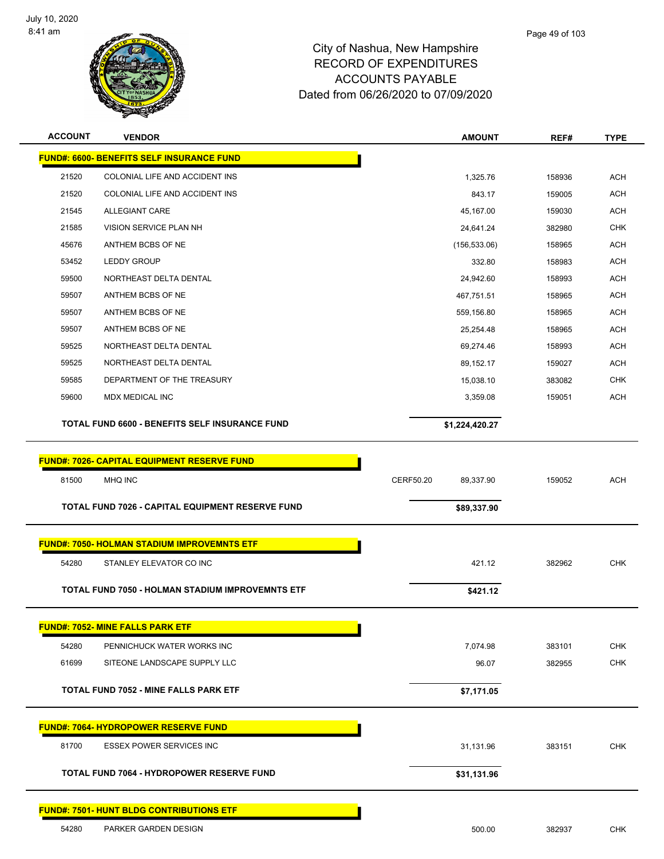

| <b>ACCOUNT</b> | <b>VENDOR</b>                                           | <b>AMOUNT</b>          | REF#   | <b>TYPE</b> |
|----------------|---------------------------------------------------------|------------------------|--------|-------------|
|                | <b>FUND#: 6600- BENEFITS SELF INSURANCE FUND</b>        |                        |        |             |
| 21520          | COLONIAL LIFE AND ACCIDENT INS                          | 1,325.76               | 158936 | <b>ACH</b>  |
| 21520          | COLONIAL LIFE AND ACCIDENT INS                          | 843.17                 | 159005 | <b>ACH</b>  |
| 21545          | ALLEGIANT CARE                                          | 45,167.00              | 159030 | <b>ACH</b>  |
| 21585          | VISION SERVICE PLAN NH                                  | 24,641.24              | 382980 | <b>CHK</b>  |
| 45676          | ANTHEM BCBS OF NE                                       | (156, 533.06)          | 158965 | <b>ACH</b>  |
| 53452          | <b>LEDDY GROUP</b>                                      | 332.80                 | 158983 | <b>ACH</b>  |
| 59500          | NORTHEAST DELTA DENTAL                                  | 24,942.60              | 158993 | <b>ACH</b>  |
| 59507          | ANTHEM BCBS OF NE                                       | 467,751.51             | 158965 | <b>ACH</b>  |
| 59507          | ANTHEM BCBS OF NE                                       | 559,156.80             | 158965 | <b>ACH</b>  |
| 59507          | ANTHEM BCBS OF NE                                       | 25,254.48              | 158965 | <b>ACH</b>  |
| 59525          | NORTHEAST DELTA DENTAL                                  | 69,274.46              | 158993 | <b>ACH</b>  |
| 59525          | NORTHEAST DELTA DENTAL                                  | 89,152.17              | 159027 | <b>ACH</b>  |
| 59585          | DEPARTMENT OF THE TREASURY                              | 15,038.10              | 383082 | <b>CHK</b>  |
| 59600          | <b>MDX MEDICAL INC</b>                                  | 3,359.08               | 159051 | <b>ACH</b>  |
|                | <b>TOTAL FUND 6600 - BENEFITS SELF INSURANCE FUND</b>   | \$1,224,420.27         |        |             |
|                |                                                         |                        |        |             |
|                | <b>FUND#: 7026- CAPITAL EQUIPMENT RESERVE FUND</b>      |                        |        |             |
| 81500          | MHQ INC                                                 | CERF50.20<br>89,337.90 | 159052 | <b>ACH</b>  |
|                | TOTAL FUND 7026 - CAPITAL EQUIPMENT RESERVE FUND        | \$89,337.90            |        |             |
|                |                                                         |                        |        |             |
|                | <b>FUND#: 7050- HOLMAN STADIUM IMPROVEMNTS ETF</b>      |                        |        |             |
| 54280          | STANLEY ELEVATOR CO INC                                 | 421.12                 | 382962 | <b>CHK</b>  |
|                | <b>TOTAL FUND 7050 - HOLMAN STADIUM IMPROVEMNTS ETF</b> | \$421.12               |        |             |
|                |                                                         |                        |        |             |
|                | <b>FUND#: 7052- MINE FALLS PARK ETF</b>                 |                        |        |             |
| 54280          | PENNICHUCK WATER WORKS INC                              | 7,074.98               | 383101 | <b>CHK</b>  |
| 61699          | SITEONE LANDSCAPE SUPPLY LLC                            | 96.07                  | 382955 | <b>CHK</b>  |
|                | <b>TOTAL FUND 7052 - MINE FALLS PARK ETF</b>            | \$7,171.05             |        |             |
|                | <b>FUND#: 7064- HYDROPOWER RESERVE FUND</b>             |                        |        |             |
| 81700          | ESSEX POWER SERVICES INC                                | 31,131.96              | 383151 | <b>CHK</b>  |
|                |                                                         |                        |        |             |
|                | <b>TOTAL FUND 7064 - HYDROPOWER RESERVE FUND</b>        | \$31,131.96            |        |             |
|                | <b>FUND#: 7501- HUNT BLDG CONTRIBUTIONS ETF</b>         |                        |        |             |
| 54280          | PARKER GARDEN DESIGN                                    | 500.00                 | 382937 | <b>CHK</b>  |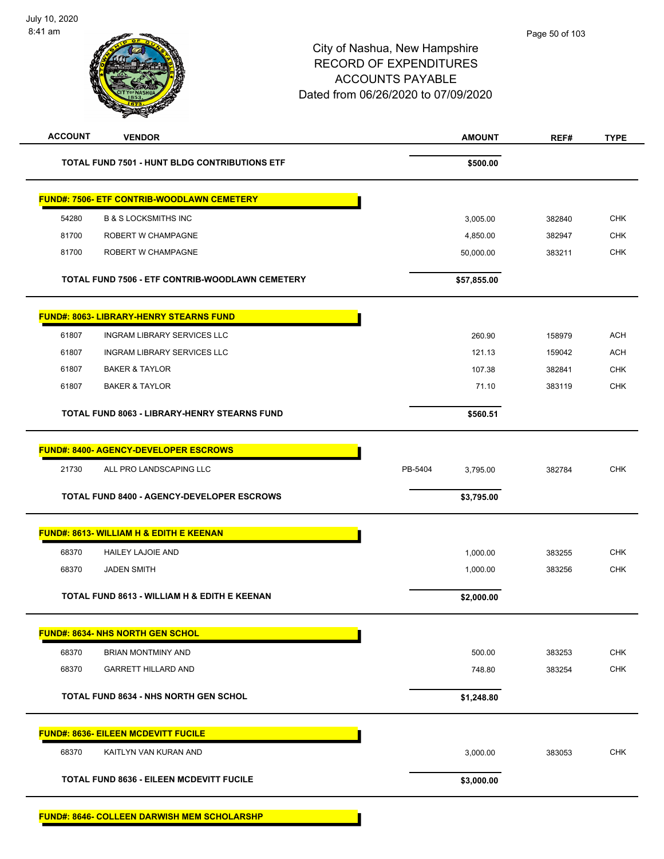|                                                      | <b>AMOUNT</b>       | REF#   | <b>TYPE</b> |
|------------------------------------------------------|---------------------|--------|-------------|
| <b>TOTAL FUND 7501 - HUNT BLDG CONTRIBUTIONS ETF</b> | \$500.00            |        |             |
| <u> FUND#: 7506- ETF CONTRIB-WOODLAWN CEMETERY</u>   |                     |        |             |
| <b>B &amp; S LOCKSMITHS INC</b>                      | 3,005.00            | 382840 | <b>CHK</b>  |
| ROBERT W CHAMPAGNE                                   | 4,850.00            | 382947 | <b>CHK</b>  |
| ROBERT W CHAMPAGNE                                   | 50,000.00           | 383211 | <b>CHK</b>  |
| TOTAL FUND 7506 - ETF CONTRIB-WOODLAWN CEMETERY      | \$57,855.00         |        |             |
| <u> FUND#: 8063- LIBRARY-HENRY STEARNS FUND</u>      |                     |        |             |
| <b>INGRAM LIBRARY SERVICES LLC</b>                   | 260.90              | 158979 | <b>ACH</b>  |
| <b>INGRAM LIBRARY SERVICES LLC</b>                   | 121.13              | 159042 | <b>ACH</b>  |
| <b>BAKER &amp; TAYLOR</b>                            | 107.38              | 382841 | <b>CHK</b>  |
| <b>BAKER &amp; TAYLOR</b>                            | 71.10               | 383119 | <b>CHK</b>  |
| <b>TOTAL FUND 8063 - LIBRARY-HENRY STEARNS FUND</b>  | \$560.51            |        |             |
| <b>FUND#: 8400- AGENCY-DEVELOPER ESCROWS</b>         |                     |        |             |
| ALL PRO LANDSCAPING LLC                              | PB-5404<br>3,795.00 | 382784 | <b>CHK</b>  |
| <b>TOTAL FUND 8400 - AGENCY-DEVELOPER ESCROWS</b>    | \$3,795.00          |        |             |
| FUND#: 8613- WILLIAM H & EDITH E KEENAN              |                     |        |             |
| <b>HAILEY LAJOIE AND</b>                             | 1,000.00            | 383255 | <b>CHK</b>  |
| <b>JADEN SMITH</b>                                   | 1,000.00            | 383256 | <b>CHK</b>  |
|                                                      |                     |        |             |
| TOTAL FUND 8613 - WILLIAM H & EDITH E KEENAN         | \$2,000.00          |        |             |
| <b>FUND#: 8634- NHS NORTH GEN SCHOL</b>              |                     |        |             |
| <b>BRIAN MONTMINY AND</b>                            | 500.00              | 383253 | <b>CHK</b>  |
| <b>GARRETT HILLARD AND</b>                           | 748.80              | 383254 | <b>CHK</b>  |
| <b>TOTAL FUND 8634 - NHS NORTH GEN SCHOL</b>         | \$1,248.80          |        |             |
| <u> FUND#: 8636- EILEEN MCDEVITT FUCILE</u>          |                     |        |             |
| KAITLYN VAN KURAN AND                                | 3,000.00            | 383053 | CHK         |
|                                                      |                     |        |             |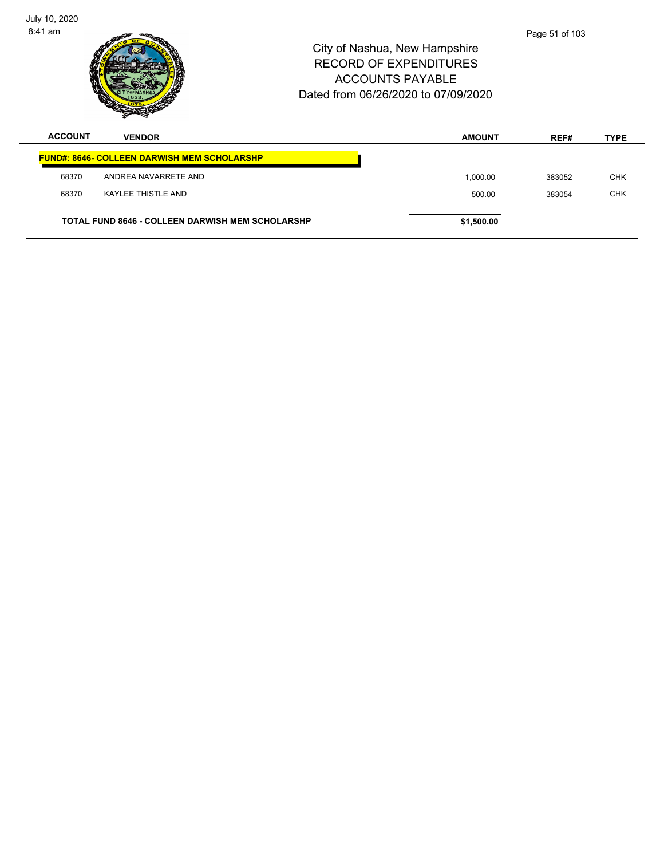| July 10, 2020<br>$8:41$ am |                                                         | City of Nashua, New Hampshire | <b>RECORD OF EXPENDITURES</b><br><b>ACCOUNTS PAYABLE</b><br>Dated from 06/26/2020 to 07/09/2020 | Page 51 of 103 |             |
|----------------------------|---------------------------------------------------------|-------------------------------|-------------------------------------------------------------------------------------------------|----------------|-------------|
| <b>ACCOUNT</b>             | <b>VENDOR</b>                                           |                               | <b>AMOUNT</b>                                                                                   | REF#           | <b>TYPE</b> |
|                            | <b>FUND#: 8646- COLLEEN DARWISH MEM SCHOLARSHP</b>      |                               |                                                                                                 |                |             |
| 68370                      | ANDREA NAVARRETE AND                                    |                               | 1,000.00                                                                                        | 383052         | <b>CHK</b>  |
| 68370                      | <b>KAYLEE THISTLE AND</b>                               |                               | 500.00                                                                                          | 383054         | <b>CHK</b>  |
|                            | <b>TOTAL FUND 8646 - COLLEEN DARWISH MEM SCHOLARSHP</b> |                               | \$1,500.00                                                                                      |                |             |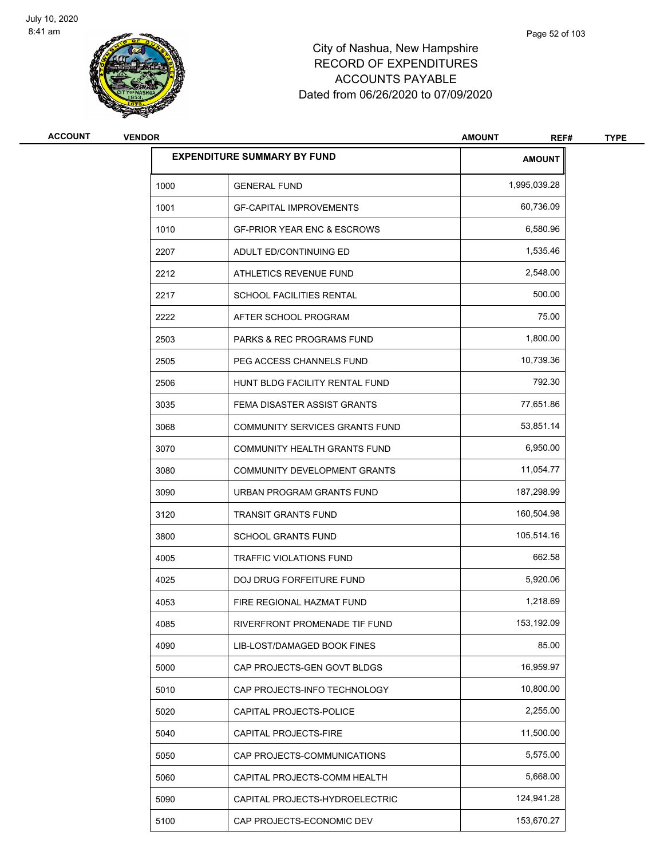

| <b>ACCOUNT</b> | <b>VENDOR</b> |                                        | <b>AMOUNT</b><br>REF# | <b>TYPE</b> |
|----------------|---------------|----------------------------------------|-----------------------|-------------|
|                |               | <b>EXPENDITURE SUMMARY BY FUND</b>     | <b>AMOUNT</b>         |             |
|                | 1000          | <b>GENERAL FUND</b>                    | 1,995,039.28          |             |
|                | 1001          | <b>GF-CAPITAL IMPROVEMENTS</b>         | 60,736.09             |             |
|                | 1010          | <b>GF-PRIOR YEAR ENC &amp; ESCROWS</b> | 6,580.96              |             |
|                | 2207          | ADULT ED/CONTINUING ED                 | 1,535.46              |             |
|                | 2212          | ATHLETICS REVENUE FUND                 | 2,548.00              |             |
|                | 2217          | SCHOOL FACILITIES RENTAL               | 500.00                |             |
|                | 2222          | AFTER SCHOOL PROGRAM                   | 75.00                 |             |
|                | 2503          | PARKS & REC PROGRAMS FUND              | 1,800.00              |             |
|                | 2505          | PEG ACCESS CHANNELS FUND               | 10,739.36             |             |
|                | 2506          | HUNT BLDG FACILITY RENTAL FUND         | 792.30                |             |
|                | 3035          | FEMA DISASTER ASSIST GRANTS            | 77,651.86             |             |
|                | 3068          | <b>COMMUNITY SERVICES GRANTS FUND</b>  | 53,851.14             |             |
|                | 3070          | COMMUNITY HEALTH GRANTS FUND           | 6,950.00              |             |
|                | 3080          | COMMUNITY DEVELOPMENT GRANTS           | 11,054.77             |             |
|                | 3090          | URBAN PROGRAM GRANTS FUND              | 187,298.99            |             |
|                | 3120          | <b>TRANSIT GRANTS FUND</b>             | 160,504.98            |             |
|                | 3800          | <b>SCHOOL GRANTS FUND</b>              | 105,514.16            |             |
|                | 4005          | <b>TRAFFIC VIOLATIONS FUND</b>         | 662.58                |             |
|                | 4025          | DOJ DRUG FORFEITURE FUND               | 5,920.06              |             |
|                | 4053          | FIRE REGIONAL HAZMAT FUND              | 1,218.69              |             |
|                | 4085          | RIVERFRONT PROMENADE TIF FUND          | 153,192.09            |             |
|                | 4090          | LIB-LOST/DAMAGED BOOK FINES            | 85.00                 |             |
|                | 5000          | CAP PROJECTS-GEN GOVT BLDGS            | 16,959.97             |             |
|                | 5010          | CAP PROJECTS-INFO TECHNOLOGY           | 10,800.00             |             |
|                | 5020          | CAPITAL PROJECTS-POLICE                | 2,255.00              |             |
|                | 5040          | CAPITAL PROJECTS-FIRE                  | 11,500.00             |             |
|                | 5050          | CAP PROJECTS-COMMUNICATIONS            | 5,575.00              |             |
|                | 5060          | CAPITAL PROJECTS-COMM HEALTH           | 5,668.00              |             |
|                | 5090          | CAPITAL PROJECTS-HYDROELECTRIC         | 124,941.28            |             |
|                | 5100          | CAP PROJECTS-ECONOMIC DEV              | 153,670.27            |             |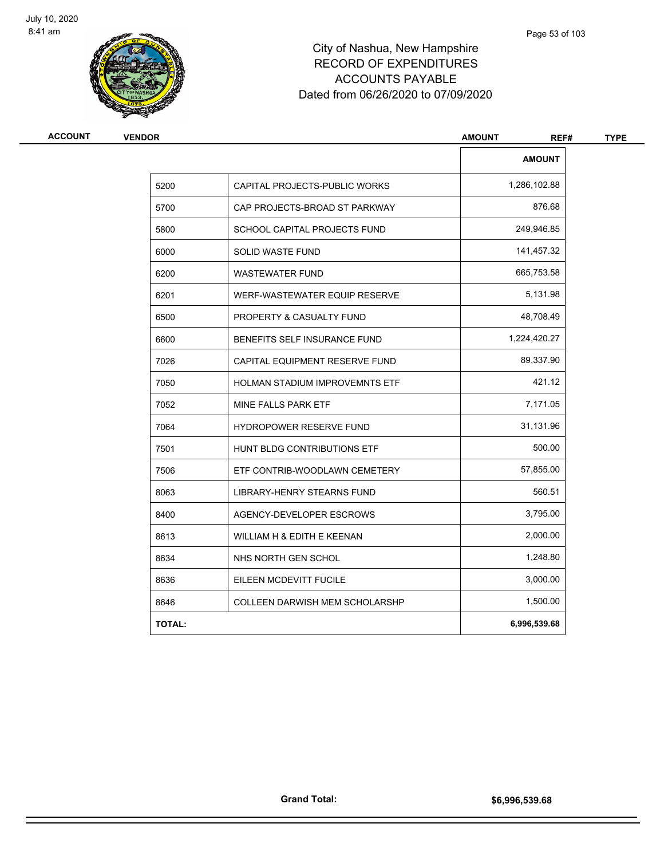

| <b>AMOUNT</b><br>1,286,102.88<br>5200<br>CAPITAL PROJECTS-PUBLIC WORKS<br>876.68<br>5700<br>CAP PROJECTS-BROAD ST PARKWAY<br>249,946.85<br>5800<br>SCHOOL CAPITAL PROJECTS FUND<br>141,457.32<br>6000<br>SOLID WASTE FUND<br>665,753.58<br>6200<br><b>WASTEWATER FUND</b><br>5,131.98<br>6201<br>WERF-WASTEWATER EQUIP RESERVE<br>48,708.49<br>6500<br>PROPERTY & CASUALTY FUND<br>1,224,420.27<br>6600<br>BENEFITS SELF INSURANCE FUND<br>89,337.90<br>7026<br>CAPITAL EQUIPMENT RESERVE FUND<br>421.12<br>7050<br><b>HOLMAN STADIUM IMPROVEMNTS ETF</b><br>7,171.05<br>7052<br>MINE FALLS PARK ETF<br>31,131.96<br>7064<br><b>HYDROPOWER RESERVE FUND</b><br>500.00<br>7501<br>HUNT BLDG CONTRIBUTIONS ETF<br>57,855.00<br>7506<br>ETF CONTRIB-WOODLAWN CEMETERY<br>560.51<br>8063<br><b>LIBRARY-HENRY STEARNS FUND</b><br>8400<br>3,795.00<br>AGENCY-DEVELOPER ESCROWS<br>2,000.00<br>8613<br>WILLIAM H & EDITH E KEENAN<br>1,248.80<br>8634<br>NHS NORTH GEN SCHOL<br>3,000.00<br>8636<br>EILEEN MCDEVITT FUCILE<br>1,500.00<br>8646<br><b>COLLEEN DARWISH MEM SCHOLARSHP</b><br>6,996,539.68<br><b>TOTAL:</b> | <b>VENDOR</b> |  | <b>AMOUNT</b><br>REF# |
|--------------------------------------------------------------------------------------------------------------------------------------------------------------------------------------------------------------------------------------------------------------------------------------------------------------------------------------------------------------------------------------------------------------------------------------------------------------------------------------------------------------------------------------------------------------------------------------------------------------------------------------------------------------------------------------------------------------------------------------------------------------------------------------------------------------------------------------------------------------------------------------------------------------------------------------------------------------------------------------------------------------------------------------------------------------------------------------------------------------------|---------------|--|-----------------------|
|                                                                                                                                                                                                                                                                                                                                                                                                                                                                                                                                                                                                                                                                                                                                                                                                                                                                                                                                                                                                                                                                                                                    |               |  |                       |
|                                                                                                                                                                                                                                                                                                                                                                                                                                                                                                                                                                                                                                                                                                                                                                                                                                                                                                                                                                                                                                                                                                                    |               |  |                       |
|                                                                                                                                                                                                                                                                                                                                                                                                                                                                                                                                                                                                                                                                                                                                                                                                                                                                                                                                                                                                                                                                                                                    |               |  |                       |
|                                                                                                                                                                                                                                                                                                                                                                                                                                                                                                                                                                                                                                                                                                                                                                                                                                                                                                                                                                                                                                                                                                                    |               |  |                       |
|                                                                                                                                                                                                                                                                                                                                                                                                                                                                                                                                                                                                                                                                                                                                                                                                                                                                                                                                                                                                                                                                                                                    |               |  |                       |
|                                                                                                                                                                                                                                                                                                                                                                                                                                                                                                                                                                                                                                                                                                                                                                                                                                                                                                                                                                                                                                                                                                                    |               |  |                       |
|                                                                                                                                                                                                                                                                                                                                                                                                                                                                                                                                                                                                                                                                                                                                                                                                                                                                                                                                                                                                                                                                                                                    |               |  |                       |
|                                                                                                                                                                                                                                                                                                                                                                                                                                                                                                                                                                                                                                                                                                                                                                                                                                                                                                                                                                                                                                                                                                                    |               |  |                       |
|                                                                                                                                                                                                                                                                                                                                                                                                                                                                                                                                                                                                                                                                                                                                                                                                                                                                                                                                                                                                                                                                                                                    |               |  |                       |
|                                                                                                                                                                                                                                                                                                                                                                                                                                                                                                                                                                                                                                                                                                                                                                                                                                                                                                                                                                                                                                                                                                                    |               |  |                       |
|                                                                                                                                                                                                                                                                                                                                                                                                                                                                                                                                                                                                                                                                                                                                                                                                                                                                                                                                                                                                                                                                                                                    |               |  |                       |
|                                                                                                                                                                                                                                                                                                                                                                                                                                                                                                                                                                                                                                                                                                                                                                                                                                                                                                                                                                                                                                                                                                                    |               |  |                       |
|                                                                                                                                                                                                                                                                                                                                                                                                                                                                                                                                                                                                                                                                                                                                                                                                                                                                                                                                                                                                                                                                                                                    |               |  |                       |
|                                                                                                                                                                                                                                                                                                                                                                                                                                                                                                                                                                                                                                                                                                                                                                                                                                                                                                                                                                                                                                                                                                                    |               |  |                       |
|                                                                                                                                                                                                                                                                                                                                                                                                                                                                                                                                                                                                                                                                                                                                                                                                                                                                                                                                                                                                                                                                                                                    |               |  |                       |
|                                                                                                                                                                                                                                                                                                                                                                                                                                                                                                                                                                                                                                                                                                                                                                                                                                                                                                                                                                                                                                                                                                                    |               |  |                       |
|                                                                                                                                                                                                                                                                                                                                                                                                                                                                                                                                                                                                                                                                                                                                                                                                                                                                                                                                                                                                                                                                                                                    |               |  |                       |
|                                                                                                                                                                                                                                                                                                                                                                                                                                                                                                                                                                                                                                                                                                                                                                                                                                                                                                                                                                                                                                                                                                                    |               |  |                       |
|                                                                                                                                                                                                                                                                                                                                                                                                                                                                                                                                                                                                                                                                                                                                                                                                                                                                                                                                                                                                                                                                                                                    |               |  |                       |
|                                                                                                                                                                                                                                                                                                                                                                                                                                                                                                                                                                                                                                                                                                                                                                                                                                                                                                                                                                                                                                                                                                                    |               |  |                       |
|                                                                                                                                                                                                                                                                                                                                                                                                                                                                                                                                                                                                                                                                                                                                                                                                                                                                                                                                                                                                                                                                                                                    |               |  |                       |
|                                                                                                                                                                                                                                                                                                                                                                                                                                                                                                                                                                                                                                                                                                                                                                                                                                                                                                                                                                                                                                                                                                                    |               |  |                       |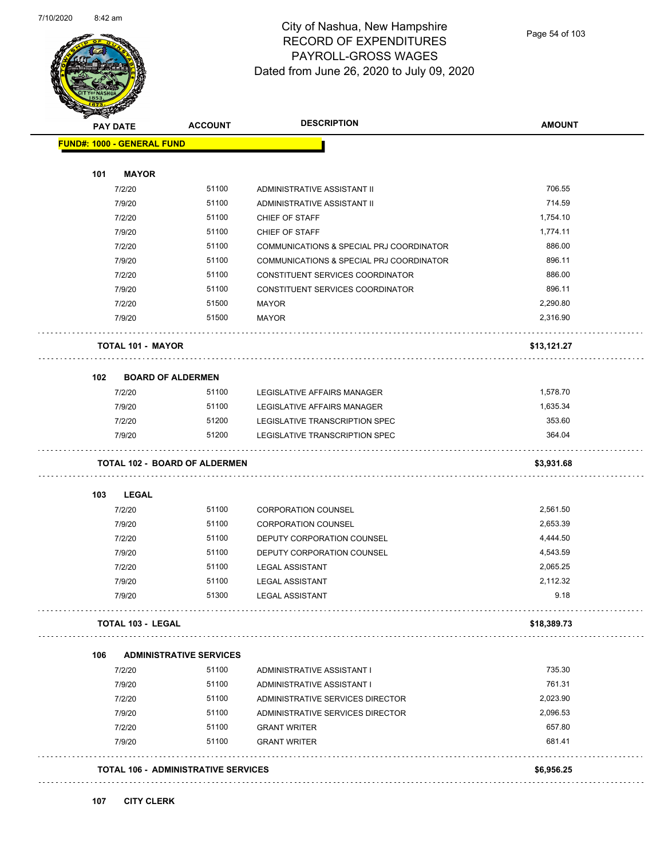

Page 54 of 103

| <b>PAY DATE</b>                   | <b>ACCOUNT</b>                             | <b>DESCRIPTION</b>                       | <b>AMOUNT</b> |
|-----------------------------------|--------------------------------------------|------------------------------------------|---------------|
| <b>FUND#: 1000 - GENERAL FUND</b> |                                            |                                          |               |
| 101<br><b>MAYOR</b>               |                                            |                                          |               |
| 7/2/20                            | 51100                                      | ADMINISTRATIVE ASSISTANT II              | 706.55        |
| 7/9/20                            | 51100                                      | ADMINISTRATIVE ASSISTANT II              | 714.59        |
| 7/2/20                            | 51100                                      | CHIEF OF STAFF                           | 1,754.10      |
| 7/9/20                            | 51100                                      | <b>CHIEF OF STAFF</b>                    | 1,774.11      |
| 7/2/20                            | 51100                                      | COMMUNICATIONS & SPECIAL PRJ COORDINATOR | 886.00        |
| 7/9/20                            | 51100                                      | COMMUNICATIONS & SPECIAL PRJ COORDINATOR | 896.11        |
| 7/2/20                            | 51100                                      | CONSTITUENT SERVICES COORDINATOR         | 886.00        |
| 7/9/20                            | 51100                                      | CONSTITUENT SERVICES COORDINATOR         | 896.11        |
| 7/2/20                            | 51500                                      | <b>MAYOR</b>                             | 2,290.80      |
| 7/9/20                            | 51500                                      | <b>MAYOR</b>                             | 2,316.90      |
| <b>TOTAL 101 - MAYOR</b>          |                                            |                                          | \$13,121.27   |
| 102                               | <b>BOARD OF ALDERMEN</b>                   |                                          |               |
| 7/2/20                            | 51100                                      | LEGISLATIVE AFFAIRS MANAGER              | 1,578.70      |
| 7/9/20                            | 51100                                      | LEGISLATIVE AFFAIRS MANAGER              | 1,635.34      |
| 7/2/20                            | 51200                                      | LEGISLATIVE TRANSCRIPTION SPEC           | 353.60        |
| 7/9/20                            | 51200                                      | LEGISLATIVE TRANSCRIPTION SPEC           | 364.04        |
|                                   | <b>TOTAL 102 - BOARD OF ALDERMEN</b>       |                                          | \$3,931.68    |
| <b>LEGAL</b><br>103               |                                            |                                          |               |
| 7/2/20                            | 51100                                      | <b>CORPORATION COUNSEL</b>               | 2,561.50      |
| 7/9/20                            | 51100                                      | <b>CORPORATION COUNSEL</b>               | 2,653.39      |
| 7/2/20                            | 51100                                      | DEPUTY CORPORATION COUNSEL               | 4,444.50      |
| 7/9/20                            | 51100                                      | DEPUTY CORPORATION COUNSEL               | 4,543.59      |
| 7/2/20                            | 51100                                      | <b>LEGAL ASSISTANT</b>                   | 2,065.25      |
| 7/9/20                            | 51100                                      | <b>LEGAL ASSISTANT</b>                   | 2,112.32      |
| 7/9/20                            | 51300                                      | <b>LEGAL ASSISTANT</b>                   | 9.18          |
| <b>TOTAL 103 - LEGAL</b>          |                                            |                                          | \$18,389.73   |
| 106                               | <b>ADMINISTRATIVE SERVICES</b>             |                                          |               |
| 7/2/20                            | 51100                                      | ADMINISTRATIVE ASSISTANT I               | 735.30        |
| 7/9/20                            | 51100                                      | ADMINISTRATIVE ASSISTANT I               | 761.31        |
| 7/2/20                            | 51100                                      | ADMINISTRATIVE SERVICES DIRECTOR         | 2,023.90      |
| 7/9/20                            | 51100                                      | ADMINISTRATIVE SERVICES DIRECTOR         | 2,096.53      |
| 7/2/20                            | 51100                                      | <b>GRANT WRITER</b>                      | 657.80        |
| 7/9/20                            | 51100                                      | <b>GRANT WRITER</b>                      | 681.41        |
|                                   | <b>TOTAL 106 - ADMINISTRATIVE SERVICES</b> |                                          | \$6,956.25    |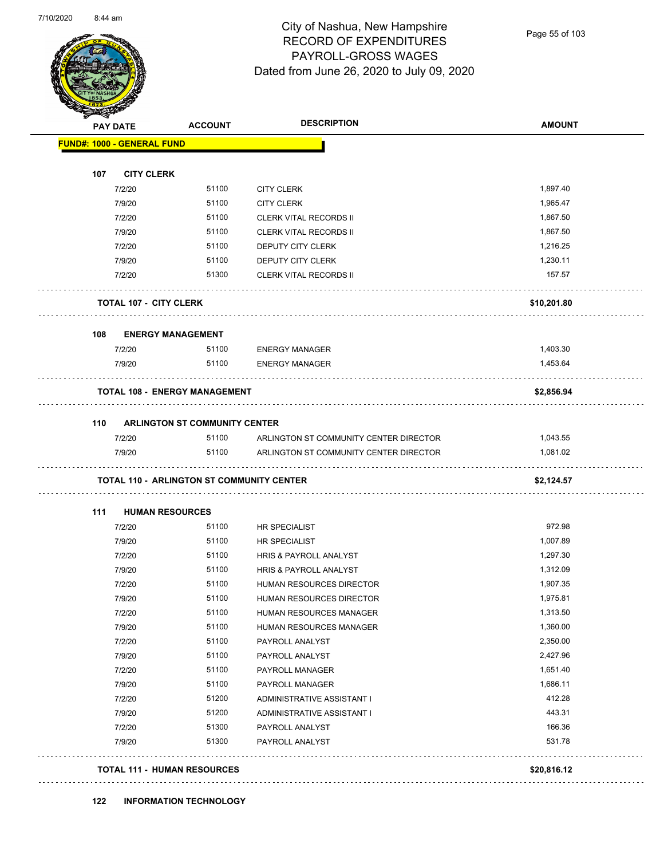Page 55 of 103

| FUND#: 1000 - GENERAL FUND | <b>ACCOUNT</b><br><b>PAY DATE</b>                | <b>DESCRIPTION</b>                     | <b>AMOUNT</b> |
|----------------------------|--------------------------------------------------|----------------------------------------|---------------|
|                            |                                                  |                                        |               |
| 107                        | <b>CITY CLERK</b>                                |                                        |               |
| 7/2/20                     | 51100                                            | <b>CITY CLERK</b>                      | 1,897.40      |
| 7/9/20                     | 51100                                            | <b>CITY CLERK</b>                      | 1,965.47      |
| 7/2/20                     | 51100                                            | <b>CLERK VITAL RECORDS II</b>          | 1,867.50      |
| 7/9/20                     | 51100                                            | <b>CLERK VITAL RECORDS II</b>          | 1,867.50      |
| 7/2/20                     | 51100                                            | DEPUTY CITY CLERK                      | 1,216.25      |
| 7/9/20                     | 51100                                            | DEPUTY CITY CLERK                      | 1,230.11      |
| 7/2/20                     | 51300                                            | <b>CLERK VITAL RECORDS II</b>          | 157.57        |
|                            | <b>TOTAL 107 - CITY CLERK</b>                    |                                        | \$10,201.80   |
| 108                        | <b>ENERGY MANAGEMENT</b>                         |                                        |               |
| 7/2/20                     | 51100                                            | <b>ENERGY MANAGER</b>                  | 1,403.30      |
| 7/9/20                     | 51100                                            | <b>ENERGY MANAGER</b>                  | 1,453.64      |
|                            | <b>TOTAL 108 - ENERGY MANAGEMENT</b>             |                                        | \$2,856.94    |
| 110                        | <b>ARLINGTON ST COMMUNITY CENTER</b>             |                                        |               |
| 7/2/20                     | 51100                                            | ARLINGTON ST COMMUNITY CENTER DIRECTOR | 1,043.55      |
| 7/9/20                     | 51100                                            | ARLINGTON ST COMMUNITY CENTER DIRECTOR | 1,081.02      |
|                            | <b>TOTAL 110 - ARLINGTON ST COMMUNITY CENTER</b> |                                        | \$2,124.57    |
|                            |                                                  |                                        |               |
| 111                        | <b>HUMAN RESOURCES</b>                           |                                        |               |
| 7/2/20                     | 51100                                            | HR SPECIALIST                          | 972.98        |
| 7/9/20                     | 51100                                            | HR SPECIALIST                          | 1,007.89      |
| 7/2/20                     | 51100                                            | HRIS & PAYROLL ANALYST                 | 1,297.30      |
| 7/9/20                     | 51100                                            | HRIS & PAYROLL ANALYST                 | 1,312.09      |
| 7/2/20                     | 51100                                            | HUMAN RESOURCES DIRECTOR               | 1,907.35      |
| 7/9/20                     | 51100                                            | HUMAN RESOURCES DIRECTOR               | 1,975.81      |
| 7/2/20                     | 51100                                            | HUMAN RESOURCES MANAGER                | 1,313.50      |
| 7/9/20                     | 51100                                            | HUMAN RESOURCES MANAGER                | 1,360.00      |
| 7/2/20                     | 51100                                            | PAYROLL ANALYST                        | 2,350.00      |
| 7/9/20                     | 51100                                            | PAYROLL ANALYST                        | 2,427.96      |
| 7/2/20                     | 51100                                            | PAYROLL MANAGER                        | 1,651.40      |
| 7/9/20                     | 51100                                            | PAYROLL MANAGER                        | 1,686.11      |
| 7/2/20                     | 51200                                            | ADMINISTRATIVE ASSISTANT I             | 412.28        |
| 7/9/20                     | 51200                                            | ADMINISTRATIVE ASSISTANT I             | 443.31        |
| 7/2/20                     | 51300                                            | PAYROLL ANALYST                        | 166.36        |
| 7/9/20                     | 51300                                            | PAYROLL ANALYST                        | 531.78        |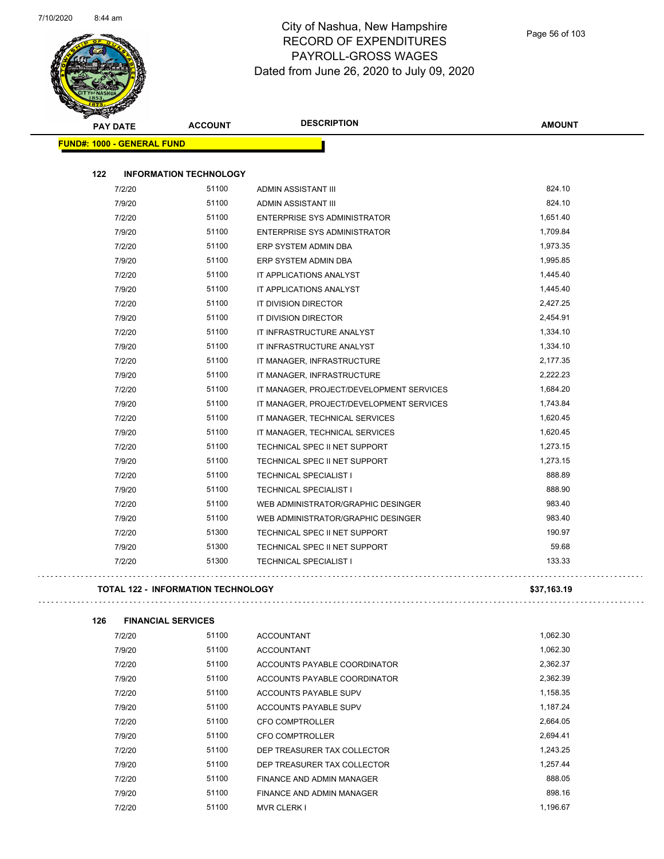

| <b>PAY DATE</b>                   | <b>ACCOUNT</b>                | <b>DESCRIPTION</b>                       | <b>AMOUNT</b> |
|-----------------------------------|-------------------------------|------------------------------------------|---------------|
| <b>FUND#: 1000 - GENERAL FUND</b> |                               |                                          |               |
| 122                               | <b>INFORMATION TECHNOLOGY</b> |                                          |               |
| 7/2/20                            | 51100                         | ADMIN ASSISTANT III                      | 824.10        |
| 7/9/20                            | 51100                         | ADMIN ASSISTANT III                      | 824.10        |
| 7/2/20                            | 51100                         | <b>ENTERPRISE SYS ADMINISTRATOR</b>      | 1,651.40      |
| 7/9/20                            | 51100                         | <b>ENTERPRISE SYS ADMINISTRATOR</b>      | 1,709.84      |
| 7/2/20                            | 51100                         | ERP SYSTEM ADMIN DBA                     | 1,973.35      |
| 7/9/20                            | 51100                         | ERP SYSTEM ADMIN DBA                     | 1,995.85      |
| 7/2/20                            | 51100                         | IT APPLICATIONS ANALYST                  | 1,445.40      |
| 7/9/20                            | 51100                         | IT APPLICATIONS ANALYST                  | 1,445.40      |
| 7/2/20                            | 51100                         | IT DIVISION DIRECTOR                     | 2,427.25      |
| 7/9/20                            | 51100                         | <b>IT DIVISION DIRECTOR</b>              | 2,454.91      |
| 7/2/20                            | 51100                         | IT INFRASTRUCTURE ANALYST                | 1,334.10      |
| 7/9/20                            | 51100                         | IT INFRASTRUCTURE ANALYST                | 1,334.10      |
| 7/2/20                            | 51100                         | IT MANAGER, INFRASTRUCTURE               | 2,177.35      |
| 7/9/20                            | 51100                         | IT MANAGER, INFRASTRUCTURE               | 2,222.23      |
| 7/2/20                            | 51100                         | IT MANAGER, PROJECT/DEVELOPMENT SERVICES | 1,684.20      |
| 7/9/20                            | 51100                         | IT MANAGER, PROJECT/DEVELOPMENT SERVICES | 1,743.84      |
| 7/2/20                            | 51100                         | IT MANAGER, TECHNICAL SERVICES           | 1,620.45      |
| 7/9/20                            | 51100                         | IT MANAGER, TECHNICAL SERVICES           | 1,620.45      |
| 7/2/20                            | 51100                         | TECHNICAL SPEC II NET SUPPORT            | 1,273.15      |
| 7/9/20                            | 51100                         | TECHNICAL SPEC II NET SUPPORT            | 1,273.15      |
| 7/2/20                            | 51100                         | <b>TECHNICAL SPECIALIST I</b>            | 888.89        |
| 7/9/20                            | 51100                         | <b>TECHNICAL SPECIALIST I</b>            | 888.90        |
| 7/2/20                            | 51100                         | WEB ADMINISTRATOR/GRAPHIC DESINGER       | 983.40        |
| 7/9/20                            | 51100                         | WEB ADMINISTRATOR/GRAPHIC DESINGER       | 983.40        |
| 7/2/20                            | 51300                         | TECHNICAL SPEC II NET SUPPORT            | 190.97        |
| 7/9/20                            | 51300                         | TECHNICAL SPEC II NET SUPPORT            | 59.68         |
| 7/2/20                            | 51300                         | <b>TECHNICAL SPECIALIST I</b>            | 133.33        |

**TOTAL 122 - INFORMATION TECHNOLOGY \$37,163.19**

**126 FINANCIAL SERVICES**

k,

| 7/2/20 | 51100 | <b>ACCOUNTANT</b>            | 1,062.30 |  |
|--------|-------|------------------------------|----------|--|
| 7/9/20 | 51100 | <b>ACCOUNTANT</b>            | 1.062.30 |  |
| 7/2/20 | 51100 | ACCOUNTS PAYABLE COORDINATOR | 2,362.37 |  |
| 7/9/20 | 51100 | ACCOUNTS PAYABLE COORDINATOR | 2,362.39 |  |
| 7/2/20 | 51100 | ACCOUNTS PAYABLE SUPV        | 1,158.35 |  |
| 7/9/20 | 51100 | ACCOUNTS PAYABLE SUPV        | 1,187.24 |  |
| 7/2/20 | 51100 | <b>CFO COMPTROLLER</b>       | 2,664.05 |  |
| 7/9/20 | 51100 | CFO COMPTROLLER              | 2.694.41 |  |
| 7/2/20 | 51100 | DEP TREASURER TAX COLLECTOR  | 1.243.25 |  |
| 7/9/20 | 51100 | DEP TREASURER TAX COLLECTOR  | 1.257.44 |  |
| 7/2/20 | 51100 | FINANCE AND ADMIN MANAGER    | 888.05   |  |
| 7/9/20 | 51100 | FINANCE AND ADMIN MANAGER    | 898.16   |  |
| 7/2/20 | 51100 | <b>MVR CLERK I</b>           | 1.196.67 |  |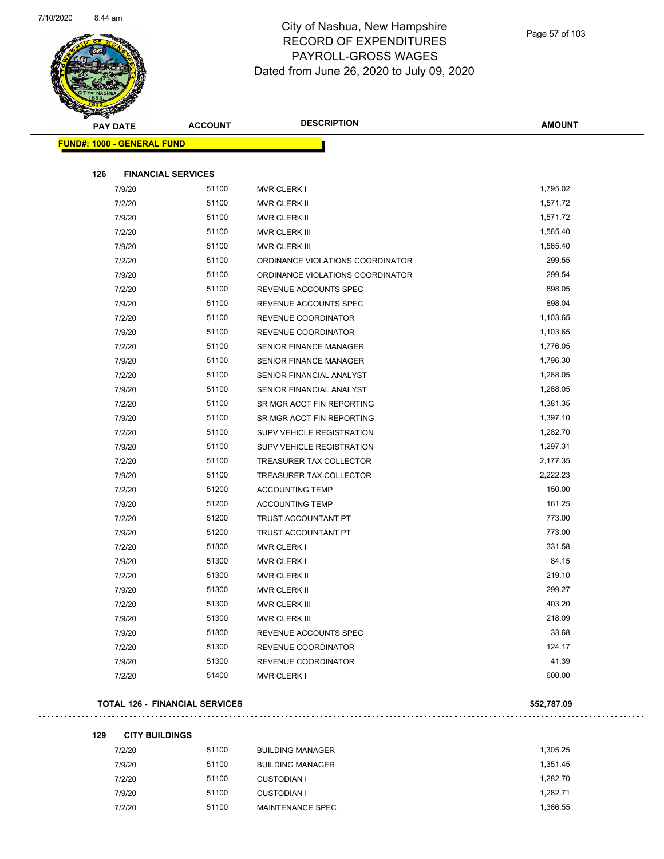

| <b>PAY DATE</b>                   | <b>ACCOUNT</b> | <b>DESCRIPTION</b>               | <b>AMOUNT</b> |
|-----------------------------------|----------------|----------------------------------|---------------|
| <b>FUND#: 1000 - GENERAL FUND</b> |                |                                  |               |
|                                   |                |                                  |               |
| 126<br><b>FINANCIAL SERVICES</b>  |                |                                  |               |
| 7/9/20                            | 51100          | <b>MVR CLERK I</b>               | 1,795.02      |
| 7/2/20                            | 51100          | MVR CLERK II                     | 1,571.72      |
| 7/9/20                            | 51100          | MVR CLERK II                     | 1,571.72      |
| 7/2/20                            | 51100          | MVR CLERK III                    | 1,565.40      |
| 7/9/20                            | 51100          | MVR CLERK III                    | 1,565.40      |
| 7/2/20                            | 51100          | ORDINANCE VIOLATIONS COORDINATOR | 299.55        |
| 7/9/20                            | 51100          | ORDINANCE VIOLATIONS COORDINATOR | 299.54        |
| 7/2/20                            | 51100          | REVENUE ACCOUNTS SPEC            | 898.05        |
| 7/9/20                            | 51100          | REVENUE ACCOUNTS SPEC            | 898.04        |
| 7/2/20                            | 51100          | REVENUE COORDINATOR              | 1,103.65      |
| 7/9/20                            | 51100          | REVENUE COORDINATOR              | 1,103.65      |
| 7/2/20                            | 51100          | <b>SENIOR FINANCE MANAGER</b>    | 1,776.05      |
| 7/9/20                            | 51100          | <b>SENIOR FINANCE MANAGER</b>    | 1,796.30      |
| 7/2/20                            | 51100          | SENIOR FINANCIAL ANALYST         | 1,268.05      |
| 7/9/20                            | 51100          | SENIOR FINANCIAL ANALYST         | 1,268.05      |
| 7/2/20                            | 51100          | SR MGR ACCT FIN REPORTING        | 1,381.35      |
| 7/9/20                            | 51100          | SR MGR ACCT FIN REPORTING        | 1,397.10      |
| 7/2/20                            | 51100          | SUPV VEHICLE REGISTRATION        | 1,282.70      |
| 7/9/20                            | 51100          | SUPV VEHICLE REGISTRATION        | 1,297.31      |
| 7/2/20                            | 51100          | TREASURER TAX COLLECTOR          | 2,177.35      |
| 7/9/20                            | 51100          | TREASURER TAX COLLECTOR          | 2,222.23      |
| 7/2/20                            | 51200          | <b>ACCOUNTING TEMP</b>           | 150.00        |
| 7/9/20                            | 51200          | <b>ACCOUNTING TEMP</b>           | 161.25        |
| 7/2/20                            | 51200          | TRUST ACCOUNTANT PT              | 773.00        |
| 7/9/20                            | 51200          | TRUST ACCOUNTANT PT              | 773.00        |
| 7/2/20                            | 51300          | <b>MVR CLERK I</b>               | 331.58        |
| 7/9/20                            | 51300          | <b>MVR CLERK I</b>               | 84.15         |
| 7/2/20                            | 51300          | <b>MVR CLERK II</b>              | 219.10        |
| 7/9/20                            | 51300          | MVR CLERK II                     | 299.27        |
| 7/2/20                            | 51300          | MVR CLERK III                    | 403.20        |
| 7/9/20                            | 51300          | <b>MVR CLERK III</b>             | 218.09        |
| 7/9/20                            | 51300          | REVENUE ACCOUNTS SPEC            | 33.68         |
| 7/2/20                            | 51300          | REVENUE COORDINATOR              | 124.17        |
| 7/9/20                            | 51300          | REVENUE COORDINATOR              | 41.39         |
| 7/2/20                            | 51400          | <b>MVR CLERK I</b>               | 600.00        |
|                                   |                |                                  |               |

| 129 | <b>CITY BUILDINGS</b> |  |
|-----|-----------------------|--|
|     |                       |  |

7/2/20 51100 BUILDING MANAGER 1,305.25 7/9/20 51100 BUILDING MANAGER 1,351.45 7/2/20 51100 CUSTODIAN I 1,282.70 7/9/20 51100 CUSTODIAN I 1,282.71

7/2/20 51100 MAINTENANCE SPEC 1,366.55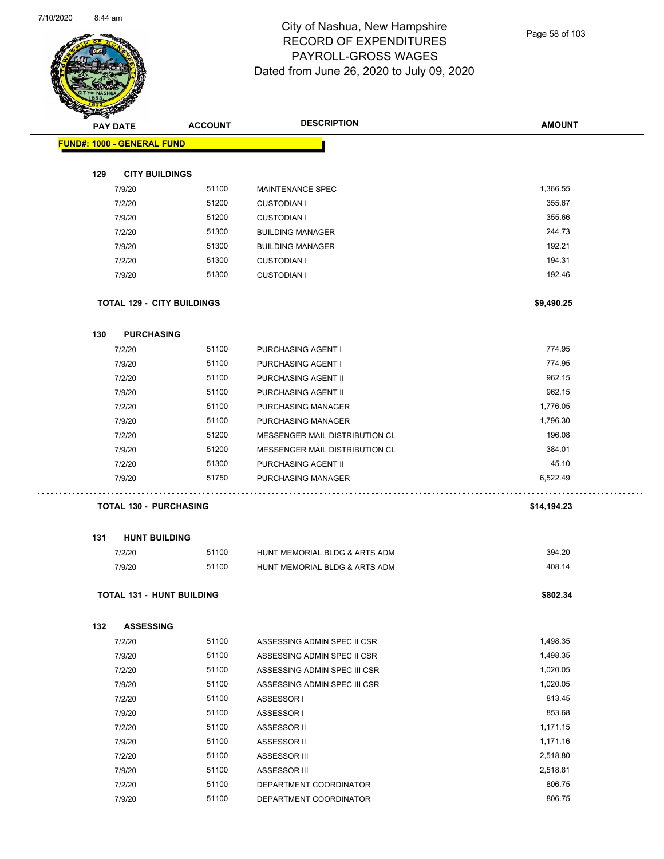

Page 58 of 103

|     | <b>PAY DATE</b>                   | <b>ACCOUNT</b> | <b>DESCRIPTION</b>             | <b>AMOUNT</b> |
|-----|-----------------------------------|----------------|--------------------------------|---------------|
|     | <b>FUND#: 1000 - GENERAL FUND</b> |                |                                |               |
|     |                                   |                |                                |               |
| 129 | <b>CITY BUILDINGS</b>             |                |                                |               |
|     | 7/9/20                            | 51100          | <b>MAINTENANCE SPEC</b>        | 1,366.55      |
|     | 7/2/20                            | 51200          | <b>CUSTODIAN I</b>             | 355.67        |
|     | 7/9/20                            | 51200          | <b>CUSTODIAN I</b>             | 355.66        |
|     | 7/2/20                            | 51300          | <b>BUILDING MANAGER</b>        | 244.73        |
|     | 7/9/20                            | 51300          | <b>BUILDING MANAGER</b>        | 192.21        |
|     | 7/2/20                            | 51300          | <b>CUSTODIAN I</b>             | 194.31        |
|     | 7/9/20                            | 51300          | <b>CUSTODIAN I</b>             | 192.46        |
|     | <b>TOTAL 129 - CITY BUILDINGS</b> |                |                                | \$9,490.25    |
| 130 | <b>PURCHASING</b>                 |                |                                |               |
|     | 7/2/20                            | 51100          | PURCHASING AGENT I             | 774.95        |
|     | 7/9/20                            | 51100          | PURCHASING AGENT I             | 774.95        |
|     | 7/2/20                            | 51100          | PURCHASING AGENT II            | 962.15        |
|     | 7/9/20                            | 51100          | PURCHASING AGENT II            | 962.15        |
|     | 7/2/20                            | 51100          | PURCHASING MANAGER             | 1,776.05      |
|     | 7/9/20                            | 51100          | PURCHASING MANAGER             | 1,796.30      |
|     | 7/2/20                            | 51200          | MESSENGER MAIL DISTRIBUTION CL | 196.08        |
|     | 7/9/20                            | 51200          | MESSENGER MAIL DISTRIBUTION CL | 384.01        |
|     | 7/2/20                            | 51300          | PURCHASING AGENT II            | 45.10         |
|     | 7/9/20                            | 51750          | PURCHASING MANAGER             | 6,522.49      |
|     | <b>TOTAL 130 - PURCHASING</b>     |                |                                | \$14,194.23   |
| 131 | <b>HUNT BUILDING</b>              |                |                                |               |
|     | 7/2/20                            | 51100          | HUNT MEMORIAL BLDG & ARTS ADM  | 394.20        |
|     | 7/9/20                            | 51100          | HUNT MEMORIAL BLDG & ARTS ADM  | 408.14        |
|     | TOTAL 131 - HUNT BUILDING         |                |                                | \$802.34      |
| 132 | <b>ASSESSING</b>                  |                |                                |               |
|     | 7/2/20                            | 51100          | ASSESSING ADMIN SPEC II CSR    | 1,498.35      |
|     | 7/9/20                            | 51100          | ASSESSING ADMIN SPEC II CSR    | 1,498.35      |
|     | 7/2/20                            | 51100          | ASSESSING ADMIN SPEC III CSR   | 1,020.05      |
|     | 7/9/20                            | 51100          | ASSESSING ADMIN SPEC III CSR   | 1,020.05      |
|     | 7/2/20                            | 51100          | ASSESSOR I                     | 813.45        |
|     | 7/9/20                            | 51100          | ASSESSOR I                     | 853.68        |
|     | 7/2/20                            | 51100          | ASSESSOR II                    | 1,171.15      |
|     | 7/9/20                            | 51100          | ASSESSOR II                    | 1,171.16      |
|     | 7/2/20                            | 51100          | <b>ASSESSOR III</b>            | 2,518.80      |
|     | 7/9/20                            | 51100          | ASSESSOR III                   | 2,518.81      |
|     | 7/2/20                            | 51100          | DEPARTMENT COORDINATOR         | 806.75        |

7/9/20 51100 DEPARTMENT COORDINATOR 806.75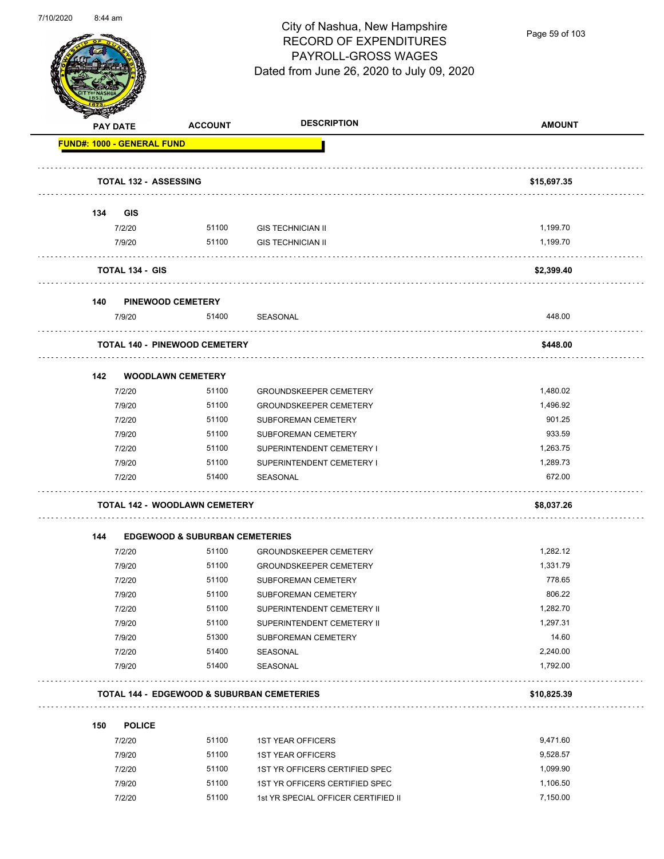

Page 59 of 103

| <b>PAY DATE</b> |                                   | <b>ACCOUNT</b>                            | <b>DESCRIPTION</b>                                    | <b>AMOUNT</b> |
|-----------------|-----------------------------------|-------------------------------------------|-------------------------------------------------------|---------------|
|                 | <b>FUND#: 1000 - GENERAL FUND</b> |                                           |                                                       |               |
|                 | <b>TOTAL 132 - ASSESSING</b>      |                                           |                                                       | \$15,697.35   |
| 134             | <b>GIS</b>                        |                                           |                                                       |               |
|                 | 7/2/20                            |                                           | 51100 GIS TECHNICIAN II                               | 1,199.70      |
|                 | 7/9/20                            | 51100                                     | <b>GIS TECHNICIAN II</b>                              | 1,199.70      |
|                 | <b>TOTAL 134 - GIS</b>            |                                           |                                                       | \$2,399.40    |
| 140             |                                   | <b>PINEWOOD CEMETERY</b>                  |                                                       |               |
|                 | 7/9/20                            | 51400                                     | SEASONAL                                              | 448.00        |
|                 |                                   | <b>TOTAL 140 - PINEWOOD CEMETERY</b>      |                                                       | \$448.00      |
| 142             |                                   | <b>WOODLAWN CEMETERY</b>                  |                                                       |               |
|                 | 7/2/20                            | 51100                                     | <b>GROUNDSKEEPER CEMETERY</b>                         | 1,480.02      |
|                 | 7/9/20                            | 51100                                     | <b>GROUNDSKEEPER CEMETERY</b>                         | 1,496.92      |
|                 | 7/2/20                            | 51100                                     | SUBFOREMAN CEMETERY                                   | 901.25        |
|                 | 7/9/20                            | 51100                                     | <b>SUBFOREMAN CEMETERY</b>                            | 933.59        |
|                 | 7/2/20                            | 51100                                     | SUPERINTENDENT CEMETERY I                             | 1,263.75      |
|                 | 7/9/20                            | 51100                                     | SUPERINTENDENT CEMETERY I                             | 1,289.73      |
|                 | 7/2/20                            | 51400                                     | SEASONAL                                              | 672.00        |
|                 |                                   | <b>TOTAL 142 - WOODLAWN CEMETERY</b>      |                                                       | \$8,037.26    |
| 144             |                                   | <b>EDGEWOOD &amp; SUBURBAN CEMETERIES</b> |                                                       |               |
|                 | 7/2/20                            | 51100                                     | <b>GROUNDSKEEPER CEMETERY</b>                         | 1,282.12      |
|                 | 7/9/20                            | 51100                                     | <b>GROUNDSKEEPER CEMETERY</b>                         | 1,331.79      |
|                 | 7/2/20                            | 51100                                     | <b>SUBFOREMAN CEMETERY</b>                            | 778.65        |
|                 | 7/9/20                            | 51100                                     | SUBFOREMAN CEMETERY                                   | 806.22        |
|                 | 7/2/20                            | 51100                                     | SUPERINTENDENT CEMETERY II                            | 1,282.70      |
|                 | 7/9/20                            | 51100                                     | SUPERINTENDENT CEMETERY II                            | 1,297.31      |
|                 | 7/9/20                            | 51300                                     | SUBFOREMAN CEMETERY                                   | 14.60         |
|                 | 7/2/20                            | 51400                                     | SEASONAL                                              | 2,240.00      |
|                 | 7/9/20                            | 51400                                     | SEASONAL                                              | 1,792.00      |
|                 |                                   |                                           | <b>TOTAL 144 - EDGEWOOD &amp; SUBURBAN CEMETERIES</b> | \$10,825.39   |
| 150             | <b>POLICE</b>                     |                                           |                                                       |               |
|                 | 7/2/20                            | 51100                                     | <b>1ST YEAR OFFICERS</b>                              | 9,471.60      |
|                 | 7/9/20                            | 51100                                     | <b>1ST YEAR OFFICERS</b>                              | 9,528.57      |
|                 | 7/2/20                            | 51100                                     | 1ST YR OFFICERS CERTIFIED SPEC                        | 1,099.90      |
|                 | 7/9/20                            | 51100                                     | 1ST YR OFFICERS CERTIFIED SPEC                        | 1,106.50      |
|                 | 7/2/20                            | 51100                                     | 1st YR SPECIAL OFFICER CERTIFIED II                   | 7,150.00      |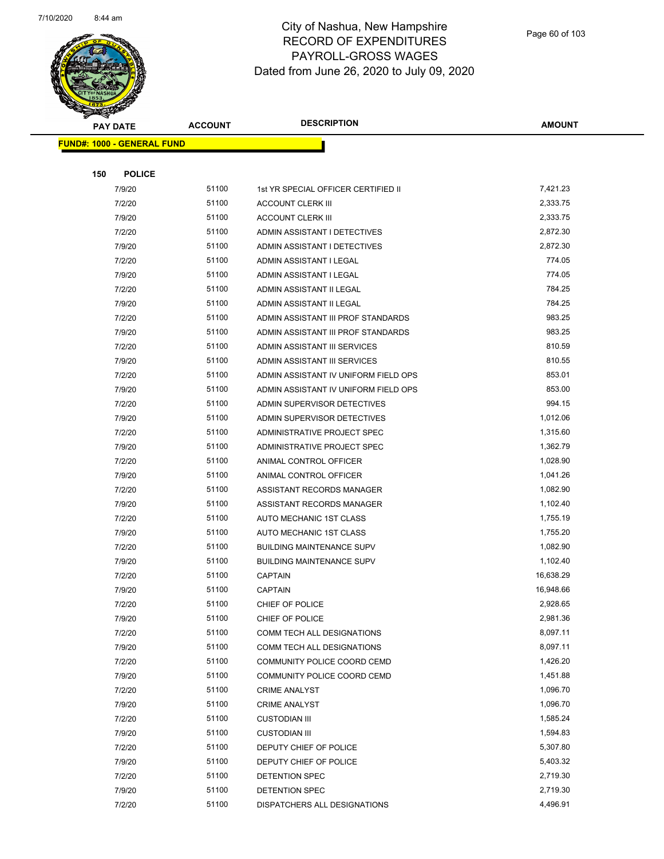

| <b>SACTOR</b> |                                   | <b>ACCOUNT</b> | <b>DESCRIPTION</b>                   | <b>AMOUNT</b> |
|---------------|-----------------------------------|----------------|--------------------------------------|---------------|
|               | <b>PAY DATE</b>                   |                |                                      |               |
|               | <b>FUND#: 1000 - GENERAL FUND</b> |                |                                      |               |
|               |                                   |                |                                      |               |
| 150           | <b>POLICE</b>                     |                |                                      |               |
|               | 7/9/20                            | 51100          | 1st YR SPECIAL OFFICER CERTIFIED II  | 7,421.23      |
|               | 7/2/20                            | 51100          | <b>ACCOUNT CLERK III</b>             | 2,333.75      |
|               | 7/9/20                            | 51100          | <b>ACCOUNT CLERK III</b>             | 2,333.75      |
|               | 7/2/20                            | 51100          | ADMIN ASSISTANT I DETECTIVES         | 2,872.30      |
|               | 7/9/20                            | 51100          | ADMIN ASSISTANT I DETECTIVES         | 2,872.30      |
|               | 7/2/20                            | 51100          | ADMIN ASSISTANT I LEGAL              | 774.05        |
|               | 7/9/20                            | 51100          | ADMIN ASSISTANT I LEGAL              | 774.05        |
|               | 7/2/20                            | 51100          | ADMIN ASSISTANT II LEGAL             | 784.25        |
|               | 7/9/20                            | 51100          | ADMIN ASSISTANT II LEGAL             | 784.25        |
|               | 7/2/20                            | 51100          | ADMIN ASSISTANT III PROF STANDARDS   | 983.25        |
|               | 7/9/20                            | 51100          | ADMIN ASSISTANT III PROF STANDARDS   | 983.25        |
|               | 7/2/20                            | 51100          | ADMIN ASSISTANT III SERVICES         | 810.59        |
|               | 7/9/20                            | 51100          | ADMIN ASSISTANT III SERVICES         | 810.55        |
|               | 7/2/20                            | 51100          | ADMIN ASSISTANT IV UNIFORM FIELD OPS | 853.01        |
|               | 7/9/20                            | 51100          | ADMIN ASSISTANT IV UNIFORM FIELD OPS | 853.00        |
|               | 7/2/20                            | 51100          | ADMIN SUPERVISOR DETECTIVES          | 994.15        |
|               | 7/9/20                            | 51100          | ADMIN SUPERVISOR DETECTIVES          | 1,012.06      |
|               | 7/2/20                            | 51100          | ADMINISTRATIVE PROJECT SPEC          | 1,315.60      |
|               | 7/9/20                            | 51100          | ADMINISTRATIVE PROJECT SPEC          | 1,362.79      |
|               | 7/2/20                            | 51100          | ANIMAL CONTROL OFFICER               | 1,028.90      |
|               | 7/9/20                            | 51100          | ANIMAL CONTROL OFFICER               | 1,041.26      |
|               | 7/2/20                            | 51100          | ASSISTANT RECORDS MANAGER            | 1,082.90      |
|               | 7/9/20                            | 51100          | ASSISTANT RECORDS MANAGER            | 1,102.40      |
|               | 7/2/20                            | 51100          | AUTO MECHANIC 1ST CLASS              | 1,755.19      |
|               | 7/9/20                            | 51100          | AUTO MECHANIC 1ST CLASS              | 1,755.20      |
|               | 7/2/20                            | 51100          | <b>BUILDING MAINTENANCE SUPV</b>     | 1,082.90      |
|               | 7/9/20                            | 51100          | <b>BUILDING MAINTENANCE SUPV</b>     | 1,102.40      |
|               | 7/2/20                            | 51100          | <b>CAPTAIN</b>                       | 16,638.29     |
|               | 7/9/20                            | 51100          | <b>CAPTAIN</b>                       | 16,948.66     |
|               | 7/2/20                            | 51100          | CHIEF OF POLICE                      | 2,928.65      |
|               | 7/9/20                            | 51100          | CHIEF OF POLICE                      | 2,981.36      |
|               | 7/2/20                            | 51100          | COMM TECH ALL DESIGNATIONS           | 8,097.11      |
|               | 7/9/20                            | 51100          | COMM TECH ALL DESIGNATIONS           | 8,097.11      |
|               | 7/2/20                            | 51100          | COMMUNITY POLICE COORD CEMD          | 1,426.20      |
|               | 7/9/20                            | 51100          | COMMUNITY POLICE COORD CEMD          | 1,451.88      |
|               | 7/2/20                            | 51100          | <b>CRIME ANALYST</b>                 | 1,096.70      |
|               | 7/9/20                            | 51100          | <b>CRIME ANALYST</b>                 | 1,096.70      |
|               | 7/2/20                            | 51100          | <b>CUSTODIAN III</b>                 | 1,585.24      |
|               | 7/9/20                            | 51100          | <b>CUSTODIAN III</b>                 | 1,594.83      |
|               | 7/2/20                            | 51100          | DEPUTY CHIEF OF POLICE               | 5,307.80      |
|               | 7/9/20                            | 51100          | DEPUTY CHIEF OF POLICE               | 5,403.32      |
|               | 7/2/20                            | 51100          | DETENTION SPEC                       | 2,719.30      |
|               | 7/9/20                            | 51100          | DETENTION SPEC                       | 2,719.30      |
|               | 7/2/20                            | 51100          | DISPATCHERS ALL DESIGNATIONS         | 4,496.91      |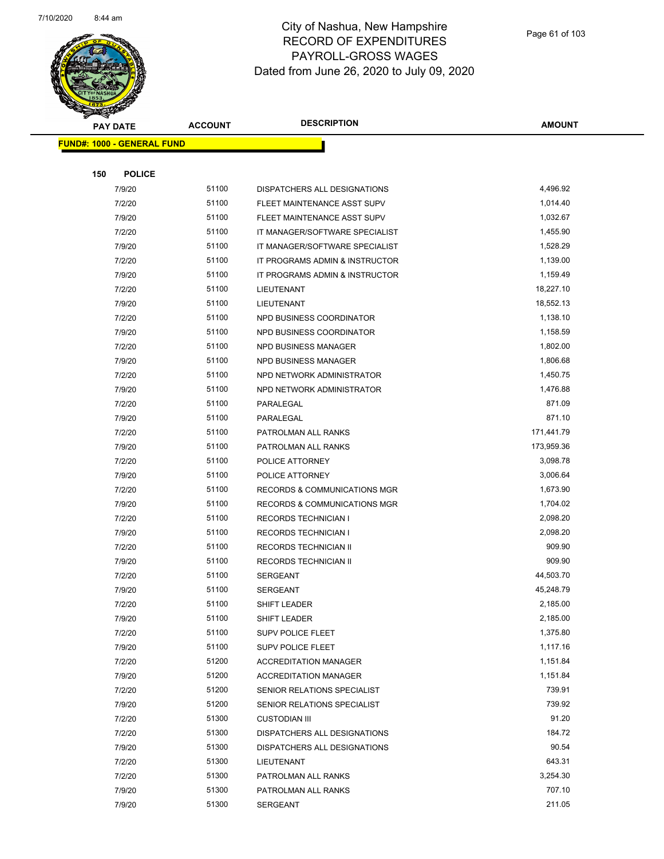

| <b>Andrew</b> |                                   | <b>ACCOUNT</b> | <b>DESCRIPTION</b>                      | <b>AMOUNT</b> |
|---------------|-----------------------------------|----------------|-----------------------------------------|---------------|
|               | <b>PAY DATE</b>                   |                |                                         |               |
|               | <b>FUND#: 1000 - GENERAL FUND</b> |                |                                         |               |
|               |                                   |                |                                         |               |
| 150           | <b>POLICE</b>                     |                |                                         |               |
|               | 7/9/20                            | 51100          | DISPATCHERS ALL DESIGNATIONS            | 4,496.92      |
|               | 7/2/20                            | 51100          | FLEET MAINTENANCE ASST SUPV             | 1,014.40      |
|               | 7/9/20                            | 51100          | FLEET MAINTENANCE ASST SUPV             | 1,032.67      |
|               | 7/2/20                            | 51100          | IT MANAGER/SOFTWARE SPECIALIST          | 1,455.90      |
|               | 7/9/20                            | 51100          | IT MANAGER/SOFTWARE SPECIALIST          | 1,528.29      |
|               | 7/2/20                            | 51100          | IT PROGRAMS ADMIN & INSTRUCTOR          | 1,139.00      |
|               | 7/9/20                            | 51100          | IT PROGRAMS ADMIN & INSTRUCTOR          | 1,159.49      |
|               | 7/2/20                            | 51100          | LIEUTENANT                              | 18,227.10     |
|               | 7/9/20                            | 51100          | LIEUTENANT                              | 18,552.13     |
|               | 7/2/20                            | 51100          | NPD BUSINESS COORDINATOR                | 1,138.10      |
|               | 7/9/20                            | 51100          | NPD BUSINESS COORDINATOR                | 1,158.59      |
|               | 7/2/20                            | 51100          | <b>NPD BUSINESS MANAGER</b>             | 1,802.00      |
|               | 7/9/20                            | 51100          | NPD BUSINESS MANAGER                    | 1,806.68      |
|               | 7/2/20                            | 51100          | NPD NETWORK ADMINISTRATOR               | 1,450.75      |
|               | 7/9/20                            | 51100          | NPD NETWORK ADMINISTRATOR               | 1,476.88      |
|               | 7/2/20                            | 51100          | PARALEGAL                               | 871.09        |
|               | 7/9/20                            | 51100          | PARALEGAL                               | 871.10        |
|               | 7/2/20                            | 51100          | PATROLMAN ALL RANKS                     | 171,441.79    |
|               | 7/9/20                            | 51100          | PATROLMAN ALL RANKS                     | 173,959.36    |
|               | 7/2/20                            | 51100          | POLICE ATTORNEY                         | 3,098.78      |
|               | 7/9/20                            | 51100          | POLICE ATTORNEY                         | 3,006.64      |
|               | 7/2/20                            | 51100          | <b>RECORDS &amp; COMMUNICATIONS MGR</b> | 1,673.90      |
|               | 7/9/20                            | 51100          | <b>RECORDS &amp; COMMUNICATIONS MGR</b> | 1,704.02      |
|               | 7/2/20                            | 51100          | <b>RECORDS TECHNICIAN I</b>             | 2,098.20      |
|               | 7/9/20                            | 51100          | <b>RECORDS TECHNICIAN I</b>             | 2,098.20      |
|               | 7/2/20                            | 51100          | RECORDS TECHNICIAN II                   | 909.90        |
|               | 7/9/20                            | 51100          | RECORDS TECHNICIAN II                   | 909.90        |
|               | 7/2/20                            | 51100          | <b>SERGEANT</b>                         | 44,503.70     |
|               | 7/9/20                            | 51100          | <b>SERGEANT</b>                         | 45,248.79     |
|               | 7/2/20                            | 51100          | SHIFT LEADER                            | 2,185.00      |
|               | 7/9/20                            | 51100          | SHIFT LEADER                            | 2,185.00      |
|               | 7/2/20                            | 51100          | <b>SUPV POLICE FLEET</b>                | 1,375.80      |
|               | 7/9/20                            | 51100          | SUPV POLICE FLEET                       | 1,117.16      |
|               | 7/2/20                            | 51200          | <b>ACCREDITATION MANAGER</b>            | 1,151.84      |
|               | 7/9/20                            | 51200          | <b>ACCREDITATION MANAGER</b>            | 1,151.84      |
|               | 7/2/20                            | 51200          | SENIOR RELATIONS SPECIALIST             | 739.91        |
|               | 7/9/20                            | 51200          | SENIOR RELATIONS SPECIALIST             | 739.92        |
|               | 7/2/20                            | 51300          | <b>CUSTODIAN III</b>                    | 91.20         |
|               | 7/2/20                            | 51300          | DISPATCHERS ALL DESIGNATIONS            | 184.72        |
|               | 7/9/20                            | 51300          | DISPATCHERS ALL DESIGNATIONS            | 90.54         |
|               | 7/2/20                            | 51300          | LIEUTENANT                              | 643.31        |
|               | 7/2/20                            | 51300          | PATROLMAN ALL RANKS                     | 3,254.30      |
|               | 7/9/20                            | 51300          | PATROLMAN ALL RANKS                     | 707.10        |
|               | 7/9/20                            | 51300          | SERGEANT                                | 211.05        |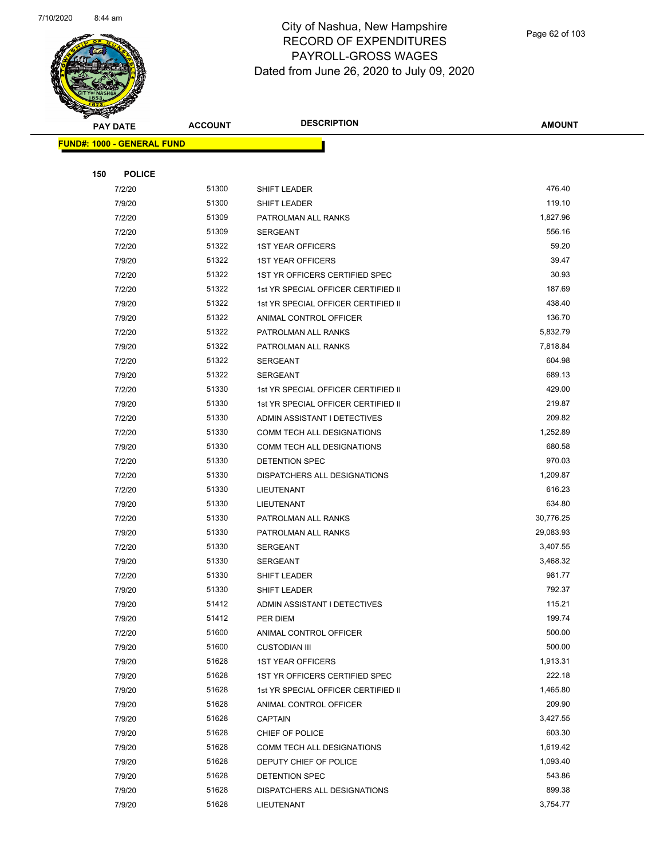

| B.  | <b>PAY DATE</b>                   | <b>ACCOUNT</b> | <b>DESCRIPTION</b>                  | <b>AMOUNT</b> |
|-----|-----------------------------------|----------------|-------------------------------------|---------------|
|     | <b>FUND#: 1000 - GENERAL FUND</b> |                |                                     |               |
|     |                                   |                |                                     |               |
| 150 | <b>POLICE</b>                     |                |                                     |               |
|     | 7/2/20                            | 51300          | SHIFT LEADER                        | 476.40        |
|     | 7/9/20                            | 51300          | SHIFT LEADER                        | 119.10        |
|     | 7/2/20                            | 51309          | PATROLMAN ALL RANKS                 | 1,827.96      |
|     | 7/2/20                            | 51309          | <b>SERGEANT</b>                     | 556.16        |
|     | 7/2/20                            | 51322          | <b>1ST YEAR OFFICERS</b>            | 59.20         |
|     | 7/9/20                            | 51322          | <b>1ST YEAR OFFICERS</b>            | 39.47         |
|     | 7/2/20                            | 51322          | 1ST YR OFFICERS CERTIFIED SPEC      | 30.93         |
|     | 7/2/20                            | 51322          | 1st YR SPECIAL OFFICER CERTIFIED II | 187.69        |
|     | 7/9/20                            | 51322          | 1st YR SPECIAL OFFICER CERTIFIED II | 438.40        |
|     | 7/9/20                            | 51322          | ANIMAL CONTROL OFFICER              | 136.70        |
|     | 7/2/20                            | 51322          | PATROLMAN ALL RANKS                 | 5,832.79      |
|     | 7/9/20                            | 51322          | PATROLMAN ALL RANKS                 | 7,818.84      |
|     | 7/2/20                            | 51322          | SERGEANT                            | 604.98        |
|     | 7/9/20                            | 51322          | <b>SERGEANT</b>                     | 689.13        |
|     | 7/2/20                            | 51330          | 1st YR SPECIAL OFFICER CERTIFIED II | 429.00        |
|     | 7/9/20                            | 51330          | 1st YR SPECIAL OFFICER CERTIFIED II | 219.87        |
|     | 7/2/20                            | 51330          | ADMIN ASSISTANT I DETECTIVES        | 209.82        |
|     | 7/2/20                            | 51330          | COMM TECH ALL DESIGNATIONS          | 1,252.89      |
|     | 7/9/20                            | 51330          | COMM TECH ALL DESIGNATIONS          | 680.58        |
|     | 7/2/20                            | 51330          | DETENTION SPEC                      | 970.03        |
|     | 7/2/20                            | 51330          | DISPATCHERS ALL DESIGNATIONS        | 1,209.87      |
|     | 7/2/20                            | 51330          | LIEUTENANT                          | 616.23        |
|     | 7/9/20                            | 51330          | LIEUTENANT                          | 634.80        |
|     | 7/2/20                            | 51330          | PATROLMAN ALL RANKS                 | 30,776.25     |
|     | 7/9/20                            | 51330          | PATROLMAN ALL RANKS                 | 29,083.93     |
|     | 7/2/20                            | 51330          | SERGEANT                            | 3,407.55      |
|     | 7/9/20                            | 51330          | SERGEANT                            | 3,468.32      |
|     | 7/2/20                            | 51330          | SHIFT LEADER                        | 981.77        |
|     | 7/9/20                            | 51330          | SHIFT LEADER                        | 792.37        |
|     | 7/9/20                            | 51412          | ADMIN ASSISTANT I DETECTIVES        | 115.21        |
|     | 7/9/20                            | 51412          | PER DIEM                            | 199.74        |
|     | 7/2/20                            | 51600          | ANIMAL CONTROL OFFICER              | 500.00        |
|     | 7/9/20                            | 51600          | <b>CUSTODIAN III</b>                | 500.00        |
|     | 7/9/20                            | 51628          | <b>1ST YEAR OFFICERS</b>            | 1,913.31      |
|     | 7/9/20                            | 51628          | 1ST YR OFFICERS CERTIFIED SPEC      | 222.18        |
|     | 7/9/20                            | 51628          | 1st YR SPECIAL OFFICER CERTIFIED II | 1,465.80      |
|     | 7/9/20                            | 51628          | ANIMAL CONTROL OFFICER              | 209.90        |
|     | 7/9/20                            | 51628          | <b>CAPTAIN</b>                      | 3,427.55      |
|     | 7/9/20                            | 51628          | CHIEF OF POLICE                     | 603.30        |
|     | 7/9/20                            | 51628          | COMM TECH ALL DESIGNATIONS          | 1,619.42      |
|     | 7/9/20                            | 51628          | DEPUTY CHIEF OF POLICE              | 1,093.40      |
|     | 7/9/20                            | 51628          | DETENTION SPEC                      | 543.86        |
|     | 7/9/20                            | 51628          | DISPATCHERS ALL DESIGNATIONS        | 899.38        |
|     | 7/9/20                            | 51628          | LIEUTENANT                          | 3,754.77      |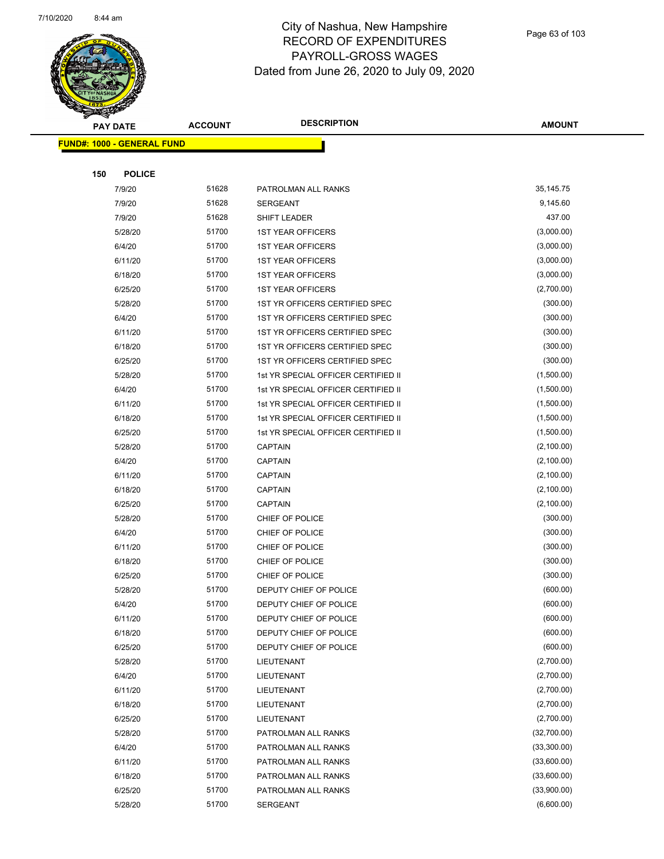

| <b>Andrew</b>                     |                | <b>DESCRIPTION</b>                  |               |
|-----------------------------------|----------------|-------------------------------------|---------------|
| <b>PAY DATE</b>                   | <b>ACCOUNT</b> |                                     | <b>AMOUNT</b> |
| <b>FUND#: 1000 - GENERAL FUND</b> |                |                                     |               |
|                                   |                |                                     |               |
| 150<br><b>POLICE</b>              |                |                                     |               |
| 7/9/20                            | 51628          | PATROLMAN ALL RANKS                 | 35, 145. 75   |
| 7/9/20                            | 51628          | <b>SERGEANT</b>                     | 9,145.60      |
| 7/9/20                            | 51628          | SHIFT LEADER                        | 437.00        |
| 5/28/20                           | 51700          | <b>1ST YEAR OFFICERS</b>            | (3,000.00)    |
| 6/4/20                            | 51700          | <b>1ST YEAR OFFICERS</b>            | (3,000.00)    |
| 6/11/20                           | 51700          | <b>1ST YEAR OFFICERS</b>            | (3,000.00)    |
| 6/18/20                           | 51700          | <b>1ST YEAR OFFICERS</b>            | (3,000.00)    |
| 6/25/20                           | 51700          | <b>1ST YEAR OFFICERS</b>            | (2,700.00)    |
| 5/28/20                           | 51700          | 1ST YR OFFICERS CERTIFIED SPEC      | (300.00)      |
| 6/4/20                            | 51700          | 1ST YR OFFICERS CERTIFIED SPEC      | (300.00)      |
| 6/11/20                           | 51700          | 1ST YR OFFICERS CERTIFIED SPEC      | (300.00)      |
| 6/18/20                           | 51700          | 1ST YR OFFICERS CERTIFIED SPEC      | (300.00)      |
| 6/25/20                           | 51700          | 1ST YR OFFICERS CERTIFIED SPEC      | (300.00)      |
| 5/28/20                           | 51700          | 1st YR SPECIAL OFFICER CERTIFIED II | (1,500.00)    |
| 6/4/20                            | 51700          | 1st YR SPECIAL OFFICER CERTIFIED II | (1,500.00)    |
| 6/11/20                           | 51700          | 1st YR SPECIAL OFFICER CERTIFIED II | (1,500.00)    |
| 6/18/20                           | 51700          | 1st YR SPECIAL OFFICER CERTIFIED II | (1,500.00)    |
| 6/25/20                           | 51700          | 1st YR SPECIAL OFFICER CERTIFIED II | (1,500.00)    |
| 5/28/20                           | 51700          | <b>CAPTAIN</b>                      | (2,100.00)    |
| 6/4/20                            | 51700          | <b>CAPTAIN</b>                      | (2,100.00)    |
| 6/11/20                           | 51700          | <b>CAPTAIN</b>                      | (2,100.00)    |
| 6/18/20                           | 51700          | <b>CAPTAIN</b>                      | (2,100.00)    |
| 6/25/20                           | 51700          | <b>CAPTAIN</b>                      | (2,100.00)    |
| 5/28/20                           | 51700          | CHIEF OF POLICE                     | (300.00)      |
| 6/4/20                            | 51700          | CHIEF OF POLICE                     | (300.00)      |
| 6/11/20                           | 51700          | CHIEF OF POLICE                     | (300.00)      |
| 6/18/20                           | 51700          | CHIEF OF POLICE                     | (300.00)      |
| 6/25/20                           | 51700          | CHIEF OF POLICE                     | (300.00)      |
| 5/28/20                           | 51700          | DEPUTY CHIEF OF POLICE              | (600.00)      |
| 6/4/20                            | 51700          | DEPUTY CHIEF OF POLICE              | (600.00)      |
| 6/11/20                           | 51700          | DEPUTY CHIEF OF POLICE              | (600.00)      |
| 6/18/20                           | 51700          | DEPUTY CHIEF OF POLICE              | (600.00)      |
| 6/25/20                           | 51700          | DEPUTY CHIEF OF POLICE              | (600.00)      |
| 5/28/20                           | 51700          | LIEUTENANT                          | (2,700.00)    |
| 6/4/20                            | 51700          | LIEUTENANT                          | (2,700.00)    |
| 6/11/20                           | 51700          | LIEUTENANT                          | (2,700.00)    |
| 6/18/20                           | 51700          | LIEUTENANT                          | (2,700.00)    |
| 6/25/20                           | 51700          | LIEUTENANT                          | (2,700.00)    |
| 5/28/20                           | 51700          | PATROLMAN ALL RANKS                 | (32,700.00)   |
| 6/4/20                            | 51700          | PATROLMAN ALL RANKS                 | (33,300.00)   |
| 6/11/20                           | 51700          | PATROLMAN ALL RANKS                 | (33,600.00)   |
| 6/18/20                           | 51700          | PATROLMAN ALL RANKS                 | (33,600.00)   |
| 6/25/20                           | 51700          | PATROLMAN ALL RANKS                 | (33,900.00)   |
| 5/28/20                           | 51700          | SERGEANT                            | (6,600.00)    |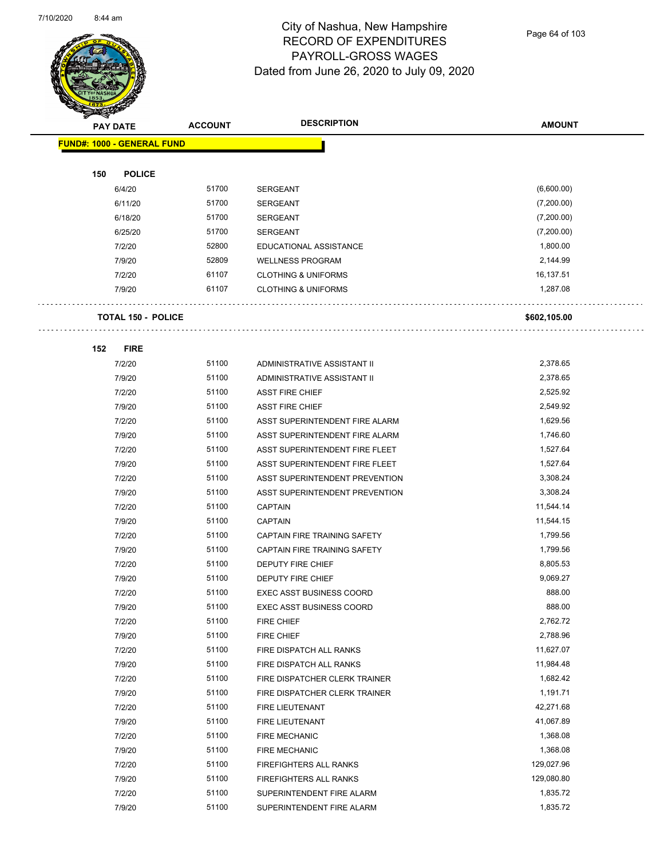$\bar{\psi}$  .



#### City of Nashua, New Hampshire RECORD OF EXPENDITURES PAYROLL-GROSS WAGES Dated from June 26, 2020 to July 09, 2020

Page 64 of 103

| <b>KILLER</b> |                                   |                |                                 |               |
|---------------|-----------------------------------|----------------|---------------------------------|---------------|
|               | <b>PAY DATE</b>                   | <b>ACCOUNT</b> | <b>DESCRIPTION</b>              | <b>AMOUNT</b> |
|               | <b>FUND#: 1000 - GENERAL FUND</b> |                |                                 |               |
|               |                                   |                |                                 |               |
| 150           | <b>POLICE</b>                     |                |                                 |               |
|               | 6/4/20                            | 51700          | <b>SERGEANT</b>                 | (6,600.00)    |
|               | 6/11/20                           | 51700          | <b>SERGEANT</b>                 | (7,200.00)    |
|               | 6/18/20                           | 51700          | <b>SERGEANT</b>                 | (7,200.00)    |
|               | 6/25/20                           | 51700          | <b>SERGEANT</b>                 | (7,200.00)    |
|               | 7/2/20                            | 52800          | EDUCATIONAL ASSISTANCE          | 1,800.00      |
|               | 7/9/20                            | 52809          | <b>WELLNESS PROGRAM</b>         | 2,144.99      |
|               | 7/2/20                            | 61107          | <b>CLOTHING &amp; UNIFORMS</b>  | 16,137.51     |
|               | 7/9/20                            | 61107          | <b>CLOTHING &amp; UNIFORMS</b>  | 1,287.08      |
|               |                                   |                |                                 |               |
|               | <b>TOTAL 150 - POLICE</b>         |                |                                 | \$602,105.00  |
|               |                                   |                |                                 |               |
| 152           | <b>FIRE</b>                       |                |                                 |               |
|               | 7/2/20                            | 51100          | ADMINISTRATIVE ASSISTANT II     | 2,378.65      |
|               | 7/9/20                            | 51100          | ADMINISTRATIVE ASSISTANT II     | 2,378.65      |
|               | 7/2/20                            | 51100          | <b>ASST FIRE CHIEF</b>          | 2,525.92      |
|               | 7/9/20                            | 51100          | <b>ASST FIRE CHIEF</b>          | 2,549.92      |
|               | 7/2/20                            | 51100          | ASST SUPERINTENDENT FIRE ALARM  | 1,629.56      |
|               | 7/9/20                            | 51100          | ASST SUPERINTENDENT FIRE ALARM  | 1,746.60      |
|               | 7/2/20                            | 51100          | ASST SUPERINTENDENT FIRE FLEET  | 1,527.64      |
|               | 7/9/20                            | 51100          | ASST SUPERINTENDENT FIRE FLEET  | 1,527.64      |
|               | 7/2/20                            | 51100          | ASST SUPERINTENDENT PREVENTION  | 3,308.24      |
|               | 7/9/20                            | 51100          | ASST SUPERINTENDENT PREVENTION  | 3,308.24      |
|               | 7/2/20                            | 51100          | <b>CAPTAIN</b>                  | 11,544.14     |
|               | 7/9/20                            | 51100          | <b>CAPTAIN</b>                  | 11,544.15     |
|               | 7/2/20                            | 51100          | CAPTAIN FIRE TRAINING SAFETY    | 1,799.56      |
|               | 7/9/20                            | 51100          | CAPTAIN FIRE TRAINING SAFETY    | 1,799.56      |
|               | 7/2/20                            | 51100          | DEPUTY FIRE CHIEF               | 8,805.53      |
|               | 7/9/20                            | 51100          | <b>DEPUTY FIRE CHIEF</b>        | 9,069.27      |
|               | 7/2/20                            | 51100          | EXEC ASST BUSINESS COORD        | 888.00        |
|               | 7/9/20                            | 51100          | <b>EXEC ASST BUSINESS COORD</b> | 888.00        |
|               | 7/2/20                            | 51100          | FIRE CHIEF                      | 2,762.72      |
|               | 7/9/20                            | 51100          | FIRE CHIEF                      | 2,788.96      |
|               | 7/2/20                            | 51100          | FIRE DISPATCH ALL RANKS         | 11,627.07     |
|               | 7/9/20                            | 51100          | FIRE DISPATCH ALL RANKS         | 11,984.48     |
|               | 7/2/20                            | 51100          | FIRE DISPATCHER CLERK TRAINER   | 1,682.42      |
|               | 7/9/20                            | 51100          | FIRE DISPATCHER CLERK TRAINER   | 1,191.71      |
|               | 7/2/20                            | 51100          | FIRE LIEUTENANT                 | 42,271.68     |
|               | 7/9/20                            | 51100          | FIRE LIEUTENANT                 | 41,067.89     |
|               | 7/2/20                            | 51100          | <b>FIRE MECHANIC</b>            | 1,368.08      |
|               | 7/9/20                            | 51100          | <b>FIRE MECHANIC</b>            | 1,368.08      |
|               | 7/2/20                            | 51100          | FIREFIGHTERS ALL RANKS          | 129,027.96    |
|               | 7/9/20                            | 51100          | FIREFIGHTERS ALL RANKS          | 129,080.80    |
|               | 7/2/20                            | 51100          | SUPERINTENDENT FIRE ALARM       | 1,835.72      |

7/9/20 51100 SUPERINTENDENT FIRE ALARM 1,835.72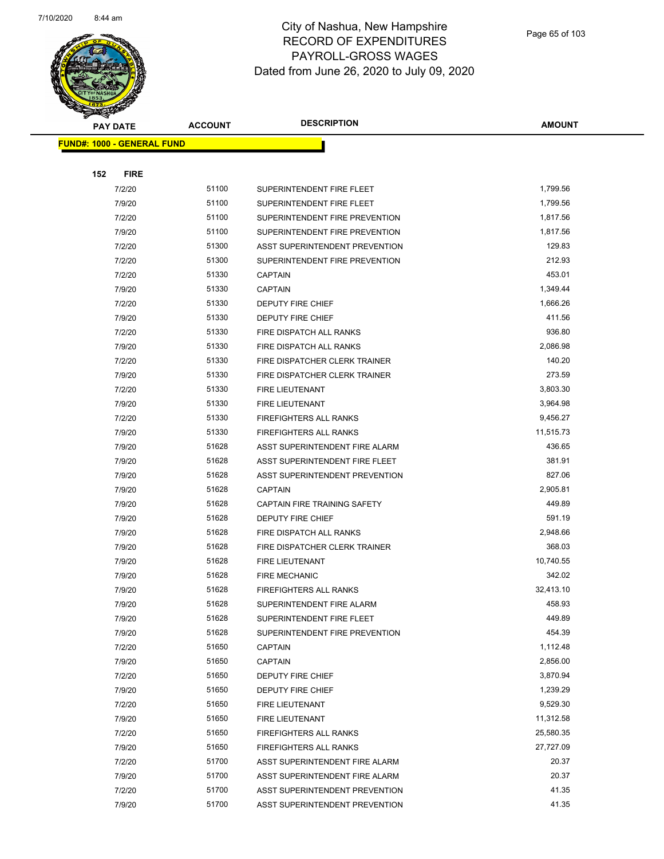

| $\blacktriangle$ .<br><b>PAY DATE</b> | <b>ACCOUNT</b> | <b>DESCRIPTION</b>             | <b>AMOUNT</b> |
|---------------------------------------|----------------|--------------------------------|---------------|
| <b>FUND#: 1000 - GENERAL FUND</b>     |                |                                |               |
|                                       |                |                                |               |
| 152<br><b>FIRE</b>                    |                |                                |               |
| 7/2/20                                | 51100          | SUPERINTENDENT FIRE FLEET      | 1,799.56      |
| 7/9/20                                | 51100          | SUPERINTENDENT FIRE FLEET      | 1,799.56      |
| 7/2/20                                | 51100          | SUPERINTENDENT FIRE PREVENTION | 1,817.56      |
| 7/9/20                                | 51100          | SUPERINTENDENT FIRE PREVENTION | 1,817.56      |
| 7/2/20                                | 51300          | ASST SUPERINTENDENT PREVENTION | 129.83        |
| 7/2/20                                | 51300          | SUPERINTENDENT FIRE PREVENTION | 212.93        |
| 7/2/20                                | 51330          | <b>CAPTAIN</b>                 | 453.01        |
| 7/9/20                                | 51330          | <b>CAPTAIN</b>                 | 1,349.44      |
| 7/2/20                                | 51330          | DEPUTY FIRE CHIEF              | 1,666.26      |
| 7/9/20                                | 51330          | DEPUTY FIRE CHIEF              | 411.56        |
| 7/2/20                                | 51330          | FIRE DISPATCH ALL RANKS        | 936.80        |
| 7/9/20                                | 51330          | FIRE DISPATCH ALL RANKS        | 2,086.98      |
| 7/2/20                                | 51330          | FIRE DISPATCHER CLERK TRAINER  | 140.20        |
| 7/9/20                                | 51330          | FIRE DISPATCHER CLERK TRAINER  | 273.59        |
| 7/2/20                                | 51330          | FIRE LIEUTENANT                | 3,803.30      |
| 7/9/20                                | 51330          | <b>FIRE LIEUTENANT</b>         | 3,964.98      |
| 7/2/20                                | 51330          | FIREFIGHTERS ALL RANKS         | 9,456.27      |
| 7/9/20                                | 51330          | FIREFIGHTERS ALL RANKS         | 11,515.73     |
| 7/9/20                                | 51628          | ASST SUPERINTENDENT FIRE ALARM | 436.65        |
| 7/9/20                                | 51628          | ASST SUPERINTENDENT FIRE FLEET | 381.91        |
| 7/9/20                                | 51628          | ASST SUPERINTENDENT PREVENTION | 827.06        |
| 7/9/20                                | 51628          | <b>CAPTAIN</b>                 | 2,905.81      |
| 7/9/20                                | 51628          | CAPTAIN FIRE TRAINING SAFETY   | 449.89        |
| 7/9/20                                | 51628          | DEPUTY FIRE CHIEF              | 591.19        |
| 7/9/20                                | 51628          | FIRE DISPATCH ALL RANKS        | 2,948.66      |
| 7/9/20                                | 51628          | FIRE DISPATCHER CLERK TRAINER  | 368.03        |
| 7/9/20                                | 51628          | FIRE LIEUTENANT                | 10,740.55     |
| 7/9/20                                | 51628          | <b>FIRE MECHANIC</b>           | 342.02        |
| 7/9/20                                | 51628          | <b>FIREFIGHTERS ALL RANKS</b>  | 32,413.10     |
| 7/9/20                                | 51628          | SUPERINTENDENT FIRE ALARM      | 458.93        |
| 7/9/20                                | 51628          | SUPERINTENDENT FIRE FLEET      | 449.89        |
| 7/9/20                                | 51628          | SUPERINTENDENT FIRE PREVENTION | 454.39        |
| 7/2/20                                | 51650          | <b>CAPTAIN</b>                 | 1,112.48      |
| 7/9/20                                | 51650          | <b>CAPTAIN</b>                 | 2,856.00      |
| 7/2/20                                | 51650          | DEPUTY FIRE CHIEF              | 3,870.94      |
| 7/9/20                                | 51650          | DEPUTY FIRE CHIEF              | 1,239.29      |
| 7/2/20                                | 51650          | FIRE LIEUTENANT                | 9,529.30      |
| 7/9/20                                | 51650          | <b>FIRE LIEUTENANT</b>         | 11,312.58     |
| 7/2/20                                | 51650          | FIREFIGHTERS ALL RANKS         | 25,580.35     |
| 7/9/20                                | 51650          | FIREFIGHTERS ALL RANKS         | 27,727.09     |
| 7/2/20                                | 51700          | ASST SUPERINTENDENT FIRE ALARM | 20.37         |
| 7/9/20                                | 51700          | ASST SUPERINTENDENT FIRE ALARM | 20.37         |
| 7/2/20                                | 51700          | ASST SUPERINTENDENT PREVENTION | 41.35         |
| 7/9/20                                | 51700          | ASST SUPERINTENDENT PREVENTION | 41.35         |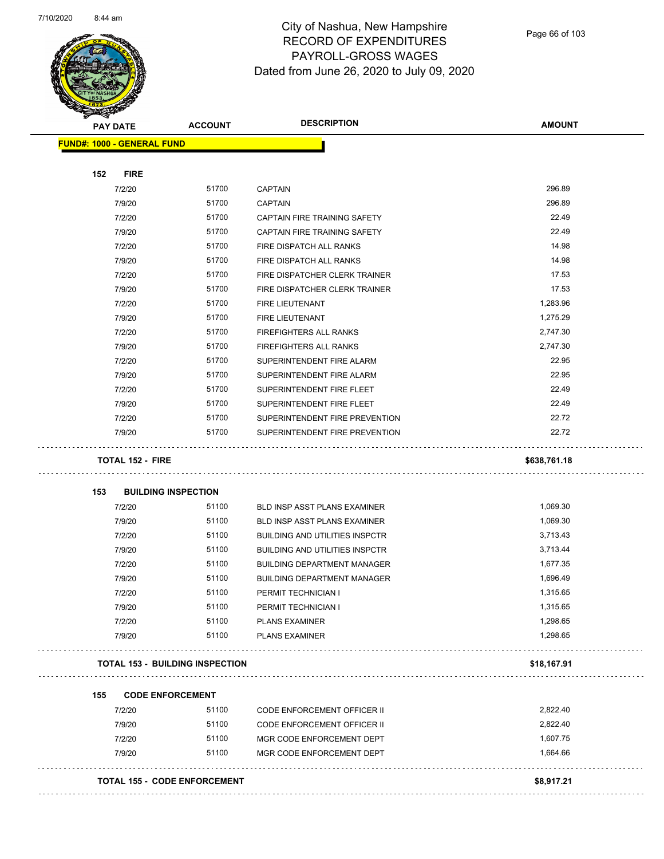

| <b>PAY DATE</b>                   | <b>ACCOUNT</b>                         | <b>DESCRIPTION</b>                    | <b>AMOUNT</b> |
|-----------------------------------|----------------------------------------|---------------------------------------|---------------|
| <b>FUND#: 1000 - GENERAL FUND</b> |                                        |                                       |               |
| 152<br><b>FIRE</b>                |                                        |                                       |               |
| 7/2/20                            | 51700                                  | <b>CAPTAIN</b>                        | 296.89        |
| 7/9/20                            | 51700                                  | <b>CAPTAIN</b>                        | 296.89        |
| 7/2/20                            | 51700                                  | CAPTAIN FIRE TRAINING SAFETY          | 22.49         |
| 7/9/20                            | 51700                                  | CAPTAIN FIRE TRAINING SAFETY          | 22.49         |
| 7/2/20                            | 51700                                  | FIRE DISPATCH ALL RANKS               | 14.98         |
| 7/9/20                            | 51700                                  | FIRE DISPATCH ALL RANKS               | 14.98         |
| 7/2/20                            | 51700                                  | FIRE DISPATCHER CLERK TRAINER         | 17.53         |
| 7/9/20                            | 51700                                  | FIRE DISPATCHER CLERK TRAINER         | 17.53         |
| 7/2/20                            | 51700                                  | <b>FIRE LIEUTENANT</b>                | 1,283.96      |
| 7/9/20                            | 51700                                  | <b>FIRE LIEUTENANT</b>                | 1,275.29      |
| 7/2/20                            | 51700                                  | FIREFIGHTERS ALL RANKS                | 2,747.30      |
| 7/9/20                            | 51700                                  | <b>FIREFIGHTERS ALL RANKS</b>         | 2,747.30      |
| 7/2/20                            | 51700                                  | SUPERINTENDENT FIRE ALARM             | 22.95         |
| 7/9/20                            | 51700                                  | SUPERINTENDENT FIRE ALARM             | 22.95         |
| 7/2/20                            | 51700                                  | SUPERINTENDENT FIRE FLEET             | 22.49         |
| 7/9/20                            | 51700                                  | SUPERINTENDENT FIRE FLEET             | 22.49         |
| 7/2/20                            | 51700                                  | SUPERINTENDENT FIRE PREVENTION        | 22.72         |
| 7/9/20                            | 51700                                  | SUPERINTENDENT FIRE PREVENTION        | 22.72         |
|                                   |                                        |                                       |               |
| TOTAL 152 - FIRE                  |                                        |                                       | \$638,761.18  |
|                                   |                                        |                                       |               |
| 153<br>7/2/20                     | <b>BUILDING INSPECTION</b><br>51100    | <b>BLD INSP ASST PLANS EXAMINER</b>   | 1,069.30      |
| 7/9/20                            | 51100                                  | BLD INSP ASST PLANS EXAMINER          | 1,069.30      |
| 7/2/20                            | 51100                                  | <b>BUILDING AND UTILITIES INSPCTR</b> | 3,713.43      |
| 7/9/20                            | 51100                                  | <b>BUILDING AND UTILITIES INSPCTR</b> | 3,713.44      |
| 7/2/20                            | 51100                                  | <b>BUILDING DEPARTMENT MANAGER</b>    | 1,677.35      |
| 7/9/20                            | 51100                                  | <b>BUILDING DEPARTMENT MANAGER</b>    | 1,696.49      |
| 7/2/20                            | 51100                                  | PERMIT TECHNICIAN I                   | 1,315.65      |
|                                   | 51100                                  | PERMIT TECHNICIAN I                   | 1,315.65      |
| 7/9/20                            | 51100                                  |                                       | 1,298.65      |
| 7/2/20                            | 51100                                  | <b>PLANS EXAMINER</b>                 | 1,298.65      |
| 7/9/20                            |                                        | <b>PLANS EXAMINER</b>                 |               |
|                                   | <b>TOTAL 153 - BUILDING INSPECTION</b> |                                       | \$18,167.91   |
|                                   |                                        |                                       |               |
| 155                               | <b>CODE ENFORCEMENT</b>                |                                       |               |
| 7/2/20                            | 51100                                  | <b>CODE ENFORCEMENT OFFICER II</b>    | 2,822.40      |
| 7/9/20                            | 51100                                  | CODE ENFORCEMENT OFFICER II           | 2,822.40      |
| 7/2/20                            | 51100                                  | MGR CODE ENFORCEMENT DEPT             | 1,607.75      |
| 7/9/20                            | 51100                                  | MGR CODE ENFORCEMENT DEPT             | 1,664.66      |
|                                   |                                        |                                       |               |
|                                   | <b>TOTAL 155 - CODE ENFORCEMENT</b>    |                                       | \$8,917.21    |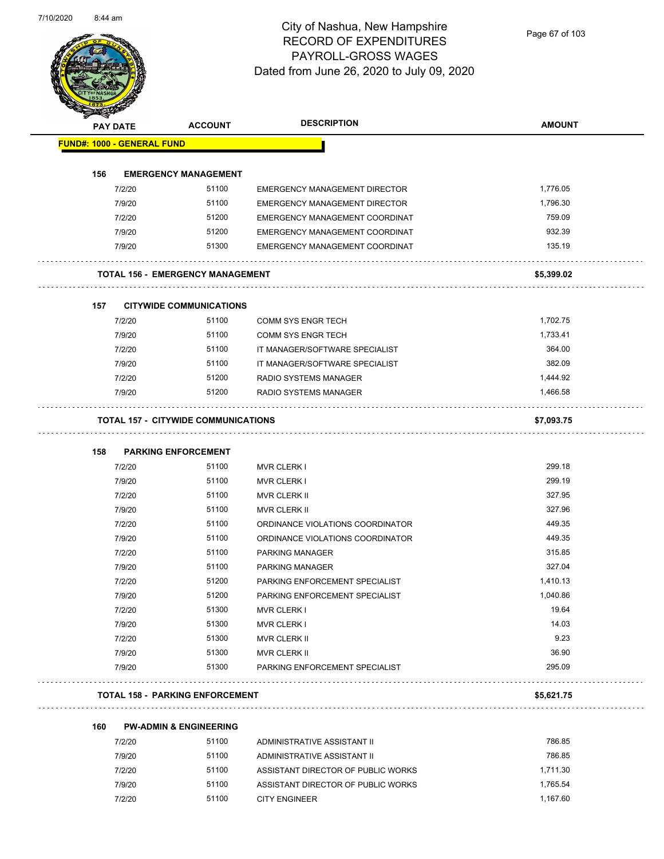Page 67 of 103

|     | <b>PAY DATE</b>                   | <b>ACCOUNT</b>                             | <b>DESCRIPTION</b>                                         | <b>AMOUNT</b>    |
|-----|-----------------------------------|--------------------------------------------|------------------------------------------------------------|------------------|
|     | <b>FUND#: 1000 - GENERAL FUND</b> |                                            |                                                            |                  |
| 156 |                                   | <b>EMERGENCY MANAGEMENT</b>                |                                                            |                  |
|     | 7/2/20                            | 51100                                      | <b>EMERGENCY MANAGEMENT DIRECTOR</b>                       | 1,776.05         |
|     | 7/9/20                            | 51100                                      | <b>EMERGENCY MANAGEMENT DIRECTOR</b>                       | 1,796.30         |
|     | 7/2/20                            | 51200                                      | EMERGENCY MANAGEMENT COORDINAT                             | 759.09           |
|     | 7/9/20                            | 51200                                      | EMERGENCY MANAGEMENT COORDINAT                             | 932.39           |
|     | 7/9/20                            | 51300                                      | EMERGENCY MANAGEMENT COORDINAT                             | 135.19           |
|     |                                   | <b>TOTAL 156 - EMERGENCY MANAGEMENT</b>    |                                                            | \$5,399.02       |
|     |                                   |                                            |                                                            |                  |
| 157 | 7/2/20                            | <b>CITYWIDE COMMUNICATIONS</b><br>51100    | <b>COMM SYS ENGR TECH</b>                                  | 1,702.75         |
|     | 7/9/20                            | 51100                                      | <b>COMM SYS ENGR TECH</b>                                  | 1,733.41         |
|     | 7/2/20                            | 51100                                      | IT MANAGER/SOFTWARE SPECIALIST                             | 364.00           |
|     | 7/9/20                            | 51100                                      | IT MANAGER/SOFTWARE SPECIALIST                             | 382.09           |
|     | 7/2/20                            | 51200                                      | RADIO SYSTEMS MANAGER                                      | 1,444.92         |
|     | 7/9/20                            | 51200                                      | <b>RADIO SYSTEMS MANAGER</b>                               | 1,466.58         |
|     |                                   |                                            |                                                            |                  |
|     |                                   | <b>TOTAL 157 - CITYWIDE COMMUNICATIONS</b> |                                                            | \$7,093.75       |
| 158 |                                   | <b>PARKING ENFORCEMENT</b>                 |                                                            |                  |
|     | 7/2/20                            | 51100                                      | <b>MVR CLERK I</b>                                         | 299.18           |
|     | 7/9/20                            | 51100                                      | <b>MVR CLERK I</b>                                         | 299.19           |
|     | 7/2/20                            | 51100                                      | MVR CLERK II                                               | 327.95           |
|     | 7/9/20                            | 51100                                      | <b>MVR CLERK II</b>                                        | 327.96           |
|     | 7/2/20                            | 51100                                      | ORDINANCE VIOLATIONS COORDINATOR                           | 449.35           |
|     | 7/9/20                            | 51100                                      | ORDINANCE VIOLATIONS COORDINATOR                           | 449.35           |
|     | 7/2/20                            | 51100                                      | PARKING MANAGER                                            | 315.85           |
|     | 7/9/20                            | 51100                                      | PARKING MANAGER                                            | 327.04           |
|     | 7/2/20                            | 51200                                      | PARKING ENFORCEMENT SPECIALIST                             | 1,410.13         |
|     | 7/9/20                            | 51200                                      | PARKING ENFORCEMENT SPECIALIST                             | 1,040.86         |
|     | 7/2/20                            | 51300                                      | <b>MVR CLERK I</b>                                         | 19.64            |
|     |                                   | 51300                                      | <b>MVR CLERK I</b>                                         | 14.03            |
|     | 7/9/20                            |                                            | MVR CLERK II                                               | 9.23             |
|     | 7/2/20                            | 51300                                      |                                                            |                  |
|     | 7/9/20                            | 51300                                      | <b>MVR CLERK II</b>                                        | 36.90            |
|     | 7/9/20                            | 51300                                      | PARKING ENFORCEMENT SPECIALIST                             | 295.09           |
|     |                                   | <b>TOTAL 158 - PARKING ENFORCEMENT</b>     |                                                            | \$5,621.75       |
|     |                                   |                                            |                                                            |                  |
| 160 |                                   | <b>PW-ADMIN &amp; ENGINEERING</b>          |                                                            |                  |
|     | 7/2/20<br>7/9/20                  | 51100<br>51100                             | ADMINISTRATIVE ASSISTANT II<br>ADMINISTRATIVE ASSISTANT II | 786.85<br>786.85 |

| 7/9/20 | 51100 | ADMINISTRATIVE ASSISTANT II        | 786.85   |
|--------|-------|------------------------------------|----------|
| 7/2/20 | 51100 | ASSISTANT DIRECTOR OF PUBLIC WORKS | 1.711.30 |
| 7/9/20 | 51100 | ASSISTANT DIRECTOR OF PUBLIC WORKS | 1.765.54 |
| 7/2/20 | 51100 | <b>CITY ENGINEER</b>               | 1.167.60 |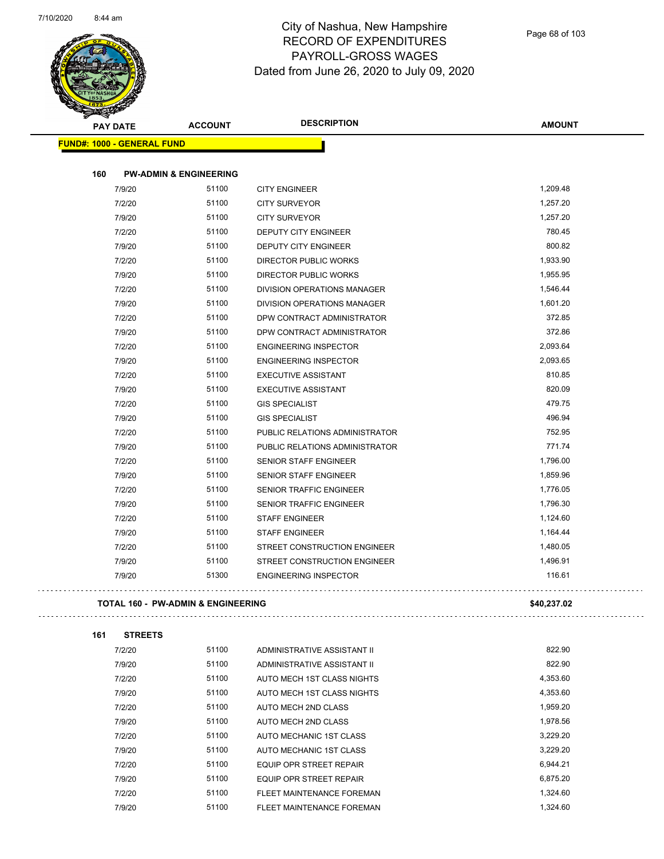

| <b>PAY DATE</b>                   | <b>ACCOUNT</b>                    | <b>DESCRIPTION</b>                 | <b>AMOUNT</b> |
|-----------------------------------|-----------------------------------|------------------------------------|---------------|
| <b>FUND#: 1000 - GENERAL FUND</b> |                                   |                                    |               |
| 160                               | <b>PW-ADMIN &amp; ENGINEERING</b> |                                    |               |
| 7/9/20                            | 51100                             | <b>CITY ENGINEER</b>               | 1,209.48      |
| 7/2/20                            | 51100                             | <b>CITY SURVEYOR</b>               | 1,257.20      |
| 7/9/20                            | 51100                             | <b>CITY SURVEYOR</b>               | 1,257.20      |
| 7/2/20                            | 51100                             | <b>DEPUTY CITY ENGINEER</b>        | 780.45        |
| 7/9/20                            | 51100                             | <b>DEPUTY CITY ENGINEER</b>        | 800.82        |
| 7/2/20                            | 51100                             | <b>DIRECTOR PUBLIC WORKS</b>       | 1,933.90      |
| 7/9/20                            | 51100                             | <b>DIRECTOR PUBLIC WORKS</b>       | 1,955.95      |
| 7/2/20                            | 51100                             | DIVISION OPERATIONS MANAGER        | 1,546.44      |
| 7/9/20                            | 51100                             | <b>DIVISION OPERATIONS MANAGER</b> | 1,601.20      |
| 7/2/20                            | 51100                             | DPW CONTRACT ADMINISTRATOR         | 372.85        |
| 7/9/20                            | 51100                             | DPW CONTRACT ADMINISTRATOR         | 372.86        |
| 7/2/20                            | 51100                             | <b>ENGINEERING INSPECTOR</b>       | 2,093.64      |
| 7/9/20                            | 51100                             | <b>ENGINEERING INSPECTOR</b>       | 2,093.65      |
| 7/2/20                            | 51100                             | <b>EXECUTIVE ASSISTANT</b>         | 810.85        |
| 7/9/20                            | 51100                             | <b>EXECUTIVE ASSISTANT</b>         | 820.09        |
| 7/2/20                            | 51100                             | <b>GIS SPECIALIST</b>              | 479.75        |
| 7/9/20                            | 51100                             | <b>GIS SPECIALIST</b>              | 496.94        |
| 7/2/20                            | 51100                             | PUBLIC RELATIONS ADMINISTRATOR     | 752.95        |
| 7/9/20                            | 51100                             | PUBLIC RELATIONS ADMINISTRATOR     | 771.74        |
| 7/2/20                            | 51100                             | <b>SENIOR STAFF ENGINEER</b>       | 1,796.00      |
| 7/9/20                            | 51100                             | SENIOR STAFF ENGINEER              | 1,859.96      |
| 7/2/20                            | 51100                             | <b>SENIOR TRAFFIC ENGINEER</b>     | 1,776.05      |
| 7/9/20                            | 51100                             | <b>SENIOR TRAFFIC ENGINEER</b>     | 1,796.30      |
| 7/2/20                            | 51100                             | <b>STAFF ENGINEER</b>              | 1,124.60      |
| 7/9/20                            | 51100                             | <b>STAFF ENGINEER</b>              | 1,164.44      |
| 7/2/20                            | 51100                             | STREET CONSTRUCTION ENGINEER       | 1,480.05      |
| 7/9/20                            | 51100                             | STREET CONSTRUCTION ENGINEER       | 1,496.91      |
| 7/9/20                            | 51300                             | <b>ENGINEERING INSPECTOR</b>       | 116.61        |
|                                   |                                   |                                    |               |

# 

**161 STREETS**

 $\hat{\mathcal{L}}$  .

| 7/2/20 | 51100 | ADMINISTRATIVE ASSISTANT II    | 822.90   |
|--------|-------|--------------------------------|----------|
| 7/9/20 | 51100 | ADMINISTRATIVE ASSISTANT II    | 822.90   |
| 7/2/20 | 51100 | AUTO MECH 1ST CLASS NIGHTS     | 4,353.60 |
| 7/9/20 | 51100 | AUTO MECH 1ST CLASS NIGHTS     | 4.353.60 |
| 7/2/20 | 51100 | AUTO MECH 2ND CLASS            | 1.959.20 |
| 7/9/20 | 51100 | AUTO MECH 2ND CLASS            | 1,978.56 |
| 7/2/20 | 51100 | AUTO MECHANIC 1ST CLASS        | 3,229.20 |
| 7/9/20 | 51100 | AUTO MECHANIC 1ST CLASS        | 3.229.20 |
| 7/2/20 | 51100 | <b>EQUIP OPR STREET REPAIR</b> | 6.944.21 |
| 7/9/20 | 51100 | <b>EQUIP OPR STREET REPAIR</b> | 6.875.20 |
| 7/2/20 | 51100 | FLEET MAINTENANCE FOREMAN      | 1,324.60 |
| 7/9/20 | 51100 | FLEET MAINTENANCE FOREMAN      | 1.324.60 |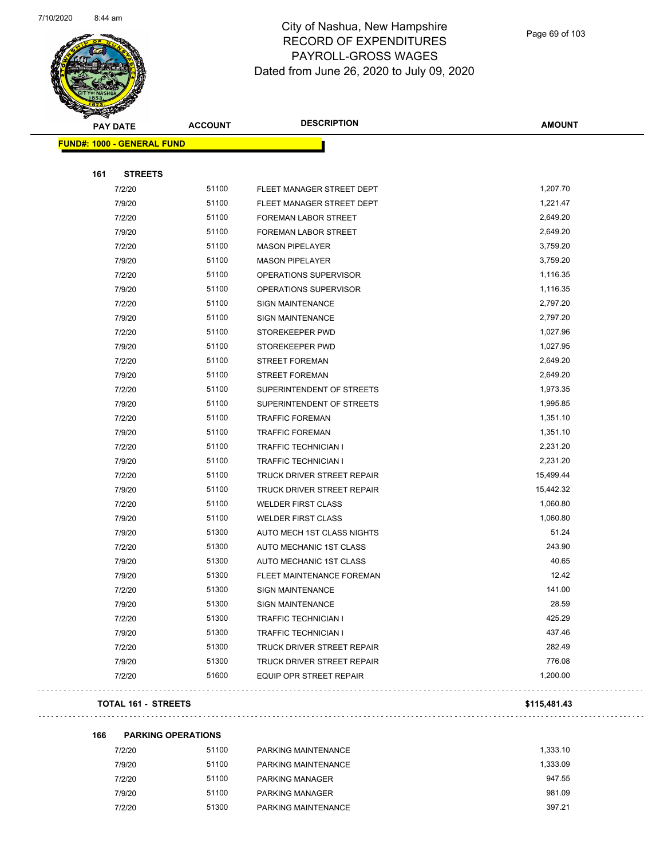

| T<br>A.<br><b>PAY DATE</b>        | <b>ACCOUNT</b> | <b>DESCRIPTION</b>          | <b>AMOUNT</b> |
|-----------------------------------|----------------|-----------------------------|---------------|
|                                   |                |                             |               |
| <b>FUND#: 1000 - GENERAL FUND</b> |                |                             |               |
|                                   |                |                             |               |
| 161<br><b>STREETS</b>             |                |                             |               |
| 7/2/20                            | 51100          | FLEET MANAGER STREET DEPT   | 1,207.70      |
| 7/9/20                            | 51100          | FLEET MANAGER STREET DEPT   | 1,221.47      |
| 7/2/20                            | 51100          | FOREMAN LABOR STREET        | 2,649.20      |
| 7/9/20                            | 51100          | FOREMAN LABOR STREET        | 2,649.20      |
| 7/2/20                            | 51100          | <b>MASON PIPELAYER</b>      | 3,759.20      |
| 7/9/20                            | 51100          | <b>MASON PIPELAYER</b>      | 3,759.20      |
| 7/2/20                            | 51100          | OPERATIONS SUPERVISOR       | 1,116.35      |
| 7/9/20                            | 51100          | OPERATIONS SUPERVISOR       | 1,116.35      |
| 7/2/20                            | 51100          | <b>SIGN MAINTENANCE</b>     | 2,797.20      |
| 7/9/20                            | 51100          | <b>SIGN MAINTENANCE</b>     | 2,797.20      |
| 7/2/20                            | 51100          | STOREKEEPER PWD             | 1,027.96      |
| 7/9/20                            | 51100          | STOREKEEPER PWD             | 1,027.95      |
| 7/2/20                            | 51100          | <b>STREET FOREMAN</b>       | 2,649.20      |
| 7/9/20                            | 51100          | <b>STREET FOREMAN</b>       | 2,649.20      |
| 7/2/20                            | 51100          | SUPERINTENDENT OF STREETS   | 1,973.35      |
| 7/9/20                            | 51100          | SUPERINTENDENT OF STREETS   | 1,995.85      |
| 7/2/20                            | 51100          | <b>TRAFFIC FOREMAN</b>      | 1,351.10      |
| 7/9/20                            | 51100          | <b>TRAFFIC FOREMAN</b>      | 1,351.10      |
| 7/2/20                            | 51100          | <b>TRAFFIC TECHNICIAN I</b> | 2,231.20      |
| 7/9/20                            | 51100          | <b>TRAFFIC TECHNICIAN I</b> | 2,231.20      |
| 7/2/20                            | 51100          | TRUCK DRIVER STREET REPAIR  | 15,499.44     |
| 7/9/20                            | 51100          | TRUCK DRIVER STREET REPAIR  | 15,442.32     |
| 7/2/20                            | 51100          | <b>WELDER FIRST CLASS</b>   | 1,060.80      |
| 7/9/20                            | 51100          | <b>WELDER FIRST CLASS</b>   | 1,060.80      |
| 7/9/20                            | 51300          | AUTO MECH 1ST CLASS NIGHTS  | 51.24         |
| 7/2/20                            | 51300          | AUTO MECHANIC 1ST CLASS     | 243.90        |
| 7/9/20                            | 51300          | AUTO MECHANIC 1ST CLASS     | 40.65         |
| 7/9/20                            | 51300          | FLEET MAINTENANCE FOREMAN   | 12.42         |
| 7/2/20                            | 51300          | SIGN MAINTENANCE            | 141.00        |
| 7/9/20                            | 51300          | <b>SIGN MAINTENANCE</b>     | 28.59         |
| 7/2/20                            | 51300          | <b>TRAFFIC TECHNICIAN I</b> | 425.29        |
| 7/9/20                            | 51300          | <b>TRAFFIC TECHNICIAN I</b> | 437.46        |
| 7/2/20                            | 51300          | TRUCK DRIVER STREET REPAIR  | 282.49        |
| 7/9/20                            | 51300          | TRUCK DRIVER STREET REPAIR  | 776.08        |
| 7/2/20                            | 51600          | EQUIP OPR STREET REPAIR     | 1,200.00      |
|                                   |                |                             |               |

#### **TOTAL 161 - STREETS \$115,481.43**

**166 PARKING OPERATIONS**

| 7/2/20 | 51100 | PARKING MAINTENANCE    | 1.333.10 |
|--------|-------|------------------------|----------|
| 7/9/20 | 51100 | PARKING MAINTENANCE    | 1.333.09 |
| 7/2/20 | 51100 | <b>PARKING MANAGER</b> | 947.55   |
| 7/9/20 | 51100 | <b>PARKING MANAGER</b> | 981.09   |
| 7/2/20 | 51300 | PARKING MAINTENANCE    | 397.21   |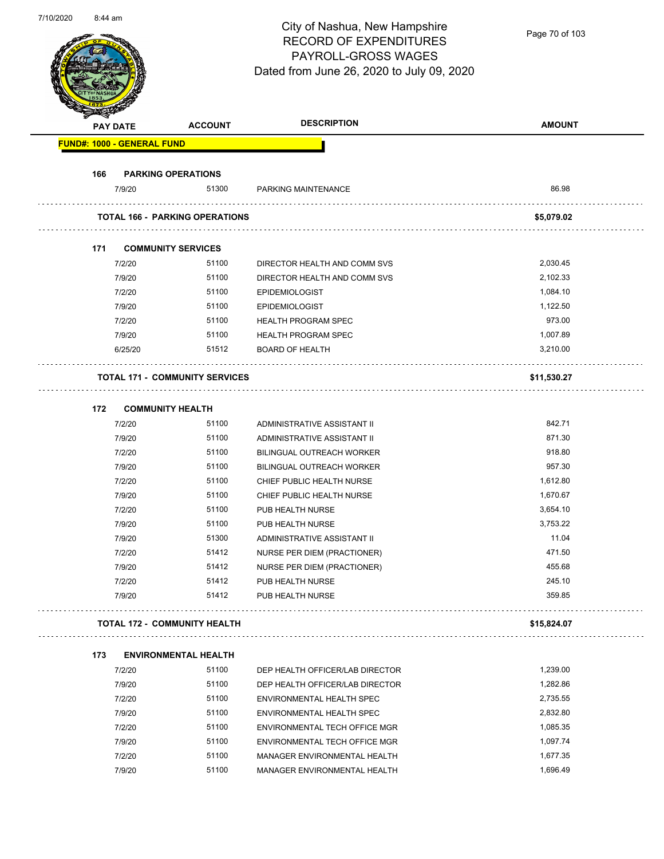Page 70 of 103

|     | <b>PAY DATE</b>                   | <b>ACCOUNT</b>                        | <b>DESCRIPTION</b>                 | <b>AMOUNT</b> |
|-----|-----------------------------------|---------------------------------------|------------------------------------|---------------|
|     | <b>FUND#: 1000 - GENERAL FUND</b> |                                       |                                    |               |
| 166 |                                   | <b>PARKING OPERATIONS</b>             |                                    |               |
|     | 7/9/20                            | 51300                                 | PARKING MAINTENANCE                | 86.98         |
|     |                                   | <b>TOTAL 166 - PARKING OPERATIONS</b> |                                    | \$5,079.02    |
| 171 |                                   | <b>COMMUNITY SERVICES</b>             |                                    |               |
|     | 7/2/20                            | 51100                                 | DIRECTOR HEALTH AND COMM SVS       | 2,030.45      |
|     | 7/9/20                            | 51100                                 | DIRECTOR HEALTH AND COMM SVS       | 2,102.33      |
|     | 7/2/20                            | 51100                                 | <b>EPIDEMIOLOGIST</b>              | 1,084.10      |
|     | 7/9/20                            | 51100                                 | <b>EPIDEMIOLOGIST</b>              | 1,122.50      |
|     | 7/2/20                            | 51100                                 | <b>HEALTH PROGRAM SPEC</b>         | 973.00        |
|     | 7/9/20                            | 51100                                 | <b>HEALTH PROGRAM SPEC</b>         | 1,007.89      |
|     | 6/25/20                           | 51512                                 | <b>BOARD OF HEALTH</b>             | 3,210.00      |
|     |                                   | <b>TOTAL 171 - COMMUNITY SERVICES</b> |                                    | \$11,530.27   |
| 172 |                                   | <b>COMMUNITY HEALTH</b>               |                                    |               |
|     | 7/2/20                            | 51100                                 | ADMINISTRATIVE ASSISTANT II        | 842.71        |
|     | 7/9/20                            | 51100                                 | ADMINISTRATIVE ASSISTANT II        | 871.30        |
|     | 7/2/20                            | 51100                                 | BILINGUAL OUTREACH WORKER          | 918.80        |
|     | 7/9/20                            | 51100                                 | BILINGUAL OUTREACH WORKER          | 957.30        |
|     | 7/2/20                            | 51100                                 | CHIEF PUBLIC HEALTH NURSE          | 1,612.80      |
|     | 7/9/20                            | 51100                                 | CHIEF PUBLIC HEALTH NURSE          | 1,670.67      |
|     | 7/2/20                            | 51100                                 | PUB HEALTH NURSE                   | 3,654.10      |
|     | 7/9/20                            | 51100                                 | PUB HEALTH NURSE                   | 3,753.22      |
|     | 7/9/20                            | 51300                                 | ADMINISTRATIVE ASSISTANT II        | 11.04         |
|     | 7/2/20                            | 51412                                 | <b>NURSE PER DIEM (PRACTIONER)</b> | 471.50        |
|     | 7/9/20                            | 51412                                 | NURSE PER DIEM (PRACTIONER)        | 455.68        |
|     | 7/2/20                            | 51412                                 | PUB HEALTH NURSE                   | 245.10        |
|     | 7/9/20                            | 51412                                 | PUB HEALTH NURSE                   | 359.85        |
|     |                                   | <b>TOTAL 172 - COMMUNITY HEALTH</b>   |                                    | \$15,824.07   |
| 173 |                                   | <b>ENVIRONMENTAL HEALTH</b>           |                                    |               |
|     | 7/2/20                            | 51100                                 | DEP HEALTH OFFICER/LAB DIRECTOR    | 1,239.00      |
|     | 7/9/20                            | 51100                                 | DEP HEALTH OFFICER/LAB DIRECTOR    | 1,282.86      |
|     | 7/2/20                            | 51100                                 | ENVIRONMENTAL HEALTH SPEC          | 2,735.55      |
|     | 7/9/20                            | 51100                                 | ENVIRONMENTAL HEALTH SPEC          | 2,832.80      |
|     | 7/2/20                            | 51100                                 | ENVIRONMENTAL TECH OFFICE MGR      | 1,085.35      |
|     | 7/9/20                            | 51100                                 | ENVIRONMENTAL TECH OFFICE MGR      | 1,097.74      |
|     | 7/2/20                            | 51100                                 | MANAGER ENVIRONMENTAL HEALTH       | 1,677.35      |
|     | 7/9/20                            | 51100                                 | MANAGER ENVIRONMENTAL HEALTH       | 1,696.49      |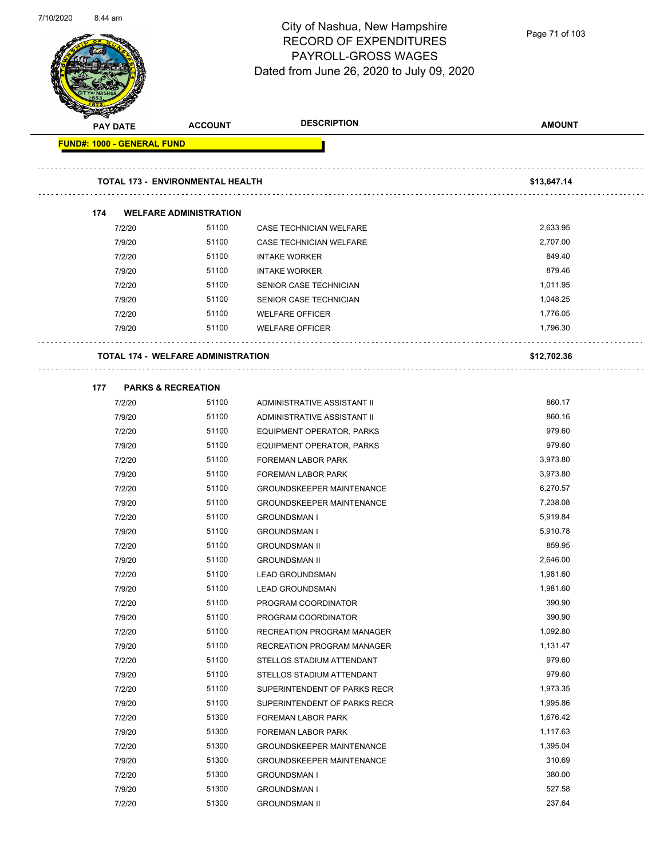

Page 71 of 103

| <b>SANGRAP</b><br><b>PAY DATE</b> | <b>ACCOUNT</b>                            | <b>DESCRIPTION</b>                                                   | <b>AMOUNT</b> |
|-----------------------------------|-------------------------------------------|----------------------------------------------------------------------|---------------|
| <b>FUND#: 1000 - GENERAL FUND</b> |                                           |                                                                      |               |
|                                   |                                           |                                                                      |               |
|                                   | <b>TOTAL 173 - ENVIRONMENTAL HEALTH</b>   |                                                                      |               |
|                                   |                                           |                                                                      | \$13,647.14   |
| 174                               | <b>WELFARE ADMINISTRATION</b>             |                                                                      |               |
| 7/2/20                            | 51100                                     | CASE TECHNICIAN WELFARE                                              | 2,633.95      |
| 7/9/20                            | 51100                                     | CASE TECHNICIAN WELFARE                                              | 2,707.00      |
| 7/2/20                            | 51100                                     | <b>INTAKE WORKER</b>                                                 | 849.40        |
| 7/9/20                            | 51100                                     | <b>INTAKE WORKER</b>                                                 | 879.46        |
| 7/2/20                            | 51100                                     | SENIOR CASE TECHNICIAN                                               | 1,011.95      |
| 7/9/20                            | 51100                                     | SENIOR CASE TECHNICIAN                                               | 1,048.25      |
| 7/2/20                            | 51100                                     | <b>WELFARE OFFICER</b>                                               | 1,776.05      |
| 7/9/20                            | 51100                                     | <b>WELFARE OFFICER</b>                                               | 1,796.30      |
|                                   |                                           |                                                                      |               |
|                                   | <b>TOTAL 174 - WELFARE ADMINISTRATION</b> |                                                                      | \$12,702.36   |
|                                   |                                           |                                                                      |               |
| 177<br>7/2/20                     | <b>PARKS &amp; RECREATION</b><br>51100    | ADMINISTRATIVE ASSISTANT II                                          | 860.17        |
|                                   | 51100                                     |                                                                      | 860.16        |
| 7/9/20<br>7/2/20                  | 51100                                     | ADMINISTRATIVE ASSISTANT II                                          | 979.60        |
| 7/9/20                            | 51100                                     | EQUIPMENT OPERATOR, PARKS                                            | 979.60        |
| 7/2/20                            | 51100                                     | EQUIPMENT OPERATOR, PARKS<br><b>FOREMAN LABOR PARK</b>               | 3,973.80      |
| 7/9/20                            | 51100                                     |                                                                      | 3,973.80      |
|                                   | 51100                                     | <b>FOREMAN LABOR PARK</b>                                            | 6,270.57      |
| 7/2/20<br>7/9/20                  | 51100                                     | <b>GROUNDSKEEPER MAINTENANCE</b><br><b>GROUNDSKEEPER MAINTENANCE</b> | 7,238.08      |
| 7/2/20                            | 51100                                     | <b>GROUNDSMAN I</b>                                                  | 5,919.84      |
| 7/9/20                            | 51100                                     | <b>GROUNDSMAN I</b>                                                  | 5,910.78      |
| 7/2/20                            | 51100                                     | <b>GROUNDSMAN II</b>                                                 | 859.95        |
| 7/9/20                            | 51100                                     | <b>GROUNDSMAN II</b>                                                 | 2,646.00      |
| 7/2/20                            | 51100                                     | <b>LEAD GROUNDSMAN</b>                                               | 1,981.60      |
| 7/9/20                            | 51100                                     | <b>LEAD GROUNDSMAN</b>                                               | 1,981.60      |
| 7/2/20                            | 51100                                     | PROGRAM COORDINATOR                                                  | 390.90        |
| 7/9/20                            | 51100                                     | PROGRAM COORDINATOR                                                  | 390.90        |
| 7/2/20                            | 51100                                     | RECREATION PROGRAM MANAGER                                           | 1,092.80      |
| 7/9/20                            | 51100                                     | RECREATION PROGRAM MANAGER                                           | 1,131.47      |
| 7/2/20                            | 51100                                     | STELLOS STADIUM ATTENDANT                                            | 979.60        |
| 7/9/20                            | 51100                                     | STELLOS STADIUM ATTENDANT                                            | 979.60        |
| 7/2/20                            | 51100                                     | SUPERINTENDENT OF PARKS RECR                                         | 1,973.35      |
| 7/9/20                            | 51100                                     | SUPERINTENDENT OF PARKS RECR                                         | 1,995.86      |
| 7/2/20                            | 51300                                     | FOREMAN LABOR PARK                                                   | 1,676.42      |
| 7/9/20                            | 51300                                     | FOREMAN LABOR PARK                                                   | 1,117.63      |
| 7/2/20                            | 51300                                     | <b>GROUNDSKEEPER MAINTENANCE</b>                                     | 1,395.04      |
| 7/9/20                            | 51300                                     | <b>GROUNDSKEEPER MAINTENANCE</b>                                     | 310.69        |
| 7/2/20                            | 51300                                     | <b>GROUNDSMAN I</b>                                                  | 380.00        |
| 7/9/20                            | 51300                                     | <b>GROUNDSMAN I</b>                                                  | 527.58        |
| 7/2/20                            | 51300                                     | <b>GROUNDSMAN II</b>                                                 | 237.64        |
|                                   |                                           |                                                                      |               |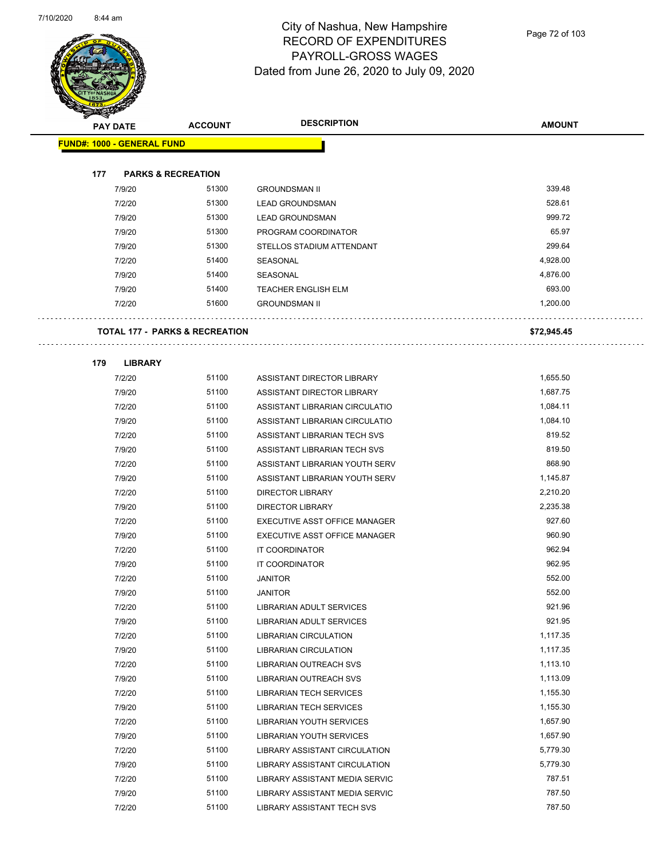

Page 72 of 103

| <b>KILGER</b> |                                           |                |                                      |               |
|---------------|-------------------------------------------|----------------|--------------------------------------|---------------|
|               | <b>PAY DATE</b>                           | <b>ACCOUNT</b> | <b>DESCRIPTION</b>                   | <b>AMOUNT</b> |
|               | <b>FUND#: 1000 - GENERAL FUND</b>         |                |                                      |               |
|               |                                           |                |                                      |               |
| 177           | <b>PARKS &amp; RECREATION</b>             |                |                                      |               |
|               | 7/9/20                                    | 51300          | <b>GROUNDSMAN II</b>                 | 339.48        |
|               | 7/2/20                                    | 51300          | <b>LEAD GROUNDSMAN</b>               | 528.61        |
|               | 7/9/20                                    | 51300          | <b>LEAD GROUNDSMAN</b>               | 999.72        |
|               | 7/9/20                                    | 51300          | PROGRAM COORDINATOR                  | 65.97         |
|               | 7/9/20                                    | 51300          | STELLOS STADIUM ATTENDANT            | 299.64        |
|               | 7/2/20                                    | 51400          | <b>SEASONAL</b>                      | 4,928.00      |
|               | 7/9/20                                    | 51400          | SEASONAL                             | 4,876.00      |
|               | 7/9/20                                    | 51400          | <b>TEACHER ENGLISH ELM</b>           | 693.00        |
|               | 7/2/20                                    | 51600          | <b>GROUNDSMAN II</b>                 | 1,200.00      |
|               |                                           |                |                                      |               |
|               | <b>TOTAL 177 - PARKS &amp; RECREATION</b> |                |                                      | \$72,945.45   |
|               |                                           |                |                                      |               |
| 179           | <b>LIBRARY</b>                            |                |                                      |               |
|               | 7/2/20                                    | 51100          | ASSISTANT DIRECTOR LIBRARY           | 1,655.50      |
|               | 7/9/20                                    | 51100          | ASSISTANT DIRECTOR LIBRARY           | 1,687.75      |
|               | 7/2/20                                    | 51100          | ASSISTANT LIBRARIAN CIRCULATIO       | 1,084.11      |
|               | 7/9/20                                    | 51100          | ASSISTANT LIBRARIAN CIRCULATIO       | 1,084.10      |
|               | 7/2/20                                    | 51100          | ASSISTANT LIBRARIAN TECH SVS         | 819.52        |
|               | 7/9/20                                    | 51100          | ASSISTANT LIBRARIAN TECH SVS         | 819.50        |
|               | 7/2/20                                    | 51100          | ASSISTANT LIBRARIAN YOUTH SERV       | 868.90        |
|               | 7/9/20                                    | 51100          | ASSISTANT LIBRARIAN YOUTH SERV       | 1,145.87      |
|               | 7/2/20                                    | 51100          | <b>DIRECTOR LIBRARY</b>              | 2,210.20      |
|               | 7/9/20                                    | 51100          | <b>DIRECTOR LIBRARY</b>              | 2,235.38      |
|               | 7/2/20                                    | 51100          | EXECUTIVE ASST OFFICE MANAGER        | 927.60        |
|               | 7/9/20                                    | 51100          | <b>EXECUTIVE ASST OFFICE MANAGER</b> | 960.90        |
|               | 7/2/20                                    | 51100          | IT COORDINATOR                       | 962.94        |
|               | 7/9/20                                    | 51100          | IT COORDINATOR                       | 962.95        |
|               | 7/2/20                                    | 51100          | <b>JANITOR</b>                       | 552.00        |
|               | 7/9/20                                    | 51100          | <b>JANITOR</b>                       | 552.00        |
|               | 7/2/20                                    | 51100          | LIBRARIAN ADULT SERVICES             | 921.96        |
|               | 7/9/20                                    | 51100          | LIBRARIAN ADULT SERVICES             | 921.95        |
|               | 7/2/20                                    | 51100          | <b>LIBRARIAN CIRCULATION</b>         | 1,117.35      |
|               | 7/9/20                                    | 51100          | <b>LIBRARIAN CIRCULATION</b>         | 1,117.35      |
|               | 7/2/20                                    | 51100          | <b>LIBRARIAN OUTREACH SVS</b>        | 1,113.10      |
|               | 7/9/20                                    | 51100          | <b>LIBRARIAN OUTREACH SVS</b>        | 1,113.09      |
|               | 7/2/20                                    | 51100          | <b>LIBRARIAN TECH SERVICES</b>       | 1,155.30      |
|               | 7/9/20                                    | 51100          | <b>LIBRARIAN TECH SERVICES</b>       | 1,155.30      |
|               | 7/2/20                                    | 51100          | LIBRARIAN YOUTH SERVICES             | 1,657.90      |
|               | 7/9/20                                    | 51100          | <b>LIBRARIAN YOUTH SERVICES</b>      | 1,657.90      |
|               | 7/2/20                                    | 51100          | LIBRARY ASSISTANT CIRCULATION        | 5,779.30      |
|               | 7/9/20                                    | 51100          | LIBRARY ASSISTANT CIRCULATION        | 5,779.30      |
|               | 7/2/20                                    | 51100          | LIBRARY ASSISTANT MEDIA SERVIC       | 787.51        |
|               | 7/9/20                                    | 51100          | LIBRARY ASSISTANT MEDIA SERVIC       | 787.50        |
|               | 7/2/20                                    | 51100          | LIBRARY ASSISTANT TECH SVS           | 787.50        |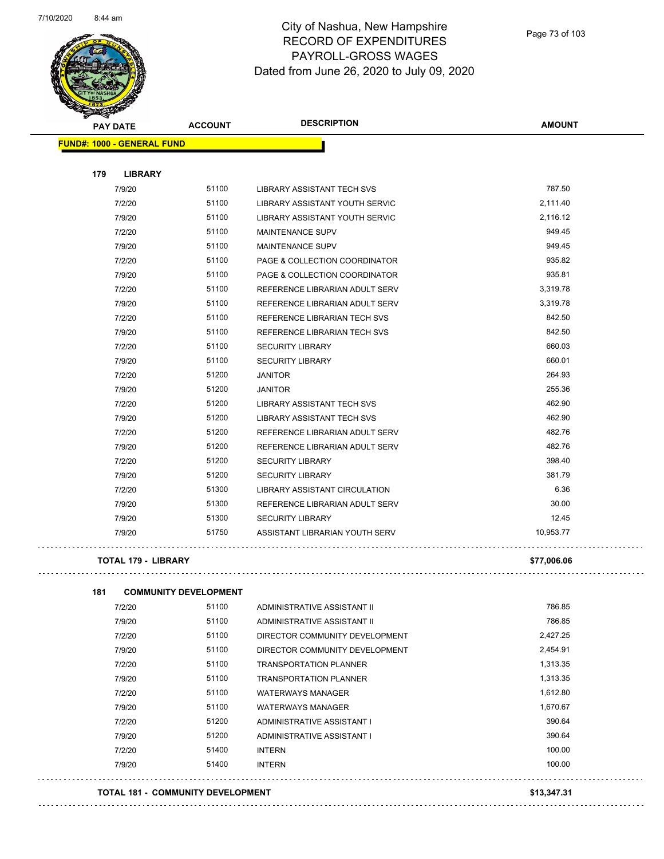

| <b>PAY DATE</b>                   | <b>ACCOUNT</b> | <b>DESCRIPTION</b>                | <b>AMOUNT</b> |
|-----------------------------------|----------------|-----------------------------------|---------------|
| <b>FUND#: 1000 - GENERAL FUND</b> |                |                                   |               |
|                                   |                |                                   |               |
| 179<br><b>LIBRARY</b>             |                |                                   |               |
| 7/9/20                            | 51100          | LIBRARY ASSISTANT TECH SVS        | 787.50        |
| 7/2/20                            | 51100          | LIBRARY ASSISTANT YOUTH SERVIC    | 2,111.40      |
| 7/9/20                            | 51100          | LIBRARY ASSISTANT YOUTH SERVIC    | 2,116.12      |
| 7/2/20                            | 51100          | <b>MAINTENANCE SUPV</b>           | 949.45        |
| 7/9/20                            | 51100          | <b>MAINTENANCE SUPV</b>           | 949.45        |
| 7/2/20                            | 51100          | PAGE & COLLECTION COORDINATOR     | 935.82        |
| 7/9/20                            | 51100          | PAGE & COLLECTION COORDINATOR     | 935.81        |
| 7/2/20                            | 51100          | REFERENCE LIBRARIAN ADULT SERV    | 3,319.78      |
| 7/9/20                            | 51100          | REFERENCE LIBRARIAN ADULT SERV    | 3,319.78      |
| 7/2/20                            | 51100          | REFERENCE LIBRARIAN TECH SVS      | 842.50        |
| 7/9/20                            | 51100          | REFERENCE LIBRARIAN TECH SVS      | 842.50        |
| 7/2/20                            | 51100          | <b>SECURITY LIBRARY</b>           | 660.03        |
| 7/9/20                            | 51100          | <b>SECURITY LIBRARY</b>           | 660.01        |
| 7/2/20                            | 51200          | <b>JANITOR</b>                    | 264.93        |
| 7/9/20                            | 51200          | <b>JANITOR</b>                    | 255.36        |
| 7/2/20                            | 51200          | <b>LIBRARY ASSISTANT TECH SVS</b> | 462.90        |
| 7/9/20                            | 51200          | LIBRARY ASSISTANT TECH SVS        | 462.90        |
| 7/2/20                            | 51200          | REFERENCE LIBRARIAN ADULT SERV    | 482.76        |
| 7/9/20                            | 51200          | REFERENCE LIBRARIAN ADULT SERV    | 482.76        |
| 7/2/20                            | 51200          | <b>SECURITY LIBRARY</b>           | 398.40        |
| 7/9/20                            | 51200          | <b>SECURITY LIBRARY</b>           | 381.79        |
| 7/2/20                            | 51300          | LIBRARY ASSISTANT CIRCULATION     | 6.36          |
| 7/9/20                            | 51300          | REFERENCE LIBRARIAN ADULT SERV    | 30.00         |
| 7/9/20                            | 51300          | <b>SECURITY LIBRARY</b>           | 12.45         |
| 7/9/20                            | 51750          | ASSISTANT LIBRARIAN YOUTH SERV    | 10,953.77     |
| <b>TOTAL 179 - LIBRARY</b>        |                |                                   | \$77,006.06   |

 $\bar{\mathcal{L}}$  .

| 181 | <b>COMMUNITY DEVELOPMENT</b> |       |                                |          |
|-----|------------------------------|-------|--------------------------------|----------|
|     | 7/2/20                       | 51100 | ADMINISTRATIVE ASSISTANT II    | 786.85   |
|     | 7/9/20                       | 51100 | ADMINISTRATIVE ASSISTANT II    | 786.85   |
|     | 7/2/20                       | 51100 | DIRECTOR COMMUNITY DEVELOPMENT | 2,427.25 |
|     | 7/9/20                       | 51100 | DIRECTOR COMMUNITY DEVELOPMENT | 2,454.91 |
|     | 7/2/20                       | 51100 | <b>TRANSPORTATION PLANNER</b>  | 1,313.35 |
|     | 7/9/20                       | 51100 | <b>TRANSPORTATION PLANNER</b>  | 1,313.35 |
|     | 7/2/20                       | 51100 | <b>WATERWAYS MANAGER</b>       | 1,612.80 |
|     | 7/9/20                       | 51100 | <b>WATERWAYS MANAGER</b>       | 1,670.67 |
|     | 7/2/20                       | 51200 | ADMINISTRATIVE ASSISTANT I     | 390.64   |
|     | 7/9/20                       | 51200 | ADMINISTRATIVE ASSISTANT I     | 390.64   |
|     | 7/2/20                       | 51400 | <b>INTERN</b>                  | 100.00   |
|     | 7/9/20                       | 51400 | INTERN                         | 100.00   |

**TOTAL 181 - COMMUNITY DEVELOPMENT \$13,347.31**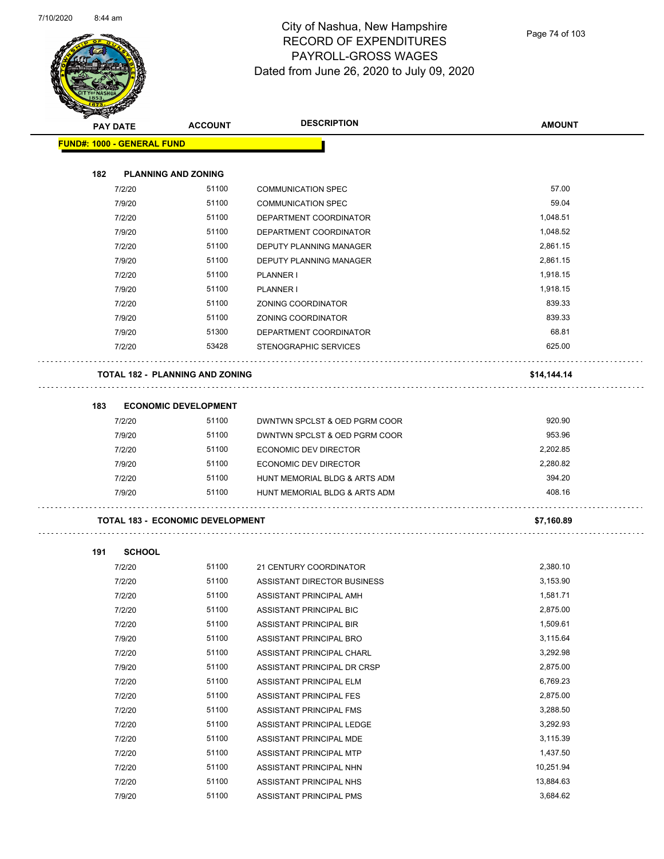

|     |                                   |                                         | <b>DESCRIPTION</b>            |               |
|-----|-----------------------------------|-----------------------------------------|-------------------------------|---------------|
|     | PAY DATE                          | <b>ACCOUNT</b>                          |                               | <b>AMOUNT</b> |
|     | <b>FUND#: 1000 - GENERAL FUND</b> |                                         |                               |               |
| 182 |                                   | <b>PLANNING AND ZONING</b>              |                               |               |
|     | 7/2/20                            | 51100                                   | <b>COMMUNICATION SPEC</b>     | 57.00         |
|     | 7/9/20                            | 51100                                   | <b>COMMUNICATION SPEC</b>     | 59.04         |
|     | 7/2/20                            | 51100                                   | DEPARTMENT COORDINATOR        | 1,048.51      |
|     | 7/9/20                            | 51100                                   | DEPARTMENT COORDINATOR        | 1,048.52      |
|     | 7/2/20                            | 51100                                   | DEPUTY PLANNING MANAGER       | 2,861.15      |
|     | 7/9/20                            | 51100                                   | DEPUTY PLANNING MANAGER       | 2,861.15      |
|     | 7/2/20                            | 51100                                   | PLANNER I                     | 1,918.15      |
|     | 7/9/20                            | 51100                                   | PLANNER I                     | 1,918.15      |
|     | 7/2/20                            | 51100                                   | ZONING COORDINATOR            | 839.33        |
|     | 7/9/20                            | 51100                                   | ZONING COORDINATOR            | 839.33        |
|     | 7/9/20                            | 51300                                   | DEPARTMENT COORDINATOR        | 68.81         |
|     | 7/2/20                            | 53428                                   | <b>STENOGRAPHIC SERVICES</b>  | 625.00        |
|     |                                   | <b>TOTAL 182 - PLANNING AND ZONING</b>  |                               | \$14,144.14   |
|     |                                   |                                         |                               |               |
| 183 |                                   | <b>ECONOMIC DEVELOPMENT</b>             |                               |               |
|     | 7/2/20                            | 51100                                   | DWNTWN SPCLST & OED PGRM COOR | 920.90        |
|     | 7/9/20                            | 51100                                   | DWNTWN SPCLST & OED PGRM COOR | 953.96        |
|     | 7/2/20                            | 51100                                   | <b>ECONOMIC DEV DIRECTOR</b>  | 2,202.85      |
|     | 7/9/20                            | 51100                                   | <b>ECONOMIC DEV DIRECTOR</b>  | 2,280.82      |
|     | 7/2/20                            | 51100                                   | HUNT MEMORIAL BLDG & ARTS ADM | 394.20        |
|     | 7/9/20                            | 51100                                   | HUNT MEMORIAL BLDG & ARTS ADM | 408.16        |
|     |                                   | <b>TOTAL 183 - ECONOMIC DEVELOPMENT</b> |                               | \$7,160.89    |
| 191 | <b>SCHOOL</b>                     |                                         |                               |               |
|     | 7/2/20                            | 51100                                   | 21 CENTURY COORDINATOR        | 2,380.10      |
|     | 7/2/20                            | 51100                                   | ASSISTANT DIRECTOR BUSINESS   | 3,153.90      |
|     | 7/2/20                            | 51100                                   | ASSISTANT PRINCIPAL AMH       | 1,581.71      |
|     | 7/2/20                            | 51100                                   | ASSISTANT PRINCIPAL BIC       | 2,875.00      |
|     | 7/2/20                            | 51100                                   | ASSISTANT PRINCIPAL BIR       | 1,509.61      |
|     | 7/9/20                            | 51100                                   | ASSISTANT PRINCIPAL BRO       | 3,115.64      |
|     | 7/2/20                            | 51100                                   | ASSISTANT PRINCIPAL CHARL     | 3,292.98      |
|     | 7/9/20                            | 51100                                   | ASSISTANT PRINCIPAL DR CRSP   | 2,875.00      |
|     | 7/2/20                            | 51100                                   | ASSISTANT PRINCIPAL ELM       | 6,769.23      |
|     | 7/2/20                            | 51100                                   | ASSISTANT PRINCIPAL FES       | 2,875.00      |
|     | 7/2/20                            | 51100                                   | ASSISTANT PRINCIPAL FMS       | 3,288.50      |
|     | 7/2/20                            | 51100                                   | ASSISTANT PRINCIPAL LEDGE     | 3,292.93      |
|     | 7/2/20                            | 51100                                   | ASSISTANT PRINCIPAL MDE       | 3,115.39      |
|     | 7/2/20                            | 51100                                   | ASSISTANT PRINCIPAL MTP       | 1,437.50      |
|     | 7/2/20                            | 51100                                   | ASSISTANT PRINCIPAL NHN       | 10,251.94     |
|     | 7/2/20                            | 51100                                   | ASSISTANT PRINCIPAL NHS       | 13,884.63     |
|     | 7/9/20                            | 51100                                   | ASSISTANT PRINCIPAL PMS       | 3,684.62      |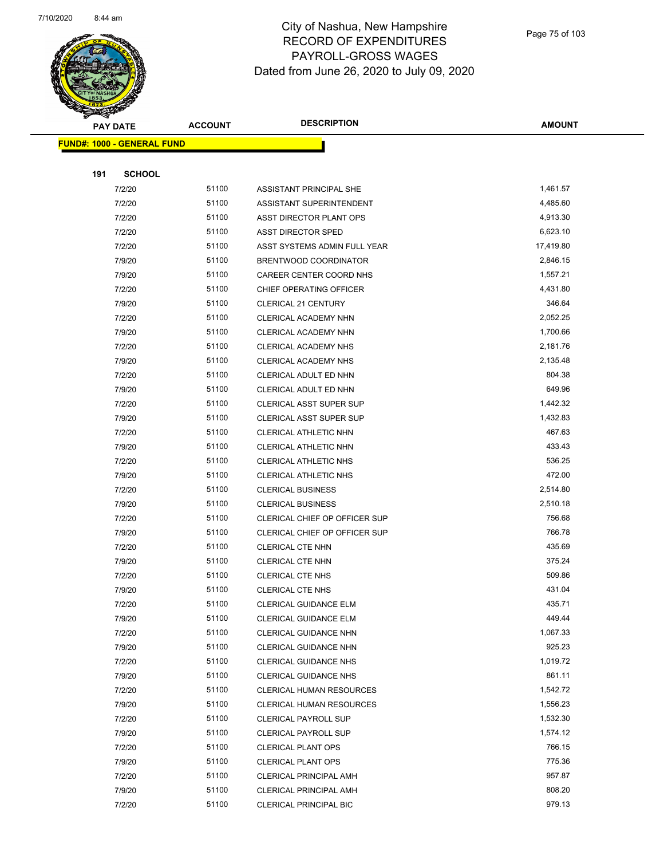

|     | <b>PAY DATE</b>                   | <b>ACCOUNT</b> | <b>DESCRIPTION</b>                                             | <b>AMOUNT</b>      |
|-----|-----------------------------------|----------------|----------------------------------------------------------------|--------------------|
|     | <b>FUND#: 1000 - GENERAL FUND</b> |                |                                                                |                    |
|     |                                   |                |                                                                |                    |
| 191 | <b>SCHOOL</b>                     |                |                                                                |                    |
|     | 7/2/20                            | 51100          | ASSISTANT PRINCIPAL SHE                                        | 1,461.57           |
|     | 7/2/20                            | 51100          | ASSISTANT SUPERINTENDENT                                       | 4,485.60           |
|     | 7/2/20                            | 51100          | ASST DIRECTOR PLANT OPS                                        | 4,913.30           |
|     | 7/2/20                            | 51100          | ASST DIRECTOR SPED                                             | 6,623.10           |
|     | 7/2/20                            | 51100          | ASST SYSTEMS ADMIN FULL YEAR                                   | 17,419.80          |
|     | 7/9/20                            | 51100          | BRENTWOOD COORDINATOR                                          | 2,846.15           |
|     | 7/9/20                            | 51100          | CAREER CENTER COORD NHS                                        | 1,557.21           |
|     | 7/2/20                            | 51100          | CHIEF OPERATING OFFICER                                        | 4,431.80           |
|     | 7/9/20                            | 51100          | <b>CLERICAL 21 CENTURY</b>                                     | 346.64             |
|     | 7/2/20                            | 51100          | CLERICAL ACADEMY NHN                                           | 2,052.25           |
|     | 7/9/20                            | 51100          | CLERICAL ACADEMY NHN                                           | 1,700.66           |
|     | 7/2/20                            | 51100          | CLERICAL ACADEMY NHS                                           | 2,181.76           |
|     | 7/9/20                            | 51100          | <b>CLERICAL ACADEMY NHS</b>                                    | 2,135.48           |
|     | 7/2/20                            | 51100          | CLERICAL ADULT ED NHN                                          | 804.38             |
|     | 7/9/20                            | 51100          | CLERICAL ADULT ED NHN                                          | 649.96             |
|     | 7/2/20                            | 51100          | <b>CLERICAL ASST SUPER SUP</b>                                 | 1,442.32           |
|     | 7/9/20                            | 51100          | <b>CLERICAL ASST SUPER SUP</b>                                 | 1,432.83           |
|     | 7/2/20                            | 51100          | <b>CLERICAL ATHLETIC NHN</b>                                   | 467.63             |
|     | 7/9/20                            | 51100          | CLERICAL ATHLETIC NHN                                          | 433.43             |
|     | 7/2/20                            | 51100          | CLERICAL ATHLETIC NHS                                          | 536.25             |
|     | 7/9/20                            | 51100          | CLERICAL ATHLETIC NHS                                          | 472.00             |
|     | 7/2/20                            | 51100          | <b>CLERICAL BUSINESS</b>                                       | 2,514.80           |
|     | 7/9/20                            | 51100          | <b>CLERICAL BUSINESS</b>                                       | 2,510.18           |
|     | 7/2/20                            | 51100          | CLERICAL CHIEF OP OFFICER SUP                                  | 756.68             |
|     | 7/9/20                            | 51100          | CLERICAL CHIEF OP OFFICER SUP                                  | 766.78             |
|     | 7/2/20                            | 51100          | <b>CLERICAL CTE NHN</b>                                        | 435.69             |
|     | 7/9/20                            | 51100          | <b>CLERICAL CTE NHN</b>                                        | 375.24             |
|     | 7/2/20                            | 51100          | <b>CLERICAL CTE NHS</b>                                        | 509.86             |
|     | 7/9/20                            | 51100          | <b>CLERICAL CTE NHS</b>                                        | 431.04             |
|     | 7/2/20                            | 51100          | CLERICAL GUIDANCE ELM                                          | 435.71             |
|     | 7/9/20                            | 51100          | <b>CLERICAL GUIDANCE ELM</b>                                   | 449.44             |
|     | 7/2/20                            | 51100          | CLERICAL GUIDANCE NHN                                          | 1,067.33           |
|     | 7/9/20                            | 51100          | CLERICAL GUIDANCE NHN                                          | 925.23             |
|     | 7/2/20                            | 51100          | CLERICAL GUIDANCE NHS                                          | 1,019.72<br>861.11 |
|     | 7/9/20                            | 51100<br>51100 | CLERICAL GUIDANCE NHS                                          | 1,542.72           |
|     | 7/2/20<br>7/9/20                  | 51100          | <b>CLERICAL HUMAN RESOURCES</b>                                | 1,556.23           |
|     | 7/2/20                            | 51100          | <b>CLERICAL HUMAN RESOURCES</b><br><b>CLERICAL PAYROLL SUP</b> | 1,532.30           |
|     | 7/9/20                            | 51100          | <b>CLERICAL PAYROLL SUP</b>                                    | 1,574.12           |
|     | 7/2/20                            | 51100          | <b>CLERICAL PLANT OPS</b>                                      | 766.15             |
|     | 7/9/20                            | 51100          | <b>CLERICAL PLANT OPS</b>                                      | 775.36             |
|     | 7/2/20                            | 51100          | <b>CLERICAL PRINCIPAL AMH</b>                                  | 957.87             |
|     | 7/9/20                            | 51100          | CLERICAL PRINCIPAL AMH                                         | 808.20             |
|     | 7/2/20                            | 51100          | CLERICAL PRINCIPAL BIC                                         | 979.13             |
|     |                                   |                |                                                                |                    |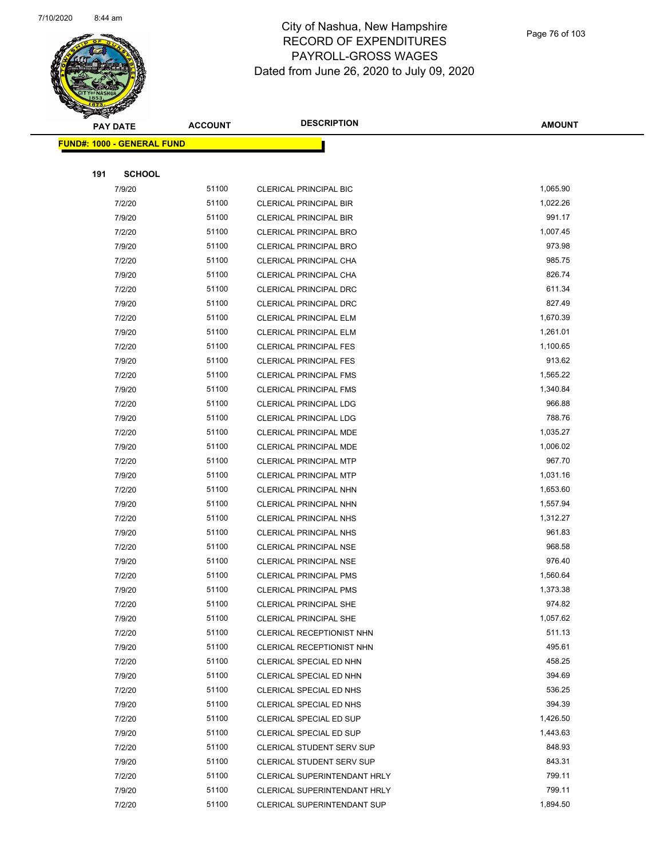

| ॼ   | <b>PAY DATE</b>                   | <b>ACCOUNT</b> | <b>DESCRIPTION</b>            | <b>AMOUNT</b> |
|-----|-----------------------------------|----------------|-------------------------------|---------------|
|     | <b>FUND#: 1000 - GENERAL FUND</b> |                |                               |               |
|     |                                   |                |                               |               |
| 191 | <b>SCHOOL</b>                     |                |                               |               |
|     | 7/9/20                            | 51100          | <b>CLERICAL PRINCIPAL BIC</b> | 1,065.90      |
|     | 7/2/20                            | 51100          | <b>CLERICAL PRINCIPAL BIR</b> | 1,022.26      |
|     | 7/9/20                            | 51100          | <b>CLERICAL PRINCIPAL BIR</b> | 991.17        |
|     | 7/2/20                            | 51100          | <b>CLERICAL PRINCIPAL BRO</b> | 1,007.45      |
|     | 7/9/20                            | 51100          | CLERICAL PRINCIPAL BRO        | 973.98        |
|     | 7/2/20                            | 51100          | CLERICAL PRINCIPAL CHA        | 985.75        |
|     | 7/9/20                            | 51100          | CLERICAL PRINCIPAL CHA        | 826.74        |
|     | 7/2/20                            | 51100          | CLERICAL PRINCIPAL DRC        | 611.34        |
|     | 7/9/20                            | 51100          | CLERICAL PRINCIPAL DRC        | 827.49        |
|     | 7/2/20                            | 51100          | CLERICAL PRINCIPAL ELM        | 1,670.39      |
|     | 7/9/20                            | 51100          | CLERICAL PRINCIPAL ELM        | 1,261.01      |
|     | 7/2/20                            | 51100          | <b>CLERICAL PRINCIPAL FES</b> | 1,100.65      |
|     | 7/9/20                            | 51100          | <b>CLERICAL PRINCIPAL FES</b> | 913.62        |
|     | 7/2/20                            | 51100          | <b>CLERICAL PRINCIPAL FMS</b> | 1,565.22      |
|     | 7/9/20                            | 51100          | <b>CLERICAL PRINCIPAL FMS</b> | 1,340.84      |
|     | 7/2/20                            | 51100          | CLERICAL PRINCIPAL LDG        | 966.88        |
|     | 7/9/20                            | 51100          | CLERICAL PRINCIPAL LDG        | 788.76        |
|     | 7/2/20                            | 51100          | CLERICAL PRINCIPAL MDE        | 1,035.27      |
|     | 7/9/20                            | 51100          | CLERICAL PRINCIPAL MDE        | 1,006.02      |
|     | 7/2/20                            | 51100          | <b>CLERICAL PRINCIPAL MTP</b> | 967.70        |
|     | 7/9/20                            | 51100          | <b>CLERICAL PRINCIPAL MTP</b> | 1,031.16      |
|     | 7/2/20                            | 51100          | CLERICAL PRINCIPAL NHN        | 1,653.60      |
|     | 7/9/20                            | 51100          | CLERICAL PRINCIPAL NHN        | 1,557.94      |
|     | 7/2/20                            | 51100          | <b>CLERICAL PRINCIPAL NHS</b> | 1,312.27      |
|     | 7/9/20                            | 51100          | CLERICAL PRINCIPAL NHS        | 961.83        |
|     | 7/2/20                            | 51100          | CLERICAL PRINCIPAL NSE        | 968.58        |
|     | 7/9/20                            | 51100          | CLERICAL PRINCIPAL NSE        | 976.40        |
|     | 7/2/20                            | 51100          | <b>CLERICAL PRINCIPAL PMS</b> | 1,560.64      |
|     | 7/9/20                            | 51100          | <b>CLERICAL PRINCIPAL PMS</b> | 1,373.38      |
|     | 7/2/20                            | 51100          | CLERICAL PRINCIPAL SHE        | 974.82        |
|     | 7/9/20                            | 51100          | <b>CLERICAL PRINCIPAL SHE</b> | 1,057.62      |
|     | 7/2/20                            | 51100          | CLERICAL RECEPTIONIST NHN     | 511.13        |
|     | 7/9/20                            | 51100          | CLERICAL RECEPTIONIST NHN     | 495.61        |
|     | 7/2/20                            | 51100          | CLERICAL SPECIAL ED NHN       | 458.25        |
|     | 7/9/20                            | 51100          | CLERICAL SPECIAL ED NHN       | 394.69        |
|     | 7/2/20                            | 51100          | CLERICAL SPECIAL ED NHS       | 536.25        |
|     | 7/9/20                            | 51100          | CLERICAL SPECIAL ED NHS       | 394.39        |
|     | 7/2/20                            | 51100          | CLERICAL SPECIAL ED SUP       | 1,426.50      |
|     | 7/9/20                            | 51100          | CLERICAL SPECIAL ED SUP       | 1,443.63      |
|     | 7/2/20                            | 51100          | CLERICAL STUDENT SERV SUP     | 848.93        |
|     | 7/9/20                            | 51100          | CLERICAL STUDENT SERV SUP     | 843.31        |
|     | 7/2/20                            | 51100          | CLERICAL SUPERINTENDANT HRLY  | 799.11        |
|     | 7/9/20                            | 51100          | CLERICAL SUPERINTENDANT HRLY  | 799.11        |
|     | 7/2/20                            | 51100          | CLERICAL SUPERINTENDANT SUP   | 1,894.50      |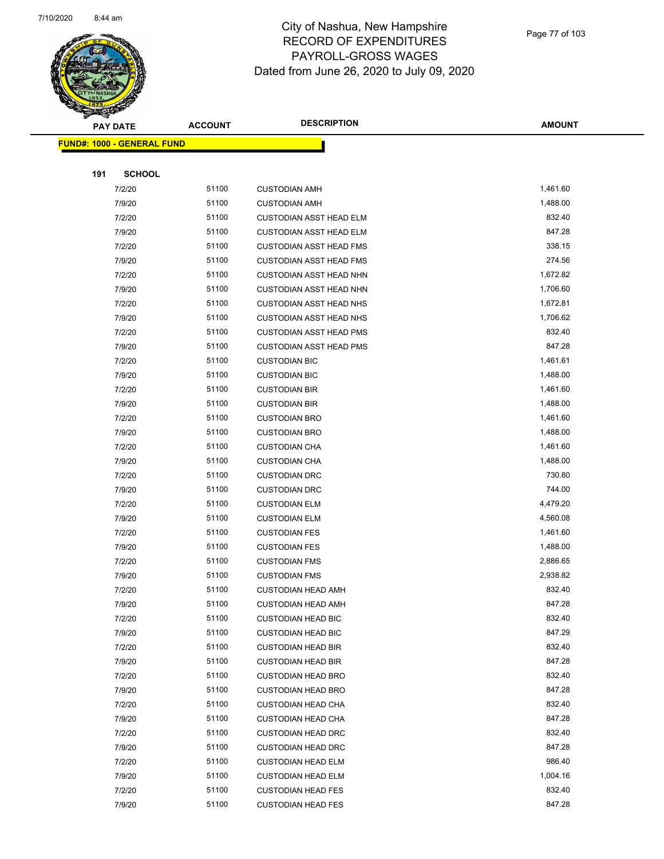

| Ð<br>B. | <b>PAY DATE</b>                   | <b>ACCOUNT</b> | <b>DESCRIPTION</b>             | <b>AMOUNT</b> |
|---------|-----------------------------------|----------------|--------------------------------|---------------|
|         | <b>FUND#: 1000 - GENERAL FUND</b> |                |                                |               |
|         |                                   |                |                                |               |
| 191     | <b>SCHOOL</b>                     |                |                                |               |
|         | 7/2/20                            | 51100          | <b>CUSTODIAN AMH</b>           | 1,461.60      |
|         | 7/9/20                            | 51100          | <b>CUSTODIAN AMH</b>           | 1,488.00      |
|         | 7/2/20                            | 51100          | <b>CUSTODIAN ASST HEAD ELM</b> | 832.40        |
|         | 7/9/20                            | 51100          | <b>CUSTODIAN ASST HEAD ELM</b> | 847.28        |
|         | 7/2/20                            | 51100          | <b>CUSTODIAN ASST HEAD FMS</b> | 338.15        |
|         | 7/9/20                            | 51100          | <b>CUSTODIAN ASST HEAD FMS</b> | 274.56        |
|         | 7/2/20                            | 51100          | <b>CUSTODIAN ASST HEAD NHN</b> | 1,672.82      |
|         | 7/9/20                            | 51100          | <b>CUSTODIAN ASST HEAD NHN</b> | 1,706.60      |
|         | 7/2/20                            | 51100          | <b>CUSTODIAN ASST HEAD NHS</b> | 1,672.81      |
|         | 7/9/20                            | 51100          | <b>CUSTODIAN ASST HEAD NHS</b> | 1,706.62      |
|         | 7/2/20                            | 51100          | <b>CUSTODIAN ASST HEAD PMS</b> | 832.40        |
|         | 7/9/20                            | 51100          | <b>CUSTODIAN ASST HEAD PMS</b> | 847.28        |
|         | 7/2/20                            | 51100          | <b>CUSTODIAN BIC</b>           | 1,461.61      |
|         | 7/9/20                            | 51100          | <b>CUSTODIAN BIC</b>           | 1,488.00      |
|         | 7/2/20                            | 51100          | <b>CUSTODIAN BIR</b>           | 1,461.60      |
|         | 7/9/20                            | 51100          | <b>CUSTODIAN BIR</b>           | 1,488.00      |
|         | 7/2/20                            | 51100          | <b>CUSTODIAN BRO</b>           | 1,461.60      |
|         | 7/9/20                            | 51100          | <b>CUSTODIAN BRO</b>           | 1,488.00      |
|         | 7/2/20                            | 51100          | <b>CUSTODIAN CHA</b>           | 1,461.60      |
|         | 7/9/20                            | 51100          | <b>CUSTODIAN CHA</b>           | 1,488.00      |
|         | 7/2/20                            | 51100          | <b>CUSTODIAN DRC</b>           | 730.80        |
|         | 7/9/20                            | 51100          | <b>CUSTODIAN DRC</b>           | 744.00        |
|         | 7/2/20                            | 51100          | <b>CUSTODIAN ELM</b>           | 4,479.20      |
|         | 7/9/20                            | 51100          | <b>CUSTODIAN ELM</b>           | 4,560.08      |
|         | 7/2/20                            | 51100          | <b>CUSTODIAN FES</b>           | 1,461.60      |
|         | 7/9/20                            | 51100          | <b>CUSTODIAN FES</b>           | 1,488.00      |
|         | 7/2/20                            | 51100          | <b>CUSTODIAN FMS</b>           | 2,886.65      |
|         | 7/9/20                            | 51100          | <b>CUSTODIAN FMS</b>           | 2,938.82      |
|         | 7/2/20                            | 51100          | <b>CUSTODIAN HEAD AMH</b>      | 832.40        |
|         | 7/9/20                            | 51100          | <b>CUSTODIAN HEAD AMH</b>      | 847.28        |
|         | 7/2/20                            | 51100          | <b>CUSTODIAN HEAD BIC</b>      | 832.40        |
|         | 7/9/20                            | 51100          | <b>CUSTODIAN HEAD BIC</b>      | 847.29        |
|         | 7/2/20                            | 51100          | <b>CUSTODIAN HEAD BIR</b>      | 832.40        |
|         | 7/9/20                            | 51100          | <b>CUSTODIAN HEAD BIR</b>      | 847.28        |
|         | 7/2/20                            | 51100          | <b>CUSTODIAN HEAD BRO</b>      | 832.40        |
|         | 7/9/20                            | 51100          | <b>CUSTODIAN HEAD BRO</b>      | 847.28        |
|         | 7/2/20                            | 51100          | <b>CUSTODIAN HEAD CHA</b>      | 832.40        |
|         | 7/9/20                            | 51100          | <b>CUSTODIAN HEAD CHA</b>      | 847.28        |
|         | 7/2/20                            | 51100          | <b>CUSTODIAN HEAD DRC</b>      | 832.40        |
|         | 7/9/20                            | 51100          | <b>CUSTODIAN HEAD DRC</b>      | 847.28        |
|         | 7/2/20                            | 51100          | <b>CUSTODIAN HEAD ELM</b>      | 986.40        |
|         | 7/9/20                            | 51100          | <b>CUSTODIAN HEAD ELM</b>      | 1,004.16      |
|         | 7/2/20                            | 51100          | <b>CUSTODIAN HEAD FES</b>      | 832.40        |
|         | 7/9/20                            | 51100          | <b>CUSTODIAN HEAD FES</b>      | 847.28        |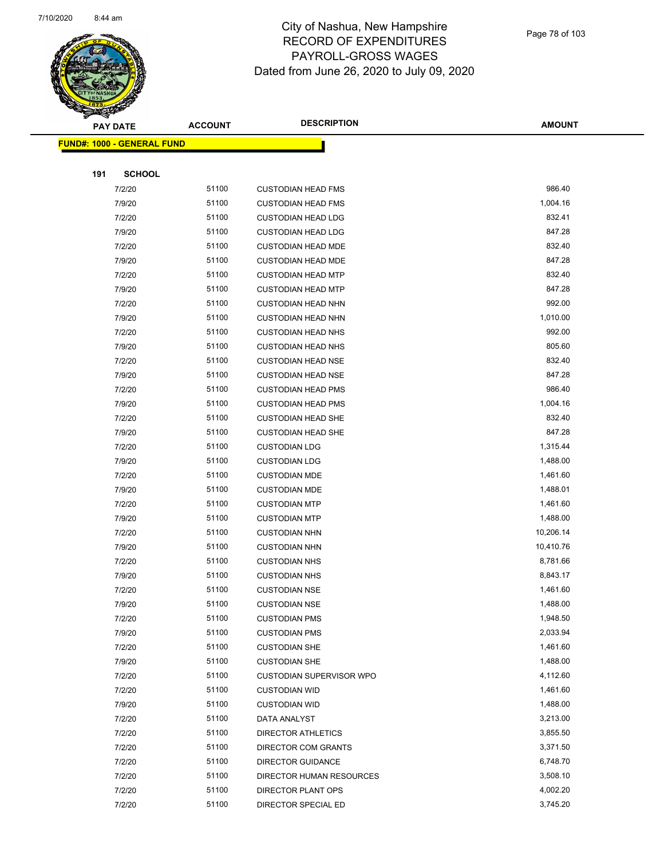

|     | <b>PAY DATE</b>                    | <b>ACCOUNT</b> | <b>DESCRIPTION</b>        | <b>AMOUNT</b> |
|-----|------------------------------------|----------------|---------------------------|---------------|
|     | <u> FUND#: 1000 - GENERAL FUND</u> |                |                           |               |
|     |                                    |                |                           |               |
| 191 | <b>SCHOOL</b>                      |                |                           |               |
|     | 7/2/20                             | 51100          | <b>CUSTODIAN HEAD FMS</b> | 986.40        |
|     | 7/9/20                             | 51100          | <b>CUSTODIAN HEAD FMS</b> | 1,004.16      |
|     | 7/2/20                             | 51100          | <b>CUSTODIAN HEAD LDG</b> | 832.41        |
|     | 7/9/20                             | 51100          | <b>CUSTODIAN HEAD LDG</b> | 847.28        |
|     | 7/2/20                             | 51100          | <b>CUSTODIAN HEAD MDE</b> | 832.40        |
|     | 7/9/20                             | 51100          | <b>CUSTODIAN HEAD MDE</b> | 847.28        |
|     | 7/2/20                             | 51100          | <b>CUSTODIAN HEAD MTP</b> | 832.40        |
|     | 7/9/20                             | 51100          | <b>CUSTODIAN HEAD MTP</b> | 847.28        |
|     | 7/2/20                             | 51100          | <b>CUSTODIAN HEAD NHN</b> | 992.00        |
|     | 7/9/20                             | 51100          | <b>CUSTODIAN HEAD NHN</b> | 1,010.00      |
|     | 7/2/20                             | 51100          | <b>CUSTODIAN HEAD NHS</b> | 992.00        |
|     | 7/9/20                             | 51100          | <b>CUSTODIAN HEAD NHS</b> | 805.60        |
|     | 7/2/20                             | 51100          | <b>CUSTODIAN HEAD NSE</b> | 832.40        |
|     | 7/9/20                             | 51100          | <b>CUSTODIAN HEAD NSE</b> | 847.28        |
|     | 7/2/20                             | 51100          | <b>CUSTODIAN HEAD PMS</b> | 986.40        |
|     | 7/9/20                             | 51100          | <b>CUSTODIAN HEAD PMS</b> | 1,004.16      |
|     | 7/2/20                             | 51100          | <b>CUSTODIAN HEAD SHE</b> | 832.40        |
|     | 7/9/20                             | 51100          | <b>CUSTODIAN HEAD SHE</b> | 847.28        |
|     | 7/2/20                             | 51100          | <b>CUSTODIAN LDG</b>      | 1,315.44      |
|     | 7/9/20                             | 51100          | <b>CUSTODIAN LDG</b>      | 1,488.00      |
|     | 7/2/20                             | 51100          | <b>CUSTODIAN MDE</b>      | 1,461.60      |
|     | 7/9/20                             | 51100          | <b>CUSTODIAN MDE</b>      | 1,488.01      |
|     | 7/2/20                             | 51100          | <b>CUSTODIAN MTP</b>      | 1,461.60      |
|     | 7/9/20                             | 51100          | <b>CUSTODIAN MTP</b>      | 1,488.00      |
|     | 7/2/20                             | 51100          | <b>CUSTODIAN NHN</b>      | 10,206.14     |
|     | 7/9/20                             | 51100          | <b>CUSTODIAN NHN</b>      | 10,410.76     |
|     | 7/2/20                             | 51100          | <b>CUSTODIAN NHS</b>      | 8,781.66      |
|     | 7/9/20                             | 51100          | <b>CUSTODIAN NHS</b>      | 8,843.17      |
|     | 7/2/20                             | 51100          | <b>CUSTODIAN NSE</b>      | 1,461.60      |
|     | 7/9/20                             | 51100          | <b>CUSTODIAN NSE</b>      | 1,488.00      |
|     | 7/2/20                             | 51100          | <b>CUSTODIAN PMS</b>      | 1,948.50      |
|     | 7/9/20                             | 51100          | <b>CUSTODIAN PMS</b>      | 2,033.94      |
|     | 7/2/20                             | 51100          | <b>CUSTODIAN SHE</b>      | 1,461.60      |
|     | 7/9/20                             | 51100          | <b>CUSTODIAN SHE</b>      | 1,488.00      |
|     | 7/2/20                             | 51100          | CUSTODIAN SUPERVISOR WPO  | 4,112.60      |
|     | 7/2/20                             | 51100          | <b>CUSTODIAN WID</b>      | 1,461.60      |
|     | 7/9/20                             | 51100          | <b>CUSTODIAN WID</b>      | 1,488.00      |
|     | 7/2/20                             | 51100          | DATA ANALYST              | 3,213.00      |
|     | 7/2/20                             | 51100          | <b>DIRECTOR ATHLETICS</b> | 3,855.50      |
|     | 7/2/20                             | 51100          | DIRECTOR COM GRANTS       | 3,371.50      |
|     | 7/2/20                             | 51100          | <b>DIRECTOR GUIDANCE</b>  | 6,748.70      |
|     | 7/2/20                             | 51100          | DIRECTOR HUMAN RESOURCES  | 3,508.10      |
|     | 7/2/20                             | 51100          | DIRECTOR PLANT OPS        | 4,002.20      |
|     | 7/2/20                             | 51100          | DIRECTOR SPECIAL ED       | 3,745.20      |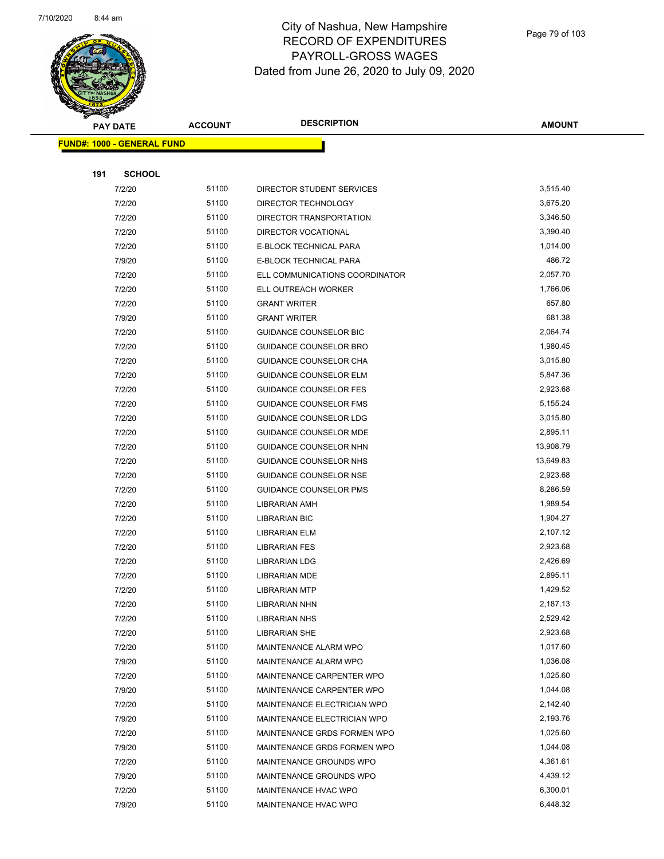

| aktori | <b>PAY DATE</b>                   | <b>ACCOUNT</b> | <b>DESCRIPTION</b>             | <b>AMOUNT</b>        |
|--------|-----------------------------------|----------------|--------------------------------|----------------------|
|        | <b>FUND#: 1000 - GENERAL FUND</b> |                |                                |                      |
|        |                                   |                |                                |                      |
| 191    | <b>SCHOOL</b>                     |                |                                |                      |
|        | 7/2/20                            | 51100          | DIRECTOR STUDENT SERVICES      | 3,515.40             |
|        | 7/2/20                            | 51100          | DIRECTOR TECHNOLOGY            | 3,675.20             |
|        | 7/2/20                            | 51100          | DIRECTOR TRANSPORTATION        | 3,346.50             |
|        | 7/2/20                            | 51100          | DIRECTOR VOCATIONAL            | 3,390.40             |
|        | 7/2/20                            | 51100          | E-BLOCK TECHNICAL PARA         | 1,014.00             |
|        | 7/9/20                            | 51100          | E-BLOCK TECHNICAL PARA         | 486.72               |
|        | 7/2/20                            | 51100          | ELL COMMUNICATIONS COORDINATOR | 2,057.70             |
|        | 7/2/20                            | 51100          | ELL OUTREACH WORKER            | 1,766.06             |
|        | 7/2/20                            | 51100          | <b>GRANT WRITER</b>            | 657.80               |
|        | 7/9/20                            | 51100          | <b>GRANT WRITER</b>            | 681.38               |
|        | 7/2/20                            | 51100          | <b>GUIDANCE COUNSELOR BIC</b>  | 2,064.74             |
|        | 7/2/20                            | 51100          | <b>GUIDANCE COUNSELOR BRO</b>  | 1,980.45             |
|        | 7/2/20                            | 51100          | GUIDANCE COUNSELOR CHA         | 3,015.80             |
|        | 7/2/20                            | 51100          | <b>GUIDANCE COUNSELOR ELM</b>  | 5,847.36             |
|        | 7/2/20                            | 51100          | <b>GUIDANCE COUNSELOR FES</b>  | 2,923.68             |
|        | 7/2/20                            | 51100          | <b>GUIDANCE COUNSELOR FMS</b>  | 5,155.24             |
|        | 7/2/20                            | 51100          | GUIDANCE COUNSELOR LDG         | 3,015.80             |
|        | 7/2/20                            | 51100          | GUIDANCE COUNSELOR MDE         | 2,895.11             |
|        | 7/2/20                            | 51100          | <b>GUIDANCE COUNSELOR NHN</b>  | 13,908.79            |
|        | 7/2/20                            | 51100          | GUIDANCE COUNSELOR NHS         | 13,649.83            |
|        | 7/2/20                            | 51100          | GUIDANCE COUNSELOR NSE         | 2,923.68             |
|        | 7/2/20                            | 51100          | <b>GUIDANCE COUNSELOR PMS</b>  | 8,286.59             |
|        | 7/2/20                            | 51100          | LIBRARIAN AMH                  | 1,989.54             |
|        | 7/2/20                            | 51100          | <b>LIBRARIAN BIC</b>           | 1,904.27             |
|        | 7/2/20                            | 51100          | <b>LIBRARIAN ELM</b>           | 2,107.12             |
|        | 7/2/20                            | 51100          | <b>LIBRARIAN FES</b>           | 2,923.68             |
|        | 7/2/20                            | 51100          | <b>LIBRARIAN LDG</b>           | 2,426.69             |
|        | 7/2/20                            | 51100          | <b>LIBRARIAN MDE</b>           | 2,895.11             |
|        | 7/2/20                            | 51100          | <b>LIBRARIAN MTP</b>           | 1,429.52             |
|        | 7/2/20                            | 51100          | <b>LIBRARIAN NHN</b>           | 2,187.13             |
|        | 7/2/20                            | 51100          | <b>LIBRARIAN NHS</b>           | 2,529.42             |
|        | 7/2/20                            | 51100          | <b>LIBRARIAN SHE</b>           | 2,923.68             |
|        | 7/2/20                            | 51100          | MAINTENANCE ALARM WPO          | 1,017.60             |
|        | 7/9/20                            | 51100          | MAINTENANCE ALARM WPO          | 1,036.08             |
|        | 7/2/20                            | 51100          | MAINTENANCE CARPENTER WPO      | 1,025.60             |
|        | 7/9/20                            | 51100          | MAINTENANCE CARPENTER WPO      | 1,044.08             |
|        | 7/2/20                            | 51100          | MAINTENANCE ELECTRICIAN WPO    | 2,142.40             |
|        | 7/9/20                            | 51100          | MAINTENANCE ELECTRICIAN WPO    | 2,193.76             |
|        | 7/2/20                            | 51100          | MAINTENANCE GRDS FORMEN WPO    | 1,025.60             |
|        | 7/9/20                            | 51100          | MAINTENANCE GRDS FORMEN WPO    | 1,044.08             |
|        | 7/2/20                            | 51100<br>51100 | MAINTENANCE GROUNDS WPO        | 4,361.61<br>4,439.12 |
|        | 7/9/20                            |                | MAINTENANCE GROUNDS WPO        |                      |
|        | 7/2/20                            | 51100<br>51100 | MAINTENANCE HVAC WPO           | 6,300.01<br>6,448.32 |
|        | 7/9/20                            |                | MAINTENANCE HVAC WPO           |                      |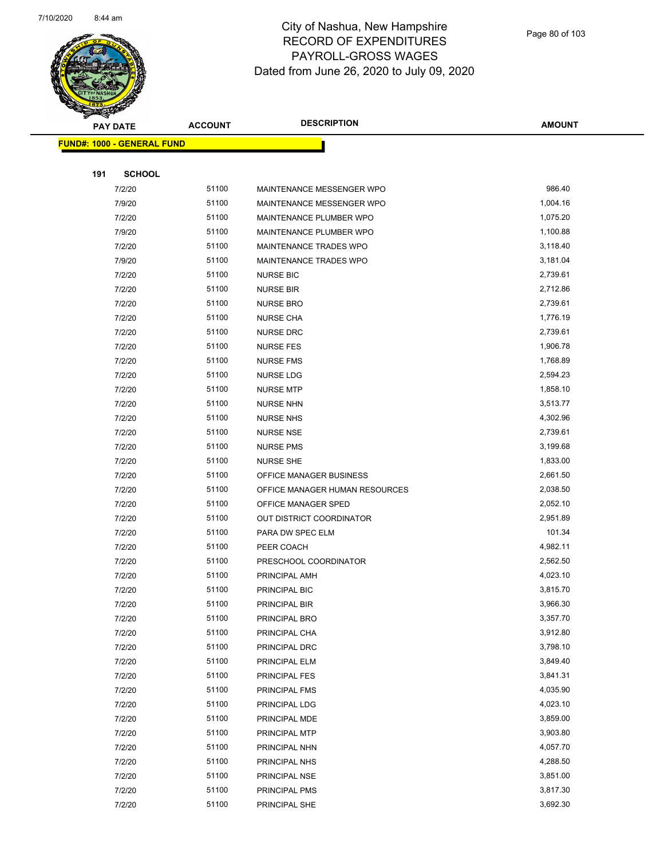

| <b>RANGIA</b> |                                   |                |                                |               |
|---------------|-----------------------------------|----------------|--------------------------------|---------------|
|               | <b>PAY DATE</b>                   | <b>ACCOUNT</b> | <b>DESCRIPTION</b>             | <b>AMOUNT</b> |
|               | <b>FUND#: 1000 - GENERAL FUND</b> |                |                                |               |
|               |                                   |                |                                |               |
| 191           | <b>SCHOOL</b>                     |                |                                |               |
|               | 7/2/20                            | 51100          | MAINTENANCE MESSENGER WPO      | 986.40        |
|               | 7/9/20                            | 51100          | MAINTENANCE MESSENGER WPO      | 1,004.16      |
|               | 7/2/20                            | 51100          | MAINTENANCE PLUMBER WPO        | 1,075.20      |
|               | 7/9/20                            | 51100          | MAINTENANCE PLUMBER WPO        | 1,100.88      |
|               | 7/2/20                            | 51100          | MAINTENANCE TRADES WPO         | 3,118.40      |
|               | 7/9/20                            | 51100          | MAINTENANCE TRADES WPO         | 3,181.04      |
|               | 7/2/20                            | 51100          | <b>NURSE BIC</b>               | 2,739.61      |
|               | 7/2/20                            | 51100          | <b>NURSE BIR</b>               | 2,712.86      |
|               | 7/2/20                            | 51100          | <b>NURSE BRO</b>               | 2,739.61      |
|               | 7/2/20                            | 51100          | <b>NURSE CHA</b>               | 1,776.19      |
|               | 7/2/20                            | 51100          | <b>NURSE DRC</b>               | 2,739.61      |
|               | 7/2/20                            | 51100          | <b>NURSE FES</b>               | 1,906.78      |
|               | 7/2/20                            | 51100          | <b>NURSE FMS</b>               | 1,768.89      |
|               | 7/2/20                            | 51100          | NURSE LDG                      | 2,594.23      |
|               | 7/2/20                            | 51100          | <b>NURSE MTP</b>               | 1,858.10      |
|               | 7/2/20                            | 51100          | <b>NURSE NHN</b>               | 3,513.77      |
|               | 7/2/20                            | 51100          | <b>NURSE NHS</b>               | 4,302.96      |
|               | 7/2/20                            | 51100          | <b>NURSE NSE</b>               | 2,739.61      |
|               | 7/2/20                            | 51100          | <b>NURSE PMS</b>               | 3,199.68      |
|               | 7/2/20                            | 51100          | <b>NURSE SHE</b>               | 1,833.00      |
|               | 7/2/20                            | 51100          | OFFICE MANAGER BUSINESS        | 2,661.50      |
|               | 7/2/20                            | 51100          | OFFICE MANAGER HUMAN RESOURCES | 2,038.50      |
|               | 7/2/20                            | 51100          | OFFICE MANAGER SPED            | 2,052.10      |
|               | 7/2/20                            | 51100          | OUT DISTRICT COORDINATOR       | 2,951.89      |
|               | 7/2/20                            | 51100          | PARA DW SPEC ELM               | 101.34        |
|               | 7/2/20                            | 51100          | PEER COACH                     | 4,982.11      |
|               | 7/2/20                            | 51100          | PRESCHOOL COORDINATOR          | 2,562.50      |
|               | 7/2/20                            | 51100          | PRINCIPAL AMH                  | 4,023.10      |
|               | 7/2/20                            | 51100          | PRINCIPAL BIC                  | 3,815.70      |
|               | 7/2/20                            | 51100          | PRINCIPAL BIR                  | 3,966.30      |
|               | 7/2/20                            | 51100          | PRINCIPAL BRO                  | 3,357.70      |
|               | 7/2/20                            | 51100          | PRINCIPAL CHA                  | 3,912.80      |
|               | 7/2/20                            | 51100          | PRINCIPAL DRC                  | 3,798.10      |
|               | 7/2/20                            | 51100          | PRINCIPAL ELM                  | 3,849.40      |
|               | 7/2/20                            | 51100          | PRINCIPAL FES                  | 3,841.31      |
|               | 7/2/20                            | 51100          | PRINCIPAL FMS                  | 4,035.90      |
|               | 7/2/20                            | 51100          | PRINCIPAL LDG                  | 4,023.10      |
|               | 7/2/20                            | 51100          | PRINCIPAL MDE                  | 3,859.00      |
|               | 7/2/20                            | 51100          | PRINCIPAL MTP                  | 3,903.80      |
|               | 7/2/20                            | 51100          | PRINCIPAL NHN                  | 4,057.70      |
|               | 7/2/20                            | 51100          | PRINCIPAL NHS                  | 4,288.50      |
|               | 7/2/20                            | 51100          | PRINCIPAL NSE                  | 3,851.00      |
|               | 7/2/20                            | 51100          | PRINCIPAL PMS                  | 3,817.30      |
|               | 7/2/20                            | 51100          | PRINCIPAL SHE                  | 3,692.30      |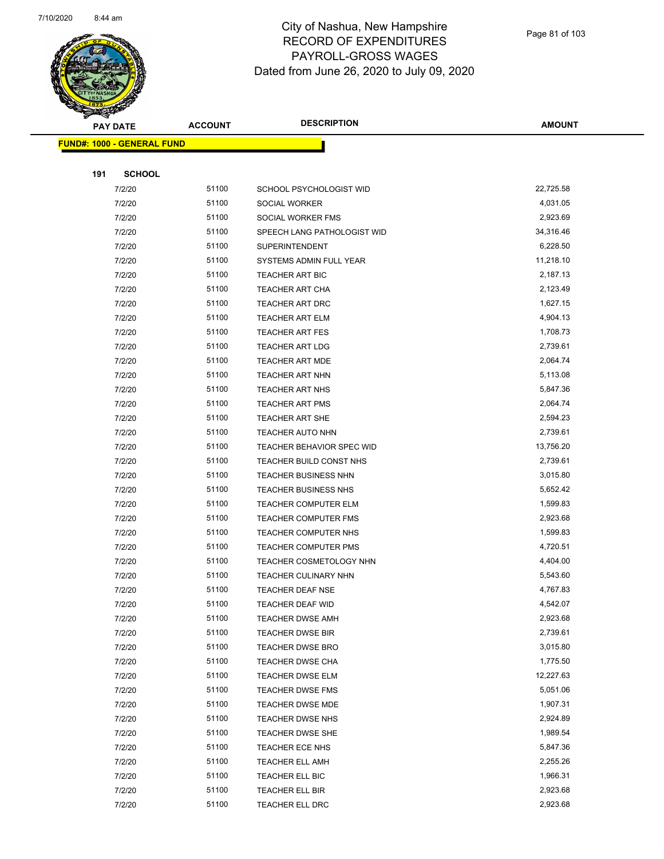

| <b>Service Service</b> |                                   |                |                                |               |
|------------------------|-----------------------------------|----------------|--------------------------------|---------------|
|                        | <b>PAY DATE</b>                   | <b>ACCOUNT</b> | <b>DESCRIPTION</b>             | <b>AMOUNT</b> |
|                        | <b>FUND#: 1000 - GENERAL FUND</b> |                |                                |               |
|                        |                                   |                |                                |               |
| 191                    | <b>SCHOOL</b>                     |                |                                |               |
|                        | 7/2/20                            | 51100          | SCHOOL PSYCHOLOGIST WID        | 22,725.58     |
|                        | 7/2/20                            | 51100          | SOCIAL WORKER                  | 4,031.05      |
|                        | 7/2/20                            | 51100          | SOCIAL WORKER FMS              | 2,923.69      |
|                        | 7/2/20                            | 51100          | SPEECH LANG PATHOLOGIST WID    | 34,316.46     |
|                        | 7/2/20                            | 51100          | <b>SUPERINTENDENT</b>          | 6,228.50      |
|                        | 7/2/20                            | 51100          | SYSTEMS ADMIN FULL YEAR        | 11,218.10     |
|                        | 7/2/20                            | 51100          | TEACHER ART BIC                | 2,187.13      |
|                        | 7/2/20                            | 51100          | TEACHER ART CHA                | 2,123.49      |
|                        | 7/2/20                            | 51100          | TEACHER ART DRC                | 1,627.15      |
|                        | 7/2/20                            | 51100          | <b>TEACHER ART ELM</b>         | 4,904.13      |
|                        | 7/2/20                            | 51100          | <b>TEACHER ART FES</b>         | 1,708.73      |
|                        | 7/2/20                            | 51100          | <b>TEACHER ART LDG</b>         | 2,739.61      |
|                        | 7/2/20                            | 51100          | <b>TEACHER ART MDE</b>         | 2,064.74      |
|                        | 7/2/20                            | 51100          | <b>TEACHER ART NHN</b>         | 5,113.08      |
|                        | 7/2/20                            | 51100          | <b>TEACHER ART NHS</b>         | 5,847.36      |
|                        | 7/2/20                            | 51100          | <b>TEACHER ART PMS</b>         | 2,064.74      |
|                        | 7/2/20                            | 51100          | <b>TEACHER ART SHE</b>         | 2,594.23      |
|                        | 7/2/20                            | 51100          | <b>TEACHER AUTO NHN</b>        | 2,739.61      |
|                        | 7/2/20                            | 51100          | TEACHER BEHAVIOR SPEC WID      | 13,756.20     |
|                        | 7/2/20                            | 51100          | TEACHER BUILD CONST NHS        | 2,739.61      |
|                        | 7/2/20                            | 51100          | <b>TEACHER BUSINESS NHN</b>    | 3,015.80      |
|                        | 7/2/20                            | 51100          | TEACHER BUSINESS NHS           | 5,652.42      |
|                        | 7/2/20                            | 51100          | TEACHER COMPUTER ELM           | 1,599.83      |
|                        | 7/2/20                            | 51100          | <b>TEACHER COMPUTER FMS</b>    | 2,923.68      |
|                        | 7/2/20                            | 51100          | TEACHER COMPUTER NHS           | 1,599.83      |
|                        | 7/2/20                            | 51100          | <b>TEACHER COMPUTER PMS</b>    | 4,720.51      |
|                        | 7/2/20                            | 51100          | <b>TEACHER COSMETOLOGY NHN</b> | 4,404.00      |
|                        | 7/2/20                            | 51100          | TEACHER CULINARY NHN           | 5,543.60      |
|                        | 7/2/20                            | 51100          | TEACHER DEAF NSE               | 4,767.83      |
|                        | 7/2/20                            | 51100          | TEACHER DEAF WID               | 4,542.07      |
|                        | 7/2/20                            | 51100          | <b>TEACHER DWSE AMH</b>        | 2,923.68      |
|                        | 7/2/20                            | 51100          | <b>TEACHER DWSE BIR</b>        | 2,739.61      |
|                        | 7/2/20                            | 51100          | <b>TEACHER DWSE BRO</b>        | 3,015.80      |
|                        | 7/2/20                            | 51100          | <b>TEACHER DWSE CHA</b>        | 1,775.50      |
|                        | 7/2/20                            | 51100          | <b>TEACHER DWSE ELM</b>        | 12,227.63     |
|                        | 7/2/20                            | 51100          | <b>TEACHER DWSE FMS</b>        | 5,051.06      |
|                        | 7/2/20                            | 51100          | TEACHER DWSE MDE               | 1,907.31      |
|                        | 7/2/20                            | 51100          | TEACHER DWSE NHS               | 2,924.89      |
|                        | 7/2/20                            | 51100          | TEACHER DWSE SHE               | 1,989.54      |
|                        | 7/2/20                            | 51100          | TEACHER ECE NHS                | 5,847.36      |
|                        | 7/2/20                            | 51100          | <b>TEACHER ELL AMH</b>         | 2,255.26      |
|                        | 7/2/20                            | 51100          | TEACHER ELL BIC                | 1,966.31      |
|                        | 7/2/20                            | 51100          | TEACHER ELL BIR                | 2,923.68      |
|                        | 7/2/20                            | 51100          | TEACHER ELL DRC                | 2,923.68      |
|                        |                                   |                |                                |               |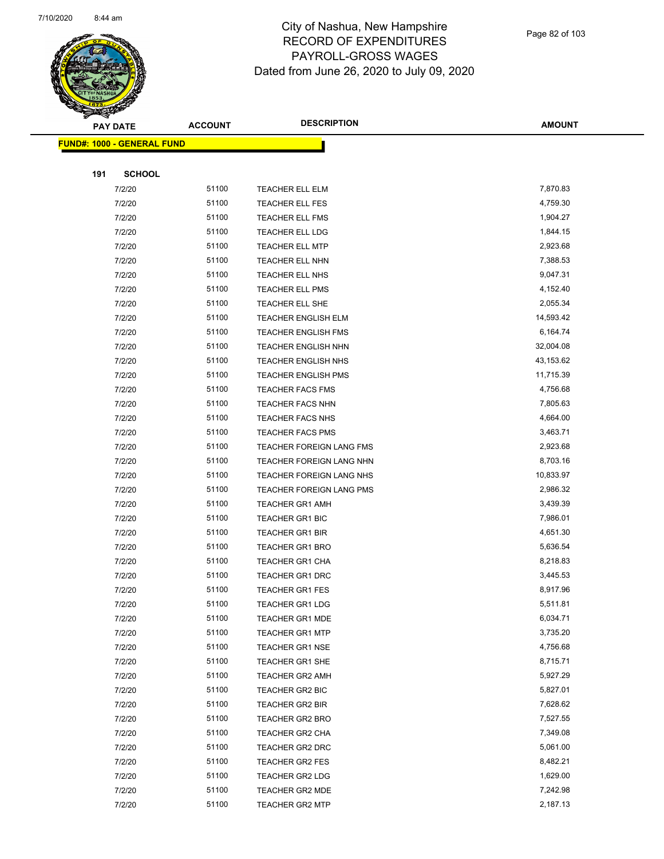

|     | <b>PAY DATE</b>                   | <b>ACCOUNT</b> | <b>DESCRIPTION</b>                 | <b>AMOUNT</b>        |
|-----|-----------------------------------|----------------|------------------------------------|----------------------|
|     | <b>FUND#: 1000 - GENERAL FUND</b> |                |                                    |                      |
|     |                                   |                |                                    |                      |
| 191 | <b>SCHOOL</b>                     |                |                                    |                      |
|     | 7/2/20                            | 51100          | TEACHER ELL ELM                    | 7,870.83             |
|     | 7/2/20                            | 51100          | <b>TEACHER ELL FES</b>             | 4,759.30             |
|     | 7/2/20                            | 51100          | TEACHER ELL FMS                    | 1,904.27             |
|     | 7/2/20                            | 51100          | <b>TEACHER ELL LDG</b>             | 1,844.15             |
|     | 7/2/20                            | 51100          | <b>TEACHER ELL MTP</b>             | 2,923.68             |
|     | 7/2/20                            | 51100          | TEACHER ELL NHN                    | 7,388.53             |
|     | 7/2/20                            | 51100          | TEACHER ELL NHS                    | 9,047.31             |
|     | 7/2/20                            | 51100          | TEACHER ELL PMS                    | 4,152.40             |
|     | 7/2/20                            | 51100          | TEACHER ELL SHE                    | 2,055.34             |
|     | 7/2/20                            | 51100          | <b>TEACHER ENGLISH ELM</b>         | 14,593.42            |
|     | 7/2/20                            | 51100          | TEACHER ENGLISH FMS                | 6,164.74             |
|     | 7/2/20                            | 51100          | TEACHER ENGLISH NHN                | 32,004.08            |
|     | 7/2/20                            | 51100          | TEACHER ENGLISH NHS                | 43,153.62            |
|     | 7/2/20                            | 51100          | <b>TEACHER ENGLISH PMS</b>         | 11,715.39            |
|     | 7/2/20                            | 51100          | <b>TEACHER FACS FMS</b>            | 4,756.68             |
|     | 7/2/20                            | 51100          | <b>TEACHER FACS NHN</b>            | 7,805.63             |
|     | 7/2/20                            | 51100          | TEACHER FACS NHS                   | 4,664.00             |
|     | 7/2/20                            | 51100          | TEACHER FACS PMS                   | 3,463.71             |
|     | 7/2/20                            | 51100          | TEACHER FOREIGN LANG FMS           | 2,923.68             |
|     | 7/2/20                            | 51100          | TEACHER FOREIGN LANG NHN           | 8,703.16             |
|     | 7/2/20                            | 51100          | TEACHER FOREIGN LANG NHS           | 10,833.97            |
|     | 7/2/20                            | 51100          | TEACHER FOREIGN LANG PMS           | 2,986.32             |
|     | 7/2/20                            | 51100          | <b>TEACHER GR1 AMH</b>             | 3,439.39             |
|     | 7/2/20                            | 51100          | <b>TEACHER GR1 BIC</b>             | 7,986.01             |
|     | 7/2/20                            | 51100          | <b>TEACHER GR1 BIR</b>             | 4,651.30             |
|     | 7/2/20                            | 51100          | TEACHER GR1 BRO                    | 5,636.54             |
|     | 7/2/20                            | 51100          | TEACHER GR1 CHA                    | 8,218.83             |
|     | 7/2/20                            | 51100          | <b>TEACHER GR1 DRC</b>             | 3,445.53             |
|     | 7/2/20                            | 51100          | <b>TEACHER GR1 FES</b>             | 8,917.96             |
|     | 7/2/20                            | 51100          | TEACHER GR1 LDG                    | 5,511.81             |
|     | 7/2/20                            | 51100          | <b>TEACHER GR1 MDE</b>             | 6,034.71             |
|     | 7/2/20                            | 51100          | <b>TEACHER GR1 MTP</b>             | 3,735.20             |
|     | 7/2/20                            | 51100          | <b>TEACHER GR1 NSE</b>             | 4,756.68             |
|     | 7/2/20                            | 51100          | TEACHER GR1 SHE                    | 8,715.71             |
|     | 7/2/20                            | 51100          | <b>TEACHER GR2 AMH</b>             | 5,927.29             |
|     | 7/2/20                            | 51100          | <b>TEACHER GR2 BIC</b>             | 5,827.01             |
|     | 7/2/20                            | 51100          | TEACHER GR2 BIR                    | 7,628.62             |
|     | 7/2/20                            | 51100          | TEACHER GR2 BRO                    | 7,527.55             |
|     | 7/2/20                            | 51100          | TEACHER GR2 CHA                    | 7,349.08             |
|     | 7/2/20                            | 51100          | <b>TEACHER GR2 DRC</b>             | 5,061.00<br>8,482.21 |
|     | 7/2/20                            | 51100<br>51100 | TEACHER GR2 FES                    | 1,629.00             |
|     | 7/2/20<br>7/2/20                  | 51100          | TEACHER GR2 LDG<br>TEACHER GR2 MDE | 7,242.98             |
|     |                                   |                |                                    | 2,187.13             |
|     | 7/2/20                            | 51100          | <b>TEACHER GR2 MTP</b>             |                      |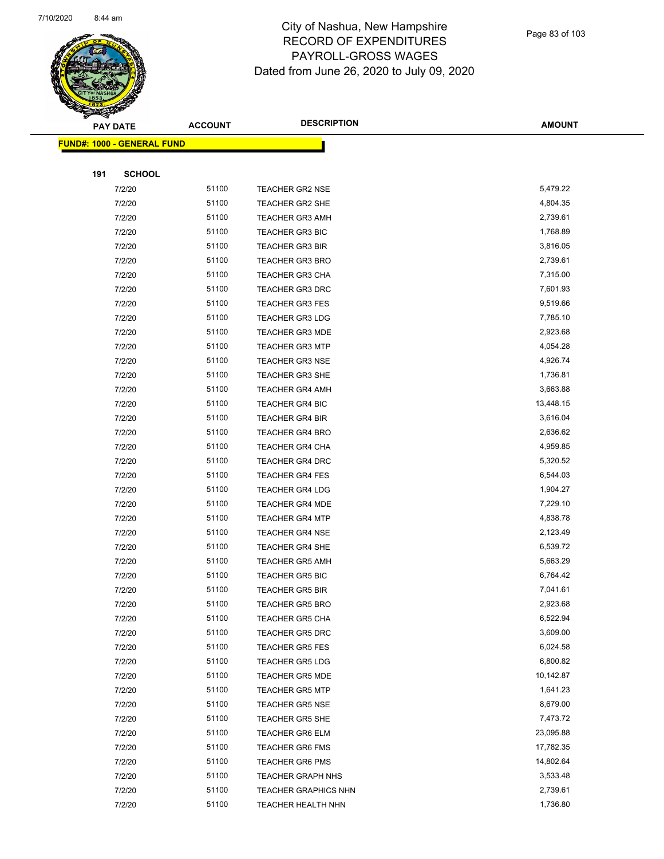

|     | <b>PAY DATE</b>                    | <b>ACCOUNT</b> | <b>DESCRIPTION</b>          | <b>AMOUNT</b> |
|-----|------------------------------------|----------------|-----------------------------|---------------|
|     | <u> FUND#: 1000 - GENERAL FUND</u> |                |                             |               |
|     |                                    |                |                             |               |
| 191 | <b>SCHOOL</b>                      |                |                             |               |
|     | 7/2/20                             | 51100          | <b>TEACHER GR2 NSE</b>      | 5,479.22      |
|     | 7/2/20                             | 51100          | <b>TEACHER GR2 SHE</b>      | 4,804.35      |
|     | 7/2/20                             | 51100          | <b>TEACHER GR3 AMH</b>      | 2,739.61      |
|     | 7/2/20                             | 51100          | <b>TEACHER GR3 BIC</b>      | 1,768.89      |
|     | 7/2/20                             | 51100          | <b>TEACHER GR3 BIR</b>      | 3,816.05      |
|     | 7/2/20                             | 51100          | <b>TEACHER GR3 BRO</b>      | 2,739.61      |
|     | 7/2/20                             | 51100          | <b>TEACHER GR3 CHA</b>      | 7,315.00      |
|     | 7/2/20                             | 51100          | TEACHER GR3 DRC             | 7,601.93      |
|     | 7/2/20                             | 51100          | <b>TEACHER GR3 FES</b>      | 9,519.66      |
|     | 7/2/20                             | 51100          | TEACHER GR3 LDG             | 7,785.10      |
|     | 7/2/20                             | 51100          | <b>TEACHER GR3 MDE</b>      | 2,923.68      |
|     | 7/2/20                             | 51100          | <b>TEACHER GR3 MTP</b>      | 4,054.28      |
|     | 7/2/20                             | 51100          | <b>TEACHER GR3 NSE</b>      | 4,926.74      |
|     | 7/2/20                             | 51100          | <b>TEACHER GR3 SHE</b>      | 1,736.81      |
|     | 7/2/20                             | 51100          | <b>TEACHER GR4 AMH</b>      | 3,663.88      |
|     | 7/2/20                             | 51100          | <b>TEACHER GR4 BIC</b>      | 13,448.15     |
|     | 7/2/20                             | 51100          | <b>TEACHER GR4 BIR</b>      | 3,616.04      |
|     | 7/2/20                             | 51100          | <b>TEACHER GR4 BRO</b>      | 2,636.62      |
|     | 7/2/20                             | 51100          | <b>TEACHER GR4 CHA</b>      | 4,959.85      |
|     | 7/2/20                             | 51100          | <b>TEACHER GR4 DRC</b>      | 5,320.52      |
|     | 7/2/20                             | 51100          | <b>TEACHER GR4 FES</b>      | 6,544.03      |
|     | 7/2/20                             | 51100          | <b>TEACHER GR4 LDG</b>      | 1,904.27      |
|     | 7/2/20                             | 51100          | <b>TEACHER GR4 MDE</b>      | 7,229.10      |
|     | 7/2/20                             | 51100          | <b>TEACHER GR4 MTP</b>      | 4,838.78      |
|     | 7/2/20                             | 51100          | <b>TEACHER GR4 NSE</b>      | 2,123.49      |
|     | 7/2/20                             | 51100          | TEACHER GR4 SHE             | 6,539.72      |
|     | 7/2/20                             | 51100          | <b>TEACHER GR5 AMH</b>      | 5,663.29      |
|     | 7/2/20                             | 51100          | <b>TEACHER GR5 BIC</b>      | 6,764.42      |
|     | 7/2/20                             | 51100          | <b>TEACHER GR5 BIR</b>      | 7,041.61      |
|     | 7/2/20                             | 51100          | TEACHER GR5 BRO             | 2,923.68      |
|     | 7/2/20                             | 51100          | <b>TEACHER GR5 CHA</b>      | 6,522.94      |
|     | 7/2/20                             | 51100          | <b>TEACHER GR5 DRC</b>      | 3,609.00      |
|     | 7/2/20                             | 51100          | <b>TEACHER GR5 FES</b>      | 6,024.58      |
|     | 7/2/20                             | 51100          | <b>TEACHER GR5 LDG</b>      | 6,800.82      |
|     | 7/2/20                             | 51100          | <b>TEACHER GR5 MDE</b>      | 10,142.87     |
|     | 7/2/20                             | 51100          | <b>TEACHER GR5 MTP</b>      | 1,641.23      |
|     | 7/2/20                             | 51100          | <b>TEACHER GR5 NSE</b>      | 8,679.00      |
|     | 7/2/20                             | 51100          | TEACHER GR5 SHE             | 7,473.72      |
|     | 7/2/20                             | 51100          | <b>TEACHER GR6 ELM</b>      | 23,095.88     |
|     | 7/2/20                             | 51100          | <b>TEACHER GR6 FMS</b>      | 17,782.35     |
|     | 7/2/20                             | 51100          | <b>TEACHER GR6 PMS</b>      | 14,802.64     |
|     | 7/2/20                             | 51100          | <b>TEACHER GRAPH NHS</b>    | 3,533.48      |
|     | 7/2/20                             | 51100          | <b>TEACHER GRAPHICS NHN</b> | 2,739.61      |
|     | 7/2/20                             | 51100          | TEACHER HEALTH NHN          | 1,736.80      |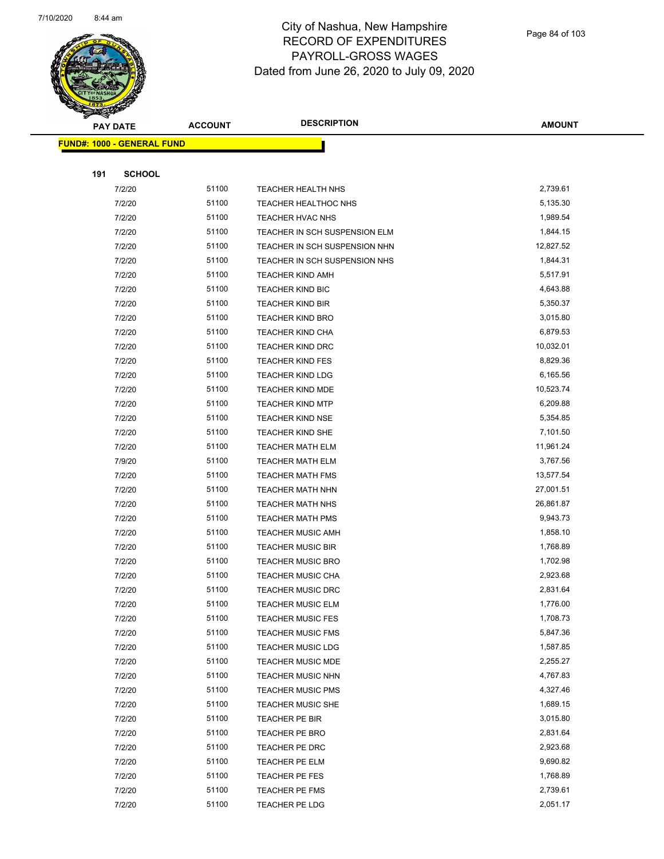

| ទ<br>$\blacktriangleleft$ | <b>PAY DATE</b>                   | <b>ACCOUNT</b> | <b>DESCRIPTION</b>                      | <b>AMOUNT</b>        |
|---------------------------|-----------------------------------|----------------|-----------------------------------------|----------------------|
|                           | <b>FUND#: 1000 - GENERAL FUND</b> |                |                                         |                      |
|                           |                                   |                |                                         |                      |
| 191                       | <b>SCHOOL</b>                     |                |                                         |                      |
|                           | 7/2/20                            | 51100          | TEACHER HEALTH NHS                      | 2,739.61             |
|                           | 7/2/20                            | 51100          | TEACHER HEALTHOC NHS                    | 5,135.30             |
|                           | 7/2/20                            | 51100          | TEACHER HVAC NHS                        | 1,989.54             |
|                           | 7/2/20                            | 51100          | TEACHER IN SCH SUSPENSION ELM           | 1,844.15             |
|                           | 7/2/20                            | 51100          | TEACHER IN SCH SUSPENSION NHN           | 12,827.52            |
|                           | 7/2/20                            | 51100          | TEACHER IN SCH SUSPENSION NHS           | 1,844.31             |
|                           | 7/2/20                            | 51100          | <b>TEACHER KIND AMH</b>                 | 5,517.91             |
|                           | 7/2/20                            | 51100          | <b>TEACHER KIND BIC</b>                 | 4,643.88             |
|                           | 7/2/20                            | 51100          | <b>TEACHER KIND BIR</b>                 | 5,350.37             |
|                           | 7/2/20                            | 51100          | TEACHER KIND BRO                        | 3,015.80             |
|                           | 7/2/20                            | 51100          | TEACHER KIND CHA                        | 6,879.53             |
|                           | 7/2/20                            | 51100          | <b>TEACHER KIND DRC</b>                 | 10,032.01            |
|                           | 7/2/20                            | 51100          | <b>TEACHER KIND FES</b>                 | 8,829.36             |
|                           | 7/2/20                            | 51100          | <b>TEACHER KIND LDG</b>                 | 6,165.56             |
|                           | 7/2/20                            | 51100          | <b>TEACHER KIND MDE</b>                 | 10,523.74            |
|                           | 7/2/20                            | 51100          | <b>TEACHER KIND MTP</b>                 | 6,209.88             |
|                           | 7/2/20                            | 51100          | <b>TEACHER KIND NSE</b>                 | 5,354.85             |
|                           | 7/2/20                            | 51100          | TEACHER KIND SHE                        | 7,101.50             |
|                           | 7/2/20                            | 51100          | <b>TEACHER MATH ELM</b>                 | 11,961.24            |
|                           | 7/9/20                            | 51100          | TEACHER MATH ELM                        | 3,767.56             |
|                           | 7/2/20                            | 51100          | <b>TEACHER MATH FMS</b>                 | 13,577.54            |
|                           | 7/2/20                            | 51100          | TEACHER MATH NHN                        | 27,001.51            |
|                           | 7/2/20                            | 51100          | <b>TEACHER MATH NHS</b>                 | 26,861.87            |
|                           | 7/2/20                            | 51100          | <b>TEACHER MATH PMS</b>                 | 9,943.73             |
|                           | 7/2/20                            | 51100          | <b>TEACHER MUSIC AMH</b>                | 1,858.10             |
|                           | 7/2/20                            | 51100          | <b>TEACHER MUSIC BIR</b>                | 1,768.89             |
|                           | 7/2/20                            | 51100          | <b>TEACHER MUSIC BRO</b>                | 1,702.98             |
|                           | 7/2/20                            | 51100          | <b>TEACHER MUSIC CHA</b>                | 2,923.68             |
|                           | 7/2/20                            | 51100          | <b>TEACHER MUSIC DRC</b>                | 2,831.64             |
|                           | 7/2/20                            | 51100          | <b>TEACHER MUSIC ELM</b>                | 1,776.00             |
|                           | 7/2/20                            | 51100          | <b>TEACHER MUSIC FES</b>                | 1,708.73             |
|                           | 7/2/20                            | 51100          | <b>TEACHER MUSIC FMS</b>                | 5,847.36             |
|                           | 7/2/20                            | 51100          | <b>TEACHER MUSIC LDG</b>                | 1,587.85             |
|                           | 7/2/20                            | 51100          | TEACHER MUSIC MDE                       | 2,255.27             |
|                           | 7/2/20                            | 51100          | TEACHER MUSIC NHN                       | 4,767.83             |
|                           | 7/2/20                            | 51100          | <b>TEACHER MUSIC PMS</b>                | 4,327.46             |
|                           | 7/2/20                            | 51100          | TEACHER MUSIC SHE                       | 1,689.15             |
|                           | 7/2/20                            | 51100          | TEACHER PE BIR                          | 3,015.80             |
|                           | 7/2/20                            | 51100          | TEACHER PE BRO                          | 2,831.64             |
|                           | 7/2/20                            | 51100          | TEACHER PE DRC                          | 2,923.68             |
|                           | 7/2/20                            | 51100<br>51100 | TEACHER PE ELM                          | 9,690.82<br>1,768.89 |
|                           | 7/2/20                            | 51100          | TEACHER PE FES                          | 2,739.61             |
|                           | 7/2/20<br>7/2/20                  | 51100          | <b>TEACHER PE FMS</b><br>TEACHER PE LDG | 2,051.17             |
|                           |                                   |                |                                         |                      |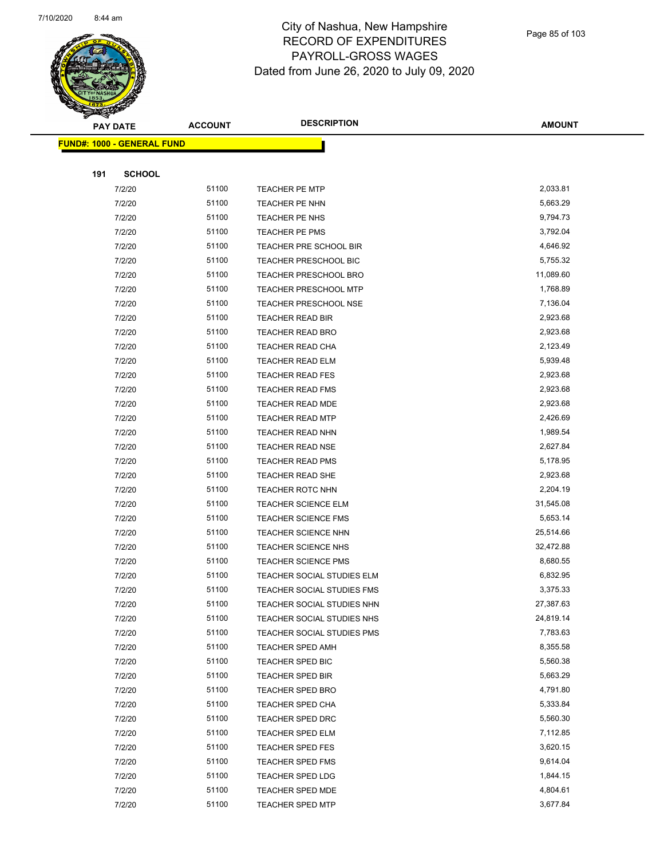

| Ð<br>A. | <b>PAY DATE</b>                   | <b>ACCOUNT</b> | <b>DESCRIPTION</b>           | <b>AMOUNT</b> |
|---------|-----------------------------------|----------------|------------------------------|---------------|
|         | <b>FUND#: 1000 - GENERAL FUND</b> |                |                              |               |
|         |                                   |                |                              |               |
| 191     | <b>SCHOOL</b>                     |                |                              |               |
|         | 7/2/20                            | 51100          | <b>TEACHER PE MTP</b>        | 2,033.81      |
|         | 7/2/20                            | 51100          | TEACHER PE NHN               | 5,663.29      |
|         | 7/2/20                            | 51100          | TEACHER PE NHS               | 9,794.73      |
|         | 7/2/20                            | 51100          | <b>TEACHER PE PMS</b>        | 3,792.04      |
|         | 7/2/20                            | 51100          | TEACHER PRE SCHOOL BIR       | 4,646.92      |
|         | 7/2/20                            | 51100          | TEACHER PRESCHOOL BIC        | 5,755.32      |
|         | 7/2/20                            | 51100          | <b>TEACHER PRESCHOOL BRO</b> | 11,089.60     |
|         | 7/2/20                            | 51100          | <b>TEACHER PRESCHOOL MTP</b> | 1,768.89      |
|         | 7/2/20                            | 51100          | <b>TEACHER PRESCHOOL NSE</b> | 7,136.04      |
|         | 7/2/20                            | 51100          | TEACHER READ BIR             | 2,923.68      |
|         | 7/2/20                            | 51100          | TEACHER READ BRO             | 2,923.68      |
|         | 7/2/20                            | 51100          | TEACHER READ CHA             | 2,123.49      |
|         | 7/2/20                            | 51100          | <b>TEACHER READ ELM</b>      | 5,939.48      |
|         | 7/2/20                            | 51100          | <b>TEACHER READ FES</b>      | 2,923.68      |
|         | 7/2/20                            | 51100          | <b>TEACHER READ FMS</b>      | 2,923.68      |
|         | 7/2/20                            | 51100          | <b>TEACHER READ MDE</b>      | 2,923.68      |
|         | 7/2/20                            | 51100          | <b>TEACHER READ MTP</b>      | 2,426.69      |
|         | 7/2/20                            | 51100          | TEACHER READ NHN             | 1,989.54      |
|         | 7/2/20                            | 51100          | <b>TEACHER READ NSE</b>      | 2,627.84      |
|         | 7/2/20                            | 51100          | <b>TEACHER READ PMS</b>      | 5,178.95      |
|         | 7/2/20                            | 51100          | TEACHER READ SHE             | 2,923.68      |
|         | 7/2/20                            | 51100          | <b>TEACHER ROTC NHN</b>      | 2,204.19      |
|         | 7/2/20                            | 51100          | <b>TEACHER SCIENCE ELM</b>   | 31,545.08     |
|         | 7/2/20                            | 51100          | <b>TEACHER SCIENCE FMS</b>   | 5,653.14      |
|         | 7/2/20                            | 51100          | TEACHER SCIENCE NHN          | 25,514.66     |
|         | 7/2/20                            | 51100          | TEACHER SCIENCE NHS          | 32,472.88     |
|         | 7/2/20                            | 51100          | <b>TEACHER SCIENCE PMS</b>   | 8,680.55      |
|         | 7/2/20                            | 51100          | TEACHER SOCIAL STUDIES ELM   | 6,832.95      |
|         | 7/2/20                            | 51100          | TEACHER SOCIAL STUDIES FMS   | 3,375.33      |
|         | 7/2/20                            | 51100          | TEACHER SOCIAL STUDIES NHN   | 27,387.63     |
|         | 7/2/20                            | 51100          | TEACHER SOCIAL STUDIES NHS   | 24,819.14     |
|         | 7/2/20                            | 51100          | TEACHER SOCIAL STUDIES PMS   | 7,783.63      |
|         | 7/2/20                            | 51100          | <b>TEACHER SPED AMH</b>      | 8,355.58      |
|         | 7/2/20                            | 51100          | TEACHER SPED BIC             | 5,560.38      |
|         | 7/2/20                            | 51100          | <b>TEACHER SPED BIR</b>      | 5,663.29      |
|         | 7/2/20                            | 51100          | <b>TEACHER SPED BRO</b>      | 4,791.80      |
|         | 7/2/20                            | 51100          | TEACHER SPED CHA             | 5,333.84      |
|         | 7/2/20                            | 51100          | <b>TEACHER SPED DRC</b>      | 5,560.30      |
|         | 7/2/20                            | 51100          | <b>TEACHER SPED ELM</b>      | 7,112.85      |
|         | 7/2/20                            | 51100          | <b>TEACHER SPED FES</b>      | 3,620.15      |
|         | 7/2/20                            | 51100          | TEACHER SPED FMS             | 9,614.04      |
|         | 7/2/20                            | 51100          | TEACHER SPED LDG             | 1,844.15      |
|         | 7/2/20                            | 51100          | TEACHER SPED MDE             | 4,804.61      |
|         | 7/2/20                            | 51100          | <b>TEACHER SPED MTP</b>      | 3,677.84      |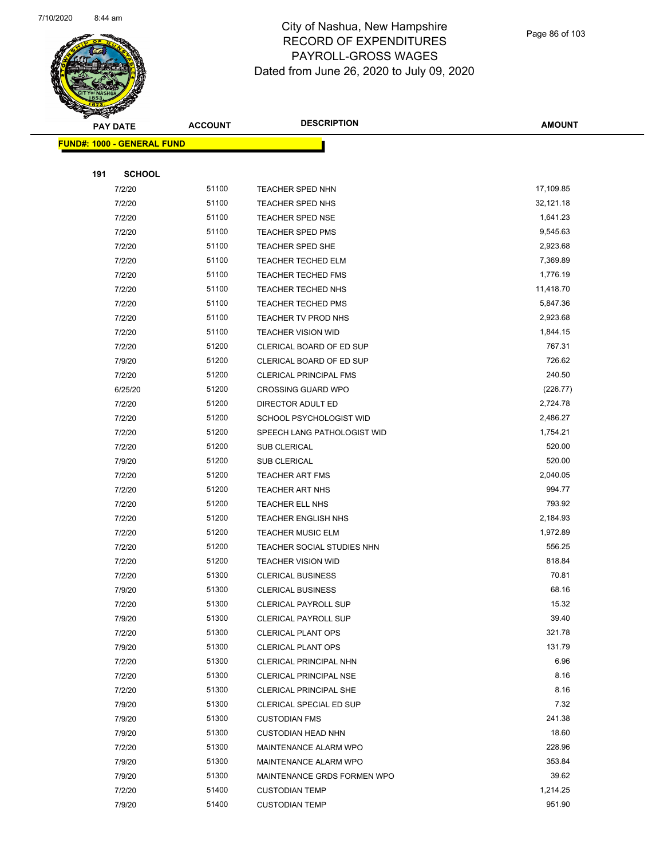

Page 86 of 103

| <b>PAY DATE</b>                   | <b>ACCOUNT</b> | <b>DESCRIPTION</b>            | <b>AMOUNT</b> |
|-----------------------------------|----------------|-------------------------------|---------------|
| <b>FUND#: 1000 - GENERAL FUND</b> |                |                               |               |
|                                   |                |                               |               |
| 191<br><b>SCHOOL</b>              |                |                               |               |
| 7/2/20                            | 51100          | <b>TEACHER SPED NHN</b>       | 17,109.85     |
| 7/2/20                            | 51100          | TEACHER SPED NHS              | 32,121.18     |
| 7/2/20                            | 51100          | <b>TEACHER SPED NSE</b>       | 1,641.23      |
| 7/2/20                            | 51100          | <b>TEACHER SPED PMS</b>       | 9,545.63      |
| 7/2/20                            | 51100          | <b>TEACHER SPED SHE</b>       | 2,923.68      |
| 7/2/20                            | 51100          | <b>TEACHER TECHED ELM</b>     | 7,369.89      |
| 7/2/20                            | 51100          | <b>TEACHER TECHED FMS</b>     | 1,776.19      |
| 7/2/20                            | 51100          | TEACHER TECHED NHS            | 11,418.70     |
| 7/2/20                            | 51100          | <b>TEACHER TECHED PMS</b>     | 5,847.36      |
| 7/2/20                            | 51100          | <b>TEACHER TV PROD NHS</b>    | 2,923.68      |
| 7/2/20                            | 51100          | <b>TEACHER VISION WID</b>     | 1,844.15      |
| 7/2/20                            | 51200          | CLERICAL BOARD OF ED SUP      | 767.31        |
| 7/9/20                            | 51200          | CLERICAL BOARD OF ED SUP      | 726.62        |
| 7/2/20                            | 51200          | <b>CLERICAL PRINCIPAL FMS</b> | 240.50        |
| 6/25/20                           | 51200          | <b>CROSSING GUARD WPO</b>     | (226.77)      |
| 7/2/20                            | 51200          | DIRECTOR ADULT ED             | 2,724.78      |
| 7/2/20                            | 51200          | SCHOOL PSYCHOLOGIST WID       | 2,486.27      |
| 7/2/20                            | 51200          | SPEECH LANG PATHOLOGIST WID   | 1,754.21      |
| 7/2/20                            | 51200          | <b>SUB CLERICAL</b>           | 520.00        |
| 7/9/20                            | 51200          | SUB CLERICAL                  | 520.00        |
| 7/2/20                            | 51200          | <b>TEACHER ART FMS</b>        | 2,040.05      |
| 7/2/20                            | 51200          | <b>TEACHER ART NHS</b>        | 994.77        |
| 7/2/20                            | 51200          | TEACHER ELL NHS               | 793.92        |
| 7/2/20                            | 51200          | <b>TEACHER ENGLISH NHS</b>    | 2,184.93      |
| 7/2/20                            | 51200          | <b>TEACHER MUSIC ELM</b>      | 1,972.89      |
| 7/2/20                            | 51200          | TEACHER SOCIAL STUDIES NHN    | 556.25        |
| 7/2/20                            | 51200          | <b>TEACHER VISION WID</b>     | 818.84        |
| 7/2/20                            | 51300          | <b>CLERICAL BUSINESS</b>      | 70.81         |
| 7/9/20                            | 51300          | <b>CLERICAL BUSINESS</b>      | 68.16         |
| 7/2/20                            | 51300          | <b>CLERICAL PAYROLL SUP</b>   | 15.32         |
| 7/9/20                            | 51300          | CLERICAL PAYROLL SUP          | 39.40         |
| 7/2/20                            | 51300          | <b>CLERICAL PLANT OPS</b>     | 321.78        |
| 7/9/20                            | 51300          | <b>CLERICAL PLANT OPS</b>     | 131.79        |
| 7/2/20                            | 51300          | CLERICAL PRINCIPAL NHN        | 6.96          |
| 7/2/20                            | 51300          | CLERICAL PRINCIPAL NSE        | 8.16          |
| 7/2/20                            | 51300          | CLERICAL PRINCIPAL SHE        | 8.16          |
| 7/9/20                            | 51300          | CLERICAL SPECIAL ED SUP       | 7.32          |
| 7/9/20                            | 51300          | <b>CUSTODIAN FMS</b>          | 241.38        |
| 7/9/20                            | 51300          | <b>CUSTODIAN HEAD NHN</b>     | 18.60         |
| 7/2/20                            | 51300          | MAINTENANCE ALARM WPO         | 228.96        |
| 7/9/20                            | 51300          | MAINTENANCE ALARM WPO         | 353.84        |
| 7/9/20                            | 51300          | MAINTENANCE GRDS FORMEN WPO   | 39.62         |
| 7/2/20                            | 51400          | <b>CUSTODIAN TEMP</b>         | 1,214.25      |
| 7/9/20                            | 51400          | <b>CUSTODIAN TEMP</b>         | 951.90        |
|                                   |                |                               |               |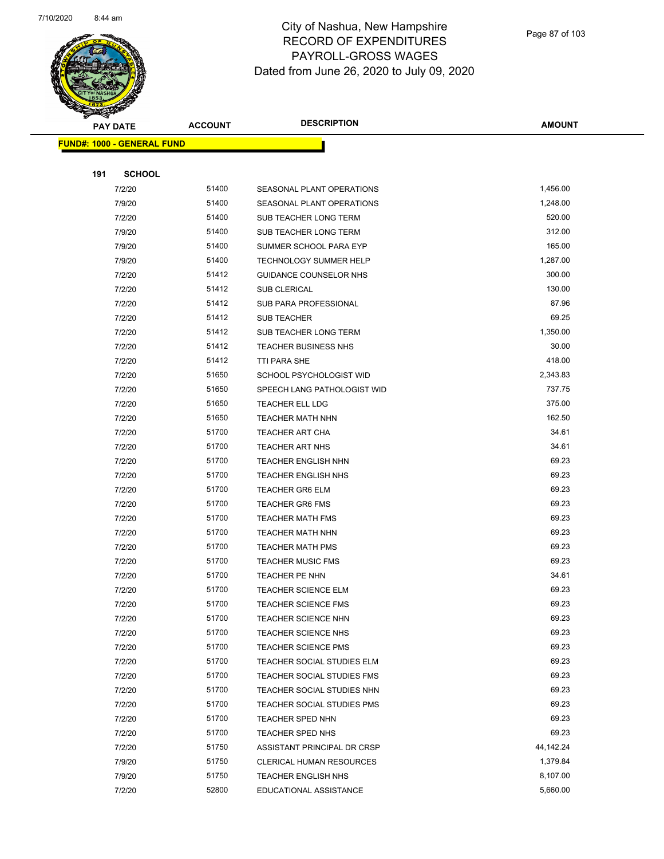

| <u>Landari (</u> | <b>PAY DATE</b>                   | <b>ACCOUNT</b> | <b>DESCRIPTION</b>                                | <b>AMOUNT</b>  |  |
|------------------|-----------------------------------|----------------|---------------------------------------------------|----------------|--|
|                  | <b>FUND#: 1000 - GENERAL FUND</b> |                |                                                   |                |  |
|                  |                                   |                |                                                   |                |  |
| 191              | <b>SCHOOL</b>                     |                |                                                   |                |  |
|                  | 7/2/20                            | 51400          | SEASONAL PLANT OPERATIONS                         | 1,456.00       |  |
|                  | 7/9/20                            | 51400          | SEASONAL PLANT OPERATIONS                         | 1,248.00       |  |
|                  | 7/2/20                            | 51400          | SUB TEACHER LONG TERM                             | 520.00         |  |
|                  | 7/9/20                            | 51400          | SUB TEACHER LONG TERM                             | 312.00         |  |
|                  | 7/9/20                            | 51400          | SUMMER SCHOOL PARA EYP                            | 165.00         |  |
|                  | 7/9/20                            | 51400          | <b>TECHNOLOGY SUMMER HELP</b>                     | 1,287.00       |  |
|                  | 7/2/20                            | 51412          | GUIDANCE COUNSELOR NHS                            | 300.00         |  |
|                  | 7/2/20                            | 51412          | SUB CLERICAL                                      | 130.00         |  |
|                  | 7/2/20                            | 51412          | SUB PARA PROFESSIONAL                             | 87.96          |  |
|                  | 7/2/20                            | 51412          | <b>SUB TEACHER</b>                                | 69.25          |  |
|                  | 7/2/20                            | 51412          | SUB TEACHER LONG TERM                             | 1,350.00       |  |
|                  | 7/2/20                            | 51412          | <b>TEACHER BUSINESS NHS</b>                       | 30.00          |  |
|                  | 7/2/20                            | 51412          | <b>TTI PARA SHE</b>                               | 418.00         |  |
|                  | 7/2/20                            | 51650          | SCHOOL PSYCHOLOGIST WID                           | 2,343.83       |  |
|                  | 7/2/20                            | 51650          | SPEECH LANG PATHOLOGIST WID                       | 737.75         |  |
|                  | 7/2/20                            | 51650          | TEACHER ELL LDG                                   | 375.00         |  |
|                  | 7/2/20                            | 51650          | TEACHER MATH NHN                                  | 162.50         |  |
|                  | 7/2/20                            | 51700          | <b>TEACHER ART CHA</b>                            | 34.61          |  |
|                  | 7/2/20                            | 51700          | TEACHER ART NHS                                   | 34.61          |  |
|                  | 7/2/20                            | 51700          | TEACHER ENGLISH NHN                               | 69.23          |  |
|                  | 7/2/20                            | 51700          | TEACHER ENGLISH NHS                               | 69.23          |  |
|                  | 7/2/20                            | 51700          | <b>TEACHER GR6 ELM</b>                            | 69.23          |  |
|                  | 7/2/20                            | 51700          | <b>TEACHER GR6 FMS</b>                            | 69.23          |  |
|                  | 7/2/20                            | 51700          | <b>TEACHER MATH FMS</b>                           | 69.23          |  |
|                  | 7/2/20                            | 51700          | <b>TEACHER MATH NHN</b>                           | 69.23          |  |
|                  | 7/2/20                            | 51700          | TEACHER MATH PMS                                  | 69.23          |  |
|                  | 7/2/20                            | 51700          | <b>TEACHER MUSIC FMS</b>                          | 69.23          |  |
|                  | 7/2/20                            | 51700          | TEACHER PE NHN                                    | 34.61          |  |
|                  | 7/2/20                            | 51700<br>51700 | <b>TEACHER SCIENCE ELM</b>                        | 69.23<br>69.23 |  |
|                  | 7/2/20                            | 51700          | <b>TEACHER SCIENCE FMS</b>                        | 69.23          |  |
|                  | 7/2/20<br>7/2/20                  | 51700          | <b>TEACHER SCIENCE NHN</b><br>TEACHER SCIENCE NHS | 69.23          |  |
|                  | 7/2/20                            | 51700          | <b>TEACHER SCIENCE PMS</b>                        | 69.23          |  |
|                  | 7/2/20                            | 51700          | TEACHER SOCIAL STUDIES ELM                        | 69.23          |  |
|                  | 7/2/20                            | 51700          | TEACHER SOCIAL STUDIES FMS                        | 69.23          |  |
|                  | 7/2/20                            | 51700          | TEACHER SOCIAL STUDIES NHN                        | 69.23          |  |
|                  | 7/2/20                            | 51700          | TEACHER SOCIAL STUDIES PMS                        | 69.23          |  |
|                  | 7/2/20                            | 51700          | TEACHER SPED NHN                                  | 69.23          |  |
|                  | 7/2/20                            | 51700          | TEACHER SPED NHS                                  | 69.23          |  |
|                  | 7/2/20                            | 51750          | ASSISTANT PRINCIPAL DR CRSP                       | 44,142.24      |  |
|                  | 7/9/20                            | 51750          | CLERICAL HUMAN RESOURCES                          | 1,379.84       |  |
|                  | 7/9/20                            | 51750          | <b>TEACHER ENGLISH NHS</b>                        | 8,107.00       |  |
|                  | 7/2/20                            | 52800          | EDUCATIONAL ASSISTANCE                            | 5,660.00       |  |
|                  |                                   |                |                                                   |                |  |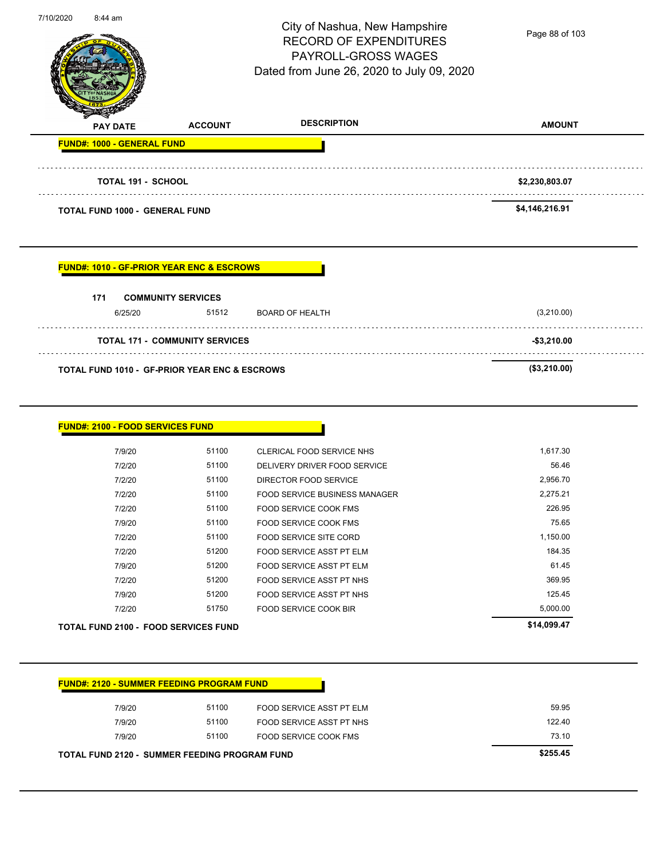|                                                                        |                                       | City of Nashua, New Hampshire<br><b>RECORD OF EXPENDITURES</b><br><b>PAYROLL-GROSS WAGES</b><br>Dated from June 26, 2020 to July 09, 2020 | Page 88 of 103 |
|------------------------------------------------------------------------|---------------------------------------|-------------------------------------------------------------------------------------------------------------------------------------------|----------------|
| <b>PAY DATE</b>                                                        | <b>ACCOUNT</b>                        | <b>DESCRIPTION</b>                                                                                                                        | <b>AMOUNT</b>  |
| <b>FUND#: 1000 - GENERAL FUND</b>                                      |                                       |                                                                                                                                           |                |
| <b>TOTAL 191 - SCHOOL</b>                                              |                                       |                                                                                                                                           | \$2,230,803.07 |
|                                                                        |                                       |                                                                                                                                           |                |
| <b>TOTAL FUND 1000 - GENERAL FUND</b>                                  |                                       |                                                                                                                                           | \$4,146,216.91 |
| <b>FUND#: 1010 - GF-PRIOR YEAR ENC &amp; ESCROWS</b><br>171<br>6/25/20 | <b>COMMUNITY SERVICES</b><br>51512    | <b>BOARD OF HEALTH</b>                                                                                                                    | (3,210.00)     |
|                                                                        | <b>TOTAL 171 - COMMUNITY SERVICES</b> |                                                                                                                                           | $-$ \$3,210.00 |
| TOTAL FUND 1010 - GF-PRIOR YEAR ENC & ESCROWS                          |                                       |                                                                                                                                           | (\$3,210.00)   |

|        | <b>TOTAL FUND 2100 - FOOD SERVICES FUND</b> |                               | \$14,099.47 |
|--------|---------------------------------------------|-------------------------------|-------------|
| 7/2/20 | 51750                                       | FOOD SERVICE COOK BIR         | 5,000.00    |
| 7/9/20 | 51200                                       | FOOD SERVICE ASST PT NHS      | 125.45      |
| 7/2/20 | 51200                                       | FOOD SERVICE ASST PT NHS      | 369.95      |
| 7/9/20 | 51200                                       | FOOD SERVICE ASST PT ELM      | 61.45       |
| 7/2/20 | 51200                                       | FOOD SERVICE ASST PT ELM      | 184.35      |
| 7/2/20 | 51100                                       | FOOD SERVICE SITE CORD        | 1,150.00    |
| 7/9/20 | 51100                                       | <b>FOOD SERVICE COOK FMS</b>  | 75.65       |
| 7/2/20 | 51100                                       | <b>FOOD SERVICE COOK FMS</b>  | 226.95      |
| 7/2/20 | 51100                                       | FOOD SERVICE BUSINESS MANAGER | 2,275.21    |
| 7/2/20 | 51100                                       | DIRECTOR FOOD SERVICE         | 2,956.70    |
| 7/2/20 | 51100                                       | DELIVERY DRIVER FOOD SERVICE  | 56.46       |
| 7/9/20 | 51100                                       | CLERICAL FOOD SERVICE NHS     | 1,617.30    |

| <b>FUND#: 2120 - SUMMER FEEDING PROGRAM FUND</b>     |       |                          |          |
|------------------------------------------------------|-------|--------------------------|----------|
| 7/9/20                                               | 51100 | FOOD SERVICE ASST PT ELM | 59.95    |
| 7/9/20                                               | 51100 | FOOD SERVICE ASST PT NHS | 122.40   |
| 7/9/20                                               | 51100 | FOOD SERVICE COOK FMS    | 73.10    |
| <b>TOTAL FUND 2120 - SUMMER FEEDING PROGRAM FUND</b> |       |                          | \$255.45 |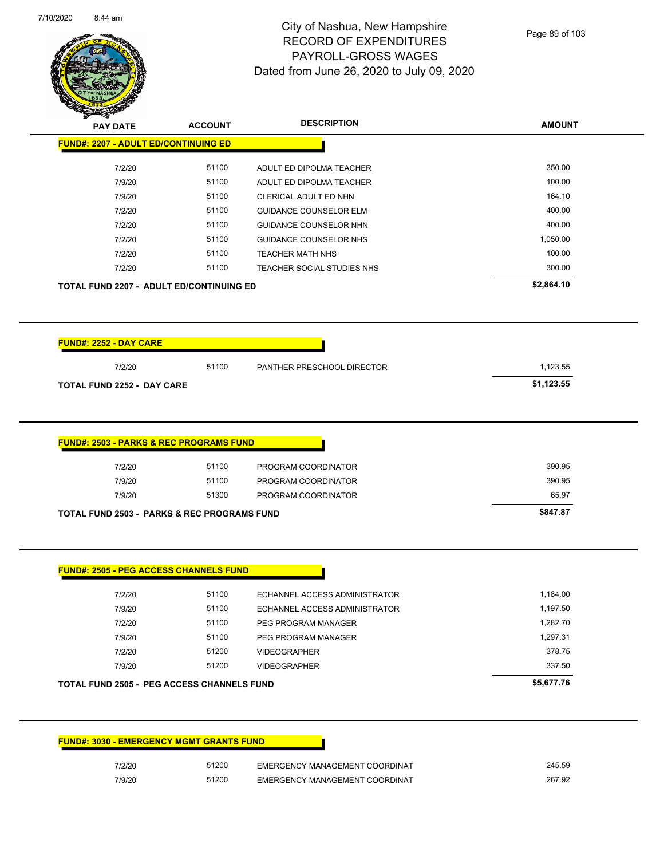$\overline{\phantom{0}}$ 



|                                                        |       | <b>DESCRIPTION</b>            | <b>AMOUNT</b>          |
|--------------------------------------------------------|-------|-------------------------------|------------------------|
| <b>FUND#: 2207 - ADULT ED/CONTINUING ED</b>            |       |                               |                        |
| 7/2/20                                                 | 51100 | ADULT ED DIPOLMA TEACHER      | 350.00                 |
| 7/9/20                                                 | 51100 | ADULT ED DIPOLMA TEACHER      | 100.00                 |
| 7/9/20                                                 | 51100 | CLERICAL ADULT ED NHN         | 164.10                 |
| 7/2/20                                                 | 51100 | <b>GUIDANCE COUNSELOR ELM</b> | 400.00                 |
| 7/2/20                                                 | 51100 | <b>GUIDANCE COUNSELOR NHN</b> | 400.00                 |
| 7/2/20                                                 | 51100 | <b>GUIDANCE COUNSELOR NHS</b> | 1,050.00               |
| 7/2/20                                                 | 51100 | <b>TEACHER MATH NHS</b>       | 100.00                 |
| 7/2/20                                                 | 51100 | TEACHER SOCIAL STUDIES NHS    | 300.00                 |
| <b>TOTAL FUND 2207 - ADULT ED/CONTINUING ED</b>        |       |                               | \$2,864.10             |
|                                                        |       |                               |                        |
| 7/2/20<br><b>TOTAL FUND 2252 - DAY CARE</b>            | 51100 | PANTHER PRESCHOOL DIRECTOR    | 1,123.55<br>\$1,123.55 |
|                                                        |       |                               |                        |
|                                                        |       |                               |                        |
| <u> FUND#: 2503 - PARKS &amp; REC PROGRAMS FUND</u>    |       |                               |                        |
| 7/2/20                                                 | 51100 | PROGRAM COORDINATOR           | 390.95                 |
| 7/9/20                                                 | 51100 | PROGRAM COORDINATOR           | 390.95                 |
| 7/9/20                                                 | 51300 | PROGRAM COORDINATOR           | 65.97                  |
| <b>TOTAL FUND 2503 - PARKS &amp; REC PROGRAMS FUND</b> |       |                               | \$847.87               |
|                                                        |       |                               |                        |
|                                                        |       |                               |                        |
|                                                        |       |                               |                        |
| <b>FUND#: 2505 - PEG ACCESS CHANNELS FUND</b>          |       |                               |                        |
| 7/2/20                                                 | 51100 | ECHANNEL ACCESS ADMINISTRATOR | 1,184.00               |
| 7/9/20                                                 | 51100 | ECHANNEL ACCESS ADMINISTRATOR | 1,197.50               |
| 7/2/20                                                 | 51100 | PEG PROGRAM MANAGER           | 1,282.70               |
| 7/9/20                                                 | 51100 | PEG PROGRAM MANAGER           | 1,297.31               |
| 7/2/20                                                 | 51200 | <b>VIDEOGRAPHER</b>           | 378.75                 |
| 7/9/20                                                 | 51200 | <b>VIDEOGRAPHER</b>           | 337.50                 |
| <b>TOTAL FUND 2505 - PEG ACCESS CHANNELS FUND</b>      |       |                               | \$5,677.76             |

| <b>FUND#: 3030 - EMERGENCY MGMT GRANTS FUND</b> |       |                                |        |
|-------------------------------------------------|-------|--------------------------------|--------|
| 7/2/20                                          | 51200 | EMERGENCY MANAGEMENT COORDINAT | 245.59 |
| 7/9/20                                          | 51200 | EMERGENCY MANAGEMENT COORDINAT | 267.92 |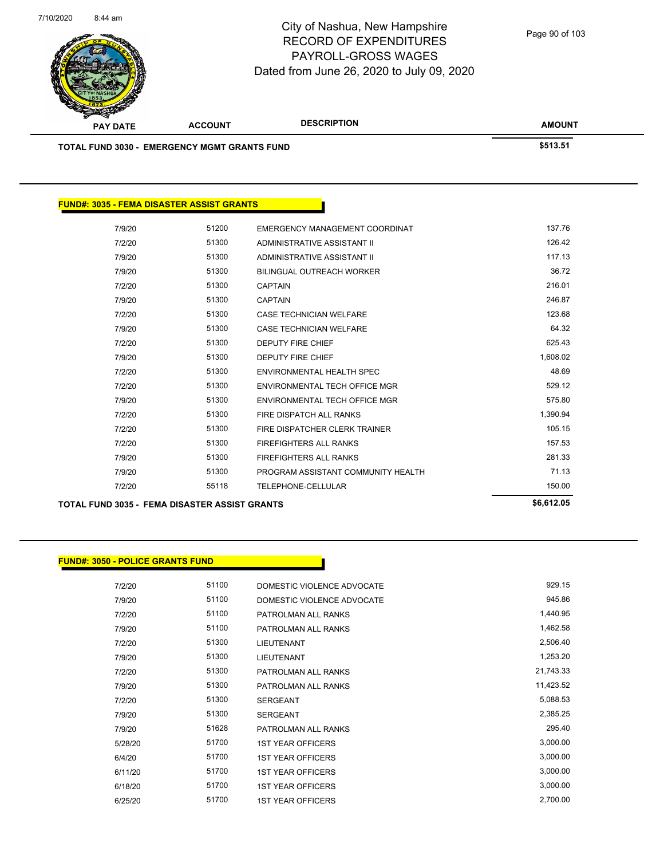

| <b>PAY DATE</b> | <b>ACCOUNT</b>                                      | <b>DESCRIPTION</b> | <b>AMOUNT</b> |
|-----------------|-----------------------------------------------------|--------------------|---------------|
|                 | <b>TOTAL FUND 3030 - EMERGENCY MGMT GRANTS FUND</b> |                    | \$513.51      |

| 7/9/20                                               | 51200 | EMERGENCY MANAGEMENT COORDINAT     | 137.76     |
|------------------------------------------------------|-------|------------------------------------|------------|
| 7/2/20                                               | 51300 | ADMINISTRATIVE ASSISTANT II        | 126.42     |
| 7/9/20                                               | 51300 | ADMINISTRATIVE ASSISTANT II        | 117.13     |
| 7/9/20                                               | 51300 | <b>BILINGUAL OUTREACH WORKER</b>   | 36.72      |
| 7/2/20                                               | 51300 | <b>CAPTAIN</b>                     | 216.01     |
| 7/9/20                                               | 51300 | <b>CAPTAIN</b>                     | 246.87     |
| 7/2/20                                               | 51300 | CASE TECHNICIAN WELFARE            | 123.68     |
| 7/9/20                                               | 51300 | <b>CASE TECHNICIAN WELFARE</b>     | 64.32      |
| 7/2/20                                               | 51300 | <b>DEPUTY FIRE CHIEF</b>           | 625.43     |
| 7/9/20                                               | 51300 | <b>DEPUTY FIRE CHIEF</b>           | 1,608.02   |
| 7/2/20                                               | 51300 | ENVIRONMENTAL HEALTH SPEC          | 48.69      |
| 7/2/20                                               | 51300 | ENVIRONMENTAL TECH OFFICE MGR      | 529.12     |
| 7/9/20                                               | 51300 | ENVIRONMENTAL TECH OFFICE MGR      | 575.80     |
| 7/2/20                                               | 51300 | FIRE DISPATCH ALL RANKS            | 1,390.94   |
| 7/2/20                                               | 51300 | FIRE DISPATCHER CLERK TRAINER      | 105.15     |
| 7/2/20                                               | 51300 | <b>FIREFIGHTERS ALL RANKS</b>      | 157.53     |
| 7/9/20                                               | 51300 | <b>FIREFIGHTERS ALL RANKS</b>      | 281.33     |
| 7/9/20                                               | 51300 | PROGRAM ASSISTANT COMMUNITY HEALTH | 71.13      |
| 7/2/20                                               | 55118 | TELEPHONE-CELLULAR                 | 150.00     |
| <b>TOTAL FUND 3035 - FEMA DISASTER ASSIST GRANTS</b> |       |                                    | \$6,612.05 |
|                                                      |       |                                    |            |

#### **FUND#: 3050 - POLICE GRANTS FUND**

| 7/2/20  | 51100 | DOMESTIC VIOLENCE ADVOCATE | 929.15    |
|---------|-------|----------------------------|-----------|
| 7/9/20  | 51100 | DOMESTIC VIOLENCE ADVOCATE | 945.86    |
| 7/2/20  | 51100 | PATROLMAN ALL RANKS        | 1,440.95  |
| 7/9/20  | 51100 | PATROLMAN ALL RANKS        | 1,462.58  |
| 7/2/20  | 51300 | <b>LIEUTENANT</b>          | 2,506.40  |
| 7/9/20  | 51300 | <b>LIEUTENANT</b>          | 1,253.20  |
| 7/2/20  | 51300 | PATROLMAN ALL RANKS        | 21,743.33 |
| 7/9/20  | 51300 | PATROLMAN ALL RANKS        | 11,423.52 |
| 7/2/20  | 51300 | <b>SERGEANT</b>            | 5,088.53  |
| 7/9/20  | 51300 | <b>SERGEANT</b>            | 2,385.25  |
| 7/9/20  | 51628 | PATROLMAN ALL RANKS        | 295.40    |
| 5/28/20 | 51700 | <b>1ST YEAR OFFICERS</b>   | 3,000.00  |
| 6/4/20  | 51700 | <b>1ST YEAR OFFICERS</b>   | 3,000.00  |
| 6/11/20 | 51700 | <b>1ST YEAR OFFICERS</b>   | 3,000.00  |
| 6/18/20 | 51700 | <b>1ST YEAR OFFICERS</b>   | 3,000.00  |
| 6/25/20 | 51700 | <b>1ST YEAR OFFICERS</b>   | 2,700.00  |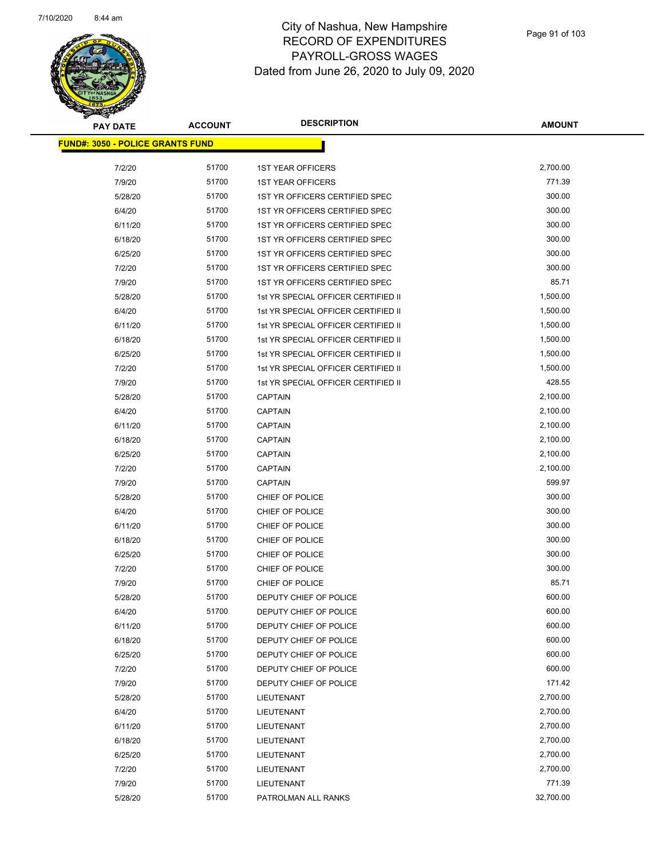

| <b>PAY DATE</b>                          | <b>ACCOUNT</b> | <b>DESCRIPTION</b>                  | <b>AMOUNT</b> |
|------------------------------------------|----------------|-------------------------------------|---------------|
| <u> FUND#: 3050 - POLICE GRANTS FUND</u> |                |                                     |               |
|                                          |                |                                     |               |
| 7/2/20                                   | 51700          | <b>1ST YEAR OFFICERS</b>            | 2,700.00      |
| 7/9/20                                   | 51700          | <b>1ST YEAR OFFICERS</b>            | 771.39        |
| 5/28/20                                  | 51700          | 1ST YR OFFICERS CERTIFIED SPEC      | 300.00        |
| 6/4/20                                   | 51700          | 1ST YR OFFICERS CERTIFIED SPEC      | 300.00        |
| 6/11/20                                  | 51700          | 1ST YR OFFICERS CERTIFIED SPEC      | 300.00        |
| 6/18/20                                  | 51700          | 1ST YR OFFICERS CERTIFIED SPEC      | 300.00        |
| 6/25/20                                  | 51700          | 1ST YR OFFICERS CERTIFIED SPEC      | 300.00        |
| 7/2/20                                   | 51700          | 1ST YR OFFICERS CERTIFIED SPEC      | 300.00        |
| 7/9/20                                   | 51700          | 1ST YR OFFICERS CERTIFIED SPEC      | 85.71         |
| 5/28/20                                  | 51700          | 1st YR SPECIAL OFFICER CERTIFIED II | 1,500.00      |
| 6/4/20                                   | 51700          | 1st YR SPECIAL OFFICER CERTIFIED II | 1,500.00      |
| 6/11/20                                  | 51700          | 1st YR SPECIAL OFFICER CERTIFIED II | 1,500.00      |
| 6/18/20                                  | 51700          | 1st YR SPECIAL OFFICER CERTIFIED II | 1,500.00      |
| 6/25/20                                  | 51700          | 1st YR SPECIAL OFFICER CERTIFIED II | 1,500.00      |
| 7/2/20                                   | 51700          | 1st YR SPECIAL OFFICER CERTIFIED II | 1,500.00      |
| 7/9/20                                   | 51700          | 1st YR SPECIAL OFFICER CERTIFIED II | 428.55        |
| 5/28/20                                  | 51700          | <b>CAPTAIN</b>                      | 2,100.00      |
| 6/4/20                                   | 51700          | <b>CAPTAIN</b>                      | 2,100.00      |
| 6/11/20                                  | 51700          | <b>CAPTAIN</b>                      | 2,100.00      |
| 6/18/20                                  | 51700          | <b>CAPTAIN</b>                      | 2,100.00      |
| 6/25/20                                  | 51700          | <b>CAPTAIN</b>                      | 2,100.00      |
| 7/2/20                                   | 51700          | <b>CAPTAIN</b>                      | 2,100.00      |
| 7/9/20                                   | 51700          | <b>CAPTAIN</b>                      | 599.97        |
| 5/28/20                                  | 51700          | CHIEF OF POLICE                     | 300.00        |
| 6/4/20                                   | 51700          | CHIEF OF POLICE                     | 300.00        |
| 6/11/20                                  | 51700          | CHIEF OF POLICE                     | 300.00        |
| 6/18/20                                  | 51700          | CHIEF OF POLICE                     | 300.00        |
| 6/25/20                                  | 51700          | CHIEF OF POLICE                     | 300.00        |
| 7/2/20                                   | 51700          | CHIEF OF POLICE                     | 300.00        |
| 7/9/20                                   | 51700          | CHIEF OF POLICE                     | 85.71         |
| 5/28/20                                  | 51700          | DEPUTY CHIEF OF POLICE              | 600.00        |
| 6/4/20                                   | 51700          | DEPUTY CHIEF OF POLICE              | 600.00        |
| 6/11/20                                  | 51700          | DEPUTY CHIEF OF POLICE              | 600.00        |
| 6/18/20                                  | 51700          | DEPUTY CHIEF OF POLICE              | 600.00        |
| 6/25/20                                  | 51700          | DEPUTY CHIEF OF POLICE              | 600.00        |
| 7/2/20                                   | 51700          | DEPUTY CHIEF OF POLICE              | 600.00        |
| 7/9/20                                   | 51700          | DEPUTY CHIEF OF POLICE              | 171.42        |
| 5/28/20                                  | 51700          | LIEUTENANT                          | 2,700.00      |
| 6/4/20                                   | 51700          | LIEUTENANT                          | 2,700.00      |
| 6/11/20                                  | 51700          | LIEUTENANT                          | 2,700.00      |
| 6/18/20                                  | 51700          | LIEUTENANT                          | 2,700.00      |
| 6/25/20                                  | 51700          | LIEUTENANT                          | 2,700.00      |
| 7/2/20                                   | 51700          | LIEUTENANT                          | 2,700.00      |
| 7/9/20                                   | 51700          | LIEUTENANT                          | 771.39        |
| 5/28/20                                  | 51700          | PATROLMAN ALL RANKS                 | 32,700.00     |
|                                          |                |                                     |               |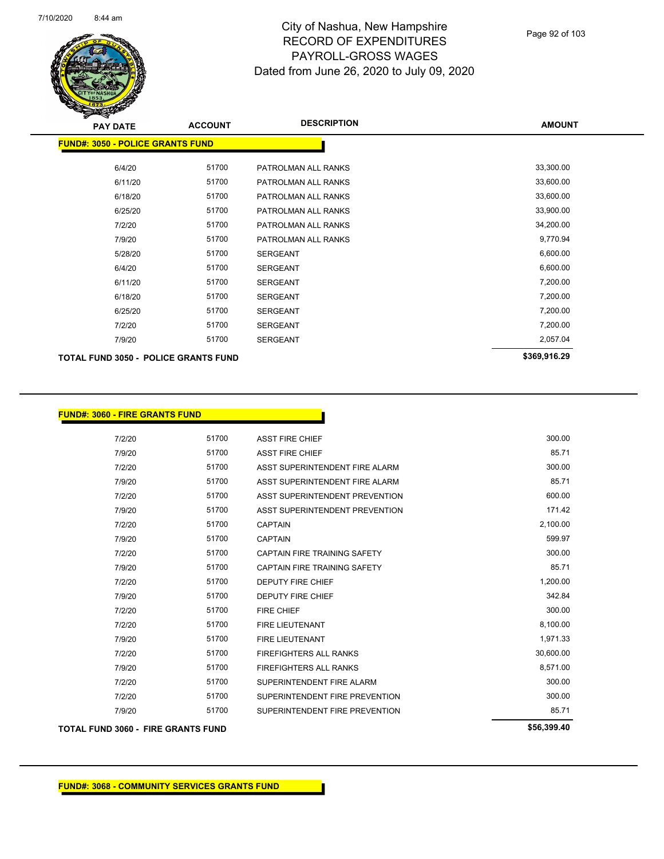

| <b>PAY DATE</b>                             | <b>ACCOUNT</b> | <b>DESCRIPTION</b>  | <b>AMOUNT</b> |
|---------------------------------------------|----------------|---------------------|---------------|
| <b>FUND#: 3050 - POLICE GRANTS FUND</b>     |                |                     |               |
| 6/4/20                                      | 51700          | PATROLMAN ALL RANKS | 33,300.00     |
| 6/11/20                                     | 51700          | PATROLMAN ALL RANKS | 33,600.00     |
| 6/18/20                                     | 51700          | PATROLMAN ALL RANKS | 33,600.00     |
| 6/25/20                                     | 51700          | PATROLMAN ALL RANKS | 33,900.00     |
| 7/2/20                                      | 51700          | PATROLMAN ALL RANKS | 34,200.00     |
| 7/9/20                                      | 51700          | PATROLMAN ALL RANKS | 9,770.94      |
| 5/28/20                                     | 51700          | <b>SERGEANT</b>     | 6,600.00      |
| 6/4/20                                      | 51700          | <b>SERGEANT</b>     | 6,600.00      |
| 6/11/20                                     | 51700          | <b>SERGEANT</b>     | 7,200.00      |
| 6/18/20                                     | 51700          | <b>SERGEANT</b>     | 7,200.00      |
| 6/25/20                                     | 51700          | <b>SERGEANT</b>     | 7,200.00      |
| 7/2/20                                      | 51700          | <b>SERGEANT</b>     | 7,200.00      |
| 7/9/20                                      | 51700          | <b>SERGEANT</b>     | 2,057.04      |
| <b>TOTAL FUND 3050 - POLICE GRANTS FUND</b> |                |                     | \$369,916.29  |

| <b>FUND#: 3060 - FIRE GRANTS FUND</b> |  |
|---------------------------------------|--|
|---------------------------------------|--|

| 300.00      | <b>ASST FIRE CHIEF</b>              | 51700 | 7/2/20                             |
|-------------|-------------------------------------|-------|------------------------------------|
| 85.71       | <b>ASST FIRE CHIEF</b>              | 51700 | 7/9/20                             |
| 300.00      | ASST SUPERINTENDENT FIRE ALARM      | 51700 | 7/2/20                             |
| 85.71       | ASST SUPERINTENDENT FIRE ALARM      | 51700 | 7/9/20                             |
| 600.00      | ASST SUPERINTENDENT PREVENTION      | 51700 | 7/2/20                             |
| 171.42      | ASST SUPERINTENDENT PREVENTION      | 51700 | 7/9/20                             |
| 2,100.00    | <b>CAPTAIN</b>                      | 51700 | 7/2/20                             |
| 599.97      | <b>CAPTAIN</b>                      | 51700 | 7/9/20                             |
| 300.00      | <b>CAPTAIN FIRE TRAINING SAFETY</b> | 51700 | 7/2/20                             |
| 85.71       | <b>CAPTAIN FIRE TRAINING SAFETY</b> | 51700 | 7/9/20                             |
| 1,200.00    | <b>DEPUTY FIRE CHIEF</b>            | 51700 | 7/2/20                             |
| 342.84      | <b>DEPUTY FIRE CHIEF</b>            | 51700 | 7/9/20                             |
| 300.00      | <b>FIRE CHIEF</b>                   | 51700 | 7/2/20                             |
| 8,100.00    | <b>FIRE LIEUTENANT</b>              | 51700 | 7/2/20                             |
| 1,971.33    | <b>FIRE LIEUTENANT</b>              | 51700 | 7/9/20                             |
| 30,600.00   | <b>FIREFIGHTERS ALL RANKS</b>       | 51700 | 7/2/20                             |
| 8,571.00    | <b>FIREFIGHTERS ALL RANKS</b>       | 51700 | 7/9/20                             |
| 300.00      | SUPERINTENDENT FIRE ALARM           | 51700 | 7/2/20                             |
| 300.00      | SUPERINTENDENT FIRE PREVENTION      | 51700 | 7/2/20                             |
| 85.71       | SUPERINTENDENT FIRE PREVENTION      | 51700 | 7/9/20                             |
| \$56,399.40 |                                     |       | TOTAL FUND 3060 - FIRE GRANTS FUND |

Π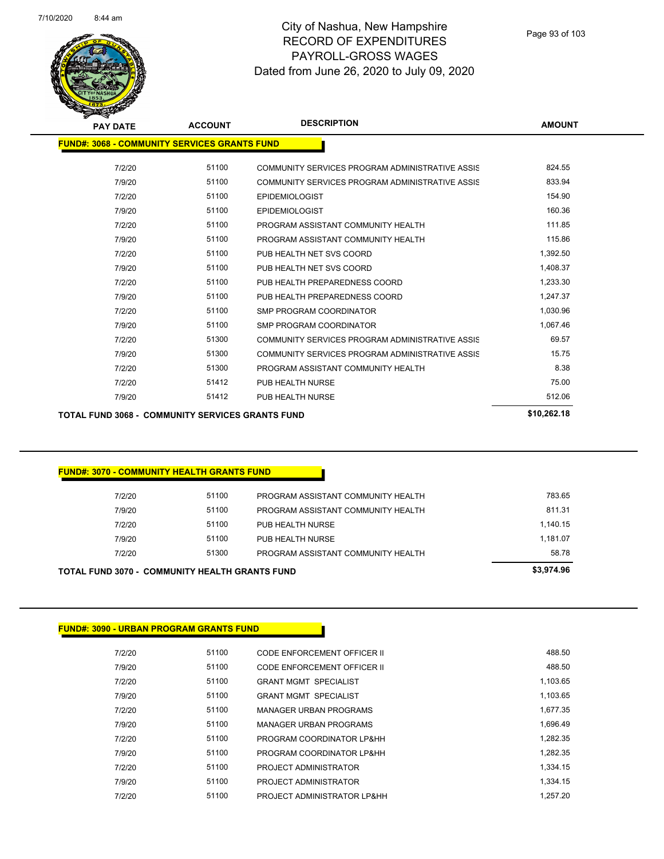

| <b>PAY DATE</b>                                     | <b>ACCOUNT</b> | <b>DESCRIPTION</b>                              | <b>AMOUNT</b> |
|-----------------------------------------------------|----------------|-------------------------------------------------|---------------|
| <b>FUND#: 3068 - COMMUNITY SERVICES GRANTS FUND</b> |                |                                                 |               |
| 7/2/20                                              | 51100          | COMMUNITY SERVICES PROGRAM ADMINISTRATIVE ASSIS | 824.55        |
| 7/9/20                                              | 51100          | COMMUNITY SERVICES PROGRAM ADMINISTRATIVE ASSIS | 833.94        |
| 7/2/20                                              | 51100          | <b>EPIDEMIOLOGIST</b>                           | 154.90        |
| 7/9/20                                              | 51100          | <b>EPIDEMIOLOGIST</b>                           | 160.36        |
| 7/2/20                                              | 51100          | PROGRAM ASSISTANT COMMUNITY HEALTH              | 111.85        |
| 7/9/20                                              | 51100          | PROGRAM ASSISTANT COMMUNITY HEALTH              | 115.86        |
| 7/2/20                                              | 51100          | PUB HEALTH NET SVS COORD                        | 1,392.50      |
| 7/9/20                                              | 51100          | PUB HEALTH NET SVS COORD                        | 1,408.37      |
| 7/2/20                                              | 51100          | PUB HEALTH PREPAREDNESS COORD                   | 1,233.30      |
| 7/9/20                                              | 51100          | PUB HEALTH PREPAREDNESS COORD                   | 1.247.37      |
| 7/2/20                                              | 51100          | SMP PROGRAM COORDINATOR                         | 1.030.96      |
| 7/9/20                                              | 51100          | SMP PROGRAM COORDINATOR                         | 1,067.46      |
| 7/2/20                                              | 51300          | COMMUNITY SERVICES PROGRAM ADMINISTRATIVE ASSIS | 69.57         |
| 7/9/20                                              | 51300          | COMMUNITY SERVICES PROGRAM ADMINISTRATIVE ASSIS | 15.75         |
| 7/2/20                                              | 51300          | PROGRAM ASSISTANT COMMUNITY HEALTH              | 8.38          |
| 7/2/20                                              | 51412          | PUB HEALTH NURSE                                | 75.00         |
| 7/9/20                                              | 51412          | PUB HEALTH NURSE                                | 512.06        |
|                                                     |                |                                                 |               |

**TOTAL FUND 3068 - COMMUNITY SERVICES GRANTS FUND \$10,262.18** 

#### **FUND#: 3070 - COMMUNITY HEALTH GRANTS FUND**

| TOTAL FUND 3070 -  COMMUNITY HEALTH GRANTS FUND |       |                                    | \$3,974.96 |
|-------------------------------------------------|-------|------------------------------------|------------|
| 7/2/20                                          | 51300 | PROGRAM ASSISTANT COMMUNITY HEALTH | 58.78      |
| 7/9/20                                          | 51100 | PUB HEALTH NURSE                   | 1.181.07   |
| 7/2/20                                          | 51100 | PUB HEALTH NURSE                   | 1.140.15   |
| 7/9/20                                          | 51100 | PROGRAM ASSISTANT COMMUNITY HEALTH | 811.31     |
| 7/2/20                                          | 51100 | PROGRAM ASSISTANT COMMUNITY HEALTH | 783.65     |
|                                                 |       |                                    |            |

#### **FUND#: 3090 - URBAN PROGRAM GRANTS FUND**

| 7/2/20 | 51100 | CODE ENFORCEMENT OFFICER II   | 488.50   |
|--------|-------|-------------------------------|----------|
| 7/9/20 | 51100 | CODE ENFORCEMENT OFFICER II   | 488.50   |
| 7/2/20 | 51100 | <b>GRANT MGMT SPECIALIST</b>  | 1.103.65 |
| 7/9/20 | 51100 | <b>GRANT MGMT SPECIALIST</b>  | 1.103.65 |
| 7/2/20 | 51100 | <b>MANAGER URBAN PROGRAMS</b> | 1.677.35 |
| 7/9/20 | 51100 | <b>MANAGER URBAN PROGRAMS</b> | 1.696.49 |
| 7/2/20 | 51100 | PROGRAM COORDINATOR LP&HH     | 1.282.35 |
| 7/9/20 | 51100 | PROGRAM COORDINATOR LP&HH     | 1.282.35 |
| 7/2/20 | 51100 | PROJECT ADMINISTRATOR         | 1.334.15 |
| 7/9/20 | 51100 | PROJECT ADMINISTRATOR         | 1.334.15 |
| 7/2/20 | 51100 | PROJECT ADMINISTRATOR LP&HH   | 1.257.20 |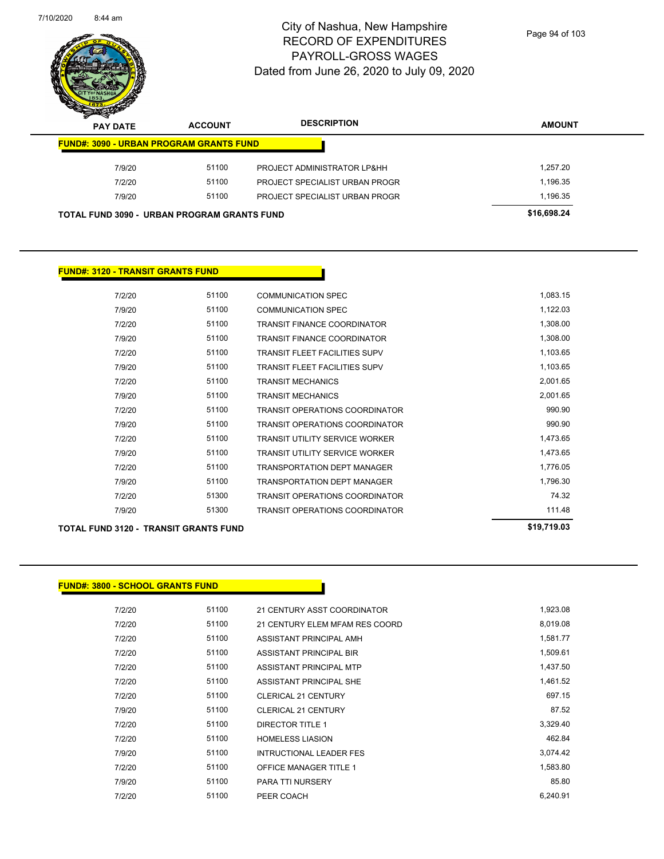

Page 94 of 103

| z | ◅<br><b>PAY DATE</b>                           | <b>ACCOUNT</b> | <b>DESCRIPTION</b>             | <b>AMOUNT</b> |
|---|------------------------------------------------|----------------|--------------------------------|---------------|
|   | <b>FUND#: 3090 - URBAN PROGRAM GRANTS FUND</b> |                |                                |               |
|   | 7/9/20                                         | 51100          | PROJECT ADMINISTRATOR LP&HH    | 1,257.20      |
|   | 7/2/20                                         | 51100          | PROJECT SPECIALIST URBAN PROGR | 1,196.35      |
|   | 7/9/20                                         | 51100          | PROJECT SPECIALIST URBAN PROGR | 1,196.35      |
|   | TOTAL FUND 3090 - URBAN PROGRAM GRANTS FUND    |                |                                | \$16,698.24   |

#### **FUND#: 3120 - TRANSIT GRANTS FUND**

| <b>TOTAL FUND 3120 - TRANSIT GRANTS FUND</b> | \$19,719.03 |                                       |          |
|----------------------------------------------|-------------|---------------------------------------|----------|
| 7/9/20                                       | 51300       | <b>TRANSIT OPERATIONS COORDINATOR</b> | 111.48   |
| 7/2/20                                       | 51300       | <b>TRANSIT OPERATIONS COORDINATOR</b> | 74.32    |
| 7/9/20                                       | 51100       | <b>TRANSPORTATION DEPT MANAGER</b>    | 1,796.30 |
| 7/2/20                                       | 51100       | <b>TRANSPORTATION DEPT MANAGER</b>    | 1,776.05 |
| 7/9/20                                       | 51100       | <b>TRANSIT UTILITY SERVICE WORKER</b> | 1,473.65 |
| 7/2/20                                       | 51100       | <b>TRANSIT UTILITY SERVICE WORKER</b> | 1,473.65 |
| 7/9/20                                       | 51100       | <b>TRANSIT OPERATIONS COORDINATOR</b> | 990.90   |
| 7/2/20                                       | 51100       | <b>TRANSIT OPERATIONS COORDINATOR</b> | 990.90   |
| 7/9/20                                       | 51100       | <b>TRANSIT MECHANICS</b>              | 2,001.65 |
| 7/2/20                                       | 51100       | <b>TRANSIT MECHANICS</b>              | 2,001.65 |
| 7/9/20                                       | 51100       | <b>TRANSIT FLEET FACILITIES SUPV</b>  | 1,103.65 |
| 7/2/20                                       | 51100       | <b>TRANSIT FLEET FACILITIES SUPV</b>  | 1,103.65 |
| 7/9/20                                       | 51100       | <b>TRANSIT FINANCE COORDINATOR</b>    | 1,308.00 |
| 7/2/20                                       | 51100       | <b>TRANSIT FINANCE COORDINATOR</b>    | 1,308.00 |
| 7/9/20                                       | 51100       | <b>COMMUNICATION SPEC</b>             | 1,122.03 |
| 7/2/20                                       | 51100       | <b>COMMUNICATION SPEC</b>             | 1,083.15 |
|                                              |             |                                       |          |

| <b>FUND#: 3800 - SCHOOL GRANTS FUND</b> |
|-----------------------------------------|
|                                         |

| 7/2/20 | 51100 | 21 CENTURY ASST COORDINATOR    | 1,923.08 |
|--------|-------|--------------------------------|----------|
| 7/2/20 | 51100 | 21 CENTURY ELEM MFAM RES COORD | 8,019.08 |
| 7/2/20 | 51100 | ASSISTANT PRINCIPAL AMH        | 1,581.77 |
| 7/2/20 | 51100 | <b>ASSISTANT PRINCIPAL BIR</b> | 1,509.61 |
| 7/2/20 | 51100 | ASSISTANT PRINCIPAL MTP        | 1,437.50 |
| 7/2/20 | 51100 | ASSISTANT PRINCIPAL SHE        | 1,461.52 |
| 7/2/20 | 51100 | <b>CLERICAL 21 CENTURY</b>     | 697.15   |
| 7/9/20 | 51100 | <b>CLERICAL 21 CENTURY</b>     | 87.52    |
| 7/2/20 | 51100 | <b>DIRECTOR TITLE 1</b>        | 3,329.40 |
| 7/2/20 | 51100 | <b>HOMELESS LIASION</b>        | 462.84   |
| 7/9/20 | 51100 | <b>INTRUCTIONAL LEADER FES</b> | 3,074.42 |
| 7/2/20 | 51100 | <b>OFFICE MANAGER TITLE 1</b>  | 1,583.80 |
| 7/9/20 | 51100 | <b>PARA TTI NURSERY</b>        | 85.80    |
| 7/2/20 | 51100 | PEER COACH                     | 6,240.91 |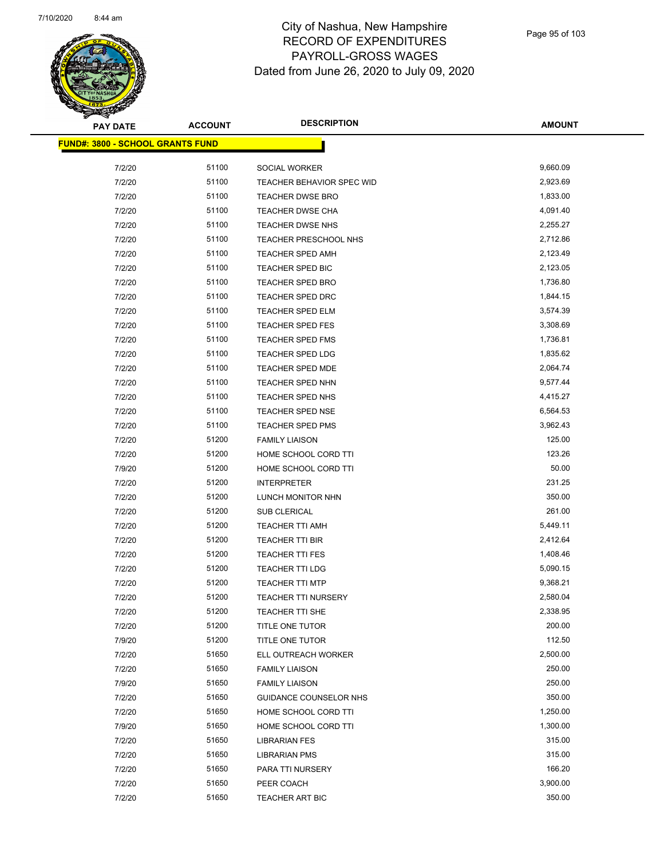

| <b>PAY DATE</b>                         | <b>ACCOUNT</b> | <b>DESCRIPTION</b>         | <b>AMOUNT</b> |
|-----------------------------------------|----------------|----------------------------|---------------|
| <b>FUND#: 3800 - SCHOOL GRANTS FUND</b> |                |                            |               |
|                                         |                |                            |               |
| 7/2/20                                  | 51100          | SOCIAL WORKER              | 9,660.09      |
| 7/2/20                                  | 51100          | TEACHER BEHAVIOR SPEC WID  | 2,923.69      |
| 7/2/20                                  | 51100          | <b>TEACHER DWSE BRO</b>    | 1,833.00      |
| 7/2/20                                  | 51100          | TEACHER DWSE CHA           | 4,091.40      |
| 7/2/20                                  | 51100          | TEACHER DWSE NHS           | 2,255.27      |
| 7/2/20                                  | 51100          | TEACHER PRESCHOOL NHS      | 2,712.86      |
| 7/2/20                                  | 51100          | <b>TEACHER SPED AMH</b>    | 2,123.49      |
| 7/2/20                                  | 51100          | <b>TEACHER SPED BIC</b>    | 2,123.05      |
| 7/2/20                                  | 51100          | TEACHER SPED BRO           | 1,736.80      |
| 7/2/20                                  | 51100          | TEACHER SPED DRC           | 1,844.15      |
| 7/2/20                                  | 51100          | TEACHER SPED ELM           | 3,574.39      |
| 7/2/20                                  | 51100          | TEACHER SPED FES           | 3,308.69      |
| 7/2/20                                  | 51100          | TEACHER SPED FMS           | 1,736.81      |
| 7/2/20                                  | 51100          | <b>TEACHER SPED LDG</b>    | 1,835.62      |
| 7/2/20                                  | 51100          | <b>TEACHER SPED MDE</b>    | 2,064.74      |
| 7/2/20                                  | 51100          | TEACHER SPED NHN           | 9,577.44      |
| 7/2/20                                  | 51100          | TEACHER SPED NHS           | 4,415.27      |
| 7/2/20                                  | 51100          | TEACHER SPED NSE           | 6,564.53      |
| 7/2/20                                  | 51100          | TEACHER SPED PMS           | 3,962.43      |
| 7/2/20                                  | 51200          | <b>FAMILY LIAISON</b>      | 125.00        |
| 7/2/20                                  | 51200          | HOME SCHOOL CORD TTI       | 123.26        |
| 7/9/20                                  | 51200          | HOME SCHOOL CORD TTI       | 50.00         |
| 7/2/20                                  | 51200          | <b>INTERPRETER</b>         | 231.25        |
| 7/2/20                                  | 51200          | LUNCH MONITOR NHN          | 350.00        |
| 7/2/20                                  | 51200          | SUB CLERICAL               | 261.00        |
| 7/2/20                                  | 51200          | TEACHER TTI AMH            | 5,449.11      |
| 7/2/20                                  | 51200          | TEACHER TTI BIR            | 2,412.64      |
| 7/2/20                                  | 51200          | <b>TEACHER TTI FES</b>     | 1,408.46      |
| 7/2/20                                  | 51200          | TEACHER TTI LDG            | 5,090.15      |
| 7/2/20                                  | 51200          | <b>TEACHER TTI MTP</b>     | 9,368.21      |
| 7/2/20                                  | 51200          | <b>TEACHER TTI NURSERY</b> | 2,580.04      |
| 7/2/20                                  | 51200          | TEACHER TTI SHE            | 2,338.95      |
| 7/2/20                                  | 51200          | TITLE ONE TUTOR            | 200.00        |
| 7/9/20                                  | 51200          | TITLE ONE TUTOR            | 112.50        |
| 7/2/20                                  | 51650          | ELL OUTREACH WORKER        | 2,500.00      |
| 7/2/20                                  | 51650          | <b>FAMILY LIAISON</b>      | 250.00        |
| 7/9/20                                  | 51650          | <b>FAMILY LIAISON</b>      | 250.00        |
| 7/2/20                                  | 51650          | GUIDANCE COUNSELOR NHS     | 350.00        |
| 7/2/20                                  | 51650          | HOME SCHOOL CORD TTI       | 1,250.00      |
| 7/9/20                                  | 51650          | HOME SCHOOL CORD TTI       | 1,300.00      |
| 7/2/20                                  | 51650          | <b>LIBRARIAN FES</b>       | 315.00        |
| 7/2/20                                  | 51650          | <b>LIBRARIAN PMS</b>       | 315.00        |
| 7/2/20                                  | 51650          | PARA TTI NURSERY           | 166.20        |
| 7/2/20                                  | 51650          | PEER COACH                 | 3,900.00      |
| 7/2/20                                  | 51650          | TEACHER ART BIC            | 350.00        |
|                                         |                |                            |               |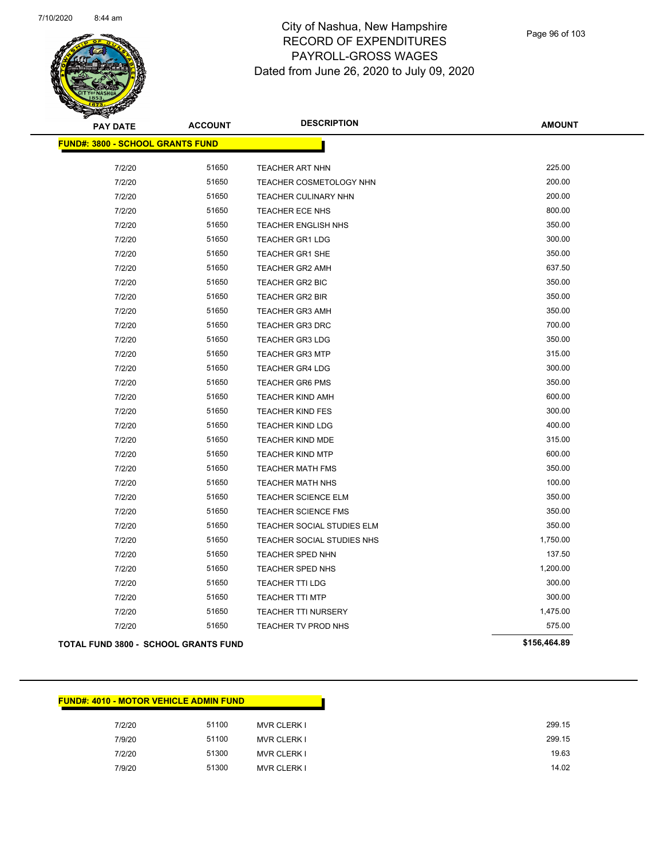

| <b>PAY DATE</b>                             | <b>ACCOUNT</b> | <b>DESCRIPTION</b>             | <b>AMOUNT</b> |
|---------------------------------------------|----------------|--------------------------------|---------------|
| <b>FUND#: 3800 - SCHOOL GRANTS FUND</b>     |                |                                |               |
|                                             |                |                                |               |
| 7/2/20                                      | 51650          | <b>TEACHER ART NHN</b>         | 225.00        |
| 7/2/20                                      | 51650          | <b>TEACHER COSMETOLOGY NHN</b> | 200.00        |
| 7/2/20                                      | 51650          | TEACHER CULINARY NHN           | 200.00        |
| 7/2/20                                      | 51650          | TEACHER ECE NHS                | 800.00        |
| 7/2/20                                      | 51650          | TEACHER ENGLISH NHS            | 350.00        |
| 7/2/20                                      | 51650          | <b>TEACHER GR1 LDG</b>         | 300.00        |
| 7/2/20                                      | 51650          | TEACHER GR1 SHE                | 350.00        |
| 7/2/20                                      | 51650          | TEACHER GR2 AMH                | 637.50        |
| 7/2/20                                      | 51650          | TEACHER GR2 BIC                | 350.00        |
| 7/2/20                                      | 51650          | <b>TEACHER GR2 BIR</b>         | 350.00        |
| 7/2/20                                      | 51650          | <b>TEACHER GR3 AMH</b>         | 350.00        |
| 7/2/20                                      | 51650          | <b>TEACHER GR3 DRC</b>         | 700.00        |
| 7/2/20                                      | 51650          | <b>TEACHER GR3 LDG</b>         | 350.00        |
| 7/2/20                                      | 51650          | <b>TEACHER GR3 MTP</b>         | 315.00        |
| 7/2/20                                      | 51650          | <b>TEACHER GR4 LDG</b>         | 300.00        |
| 7/2/20                                      | 51650          | <b>TEACHER GR6 PMS</b>         | 350.00        |
| 7/2/20                                      | 51650          | <b>TEACHER KIND AMH</b>        | 600.00        |
| 7/2/20                                      | 51650          | <b>TEACHER KIND FES</b>        | 300.00        |
| 7/2/20                                      | 51650          | <b>TEACHER KIND LDG</b>        | 400.00        |
| 7/2/20                                      | 51650          | TEACHER KIND MDE               | 315.00        |
| 7/2/20                                      | 51650          | <b>TEACHER KIND MTP</b>        | 600.00        |
| 7/2/20                                      | 51650          | <b>TEACHER MATH FMS</b>        | 350.00        |
| 7/2/20                                      | 51650          | <b>TEACHER MATH NHS</b>        | 100.00        |
| 7/2/20                                      | 51650          | <b>TEACHER SCIENCE ELM</b>     | 350.00        |
| 7/2/20                                      | 51650          | <b>TEACHER SCIENCE FMS</b>     | 350.00        |
| 7/2/20                                      | 51650          | TEACHER SOCIAL STUDIES ELM     | 350.00        |
| 7/2/20                                      | 51650          | TEACHER SOCIAL STUDIES NHS     | 1,750.00      |
| 7/2/20                                      | 51650          | <b>TEACHER SPED NHN</b>        | 137.50        |
| 7/2/20                                      | 51650          | TEACHER SPED NHS               | 1,200.00      |
| 7/2/20                                      | 51650          | <b>TEACHER TTI LDG</b>         | 300.00        |
| 7/2/20                                      | 51650          | <b>TEACHER TTI MTP</b>         | 300.00        |
| 7/2/20                                      | 51650          | TEACHER TTI NURSERY            | 1,475.00      |
| 7/2/20                                      | 51650          | TEACHER TV PROD NHS            | 575.00        |
| <b>TOTAL FUND 3800 - SCHOOL GRANTS FUND</b> |                |                                | \$156,464.89  |

#### **FUND#: 4010 - MOTOR VEHICLE ADMIN FUND**

| 7/2/20 | 51100<br><b>MVR CLERK I</b> |
|--------|-----------------------------|
| 7/9/20 | 51100<br><b>MVR CLERK I</b> |
| 7/2/20 | 51300<br><b>MVR CLERK I</b> |
| 7/9/20 | 51300<br><b>MVR CLERK I</b> |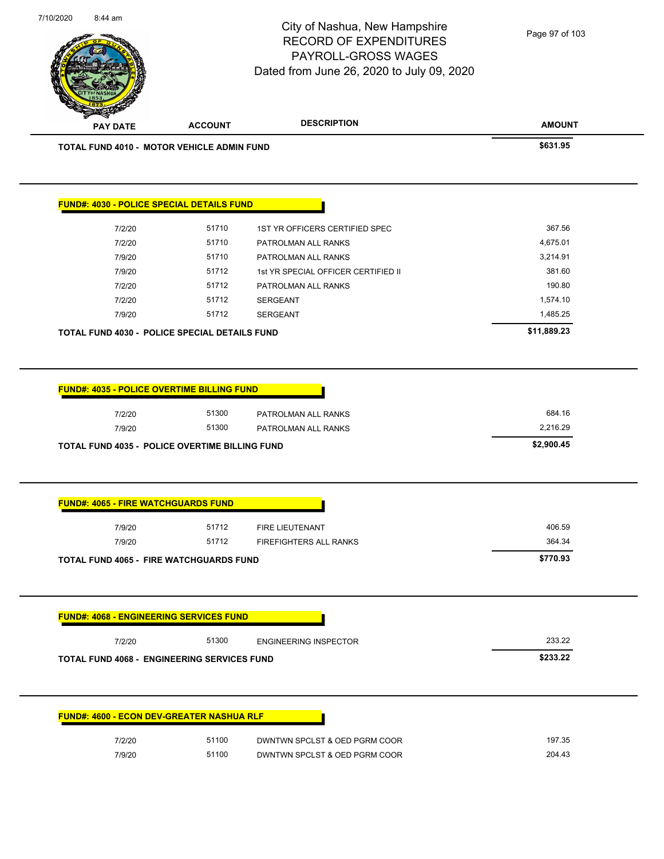**AMOUNT** City of Nashua, New Hampshire RECORD OF EXPENDITURES PAYROLL-GROSS WAGES Dated from June 26, 2020 to July 09, 2020 **PAY DATE ACCOUNT DESCRIPTION TOTAL FUND 4010 - MOTOR VEHICLE ADMIN FUND \$631.95 FUND#: 4030 - POLICE SPECIAL DETAILS FUND** 7/2/20 51710 1ST YR OFFICERS CERTIFIED SPEC 367.56 7/2/20 51710 PATROLMAN ALL RANKS 4,675.01 7/9/20 51710 PATROLMAN ALL RANKS 3,214.91 7/9/20 51712 1st YR SPECIAL OFFICER CERTIFIED II 381.60 7/2/20 51712 PATROLMAN ALL RANKS 190.80 7/2/20 51712 SERGEANT 1,574.10 7/9/20 51712 SERGEANT 1,485.25 **TOTAL FUND 4030 - POLICE SPECIAL DETAILS FUND \$11,889.23 FUND#: 4035 - POLICE OVERTIME BILLING FUND** 7/2/20 51300 PATROLMAN ALL RANKS 684.16 7/9/20 51300 PATROLMAN ALL RANKS 2,216.29 **TOTAL FUND 4035 - POLICE OVERTIME BILLING FUND \$2,900.45 FUND#: 4065 - FIRE WATCHGUARDS FUND** 7/9/20 51712 FIRE LIEUTENANT 406.59 7/9/20 51712 FIREFIGHTERS ALL RANKS 364.34 **TOTAL FUND 4065 - FIRE WATCHGUARDS FUND \$770.93 FUND#: 4068 - ENGINEERING SERVICES FUND** 7/2/20 51300 ENGINEERING INSPECTOR 233.22 **TOTAL FUND 4068 - ENGINEERING SERVICES FUND \$233.22 FUND#: 4600 - ECON DEV-GREATER NASHUA RLF** Page 97 of 103

7/10/2020 8:44 am

| 7/2/20 | 51100 | DWNTWN SPCLST & OED PGRM COOR | 197.35 |
|--------|-------|-------------------------------|--------|
| 7/9/20 | 51100 | DWNTWN SPCLST & OED PGRM COOR | 204.43 |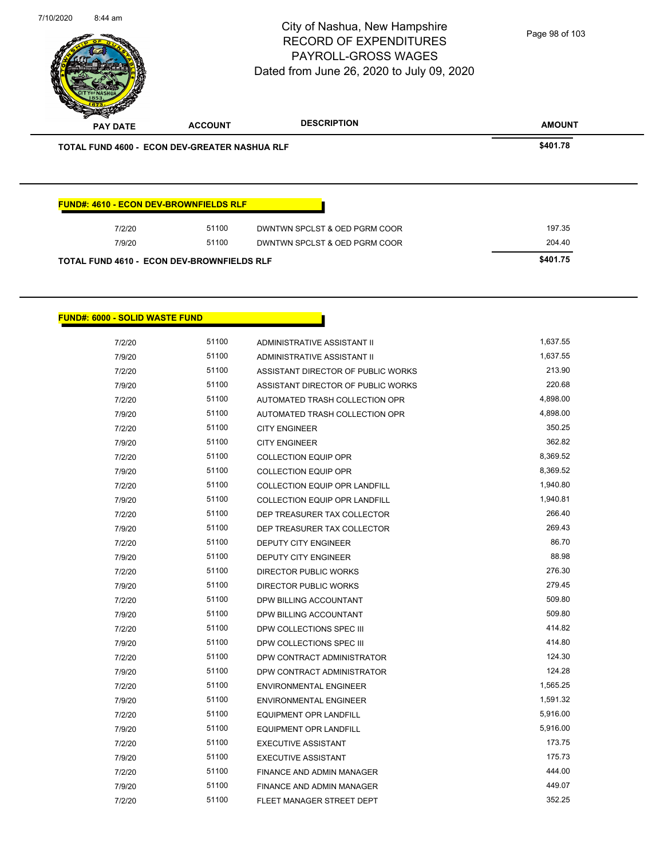| 7/10/2020<br>8:44 am |                                               |                | City of Nashua, New Hampshire<br><b>RECORD OF EXPENDITURES</b><br><b>PAYROLL-GROSS WAGES</b><br>Dated from June 26, 2020 to July 09, 2020 | Page 98 of 103 |  |
|----------------------|-----------------------------------------------|----------------|-------------------------------------------------------------------------------------------------------------------------------------------|----------------|--|
|                      | <b>PAY DATE</b>                               | <b>ACCOUNT</b> | <b>DESCRIPTION</b>                                                                                                                        | <b>AMOUNT</b>  |  |
|                      | TOTAL FUND 4600 - ECON DEV-GREATER NASHUA RLF |                |                                                                                                                                           | \$401.78       |  |
|                      | <b>FUND#: 4610 - ECON DEV-BROWNFIELDS RLF</b> |                |                                                                                                                                           |                |  |
|                      | 7/2/20                                        | 51100          | DWNTWN SPCLST & OED PGRM COOR                                                                                                             | 197.35         |  |
|                      | 7/9/20                                        | 51100          | DWNTWN SPCLST & OED PGRM COOR                                                                                                             | 204.40         |  |

**TOTAL FUND 4610 - ECON DEV-BROWNFIELDS RLF \$401.75** 

# **FUND#: 6000 - SOLID WASTE FUND**

| 7/2/20 | 51100 | ADMINISTRATIVE ASSISTANT II          | 1,637.55 |
|--------|-------|--------------------------------------|----------|
| 7/9/20 | 51100 | ADMINISTRATIVE ASSISTANT II          | 1,637.55 |
| 7/2/20 | 51100 | ASSISTANT DIRECTOR OF PUBLIC WORKS   | 213.90   |
| 7/9/20 | 51100 | ASSISTANT DIRECTOR OF PUBLIC WORKS   | 220.68   |
| 7/2/20 | 51100 | AUTOMATED TRASH COLLECTION OPR       | 4,898.00 |
| 7/9/20 | 51100 | AUTOMATED TRASH COLLECTION OPR       | 4,898.00 |
| 7/2/20 | 51100 | <b>CITY ENGINEER</b>                 | 350.25   |
| 7/9/20 | 51100 | <b>CITY ENGINEER</b>                 | 362.82   |
| 7/2/20 | 51100 | <b>COLLECTION EQUIP OPR</b>          | 8,369.52 |
| 7/9/20 | 51100 | <b>COLLECTION EQUIP OPR</b>          | 8,369.52 |
| 7/2/20 | 51100 | <b>COLLECTION EQUIP OPR LANDFILL</b> | 1,940.80 |
| 7/9/20 | 51100 | <b>COLLECTION EQUIP OPR LANDFILL</b> | 1,940.81 |
| 7/2/20 | 51100 | DEP TREASURER TAX COLLECTOR          | 266.40   |
| 7/9/20 | 51100 | DEP TREASURER TAX COLLECTOR          | 269.43   |
| 7/2/20 | 51100 | <b>DEPUTY CITY ENGINEER</b>          | 86.70    |
| 7/9/20 | 51100 | <b>DEPUTY CITY ENGINEER</b>          | 88.98    |
| 7/2/20 | 51100 | <b>DIRECTOR PUBLIC WORKS</b>         | 276.30   |
| 7/9/20 | 51100 | <b>DIRECTOR PUBLIC WORKS</b>         | 279.45   |
| 7/2/20 | 51100 | DPW BILLING ACCOUNTANT               | 509.80   |
| 7/9/20 | 51100 | DPW BILLING ACCOUNTANT               | 509.80   |
| 7/2/20 | 51100 | DPW COLLECTIONS SPEC III             | 414.82   |
| 7/9/20 | 51100 | DPW COLLECTIONS SPEC III             | 414.80   |
| 7/2/20 | 51100 | DPW CONTRACT ADMINISTRATOR           | 124.30   |
| 7/9/20 | 51100 | DPW CONTRACT ADMINISTRATOR           | 124.28   |
| 7/2/20 | 51100 | <b>ENVIRONMENTAL ENGINEER</b>        | 1,565.25 |
| 7/9/20 | 51100 | <b>ENVIRONMENTAL ENGINEER</b>        | 1,591.32 |
| 7/2/20 | 51100 | <b>EQUIPMENT OPR LANDFILL</b>        | 5,916.00 |
| 7/9/20 | 51100 | <b>EQUIPMENT OPR LANDFILL</b>        | 5,916.00 |
| 7/2/20 | 51100 | <b>EXECUTIVE ASSISTANT</b>           | 173.75   |
| 7/9/20 | 51100 | <b>EXECUTIVE ASSISTANT</b>           | 175.73   |
| 7/2/20 | 51100 | FINANCE AND ADMIN MANAGER            | 444.00   |
| 7/9/20 | 51100 | FINANCE AND ADMIN MANAGER            | 449.07   |
| 7/2/20 | 51100 | FLEET MANAGER STREET DEPT            | 352.25   |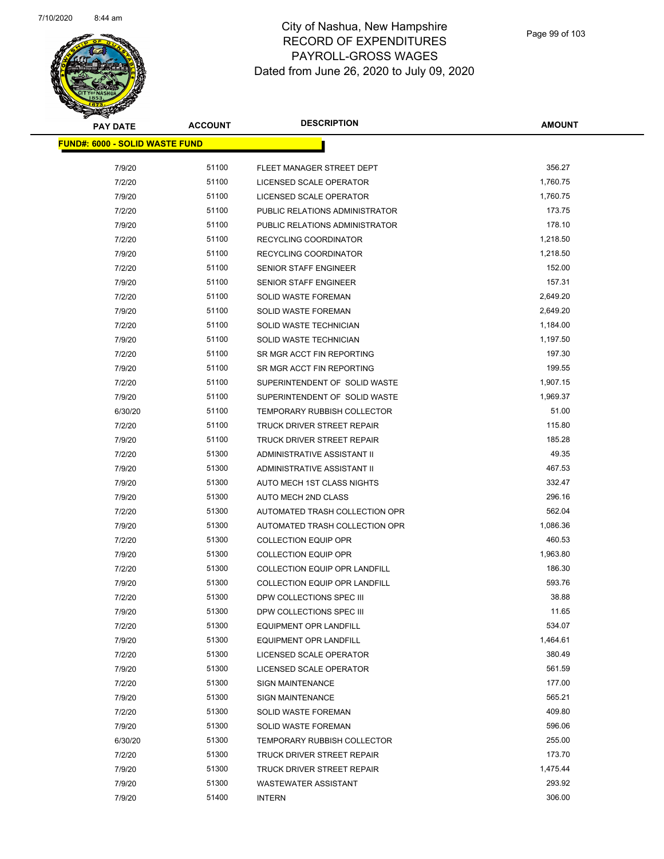

| <b>PAY DATE</b>                        | <b>ACCOUNT</b> | <b>DESCRIPTION</b>                                   | <b>AMOUNT</b> |
|----------------------------------------|----------------|------------------------------------------------------|---------------|
| <u> FUND#: 6000 - SOLID WASTE FUND</u> |                |                                                      |               |
|                                        |                |                                                      |               |
| 7/9/20                                 | 51100          | FLEET MANAGER STREET DEPT<br>LICENSED SCALE OPERATOR | 356.27        |
| 7/2/20                                 | 51100          |                                                      | 1,760.75      |
| 7/9/20                                 | 51100          | LICENSED SCALE OPERATOR                              | 1,760.75      |
| 7/2/20                                 | 51100          | PUBLIC RELATIONS ADMINISTRATOR                       | 173.75        |
| 7/9/20                                 | 51100          | PUBLIC RELATIONS ADMINISTRATOR                       | 178.10        |
| 7/2/20                                 | 51100          | RECYCLING COORDINATOR                                | 1,218.50      |
| 7/9/20                                 | 51100          | RECYCLING COORDINATOR                                | 1,218.50      |
| 7/2/20                                 | 51100          | <b>SENIOR STAFF ENGINEER</b>                         | 152.00        |
| 7/9/20                                 | 51100          | <b>SENIOR STAFF ENGINEER</b>                         | 157.31        |
| 7/2/20                                 | 51100          | <b>SOLID WASTE FOREMAN</b>                           | 2,649.20      |
| 7/9/20                                 | 51100          | SOLID WASTE FOREMAN                                  | 2,649.20      |
| 7/2/20                                 | 51100          | SOLID WASTE TECHNICIAN                               | 1,184.00      |
| 7/9/20                                 | 51100          | <b>SOLID WASTE TECHNICIAN</b>                        | 1,197.50      |
| 7/2/20                                 | 51100          | SR MGR ACCT FIN REPORTING                            | 197.30        |
| 7/9/20                                 | 51100          | SR MGR ACCT FIN REPORTING                            | 199.55        |
| 7/2/20                                 | 51100          | SUPERINTENDENT OF SOLID WASTE                        | 1,907.15      |
| 7/9/20                                 | 51100          | SUPERINTENDENT OF SOLID WASTE                        | 1,969.37      |
| 6/30/20                                | 51100          | <b>TEMPORARY RUBBISH COLLECTOR</b>                   | 51.00         |
| 7/2/20                                 | 51100          | TRUCK DRIVER STREET REPAIR                           | 115.80        |
| 7/9/20                                 | 51100          | TRUCK DRIVER STREET REPAIR                           | 185.28        |
| 7/2/20                                 | 51300          | ADMINISTRATIVE ASSISTANT II                          | 49.35         |
| 7/9/20                                 | 51300          | ADMINISTRATIVE ASSISTANT II                          | 467.53        |
| 7/9/20                                 | 51300          | AUTO MECH 1ST CLASS NIGHTS                           | 332.47        |
| 7/9/20                                 | 51300          | AUTO MECH 2ND CLASS                                  | 296.16        |
| 7/2/20                                 | 51300          | AUTOMATED TRASH COLLECTION OPR                       | 562.04        |
| 7/9/20                                 | 51300          | AUTOMATED TRASH COLLECTION OPR                       | 1,086.36      |
| 7/2/20                                 | 51300          | <b>COLLECTION EQUIP OPR</b>                          | 460.53        |
| 7/9/20                                 | 51300          | <b>COLLECTION EQUIP OPR</b>                          | 1,963.80      |
| 7/2/20                                 | 51300          | <b>COLLECTION EQUIP OPR LANDFILL</b>                 | 186.30        |
| 7/9/20                                 | 51300          | COLLECTION EQUIP OPR LANDFILL                        | 593.76        |
| 7/2/20                                 | 51300          | DPW COLLECTIONS SPEC III                             | 38.88         |
| 7/9/20                                 | 51300          | DPW COLLECTIONS SPEC III                             | 11.65         |
| 7/2/20                                 | 51300          | <b>EQUIPMENT OPR LANDFILL</b>                        | 534.07        |
| 7/9/20                                 | 51300          | <b>EQUIPMENT OPR LANDFILL</b>                        | 1,464.61      |
| 7/2/20                                 | 51300          | LICENSED SCALE OPERATOR                              | 380.49        |
| 7/9/20                                 | 51300          | LICENSED SCALE OPERATOR                              | 561.59        |
| 7/2/20                                 | 51300          | <b>SIGN MAINTENANCE</b>                              | 177.00        |
| 7/9/20                                 | 51300          | <b>SIGN MAINTENANCE</b>                              | 565.21        |
| 7/2/20                                 | 51300          | SOLID WASTE FOREMAN                                  | 409.80        |
| 7/9/20                                 | 51300          | <b>SOLID WASTE FOREMAN</b>                           | 596.06        |
| 6/30/20                                | 51300          | <b>TEMPORARY RUBBISH COLLECTOR</b>                   | 255.00        |
| 7/2/20                                 | 51300          | TRUCK DRIVER STREET REPAIR                           | 173.70        |
| 7/9/20                                 | 51300          | TRUCK DRIVER STREET REPAIR                           | 1,475.44      |
| 7/9/20                                 | 51300          | <b>WASTEWATER ASSISTANT</b>                          | 293.92        |
| 7/9/20                                 | 51400          | <b>INTERN</b>                                        | 306.00        |
|                                        |                |                                                      |               |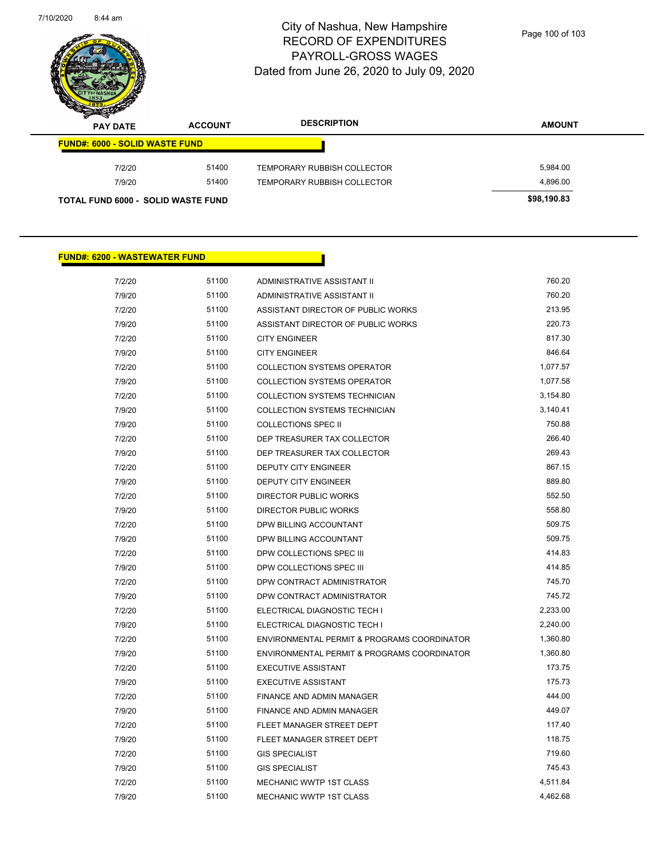

| $\overline{\mathscr{D}}$<br><b>PAY DATE</b> | <b>ACCOUNT</b> | <b>DESCRIPTION</b>          | <b>AMOUNT</b> |
|---------------------------------------------|----------------|-----------------------------|---------------|
| <b>FUND#: 6000 - SOLID WASTE FUND</b>       |                |                             |               |
| 7/2/20                                      | 51400          | TEMPORARY RUBBISH COLLECTOR | 5,984.00      |
| 7/9/20                                      | 51400          | TEMPORARY RUBBISH COLLECTOR | 4.896.00      |
| <b>TOTAL FUND 6000 - SOLID WASTE FUND</b>   |                |                             | \$98,190.83   |

п

#### **FUND#: 6200 - WASTEWATER FUND**

| 7/2/20 | 51100 | ADMINISTRATIVE ASSISTANT II                 | 760.20   |
|--------|-------|---------------------------------------------|----------|
| 7/9/20 | 51100 | ADMINISTRATIVE ASSISTANT II                 | 760.20   |
| 7/2/20 | 51100 | ASSISTANT DIRECTOR OF PUBLIC WORKS          | 213.95   |
| 7/9/20 | 51100 | ASSISTANT DIRECTOR OF PUBLIC WORKS          | 220.73   |
| 7/2/20 | 51100 | <b>CITY ENGINEER</b>                        | 817.30   |
| 7/9/20 | 51100 | <b>CITY ENGINEER</b>                        | 846.64   |
| 7/2/20 | 51100 | <b>COLLECTION SYSTEMS OPERATOR</b>          | 1,077.57 |
| 7/9/20 | 51100 | <b>COLLECTION SYSTEMS OPERATOR</b>          | 1,077.58 |
| 7/2/20 | 51100 | <b>COLLECTION SYSTEMS TECHNICIAN</b>        | 3,154.80 |
| 7/9/20 | 51100 | <b>COLLECTION SYSTEMS TECHNICIAN</b>        | 3,140.41 |
| 7/9/20 | 51100 | <b>COLLECTIONS SPEC II</b>                  | 750.88   |
| 7/2/20 | 51100 | DEP TREASURER TAX COLLECTOR                 | 266.40   |
| 7/9/20 | 51100 | DEP TREASURER TAX COLLECTOR                 | 269.43   |
| 7/2/20 | 51100 | <b>DEPUTY CITY ENGINEER</b>                 | 867.15   |
| 7/9/20 | 51100 | <b>DEPUTY CITY ENGINEER</b>                 | 889.80   |
| 7/2/20 | 51100 | <b>DIRECTOR PUBLIC WORKS</b>                | 552.50   |
| 7/9/20 | 51100 | DIRECTOR PUBLIC WORKS                       | 558.80   |
| 7/2/20 | 51100 | DPW BILLING ACCOUNTANT                      | 509.75   |
| 7/9/20 | 51100 | DPW BILLING ACCOUNTANT                      | 509.75   |
| 7/2/20 | 51100 | DPW COLLECTIONS SPEC III                    | 414.83   |
| 7/9/20 | 51100 | DPW COLLECTIONS SPEC III                    | 414.85   |
| 7/2/20 | 51100 | DPW CONTRACT ADMINISTRATOR                  | 745.70   |
| 7/9/20 | 51100 | DPW CONTRACT ADMINISTRATOR                  | 745.72   |
| 7/2/20 | 51100 | ELECTRICAL DIAGNOSTIC TECH I                | 2,233.00 |
| 7/9/20 | 51100 | ELECTRICAL DIAGNOSTIC TECH I                | 2,240.00 |
| 7/2/20 | 51100 | ENVIRONMENTAL PERMIT & PROGRAMS COORDINATOR | 1,360.80 |
| 7/9/20 | 51100 | ENVIRONMENTAL PERMIT & PROGRAMS COORDINATOR | 1,360.80 |
| 7/2/20 | 51100 | <b>EXECUTIVE ASSISTANT</b>                  | 173.75   |
| 7/9/20 | 51100 | <b>EXECUTIVE ASSISTANT</b>                  | 175.73   |
| 7/2/20 | 51100 | <b>FINANCE AND ADMIN MANAGER</b>            | 444.00   |
| 7/9/20 | 51100 | <b>FINANCE AND ADMIN MANAGER</b>            | 449.07   |
| 7/2/20 | 51100 | FLEET MANAGER STREET DEPT                   | 117.40   |
| 7/9/20 | 51100 | FLEET MANAGER STREET DEPT                   | 118.75   |
| 7/2/20 | 51100 | <b>GIS SPECIALIST</b>                       | 719.60   |
| 7/9/20 | 51100 | <b>GIS SPECIALIST</b>                       | 745.43   |
| 7/2/20 | 51100 | <b>MECHANIC WWTP 1ST CLASS</b>              | 4,511.84 |
| 7/9/20 | 51100 | <b>MECHANIC WWTP 1ST CLASS</b>              | 4,462.68 |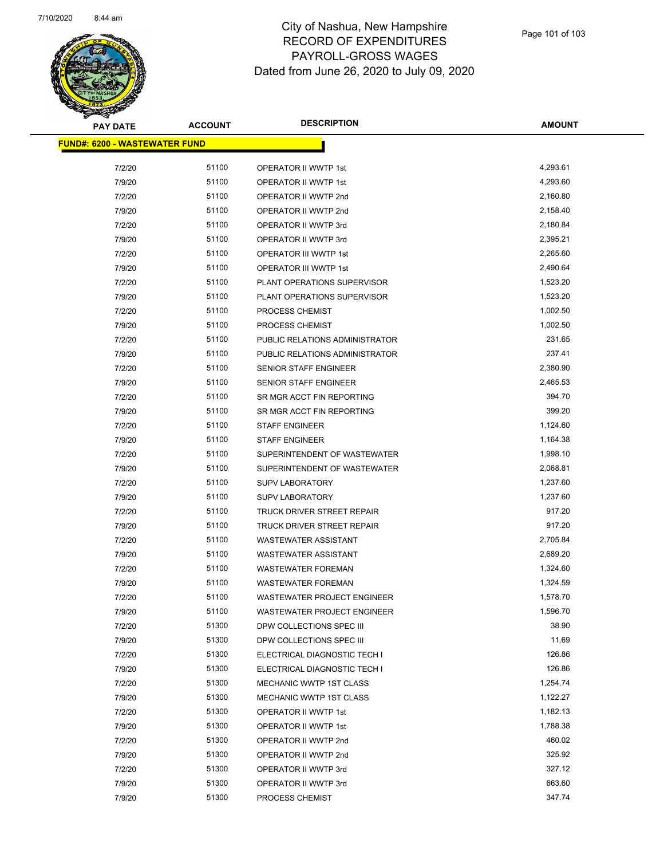

| <b>PAY DATE</b>                       | <b>ACCOUNT</b> | <b>DESCRIPTION</b>                 | <b>AMOUNT</b> |
|---------------------------------------|----------------|------------------------------------|---------------|
| <u> FUND#: 6200 - WASTEWATER FUND</u> |                |                                    |               |
|                                       |                |                                    |               |
| 7/2/20                                | 51100          | OPERATOR II WWTP 1st               | 4,293.61      |
| 7/9/20                                | 51100          | OPERATOR II WWTP 1st               | 4,293.60      |
| 7/2/20                                | 51100          | OPERATOR II WWTP 2nd               | 2,160.80      |
| 7/9/20                                | 51100          | OPERATOR II WWTP 2nd               | 2,158.40      |
| 7/2/20                                | 51100          | OPERATOR II WWTP 3rd               | 2,180.84      |
| 7/9/20                                | 51100          | OPERATOR II WWTP 3rd               | 2,395.21      |
| 7/2/20                                | 51100          | OPERATOR III WWTP 1st              | 2,265.60      |
| 7/9/20                                | 51100          | OPERATOR III WWTP 1st              | 2,490.64      |
| 7/2/20                                | 51100          | PLANT OPERATIONS SUPERVISOR        | 1,523.20      |
| 7/9/20                                | 51100          | PLANT OPERATIONS SUPERVISOR        | 1,523.20      |
| 7/2/20                                | 51100          | PROCESS CHEMIST                    | 1,002.50      |
| 7/9/20                                | 51100          | PROCESS CHEMIST                    | 1,002.50      |
| 7/2/20                                | 51100          | PUBLIC RELATIONS ADMINISTRATOR     | 231.65        |
| 7/9/20                                | 51100          | PUBLIC RELATIONS ADMINISTRATOR     | 237.41        |
| 7/2/20                                | 51100          | SENIOR STAFF ENGINEER              | 2,380.90      |
| 7/9/20                                | 51100          | SENIOR STAFF ENGINEER              | 2,465.53      |
| 7/2/20                                | 51100          | SR MGR ACCT FIN REPORTING          | 394.70        |
| 7/9/20                                | 51100          | SR MGR ACCT FIN REPORTING          | 399.20        |
| 7/2/20                                | 51100          | <b>STAFF ENGINEER</b>              | 1,124.60      |
| 7/9/20                                | 51100          | <b>STAFF ENGINEER</b>              | 1,164.38      |
| 7/2/20                                | 51100          | SUPERINTENDENT OF WASTEWATER       | 1,998.10      |
| 7/9/20                                | 51100          | SUPERINTENDENT OF WASTEWATER       | 2,068.81      |
| 7/2/20                                | 51100          | <b>SUPV LABORATORY</b>             | 1,237.60      |
| 7/9/20                                | 51100          | <b>SUPV LABORATORY</b>             | 1,237.60      |
| 7/2/20                                | 51100          | TRUCK DRIVER STREET REPAIR         | 917.20        |
| 7/9/20                                | 51100          | TRUCK DRIVER STREET REPAIR         | 917.20        |
| 7/2/20                                | 51100          | <b>WASTEWATER ASSISTANT</b>        | 2,705.84      |
| 7/9/20                                | 51100          | <b>WASTEWATER ASSISTANT</b>        | 2,689.20      |
| 7/2/20                                | 51100          | <b>WASTEWATER FOREMAN</b>          | 1,324.60      |
| 7/9/20                                | 51100          | <b>WASTEWATER FOREMAN</b>          | 1,324.59      |
| 7/2/20                                | 51100          | <b>WASTEWATER PROJECT ENGINEER</b> | 1,578.70      |
| 7/9/20                                | 51100          | <b>WASTEWATER PROJECT ENGINEER</b> | 1,596.70      |
| 7/2/20                                | 51300          | DPW COLLECTIONS SPEC III           | 38.90         |
| 7/9/20                                | 51300          | DPW COLLECTIONS SPEC III           | 11.69         |
| 7/2/20                                | 51300          | ELECTRICAL DIAGNOSTIC TECH I       | 126.86        |
| 7/9/20                                | 51300          | ELECTRICAL DIAGNOSTIC TECH I       | 126.86        |
| 7/2/20                                | 51300          | MECHANIC WWTP 1ST CLASS            | 1,254.74      |
| 7/9/20                                | 51300          | <b>MECHANIC WWTP 1ST CLASS</b>     | 1,122.27      |
| 7/2/20                                | 51300          | OPERATOR II WWTP 1st               | 1,182.13      |
| 7/9/20                                | 51300          | OPERATOR II WWTP 1st               | 1,788.38      |
| 7/2/20                                | 51300          | OPERATOR II WWTP 2nd               | 460.02        |
| 7/9/20                                | 51300          | OPERATOR II WWTP 2nd               | 325.92        |
| 7/2/20                                | 51300          | OPERATOR II WWTP 3rd               | 327.12        |
| 7/9/20                                | 51300          | OPERATOR II WWTP 3rd               | 663.60        |
| 7/9/20                                | 51300          | PROCESS CHEMIST                    | 347.74        |
|                                       |                |                                    |               |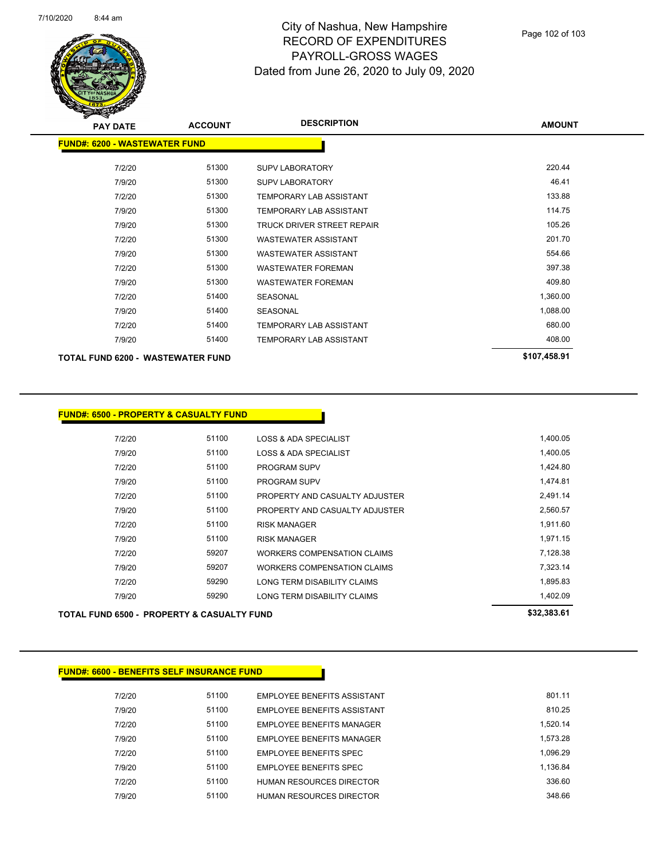

| <b>PAY DATE</b>                      | <b>ACCOUNT</b> | <b>DESCRIPTION</b>             | <b>AMOUNT</b> |
|--------------------------------------|----------------|--------------------------------|---------------|
| <b>FUND#: 6200 - WASTEWATER FUND</b> |                |                                |               |
| 7/2/20                               | 51300          | <b>SUPV LABORATORY</b>         | 220.44        |
| 7/9/20                               | 51300          | <b>SUPV LABORATORY</b>         | 46.41         |
| 7/2/20                               | 51300          | <b>TEMPORARY LAB ASSISTANT</b> | 133.88        |
| 7/9/20                               | 51300          | <b>TEMPORARY LAB ASSISTANT</b> | 114.75        |
| 7/9/20                               | 51300          | TRUCK DRIVER STREET REPAIR     | 105.26        |
| 7/2/20                               | 51300          | <b>WASTEWATER ASSISTANT</b>    | 201.70        |
| 7/9/20                               | 51300          | <b>WASTEWATER ASSISTANT</b>    | 554.66        |
| 7/2/20                               | 51300          | <b>WASTEWATER FOREMAN</b>      | 397.38        |
| 7/9/20                               | 51300          | <b>WASTEWATER FOREMAN</b>      | 409.80        |
| 7/2/20                               | 51400          | <b>SEASONAL</b>                | 1,360.00      |
| 7/9/20                               | 51400          | <b>SEASONAL</b>                | 1,088.00      |
| 7/2/20                               | 51400          | <b>TEMPORARY LAB ASSISTANT</b> | 680.00        |
| 7/9/20                               | 51400          | <b>TEMPORARY LAB ASSISTANT</b> | 408.00        |
| TOTAL FUND 6200 - WASTEWATER FUND    |                |                                | \$107,458.91  |

|        | <b>FUND#: 6500 - PROPERTY &amp; CASUALTY FUND</b>     |                                    |             |
|--------|-------------------------------------------------------|------------------------------------|-------------|
| 7/2/20 | 51100                                                 | <b>LOSS &amp; ADA SPECIALIST</b>   | 1,400.05    |
| 7/9/20 | 51100                                                 | LOSS & ADA SPECIALIST              | 1,400.05    |
| 7/2/20 | 51100                                                 | <b>PROGRAM SUPV</b>                | 1,424.80    |
| 7/9/20 | 51100                                                 | <b>PROGRAM SUPV</b>                | 1,474.81    |
| 7/2/20 | 51100                                                 | PROPERTY AND CASUALTY ADJUSTER     | 2,491.14    |
| 7/9/20 | 51100                                                 | PROPERTY AND CASUALTY ADJUSTER     | 2,560.57    |
| 7/2/20 | 51100                                                 | <b>RISK MANAGER</b>                | 1,911.60    |
| 7/9/20 | 51100                                                 | <b>RISK MANAGER</b>                | 1,971.15    |
| 7/2/20 | 59207                                                 | <b>WORKERS COMPENSATION CLAIMS</b> | 7,128.38    |
| 7/9/20 | 59207                                                 | <b>WORKERS COMPENSATION CLAIMS</b> | 7,323.14    |
| 7/2/20 | 59290                                                 | LONG TERM DISABILITY CLAIMS        | 1,895.83    |
| 7/9/20 | 59290                                                 | LONG TERM DISABILITY CLAIMS        | 1,402.09    |
|        | <b>TOTAL FUND 6500 - PROPERTY &amp; CASUALTY FUND</b> |                                    | \$32,383.61 |

| <b>FUND#: 6600 - BENEFITS SELF INSURANCE FUND</b> |       |                                 |          |
|---------------------------------------------------|-------|---------------------------------|----------|
| 7/2/20                                            | 51100 | EMPLOYEE BENEFITS ASSISTANT     | 801.11   |
| 7/9/20                                            | 51100 | EMPLOYEE BENEFITS ASSISTANT     | 810.25   |
| 7/2/20                                            | 51100 | EMPLOYEE BENEFITS MANAGER       | 1.520.14 |
| 7/9/20                                            | 51100 | EMPLOYEE BENEFITS MANAGER       | 1.573.28 |
| 7/2/20                                            | 51100 | EMPLOYEE BENEFITS SPEC          | 1.096.29 |
| 7/9/20                                            | 51100 | EMPLOYEE BENEFITS SPEC          | 1.136.84 |
| 7/2/20                                            | 51100 | <b>HUMAN RESOURCES DIRECTOR</b> | 336.60   |
| 7/9/20                                            | 51100 | HUMAN RESOURCES DIRECTOR        | 348.66   |